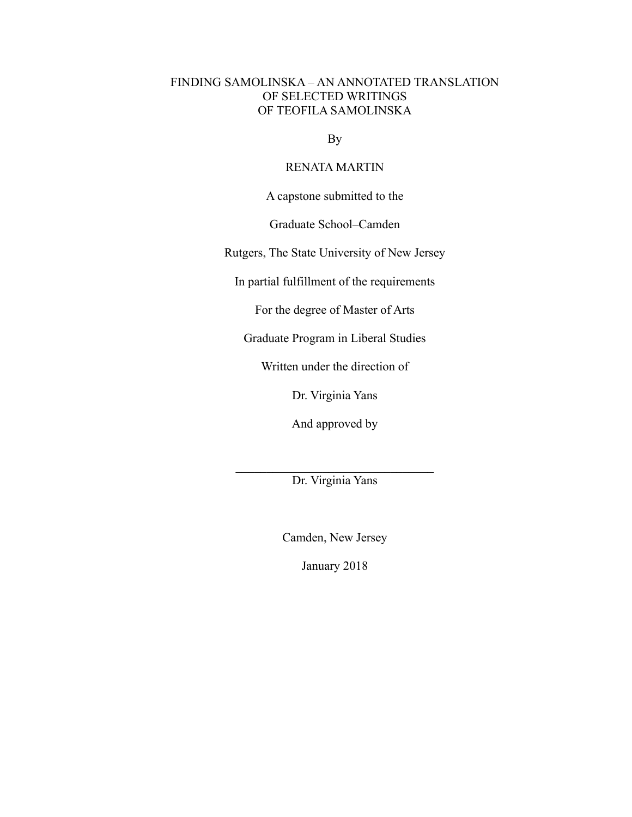# FINDING SAMOLINSKA – AN ANNOTATED TRANSLATION OF SELECTED WRITINGS OF TEOFILA SAMOLINSKA

By

## RENATA MARTIN

A capstone submitted to the

Graduate School–Camden

Rutgers, The State University of New Jersey

In partial fulfillment of the requirements

For the degree of Master of Arts

Graduate Program in Liberal Studies

Written under the direction of

Dr. Virginia Yans

And approved by

 $\mathcal{L}_\text{max}$  , where  $\mathcal{L}_\text{max}$  and  $\mathcal{L}_\text{max}$  and  $\mathcal{L}_\text{max}$ Dr. Virginia Yans

Camden, New Jersey

January 2018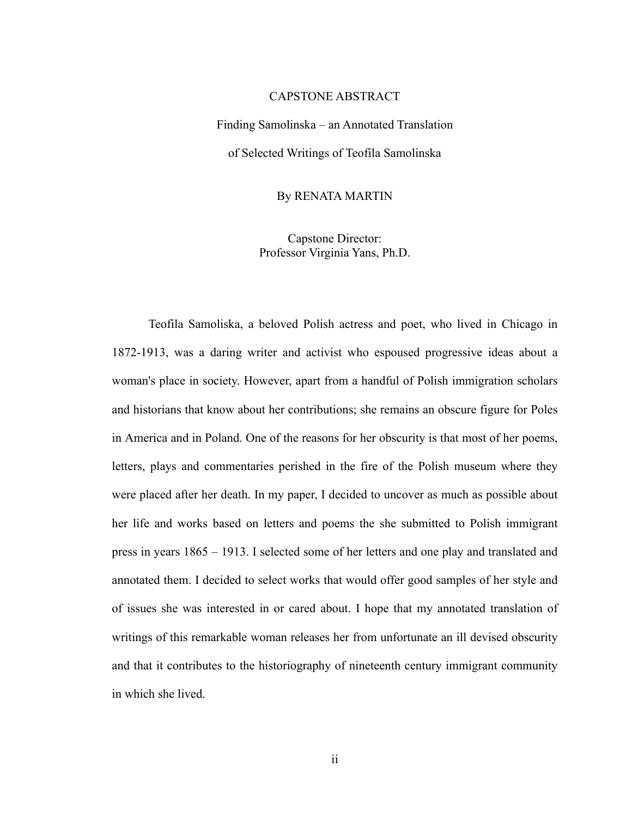### CAPSTONE ABSTRACT

Finding Samolinska – an Annotated Translation of Selected Writings of Teofila Samolinska

By RENATA MARTIN

Capstone Director: Professor Virginia Yans, Ph.D.

Teofila Samoliska, a beloved Polish actress and poet, who lived in Chicago in 1872-1913, was a daring writer and activist who espoused progressive ideas about a woman's place in society. However, apart from a handful of Polish immigration scholars and historians that know about her contributions; she remains an obscure figure for Poles in America and in Poland. One of the reasons for her obscurity is that most of her poems, letters, plays and commentaries perished in the fire of the Polish museum where they were placed after her death. In my paper, I decided to uncover as much as possible about her life and works based on letters and poems the she submitted to Polish immigrant press in years 1865 – 1913. I selected some of her letters and one play and translated and annotated them. I decided to select works that would offer good samples of her style and of issues she was interested in or cared about. I hope that my annotated translation of writings of this remarkable woman releases her from unfortunate an ill devised obscurity and that it contributes to the historiography of nineteenth century immigrant community in which she lived.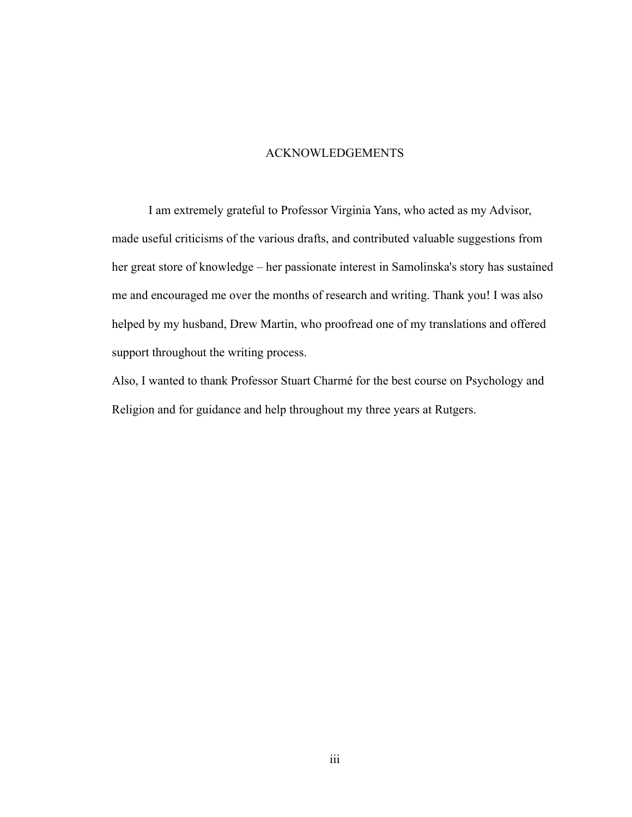## ACKNOWLEDGEMENTS

I am extremely grateful to Professor Virginia Yans, who acted as my Advisor, made useful criticisms of the various drafts, and contributed valuable suggestions from her great store of knowledge – her passionate interest in Samolinska's story has sustained me and encouraged me over the months of research and writing. Thank you! I was also helped by my husband, Drew Martin, who proofread one of my translations and offered support throughout the writing process.

Also, I wanted to thank Professor Stuart Charmé for the best course on Psychology and Religion and for guidance and help throughout my three years at Rutgers.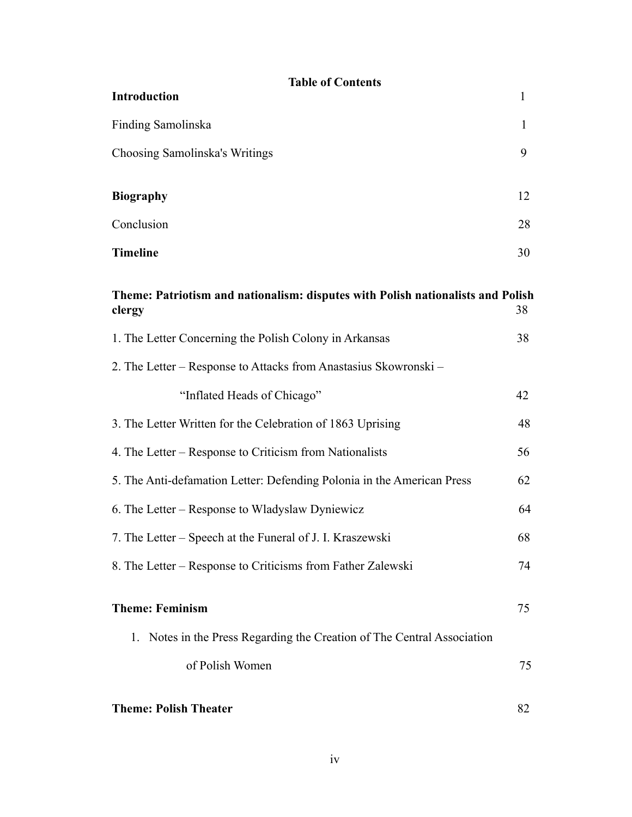| <b>Table of Contents</b><br>Introduction                                                  | 1            |
|-------------------------------------------------------------------------------------------|--------------|
| Finding Samolinska                                                                        | $\mathbf{1}$ |
| Choosing Samolinska's Writings                                                            | 9            |
| <b>Biography</b>                                                                          | 12           |
| Conclusion                                                                                | 28           |
| <b>Timeline</b>                                                                           | 30           |
| Theme: Patriotism and nationalism: disputes with Polish nationalists and Polish<br>clergy | 38           |
| 1. The Letter Concerning the Polish Colony in Arkansas                                    | 38           |
| 2. The Letter – Response to Attacks from Anastasius Skowronski –                          |              |
| "Inflated Heads of Chicago"                                                               | 42           |
| 3. The Letter Written for the Celebration of 1863 Uprising                                | 48           |
| 4. The Letter – Response to Criticism from Nationalists                                   | 56           |
| 5. The Anti-defamation Letter: Defending Polonia in the American Press                    | 62           |
| 6. The Letter – Response to Wladyslaw Dyniewicz                                           | 64           |
| 7. The Letter – Speech at the Funeral of J. I. Kraszewski                                 | 68           |
| 8. The Letter – Response to Criticisms from Father Zalewski                               | 74           |
| <b>Theme: Feminism</b>                                                                    | 75           |
| 1. Notes in the Press Regarding the Creation of The Central Association                   |              |
| of Polish Women                                                                           | 75           |
| <b>Theme: Polish Theater</b>                                                              | 82           |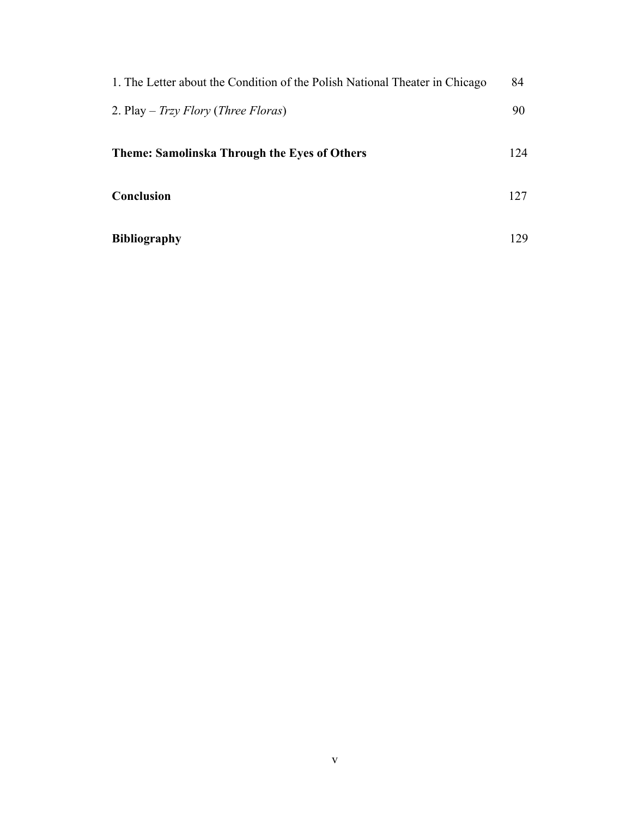| 1. The Letter about the Condition of the Polish National Theater in Chicago | 84  |
|-----------------------------------------------------------------------------|-----|
| 2. Play – Trzy Flory (Three Floras)                                         | 90  |
| <b>Theme: Samolinska Through the Eyes of Others</b>                         | 124 |
| Conclusion                                                                  | 127 |
| <b>Bibliography</b>                                                         | 129 |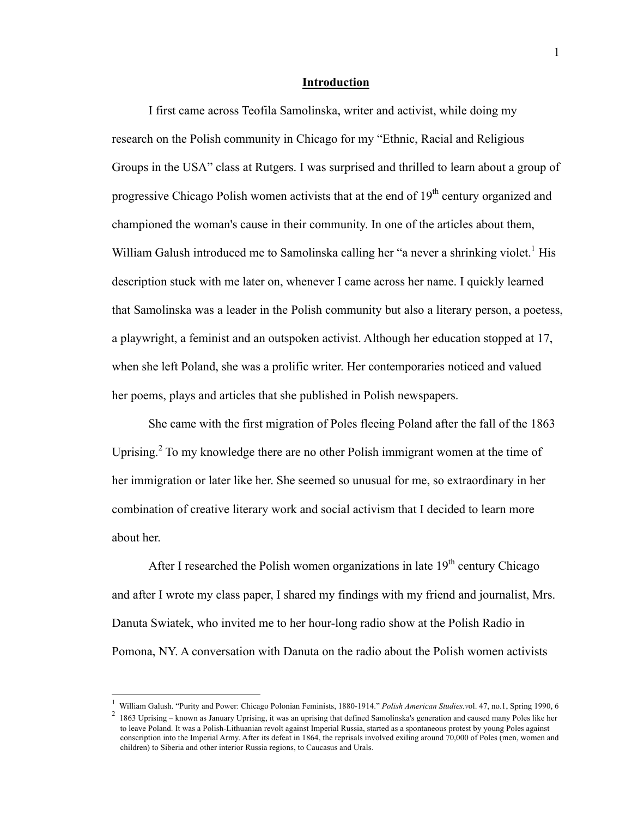#### **Introduction**

I first came across Teofila Samolinska, writer and activist, while doing my research on the Polish community in Chicago for my "Ethnic, Racial and Religious Groups in the USA" class at Rutgers. I was surprised and thrilled to learn about a group of progressive Chicago Polish women activists that at the end of 19<sup>th</sup> century organized and championed the woman's cause in their community. In one of the articles about them, William Galush introduced me to Samolinska calling her "a never a shrinking violet.<sup>1</sup> His description stuck with me later on, whenever I came across her name. I quickly learned that Samolinska was a leader in the Polish community but also a literary person, a poetess, a playwright, a feminist and an outspoken activist. Although her education stopped at 17, when she left Poland, she was a prolific writer. Her contemporaries noticed and valued her poems, plays and articles that she published in Polish newspapers.

She came with the first migration of Poles fleeing Poland after the fall of the 1863 Uprising.<sup>2</sup> To my knowledge there are no other Polish immigrant women at the time of her immigration or later like her. She seemed so unusual for me, so extraordinary in her combination of creative literary work and social activism that I decided to learn more about her.

After I researched the Polish women organizations in late  $19<sup>th</sup>$  century Chicago and after I wrote my class paper, I shared my findings with my friend and journalist, Mrs. Danuta Swiatek, who invited me to her hour-long radio show at the Polish Radio in Pomona, NY. A conversation with Danuta on the radio about the Polish women activists

 $\frac{1}{1}$ William Galush. "Purity and Power: Chicago Polonian Feminists, 1880-1914." *Polish American Studies.v*ol. 47, no.1, Spring 1990, 6

<sup>&</sup>lt;sup>2</sup> 1863 Uprising – known as January Uprising, it was an uprising that defined Samolinska's generation and caused many Poles like her to leave Poland. It was a Polish-Lithuanian revolt against Imperial Russia, started as a spontaneous protest by young Poles against conscription into the Imperial Army. After its defeat in 1864, the reprisals involved exiling around 70,000 of Poles (men, women and children) to Siberia and other interior Russia regions, to Caucasus and Urals.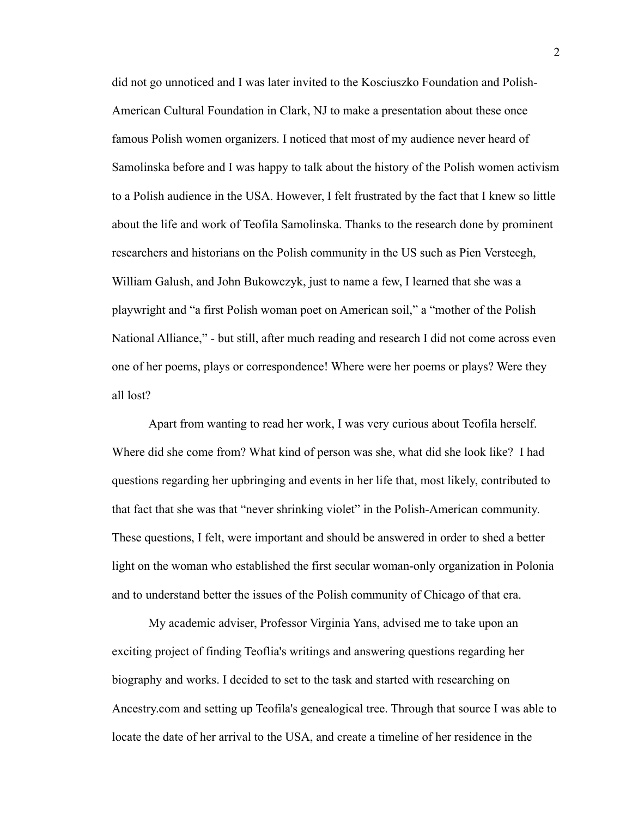did not go unnoticed and I was later invited to the Kosciuszko Foundation and Polish-American Cultural Foundation in Clark, NJ to make a presentation about these once famous Polish women organizers. I noticed that most of my audience never heard of Samolinska before and I was happy to talk about the history of the Polish women activism to a Polish audience in the USA. However, I felt frustrated by the fact that I knew so little about the life and work of Teofila Samolinska. Thanks to the research done by prominent researchers and historians on the Polish community in the US such as Pien Versteegh, William Galush, and John Bukowczyk, just to name a few, I learned that she was a playwright and "a first Polish woman poet on American soil," a "mother of the Polish National Alliance," - but still, after much reading and research I did not come across even one of her poems, plays or correspondence! Where were her poems or plays? Were they all lost?

Apart from wanting to read her work, I was very curious about Teofila herself. Where did she come from? What kind of person was she, what did she look like? I had questions regarding her upbringing and events in her life that, most likely, contributed to that fact that she was that "never shrinking violet" in the Polish-American community. These questions, I felt, were important and should be answered in order to shed a better light on the woman who established the first secular woman-only organization in Polonia and to understand better the issues of the Polish community of Chicago of that era.

My academic adviser, Professor Virginia Yans, advised me to take upon an exciting project of finding Teoflia's writings and answering questions regarding her biography and works. I decided to set to the task and started with researching on Ancestry.com and setting up Teofila's genealogical tree. Through that source I was able to locate the date of her arrival to the USA, and create a timeline of her residence in the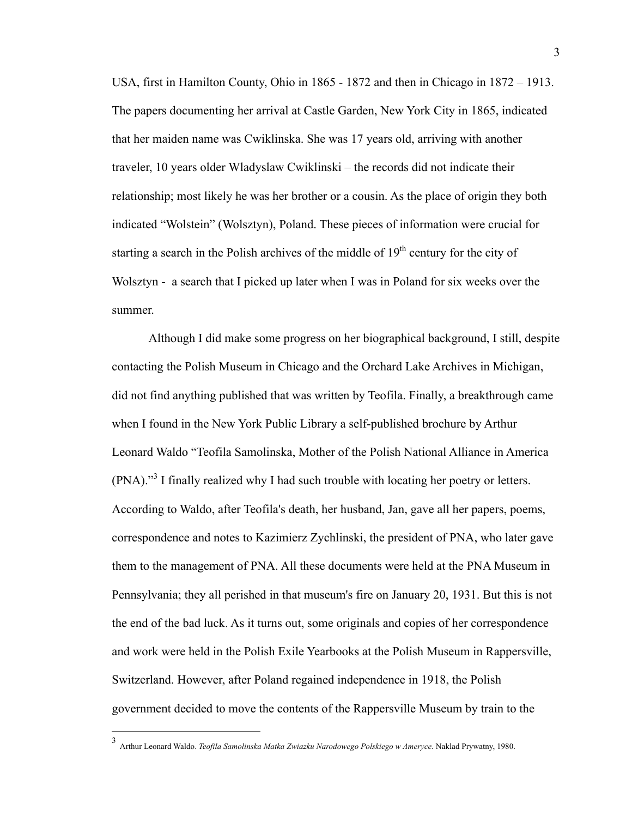USA, first in Hamilton County, Ohio in 1865 - 1872 and then in Chicago in 1872 – 1913. The papers documenting her arrival at Castle Garden, New York City in 1865, indicated that her maiden name was Cwiklinska. She was 17 years old, arriving with another traveler, 10 years older Wladyslaw Cwiklinski – the records did not indicate their relationship; most likely he was her brother or a cousin. As the place of origin they both indicated "Wolstein" (Wolsztyn), Poland. These pieces of information were crucial for starting a search in the Polish archives of the middle of  $19<sup>th</sup>$  century for the city of Wolsztyn - a search that I picked up later when I was in Poland for six weeks over the summer.

Although I did make some progress on her biographical background, I still, despite contacting the Polish Museum in Chicago and the Orchard Lake Archives in Michigan, did not find anything published that was written by Teofila. Finally, a breakthrough came when I found in the New York Public Library a self-published brochure by Arthur Leonard Waldo "Teofila Samolinska, Mother of the Polish National Alliance in America  $(PNA)$ ."<sup>3</sup> I finally realized why I had such trouble with locating her poetry or letters. According to Waldo, after Teofila's death, her husband, Jan, gave all her papers, poems, correspondence and notes to Kazimierz Zychlinski, the president of PNA, who later gave them to the management of PNA. All these documents were held at the PNA Museum in Pennsylvania; they all perished in that museum's fire on January 20, 1931. But this is not the end of the bad luck. As it turns out, some originals and copies of her correspondence and work were held in the Polish Exile Yearbooks at the Polish Museum in Rappersville, Switzerland. However, after Poland regained independence in 1918, the Polish government decided to move the contents of the Rappersville Museum by train to the

 <sup>3</sup> Arthur Leonard Waldo. *Teofila Samolinska Matka Zwiazku Narodowego Polskiego w Ameryce.* Naklad Prywatny, 1980.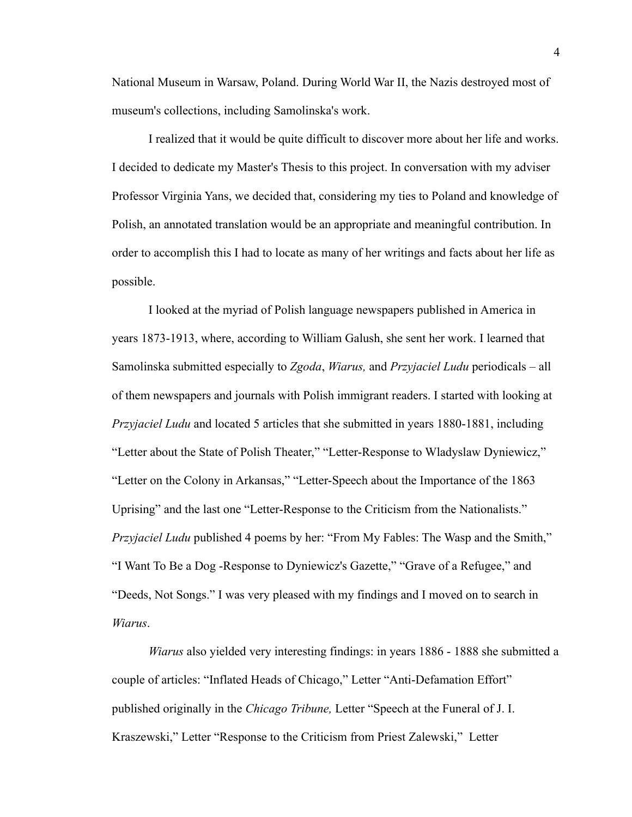National Museum in Warsaw, Poland. During World War II, the Nazis destroyed most of museum's collections, including Samolinska's work.

I realized that it would be quite difficult to discover more about her life and works. I decided to dedicate my Master's Thesis to this project. In conversation with my adviser Professor Virginia Yans, we decided that, considering my ties to Poland and knowledge of Polish, an annotated translation would be an appropriate and meaningful contribution. In order to accomplish this I had to locate as many of her writings and facts about her life as possible.

I looked at the myriad of Polish language newspapers published in America in years 1873-1913, where, according to William Galush, she sent her work. I learned that Samolinska submitted especially to *Zgoda*, *Wiarus,* and *Przyjaciel Ludu* periodicals – all of them newspapers and journals with Polish immigrant readers. I started with looking at *Przyjaciel Ludu* and located 5 articles that she submitted in years 1880-1881, including "Letter about the State of Polish Theater," "Letter-Response to Wladyslaw Dyniewicz," "Letter on the Colony in Arkansas," "Letter-Speech about the Importance of the 1863 Uprising" and the last one "Letter-Response to the Criticism from the Nationalists." *Przyjaciel Ludu* published 4 poems by her: "From My Fables: The Wasp and the Smith," "I Want To Be a Dog -Response to Dyniewicz's Gazette," "Grave of a Refugee," and "Deeds, Not Songs." I was very pleased with my findings and I moved on to search in *Wiarus*.

*Wiarus* also yielded very interesting findings: in years 1886 - 1888 she submitted a couple of articles: "Inflated Heads of Chicago," Letter "Anti-Defamation Effort" published originally in the *Chicago Tribune,* Letter "Speech at the Funeral of J. I. Kraszewski," Letter "Response to the Criticism from Priest Zalewski," Letter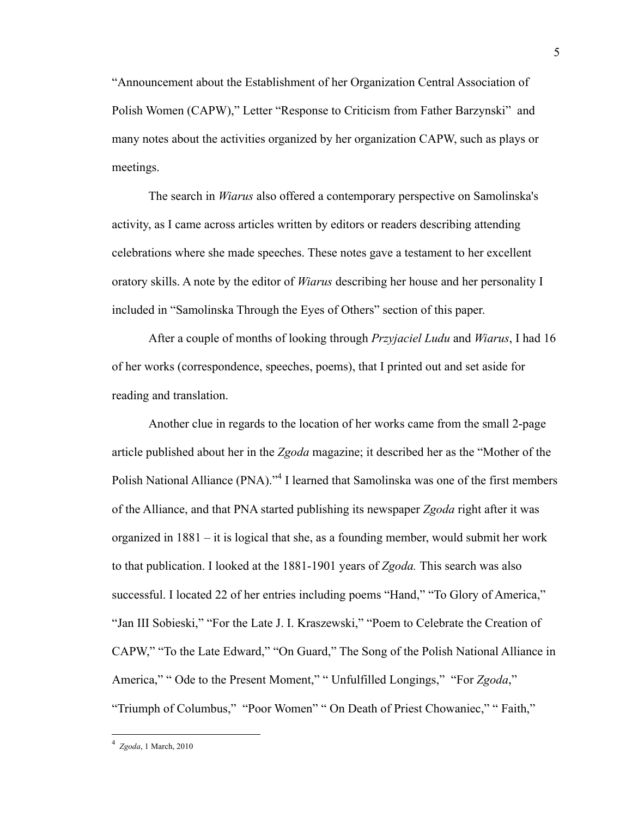"Announcement about the Establishment of her Organization Central Association of Polish Women (CAPW)," Letter "Response to Criticism from Father Barzynski" and many notes about the activities organized by her organization CAPW, such as plays or meetings.

The search in *Wiarus* also offered a contemporary perspective on Samolinska's activity, as I came across articles written by editors or readers describing attending celebrations where she made speeches. These notes gave a testament to her excellent oratory skills. A note by the editor of *Wiarus* describing her house and her personality I included in "Samolinska Through the Eyes of Others" section of this paper.

After a couple of months of looking through *Przyjaciel Ludu* and *Wiarus*, I had 16 of her works (correspondence, speeches, poems), that I printed out and set aside for reading and translation.

Another clue in regards to the location of her works came from the small 2-page article published about her in the *Zgoda* magazine; it described her as the "Mother of the Polish National Alliance (PNA).<sup>34</sup> I learned that Samolinska was one of the first members of the Alliance, and that PNA started publishing its newspaper *Zgoda* right after it was organized in 1881 – it is logical that she, as a founding member, would submit her work to that publication. I looked at the 1881-1901 years of *Zgoda.* This search was also successful. I located 22 of her entries including poems "Hand," "To Glory of America," "Jan III Sobieski," "For the Late J. I. Kraszewski," "Poem to Celebrate the Creation of CAPW," "To the Late Edward," "On Guard," The Song of the Polish National Alliance in America," " Ode to the Present Moment," " Unfulfilled Longings," "For *Zgoda*," "Triumph of Columbus," "Poor Women" " On Death of Priest Chowaniec," " Faith,"

 $\frac{1}{4}$  *Zgoda*, 1 March, 2010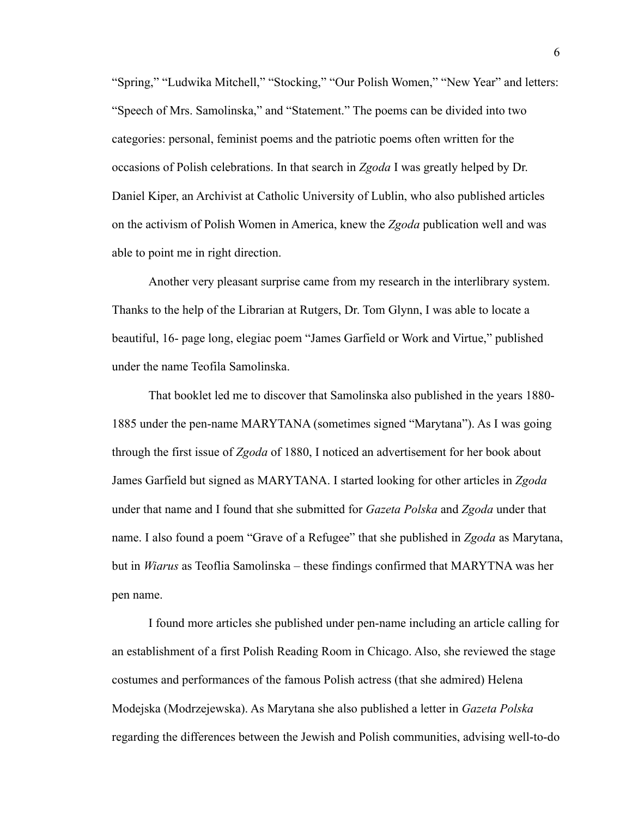"Spring," "Ludwika Mitchell," "Stocking," "Our Polish Women," "New Year" and letters: "Speech of Mrs. Samolinska," and "Statement." The poems can be divided into two categories: personal, feminist poems and the patriotic poems often written for the occasions of Polish celebrations. In that search in *Zgoda* I was greatly helped by Dr. Daniel Kiper, an Archivist at Catholic University of Lublin, who also published articles on the activism of Polish Women in America, knew the *Zgoda* publication well and was able to point me in right direction.

Another very pleasant surprise came from my research in the interlibrary system. Thanks to the help of the Librarian at Rutgers, Dr. Tom Glynn, I was able to locate a beautiful, 16- page long, elegiac poem "James Garfield or Work and Virtue," published under the name Teofila Samolinska.

That booklet led me to discover that Samolinska also published in the years 1880- 1885 under the pen-name MARYTANA (sometimes signed "Marytana"). As I was going through the first issue of *Zgoda* of 1880, I noticed an advertisement for her book about James Garfield but signed as MARYTANA. I started looking for other articles in *Zgoda* under that name and I found that she submitted for *Gazeta Polska* and *Zgoda* under that name. I also found a poem "Grave of a Refugee" that she published in *Zgoda* as Marytana, but in *Wiarus* as Teoflia Samolinska – these findings confirmed that MARYTNA was her pen name.

I found more articles she published under pen-name including an article calling for an establishment of a first Polish Reading Room in Chicago. Also, she reviewed the stage costumes and performances of the famous Polish actress (that she admired) Helena Modejska (Modrzejewska). As Marytana she also published a letter in *Gazeta Polska* regarding the differences between the Jewish and Polish communities, advising well-to-do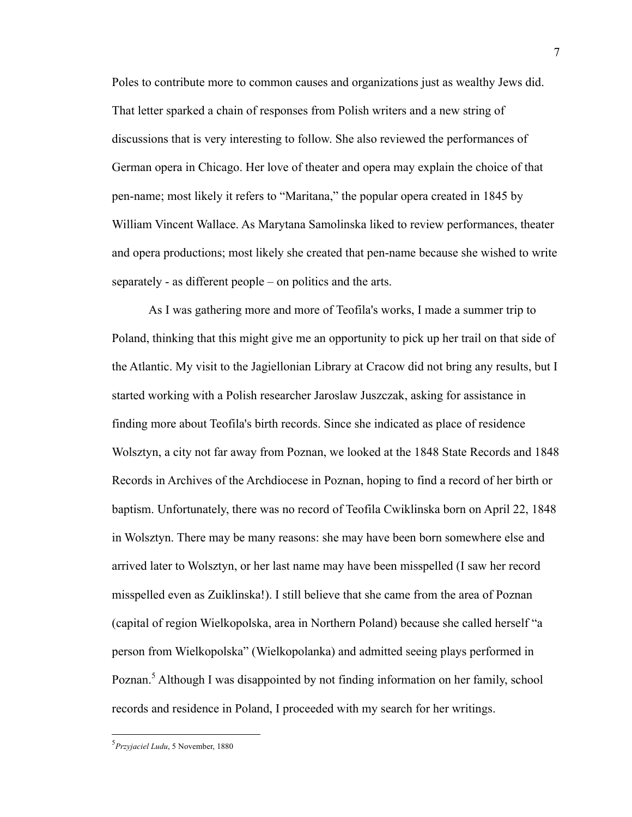Poles to contribute more to common causes and organizations just as wealthy Jews did. That letter sparked a chain of responses from Polish writers and a new string of discussions that is very interesting to follow. She also reviewed the performances of German opera in Chicago. Her love of theater and opera may explain the choice of that pen-name; most likely it refers to "Maritana," the popular opera created in 1845 by William Vincent Wallace. As Marytana Samolinska liked to review performances, theater and opera productions; most likely she created that pen-name because she wished to write separately - as different people – on politics and the arts.

As I was gathering more and more of Teofila's works, I made a summer trip to Poland, thinking that this might give me an opportunity to pick up her trail on that side of the Atlantic. My visit to the Jagiellonian Library at Cracow did not bring any results, but I started working with a Polish researcher Jaroslaw Juszczak, asking for assistance in finding more about Teofila's birth records. Since she indicated as place of residence Wolsztyn, a city not far away from Poznan, we looked at the 1848 State Records and 1848 Records in Archives of the Archdiocese in Poznan, hoping to find a record of her birth or baptism. Unfortunately, there was no record of Teofila Cwiklinska born on April 22, 1848 in Wolsztyn. There may be many reasons: she may have been born somewhere else and arrived later to Wolsztyn, or her last name may have been misspelled (I saw her record misspelled even as Zuiklinska!). I still believe that she came from the area of Poznan (capital of region Wielkopolska, area in Northern Poland) because she called herself "a person from Wielkopolska" (Wielkopolanka) and admitted seeing plays performed in Poznan.<sup>5</sup> Although I was disappointed by not finding information on her family, school records and residence in Poland, I proceeded with my search for her writings.

 <sup>5</sup> *Przyjaciel Ludu*, 5 November, 1880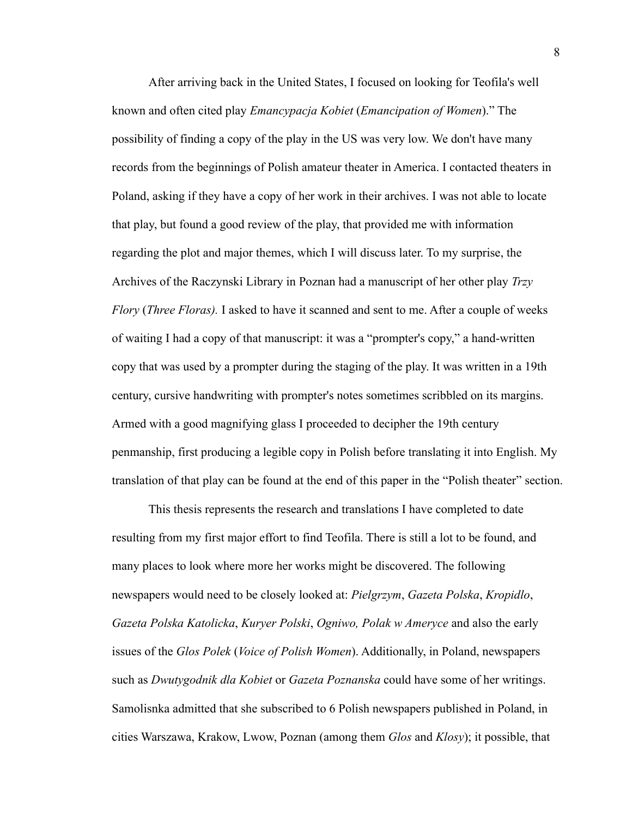After arriving back in the United States, I focused on looking for Teofila's well known and often cited play *Emancypacja Kobiet* (*Emancipation of Women*)." The possibility of finding a copy of the play in the US was very low. We don't have many records from the beginnings of Polish amateur theater in America. I contacted theaters in Poland, asking if they have a copy of her work in their archives. I was not able to locate that play, but found a good review of the play, that provided me with information regarding the plot and major themes, which I will discuss later. To my surprise, the Archives of the Raczynski Library in Poznan had a manuscript of her other play *Trzy Flory* (*Three Floras).* I asked to have it scanned and sent to me. After a couple of weeks of waiting I had a copy of that manuscript: it was a "prompter's copy," a hand-written copy that was used by a prompter during the staging of the play. It was written in a 19th century, cursive handwriting with prompter's notes sometimes scribbled on its margins. Armed with a good magnifying glass I proceeded to decipher the 19th century penmanship, first producing a legible copy in Polish before translating it into English. My translation of that play can be found at the end of this paper in the "Polish theater" section.

This thesis represents the research and translations I have completed to date resulting from my first major effort to find Teofila. There is still a lot to be found, and many places to look where more her works might be discovered. The following newspapers would need to be closely looked at: *Pielgrzym*, *Gazeta Polska*, *Kropidlo*, *Gazeta Polska Katolicka*, *Kuryer Polski*, *Ogniwo, Polak w Ameryce* and also the early issues of the *Glos Polek* (*Voice of Polish Women*). Additionally, in Poland, newspapers such as *Dwutygodnik dla Kobiet* or *Gazeta Poznanska* could have some of her writings. Samolisnka admitted that she subscribed to 6 Polish newspapers published in Poland, in cities Warszawa, Krakow, Lwow, Poznan (among them *Glos* and *Klosy*); it possible, that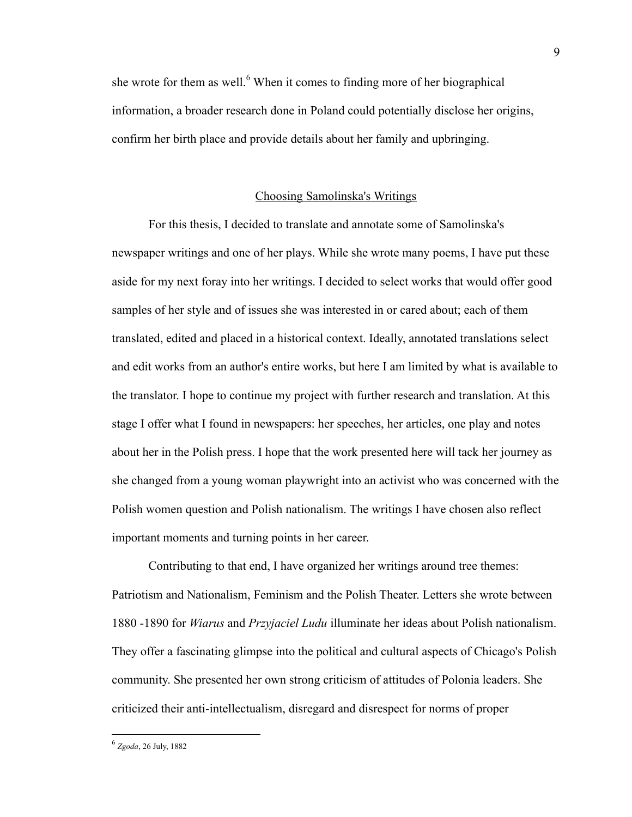she wrote for them as well.<sup>6</sup> When it comes to finding more of her biographical information, a broader research done in Poland could potentially disclose her origins, confirm her birth place and provide details about her family and upbringing.

### Choosing Samolinska's Writings

For this thesis, I decided to translate and annotate some of Samolinska's newspaper writings and one of her plays. While she wrote many poems, I have put these aside for my next foray into her writings. I decided to select works that would offer good samples of her style and of issues she was interested in or cared about; each of them translated, edited and placed in a historical context. Ideally, annotated translations select and edit works from an author's entire works, but here I am limited by what is available to the translator. I hope to continue my project with further research and translation. At this stage I offer what I found in newspapers: her speeches, her articles, one play and notes about her in the Polish press. I hope that the work presented here will tack her journey as she changed from a young woman playwright into an activist who was concerned with the Polish women question and Polish nationalism. The writings I have chosen also reflect important moments and turning points in her career.

Contributing to that end, I have organized her writings around tree themes: Patriotism and Nationalism, Feminism and the Polish Theater. Letters she wrote between 1880 -1890 for *Wiarus* and *Przyjaciel Ludu* illuminate her ideas about Polish nationalism. They offer a fascinating glimpse into the political and cultural aspects of Chicago's Polish community. She presented her own strong criticism of attitudes of Polonia leaders. She criticized their anti-intellectualism, disregard and disrespect for norms of proper

 <sup>6</sup> *Zgoda*, 26 July, 1882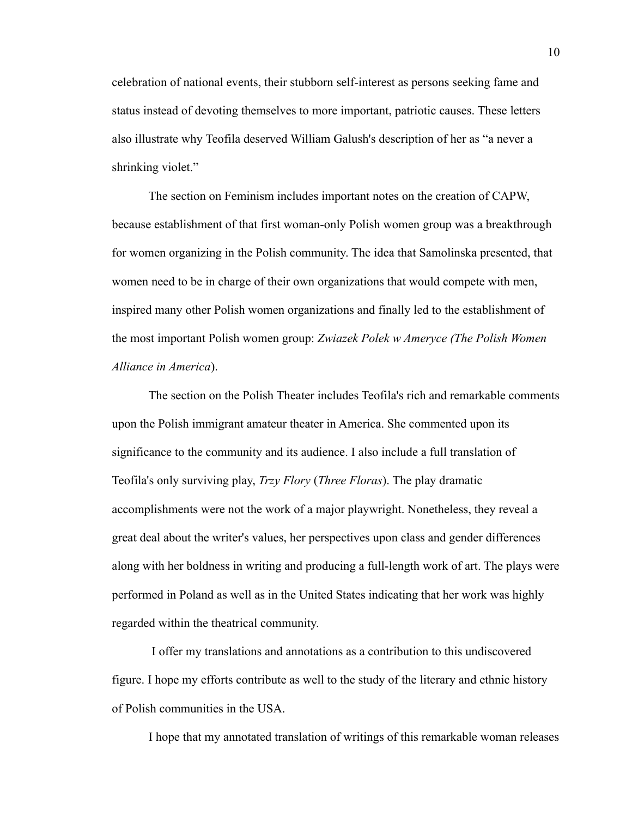celebration of national events, their stubborn self-interest as persons seeking fame and status instead of devoting themselves to more important, patriotic causes. These letters also illustrate why Teofila deserved William Galush's description of her as "a never a shrinking violet."

The section on Feminism includes important notes on the creation of CAPW, because establishment of that first woman-only Polish women group was a breakthrough for women organizing in the Polish community. The idea that Samolinska presented, that women need to be in charge of their own organizations that would compete with men, inspired many other Polish women organizations and finally led to the establishment of the most important Polish women group: *Zwiazek Polek w Ameryce (The Polish Women Alliance in America*).

The section on the Polish Theater includes Teofila's rich and remarkable comments upon the Polish immigrant amateur theater in America. She commented upon its significance to the community and its audience. I also include a full translation of Teofila's only surviving play, *Trzy Flory* (*Three Floras*). The play dramatic accomplishments were not the work of a major playwright. Nonetheless, they reveal a great deal about the writer's values, her perspectives upon class and gender differences along with her boldness in writing and producing a full-length work of art. The plays were performed in Poland as well as in the United States indicating that her work was highly regarded within the theatrical community.

I offer my translations and annotations as a contribution to this undiscovered figure. I hope my efforts contribute as well to the study of the literary and ethnic history of Polish communities in the USA.

I hope that my annotated translation of writings of this remarkable woman releases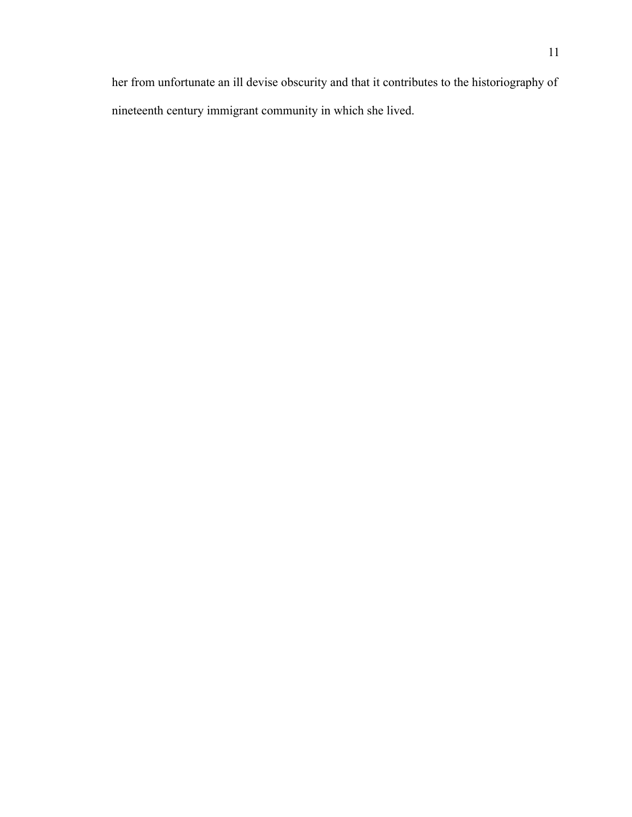her from unfortunate an ill devise obscurity and that it contributes to the historiography of nineteenth century immigrant community in which she lived.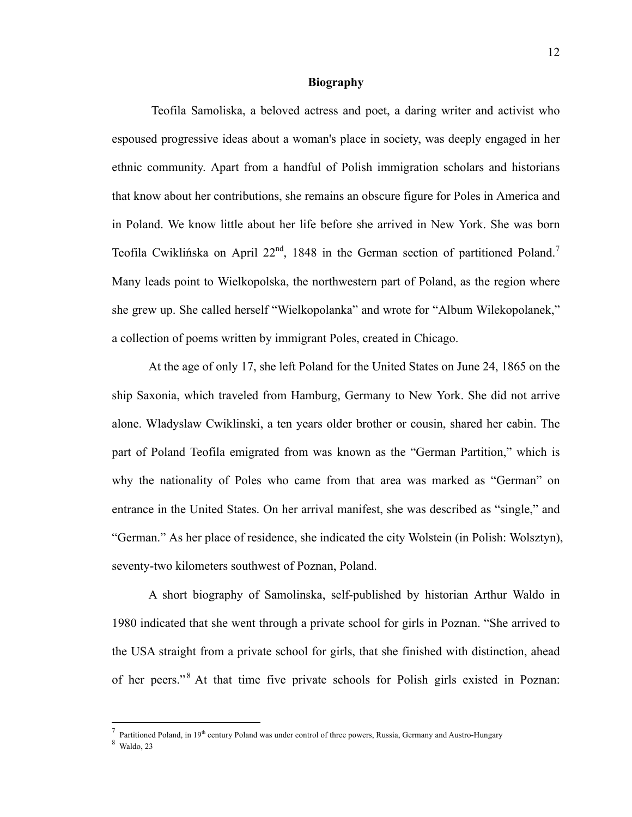#### **Biography**

Teofila Samoliska, a beloved actress and poet, a daring writer and activist who espoused progressive ideas about a woman's place in society, was deeply engaged in her ethnic community. Apart from a handful of Polish immigration scholars and historians that know about her contributions, she remains an obscure figure for Poles in America and in Poland. We know little about her life before she arrived in New York. She was born Teofila Cwiklińska on April 22<sup>nd</sup>, 1848 in the German section of partitioned Poland.<sup>7</sup> Many leads point to Wielkopolska, the northwestern part of Poland, as the region where she grew up. She called herself "Wielkopolanka" and wrote for "Album Wilekopolanek," a collection of poems written by immigrant Poles, created in Chicago.

At the age of only 17, she left Poland for the United States on June 24, 1865 on the ship Saxonia, which traveled from Hamburg, Germany to New York. She did not arrive alone. Wladyslaw Cwiklinski, a ten years older brother or cousin, shared her cabin. The part of Poland Teofila emigrated from was known as the "German Partition," which is why the nationality of Poles who came from that area was marked as "German" on entrance in the United States. On her arrival manifest, she was described as "single," and "German." As her place of residence, she indicated the city Wolstein (in Polish: Wolsztyn), seventy-two kilometers southwest of Poznan, Poland.

A short biography of Samolinska, self-published by historian Arthur Waldo in 1980 indicated that she went through a private school for girls in Poznan. "She arrived to the USA straight from a private school for girls, that she finished with distinction, ahead of her peers."<sup>8</sup> At that time five private schools for Polish girls existed in Poznan:

<sup>-&</sup>lt;br>7 <sup>7</sup> Partitioned Poland, in 19<sup>th</sup> century Poland was under control of three powers, Russia, Germany and Austro-Hungary

<sup>8</sup> Waldo, 23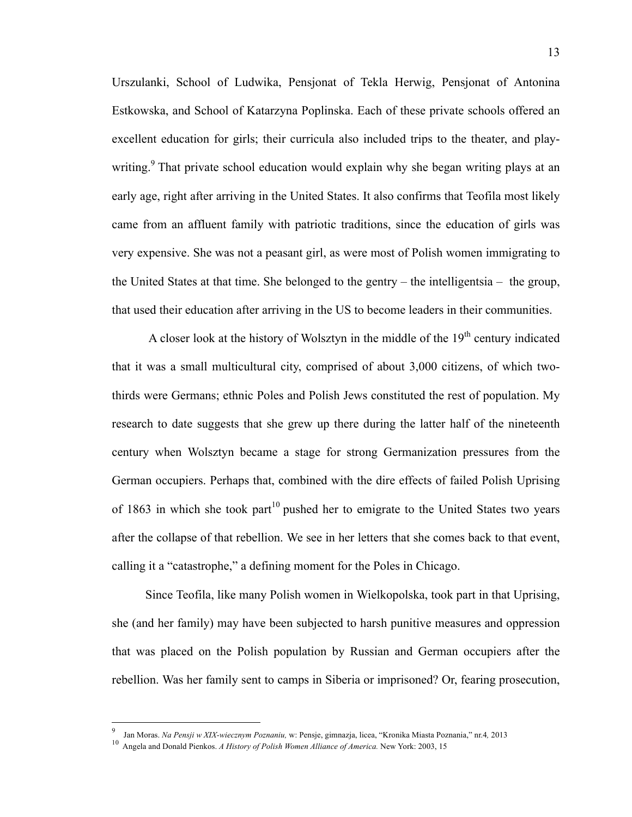Urszulanki, School of Ludwika, Pensjonat of Tekla Herwig, Pensjonat of Antonina Estkowska, and School of Katarzyna Poplinska. Each of these private schools offered an excellent education for girls; their curricula also included trips to the theater, and playwriting.<sup>9</sup> That private school education would explain why she began writing plays at an early age, right after arriving in the United States. It also confirms that Teofila most likely came from an affluent family with patriotic traditions, since the education of girls was very expensive. She was not a peasant girl, as were most of Polish women immigrating to the United States at that time. She belonged to the gentry – the intelligentsia – the group, that used their education after arriving in the US to become leaders in their communities.

A closer look at the history of Wolsztyn in the middle of the  $19<sup>th</sup>$  century indicated that it was a small multicultural city, comprised of about 3,000 citizens, of which twothirds were Germans; ethnic Poles and Polish Jews constituted the rest of population. My research to date suggests that she grew up there during the latter half of the nineteenth century when Wolsztyn became a stage for strong Germanization pressures from the German occupiers. Perhaps that, combined with the dire effects of failed Polish Uprising of 1863 in which she took part<sup>10</sup> pushed her to emigrate to the United States two years after the collapse of that rebellion. We see in her letters that she comes back to that event, calling it a "catastrophe," a defining moment for the Poles in Chicago.

Since Teofila, like many Polish women in Wielkopolska, took part in that Uprising, she (and her family) may have been subjected to harsh punitive measures and oppression that was placed on the Polish population by Russian and German occupiers after the rebellion. Was her family sent to camps in Siberia or imprisoned? Or, fearing prosecution,

<sup>-&</sup>lt;br>9 Jan Moras. *Na Pensji w XIX-wiecznym Poznaniu,* w: Pensje, gimnazja, licea, "Kronika Miasta Poznania," nr.4*,* 2013

<sup>10</sup> Angela and Donald Pienkos. *A History of Polish Women Alliance of America.* New York: 2003, 15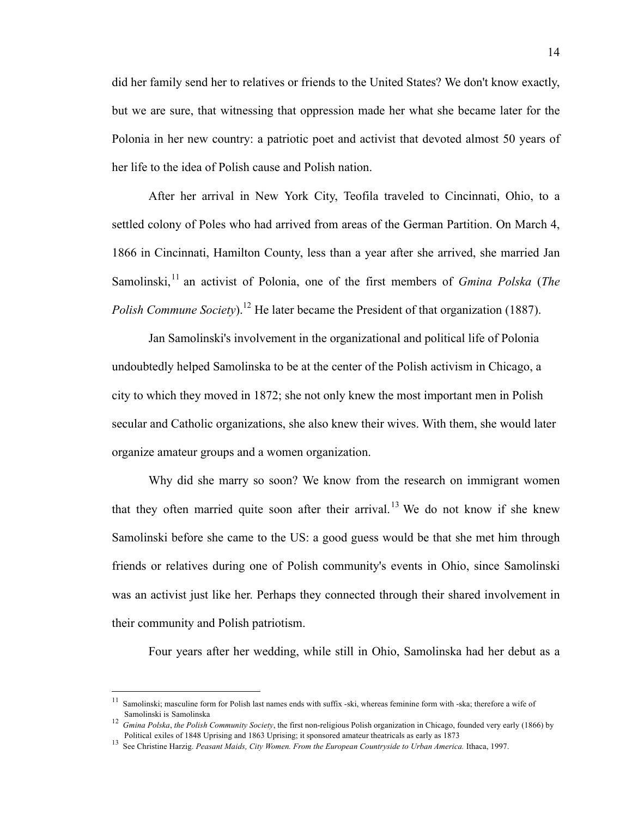did her family send her to relatives or friends to the United States? We don't know exactly, but we are sure, that witnessing that oppression made her what she became later for the Polonia in her new country: a patriotic poet and activist that devoted almost 50 years of her life to the idea of Polish cause and Polish nation.

After her arrival in New York City, Teofila traveled to Cincinnati, Ohio, to a settled colony of Poles who had arrived from areas of the German Partition. On March 4, 1866 in Cincinnati, Hamilton County, less than a year after she arrived, she married Jan Samolinski,<sup>11</sup> an activist of Polonia, one of the first members of *Gmina Polska (The Polish Commune Society*).<sup>12</sup> He later became the President of that organization (1887).

Jan Samolinski's involvement in the organizational and political life of Polonia undoubtedly helped Samolinska to be at the center of the Polish activism in Chicago, a city to which they moved in 1872; she not only knew the most important men in Polish secular and Catholic organizations, she also knew their wives. With them, she would later organize amateur groups and a women organization.

Why did she marry so soon? We know from the research on immigrant women that they often married quite soon after their arrival.<sup>13</sup> We do not know if she knew Samolinski before she came to the US: a good guess would be that she met him through friends or relatives during one of Polish community's events in Ohio, since Samolinski was an activist just like her. Perhaps they connected through their shared involvement in their community and Polish patriotism.

Four years after her wedding, while still in Ohio, Samolinska had her debut as a

Samolinski; masculine form for Polish last names ends with suffix -ski, whereas feminine form with -ska; therefore a wife of

Samolinski is Samolinska<br><sup>12</sup> Gmina Polska, the Polish Community Society, the first non-religious Polish organization in Chicago, founded very early (1866) by<br><sup>12</sup> Gmina Polska, the Polish Community Society, the first non-

<sup>&</sup>lt;sup>13</sup> See Christine Harzig. *Peasant Maids, City Women. From the European Countryside to Urban America.* Ithaca, 1997.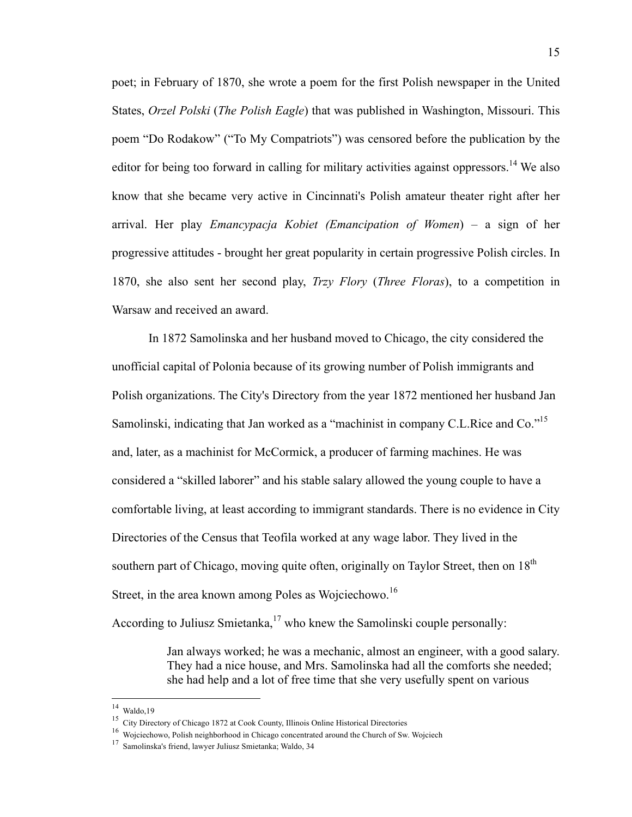poet; in February of 1870, she wrote a poem for the first Polish newspaper in the United States, *Orzel Polski* (*The Polish Eagle*) that was published in Washington, Missouri. This poem "Do Rodakow" ("To My Compatriots") was censored before the publication by the editor for being too forward in calling for military activities against oppressors.<sup>14</sup> We also know that she became very active in Cincinnati's Polish amateur theater right after her arrival. Her play *Emancypacja Kobiet (Emancipation of Women*) – a sign of her progressive attitudes - brought her great popularity in certain progressive Polish circles. In 1870, she also sent her second play, *Trzy Flory* (*Three Floras*), to a competition in Warsaw and received an award.

In 1872 Samolinska and her husband moved to Chicago, the city considered the unofficial capital of Polonia because of its growing number of Polish immigrants and Polish organizations. The City's Directory from the year 1872 mentioned her husband Jan Samolinski, indicating that Jan worked as a "machinist in company C.L.Rice and Co."<sup>15</sup> and, later, as a machinist for McCormick, a producer of farming machines. He was considered a "skilled laborer" and his stable salary allowed the young couple to have a comfortable living, at least according to immigrant standards. There is no evidence in City Directories of the Census that Teofila worked at any wage labor. They lived in the southern part of Chicago, moving quite often, originally on Taylor Street, then on 18<sup>th</sup> Street, in the area known among Poles as Wojciechowo.<sup>16</sup>

According to Juliusz Smietanka, $17$  who knew the Samolinski couple personally:

Jan always worked; he was a mechanic, almost an engineer, with a good salary. They had a nice house, and Mrs. Samolinska had all the comforts she needed; she had help and a lot of free time that she very usefully spent on various

 <sup>14</sup> Waldo,19

<sup>&</sup>lt;sup>15</sup> City Directory of Chicago 1872 at Cook County, Illinois Online Historical Directories

<sup>16</sup> Wojciechowo, Polish neighborhood in Chicago concentrated around the Church of Sw. Wojciech

<sup>17</sup> Samolinska's friend, lawyer Juliusz Smietanka; Waldo, 34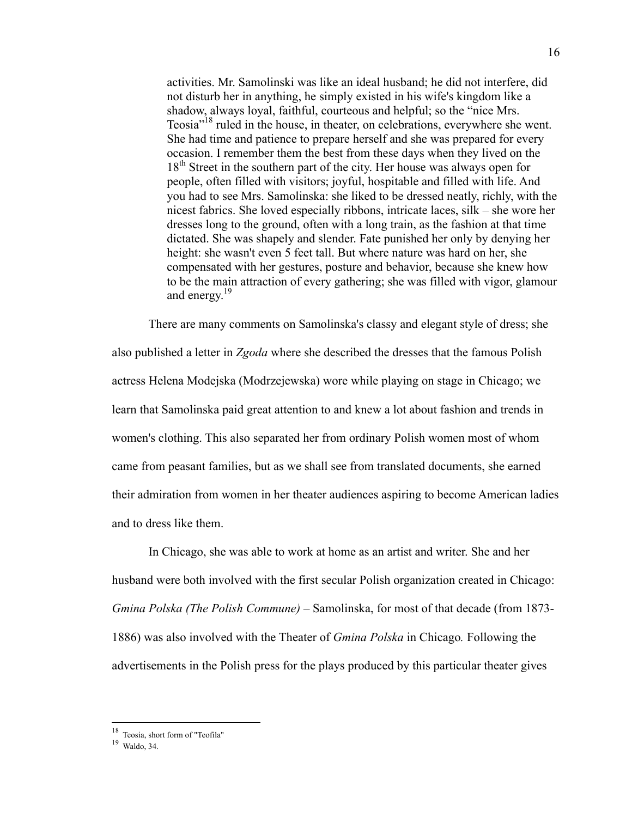activities. Mr. Samolinski was like an ideal husband; he did not interfere, did not disturb her in anything, he simply existed in his wife's kingdom like a shadow, always loyal, faithful, courteous and helpful; so the "nice Mrs. Teosia"18 ruled in the house, in theater, on celebrations, everywhere she went. She had time and patience to prepare herself and she was prepared for every occasion. I remember them the best from these days when they lived on the 18<sup>th</sup> Street in the southern part of the city. Her house was always open for people, often filled with visitors; joyful, hospitable and filled with life. And you had to see Mrs. Samolinska: she liked to be dressed neatly, richly, with the nicest fabrics. She loved especially ribbons, intricate laces, silk – she wore her dresses long to the ground, often with a long train, as the fashion at that time dictated. She was shapely and slender. Fate punished her only by denying her height: she wasn't even 5 feet tall. But where nature was hard on her, she compensated with her gestures, posture and behavior, because she knew how to be the main attraction of every gathering; she was filled with vigor, glamour and energy.<sup>19</sup>

There are many comments on Samolinska's classy and elegant style of dress; she also published a letter in *Zgoda* where she described the dresses that the famous Polish actress Helena Modejska (Modrzejewska) wore while playing on stage in Chicago; we learn that Samolinska paid great attention to and knew a lot about fashion and trends in women's clothing. This also separated her from ordinary Polish women most of whom came from peasant families, but as we shall see from translated documents, she earned their admiration from women in her theater audiences aspiring to become American ladies and to dress like them.

In Chicago, she was able to work at home as an artist and writer. She and her husband were both involved with the first secular Polish organization created in Chicago: *Gmina Polska (The Polish Commune)* – Samolinska, for most of that decade (from 1873- 1886) was also involved with the Theater of *Gmina Polska* in Chicago*.* Following the advertisements in the Polish press for the plays produced by this particular theater gives

 <sup>18</sup> Teosia, short form of "Teofila"

<sup>19</sup> Waldo, 34.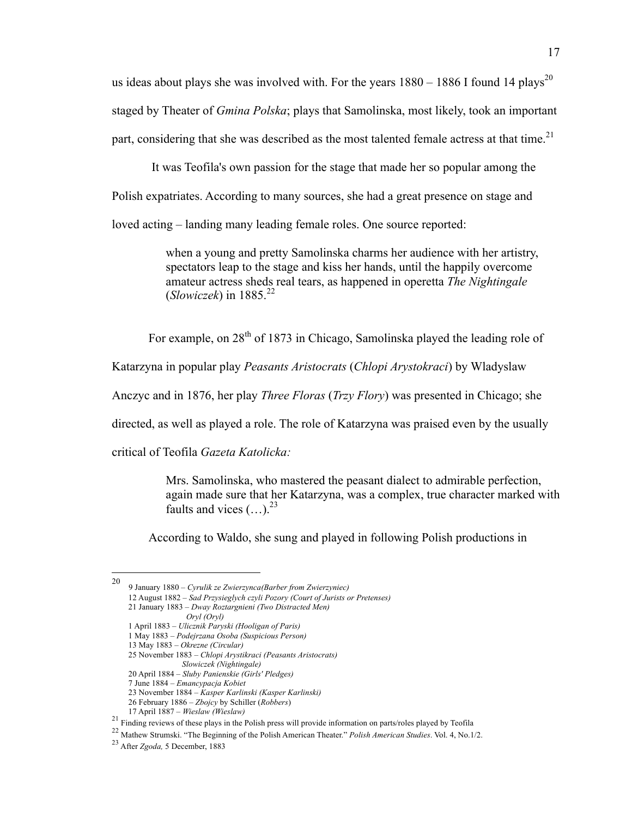us ideas about plays she was involved with. For the years  $1880 - 1886$  I found 14 plays<sup>20</sup> staged by Theater of *Gmina Polska*; plays that Samolinska, most likely, took an important part, considering that she was described as the most talented female actress at that time.<sup>21</sup>

It was Teofila's own passion for the stage that made her so popular among the Polish expatriates. According to many sources, she had a great presence on stage and loved acting – landing many leading female roles. One source reported:

> when a young and pretty Samolinska charms her audience with her artistry, spectators leap to the stage and kiss her hands, until the happily overcome amateur actress sheds real tears, as happened in operetta *The Nightingale*  $(Slowizeek)$  in 1885.<sup>22</sup>

For example, on 28<sup>th</sup> of 1873 in Chicago, Samolinska played the leading role of

Katarzyna in popular play *Peasants Aristocrats* (*Chlopi Arystokraci*) by Wladyslaw

Anczyc and in 1876, her play *Three Floras* (*Trzy Flory*) was presented in Chicago; she

directed, as well as played a role. The role of Katarzyna was praised even by the usually

critical of Teofila *Gazeta Katolicka:*

Mrs. Samolinska, who mastered the peasant dialect to admirable perfection, again made sure that her Katarzyna, was a complex, true character marked with faults and vices  $(\ldots)^{23}$ 

According to Waldo, she sung and played in following Polish productions in

 <sup>20 9</sup> January 1880 – *Cyrulik ze Zwierzynca(Barber from Zwierzyniec)*

 <sup>12</sup> August 1882 – *Sad Przysieglych czyli Pozory (Court of Jurists or Pretenses)*

 <sup>21</sup> January 1883 – *Dway Roztargnieni (Two Distracted Men)*

*Oryl (Oryl)*

 <sup>1</sup> April 1883 – *Ulicznik Paryski (Hooligan of Paris)*

 <sup>1</sup> May 1883 – *Podejrzana Osoba (Suspicious Person)*

 <sup>13</sup> May 1883 – *Okrezne (Circular)*

 <sup>25</sup> November 1883 – *Chlopi Arystikraci (Peasants Aristocrats) Slowiczek (Nightingale)*

 <sup>20</sup> April 1884 – *Sluby Panienskie (Girls' Pledges)*

 <sup>7</sup> June 1884 – *Emancypacja Kobiet*

 <sup>23</sup> November 1884 – *Kasper Karlinski (Kasper Karlinski)*

 <sup>26</sup> February 1886 – *Zbojcy* by Schiller (*Robbers*)

<sup>&</sup>lt;sup>21</sup> Finding reviews of these plays in the Polish press will provide information on parts/roles played by Teofila

<sup>22</sup> Mathew Strumski. "The Beginning of the Polish American Theater." *Polish American Studies*. Vol. 4, No.1/2.

<sup>23</sup> After *Zgoda,* 5 December, 1883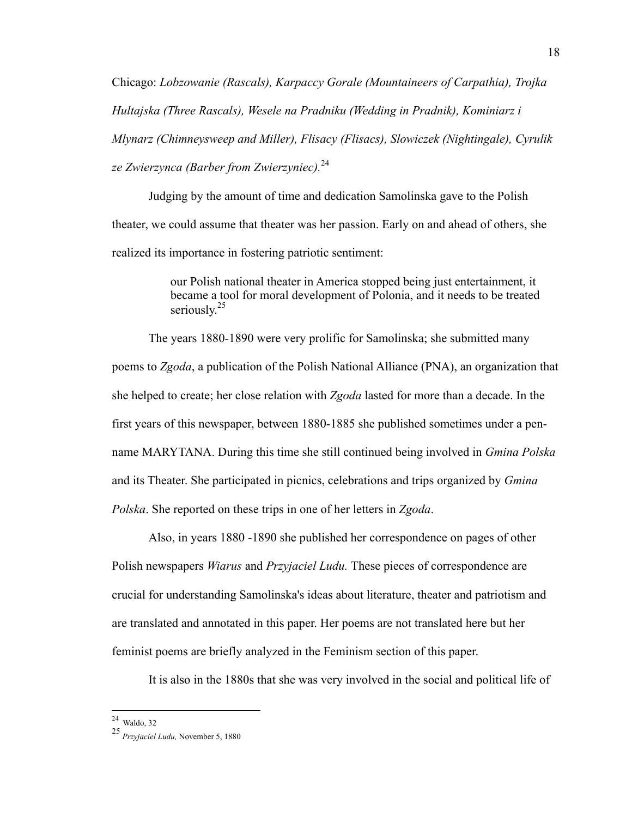Chicago: *Lobzowanie (Rascals), Karpaccy Gorale (Mountaineers of Carpathia), Trojka Hultajska (Three Rascals), Wesele na Pradniku (Wedding in Pradnik), Kominiarz i Mlynarz (Chimneysweep and Miller), Flisacy (Flisacs), Slowiczek (Nightingale), Cyrulik ze Zwierzynca (Barber from Zwierzyniec).*<sup>24</sup>

Judging by the amount of time and dedication Samolinska gave to the Polish theater, we could assume that theater was her passion. Early on and ahead of others, she realized its importance in fostering patriotic sentiment:

> our Polish national theater in America stopped being just entertainment, it became a tool for moral development of Polonia, and it needs to be treated seriously.<sup>25</sup>

The years 1880-1890 were very prolific for Samolinska; she submitted many poems to *Zgoda*, a publication of the Polish National Alliance (PNA), an organization that she helped to create; her close relation with *Zgoda* lasted for more than a decade. In the first years of this newspaper, between 1880-1885 she published sometimes under a penname MARYTANA. During this time she still continued being involved in *Gmina Polska* and its Theater. She participated in picnics, celebrations and trips organized by *Gmina Polska*. She reported on these trips in one of her letters in *Zgoda*.

Also, in years 1880 -1890 she published her correspondence on pages of other Polish newspapers *Wiarus* and *Przyjaciel Ludu.* These pieces of correspondence are crucial for understanding Samolinska's ideas about literature, theater and patriotism and are translated and annotated in this paper. Her poems are not translated here but her feminist poems are briefly analyzed in the Feminism section of this paper.

It is also in the 1880s that she was very involved in the social and political life of

 $24$  Waldo, 32

<sup>25</sup> *Przyjaciel Ludu,* November 5, 1880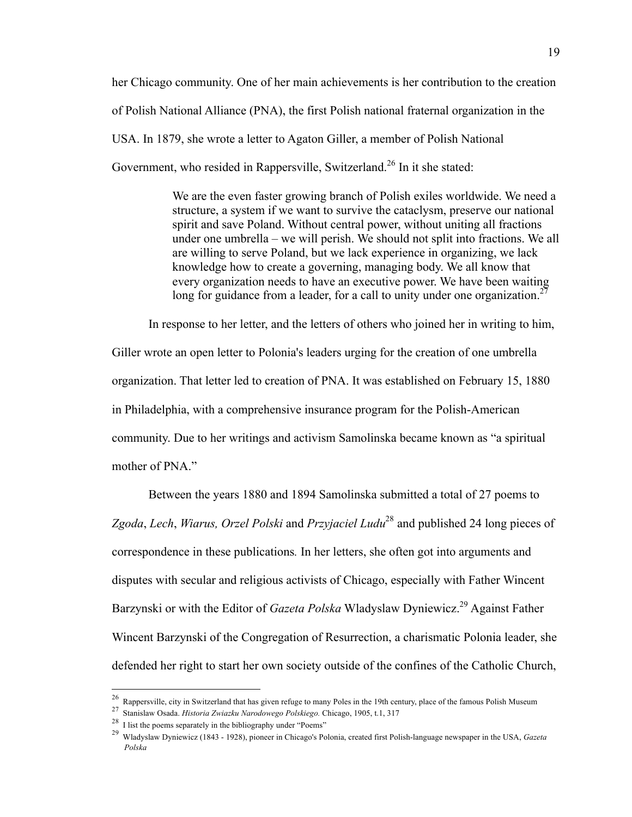her Chicago community. One of her main achievements is her contribution to the creation of Polish National Alliance (PNA), the first Polish national fraternal organization in the USA. In 1879, she wrote a letter to Agaton Giller, a member of Polish National Government, who resided in Rappersville, Switzerland.<sup>26</sup> In it she stated:

> We are the even faster growing branch of Polish exiles worldwide. We need a structure, a system if we want to survive the cataclysm, preserve our national spirit and save Poland. Without central power, without uniting all fractions under one umbrella – we will perish. We should not split into fractions. We all are willing to serve Poland, but we lack experience in organizing, we lack knowledge how to create a governing, managing body. We all know that every organization needs to have an executive power. We have been waiting long for guidance from a leader, for a call to unity under one organization.<sup>27</sup>

In response to her letter, and the letters of others who joined her in writing to him, Giller wrote an open letter to Polonia's leaders urging for the creation of one umbrella organization. That letter led to creation of PNA. It was established on February 15, 1880 in Philadelphia, with a comprehensive insurance program for the Polish-American community. Due to her writings and activism Samolinska became known as "a spiritual mother of PNA."

Between the years 1880 and 1894 Samolinska submitted a total of 27 poems to *Zgoda*, *Lech*, *Wiarus, Orzel Polski* and *Przyjaciel Ludu*<sup>28</sup> and published 24 long pieces of correspondence in these publications*.* In her letters, she often got into arguments and disputes with secular and religious activists of Chicago, especially with Father Wincent Barzynski or with the Editor of *Gazeta Polska* Wladyslaw Dyniewicz.<sup>29</sup> Against Father Wincent Barzynski of the Congregation of Resurrection, a charismatic Polonia leader, she defended her right to start her own society outside of the confines of the Catholic Church,

<sup>&</sup>lt;sup>26</sup> Rappersville, city in Switzerland that has given refuge to many Poles in the 19th century, place of the famous Polish Museum

<sup>27</sup> Stanislaw Osada. *Historia Zwiazku Narodowego Polskiego.* Chicago, 1905, t.1, 317

<sup>28</sup> I list the poems separately in the bibliography under "Poems"

<sup>29</sup> Wladyslaw Dyniewicz (1843 - 1928), pioneer in Chicago's Polonia, created first Polish-language newspaper in the USA, *Gazeta Polska*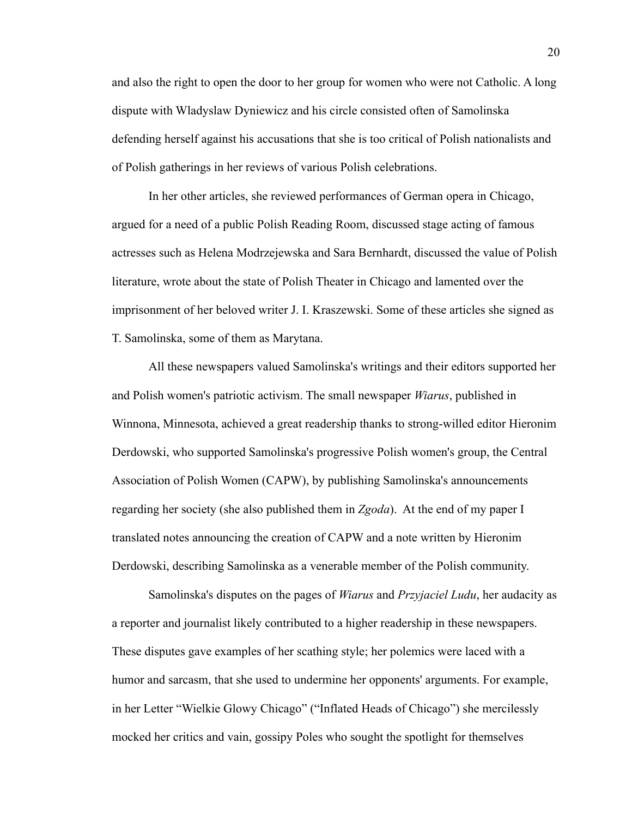and also the right to open the door to her group for women who were not Catholic. A long dispute with Wladyslaw Dyniewicz and his circle consisted often of Samolinska defending herself against his accusations that she is too critical of Polish nationalists and of Polish gatherings in her reviews of various Polish celebrations.

In her other articles, she reviewed performances of German opera in Chicago, argued for a need of a public Polish Reading Room, discussed stage acting of famous actresses such as Helena Modrzejewska and Sara Bernhardt, discussed the value of Polish literature, wrote about the state of Polish Theater in Chicago and lamented over the imprisonment of her beloved writer J. I. Kraszewski. Some of these articles she signed as T. Samolinska, some of them as Marytana.

All these newspapers valued Samolinska's writings and their editors supported her and Polish women's patriotic activism. The small newspaper *Wiarus*, published in Winnona, Minnesota, achieved a great readership thanks to strong-willed editor Hieronim Derdowski, who supported Samolinska's progressive Polish women's group, the Central Association of Polish Women (CAPW), by publishing Samolinska's announcements regarding her society (she also published them in *Zgoda*). At the end of my paper I translated notes announcing the creation of CAPW and a note written by Hieronim Derdowski, describing Samolinska as a venerable member of the Polish community.

Samolinska's disputes on the pages of *Wiarus* and *Przyjaciel Ludu*, her audacity as a reporter and journalist likely contributed to a higher readership in these newspapers. These disputes gave examples of her scathing style; her polemics were laced with a humor and sarcasm, that she used to undermine her opponents' arguments. For example, in her Letter "Wielkie Glowy Chicago" ("Inflated Heads of Chicago") she mercilessly mocked her critics and vain, gossipy Poles who sought the spotlight for themselves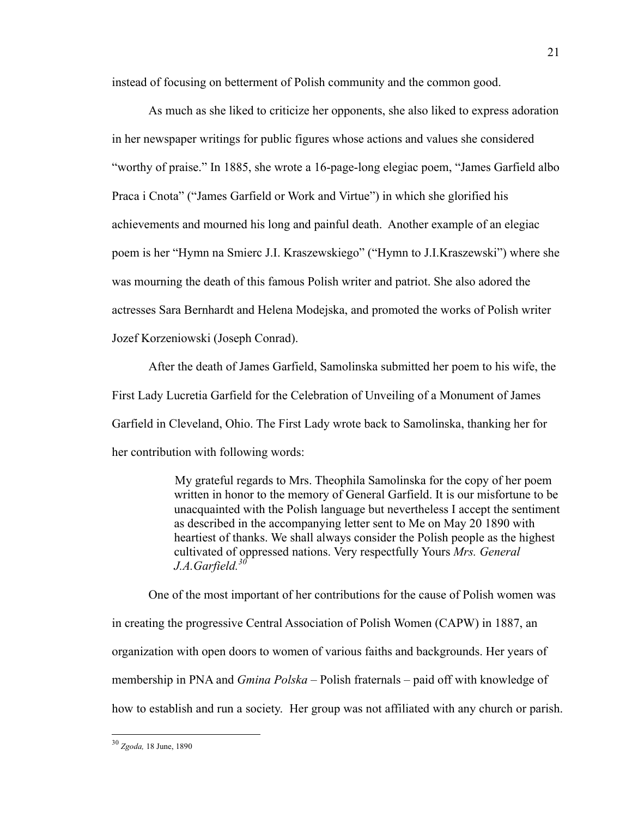instead of focusing on betterment of Polish community and the common good.

As much as she liked to criticize her opponents, she also liked to express adoration in her newspaper writings for public figures whose actions and values she considered "worthy of praise." In 1885, she wrote a 16-page-long elegiac poem, "James Garfield albo Praca i Cnota" ("James Garfield or Work and Virtue") in which she glorified his achievements and mourned his long and painful death. Another example of an elegiac poem is her "Hymn na Smierc J.I. Kraszewskiego" ("Hymn to J.I.Kraszewski") where she was mourning the death of this famous Polish writer and patriot. She also adored the actresses Sara Bernhardt and Helena Modejska, and promoted the works of Polish writer Jozef Korzeniowski (Joseph Conrad).

After the death of James Garfield, Samolinska submitted her poem to his wife, the First Lady Lucretia Garfield for the Celebration of Unveiling of a Monument of James Garfield in Cleveland, Ohio. The First Lady wrote back to Samolinska, thanking her for her contribution with following words:

> My grateful regards to Mrs. Theophila Samolinska for the copy of her poem written in honor to the memory of General Garfield. It is our misfortune to be unacquainted with the Polish language but nevertheless I accept the sentiment as described in the accompanying letter sent to Me on May 20 1890 with heartiest of thanks. We shall always consider the Polish people as the highest cultivated of oppressed nations. Very respectfully Yours *Mrs. General J.A.Garfield.<sup>30</sup>*

One of the most important of her contributions for the cause of Polish women was in creating the progressive Central Association of Polish Women (CAPW) in 1887, an organization with open doors to women of various faiths and backgrounds. Her years of membership in PNA and *Gmina Polska* – Polish fraternals – paid off with knowledge of how to establish and run a society. Her group was not affiliated with any church or parish.

 <sup>30</sup> *Zgoda,* 18 June, 1890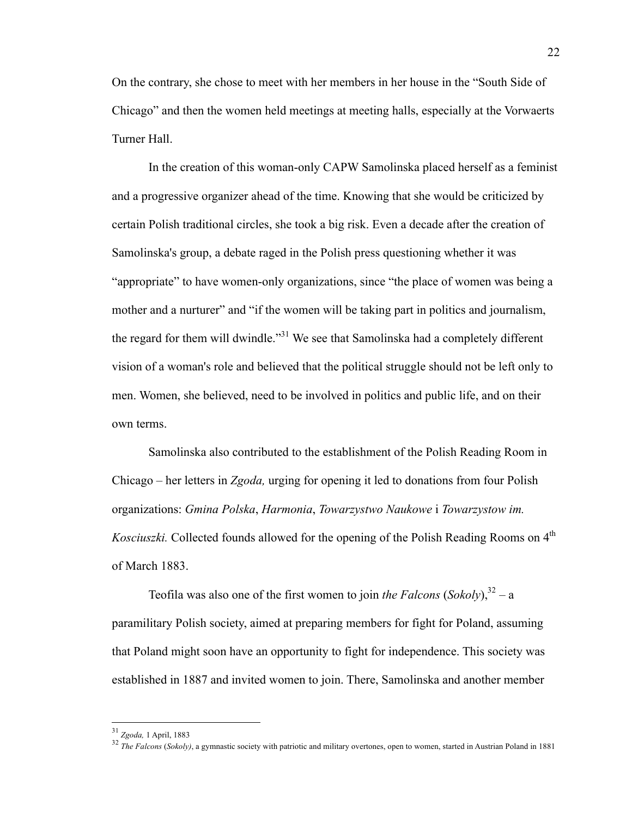On the contrary, she chose to meet with her members in her house in the "South Side of Chicago" and then the women held meetings at meeting halls, especially at the Vorwaerts Turner Hall.

In the creation of this woman-only CAPW Samolinska placed herself as a feminist and a progressive organizer ahead of the time. Knowing that she would be criticized by certain Polish traditional circles, she took a big risk. Even a decade after the creation of Samolinska's group, a debate raged in the Polish press questioning whether it was "appropriate" to have women-only organizations, since "the place of women was being a mother and a nurturer" and "if the women will be taking part in politics and journalism, the regard for them will dwindle."<sup>31</sup> We see that Samolinska had a completely different vision of a woman's role and believed that the political struggle should not be left only to men. Women, she believed, need to be involved in politics and public life, and on their own terms.

Samolinska also contributed to the establishment of the Polish Reading Room in Chicago – her letters in *Zgoda,* urging for opening it led to donations from four Polish organizations: *Gmina Polska*, *Harmonia*, *Towarzystwo Naukowe* i *Towarzystow im. Kosciuszki*. Collected founds allowed for the opening of the Polish Reading Rooms on 4<sup>th</sup> of March 1883.

Teofila was also one of the first women to join *the Falcons*  $(Sokoly)$ ,  $32 - a$ paramilitary Polish society, aimed at preparing members for fight for Poland, assuming that Poland might soon have an opportunity to fight for independence. This society was established in 1887 and invited women to join. There, Samolinska and another member

 <sup>31</sup> *Zgoda,* 1 April, 1883

<sup>32</sup> *The Falcons* (*Sokoly)*, a gymnastic society with patriotic and military overtones, open to women, started in Austrian Poland in 1881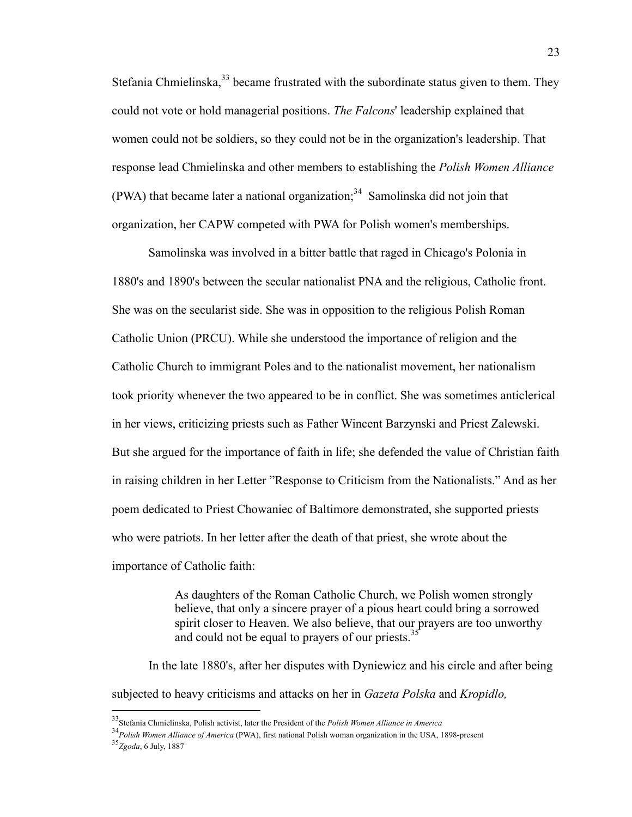Stefania Chmielinska,<sup>33</sup> became frustrated with the subordinate status given to them. They could not vote or hold managerial positions. *The Falcons*' leadership explained that women could not be soldiers, so they could not be in the organization's leadership. That response lead Chmielinska and other members to establishing the *Polish Women Alliance*  (PWA) that became later a national organization;<sup>34</sup> Samolinska did not join that organization, her CAPW competed with PWA for Polish women's memberships.

Samolinska was involved in a bitter battle that raged in Chicago's Polonia in 1880's and 1890's between the secular nationalist PNA and the religious, Catholic front. She was on the secularist side. She was in opposition to the religious Polish Roman Catholic Union (PRCU). While she understood the importance of religion and the Catholic Church to immigrant Poles and to the nationalist movement, her nationalism took priority whenever the two appeared to be in conflict. She was sometimes anticlerical in her views, criticizing priests such as Father Wincent Barzynski and Priest Zalewski. But she argued for the importance of faith in life; she defended the value of Christian faith in raising children in her Letter "Response to Criticism from the Nationalists." And as her poem dedicated to Priest Chowaniec of Baltimore demonstrated, she supported priests who were patriots. In her letter after the death of that priest, she wrote about the importance of Catholic faith:

> As daughters of the Roman Catholic Church, we Polish women strongly believe, that only a sincere prayer of a pious heart could bring a sorrowed spirit closer to Heaven. We also believe, that our prayers are too unworthy and could not be equal to prayers of our priests.<sup>35</sup>

In the late 1880's, after her disputes with Dyniewicz and his circle and after being subjected to heavy criticisms and attacks on her in *Gazeta Polska* and *Kropidlo,*

 <sup>33</sup>Stefania Chmielinska, Polish activist, later the President of the *Polish Women Alliance in America*

<sup>34</sup>*Polish Women Alliance of America* (PWA), first national Polish woman organization in the USA, 1898-present

<sup>35</sup>*Zgoda*, 6 July, 1887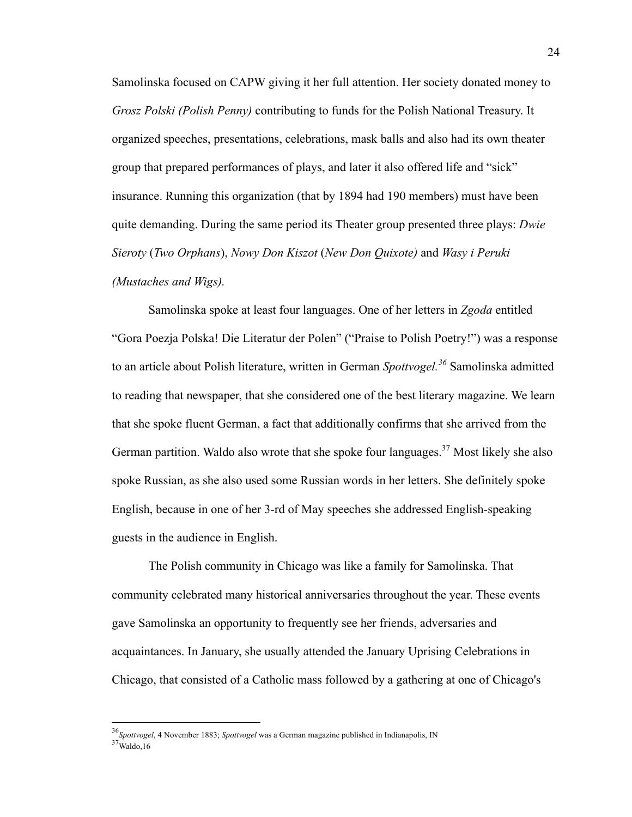Samolinska focused on CAPW giving it her full attention. Her society donated money to *Grosz Polski (Polish Penny)* contributing to funds for the Polish National Treasury. It organized speeches, presentations, celebrations, mask balls and also had its own theater group that prepared performances of plays, and later it also offered life and "sick" insurance. Running this organization (that by 1894 had 190 members) must have been quite demanding. During the same period its Theater group presented three plays: *Dwie Sieroty* (*Two Orphans*), *Nowy Don Kiszot* (*New Don Quixote)* and *Wasy i Peruki (Mustaches and Wigs).*

Samolinska spoke at least four languages. One of her letters in *Zgoda* entitled "Gora Poezja Polska! Die Literatur der Polen" ("Praise to Polish Poetry!") was a response to an article about Polish literature, written in German *Spottvogel.<sup>36</sup>* Samolinska admitted to reading that newspaper, that she considered one of the best literary magazine. We learn that she spoke fluent German, a fact that additionally confirms that she arrived from the German partition. Waldo also wrote that she spoke four languages.<sup>37</sup> Most likely she also spoke Russian, as she also used some Russian words in her letters. She definitely spoke English, because in one of her 3-rd of May speeches she addressed English-speaking guests in the audience in English.

The Polish community in Chicago was like a family for Samolinska. That community celebrated many historical anniversaries throughout the year. These events gave Samolinska an opportunity to frequently see her friends, adversaries and acquaintances. In January, she usually attended the January Uprising Celebrations in Chicago, that consisted of a Catholic mass followed by a gathering at one of Chicago's

 <sup>36</sup>*Spottvogel*, 4 November 1883; *Spottvogel* was a German magazine published in Indianapolis, IN  $37$ Waldo,16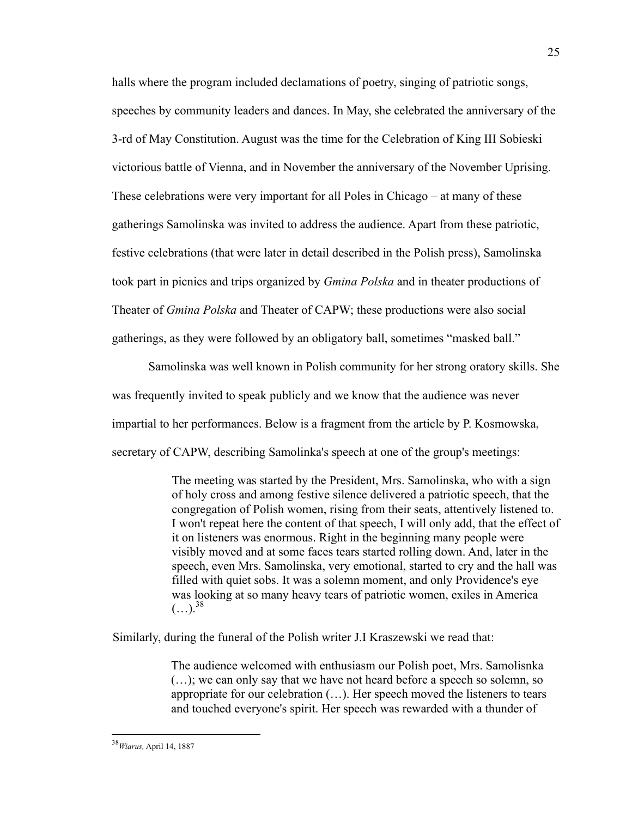halls where the program included declamations of poetry, singing of patriotic songs, speeches by community leaders and dances. In May, she celebrated the anniversary of the 3-rd of May Constitution. August was the time for the Celebration of King III Sobieski victorious battle of Vienna, and in November the anniversary of the November Uprising. These celebrations were very important for all Poles in Chicago – at many of these gatherings Samolinska was invited to address the audience. Apart from these patriotic, festive celebrations (that were later in detail described in the Polish press), Samolinska took part in picnics and trips organized by *Gmina Polska* and in theater productions of Theater of *Gmina Polska* and Theater of CAPW; these productions were also social gatherings, as they were followed by an obligatory ball, sometimes "masked ball."

Samolinska was well known in Polish community for her strong oratory skills. She was frequently invited to speak publicly and we know that the audience was never impartial to her performances. Below is a fragment from the article by P. Kosmowska, secretary of CAPW, describing Samolinka's speech at one of the group's meetings:

> The meeting was started by the President, Mrs. Samolinska, who with a sign of holy cross and among festive silence delivered a patriotic speech, that the congregation of Polish women, rising from their seats, attentively listened to. I won't repeat here the content of that speech, I will only add, that the effect of it on listeners was enormous. Right in the beginning many people were visibly moved and at some faces tears started rolling down. And, later in the speech, even Mrs. Samolinska, very emotional, started to cry and the hall was filled with quiet sobs. It was a solemn moment, and only Providence's eye was looking at so many heavy tears of patriotic women, exiles in America  $(...).^{38}$

Similarly, during the funeral of the Polish writer J.I Kraszewski we read that:

The audience welcomed with enthusiasm our Polish poet, Mrs. Samolisnka (…); we can only say that we have not heard before a speech so solemn, so appropriate for our celebration (…). Her speech moved the listeners to tears and touched everyone's spirit. Her speech was rewarded with a thunder of

 <sup>38</sup>*Wiarus,* April 14, 1887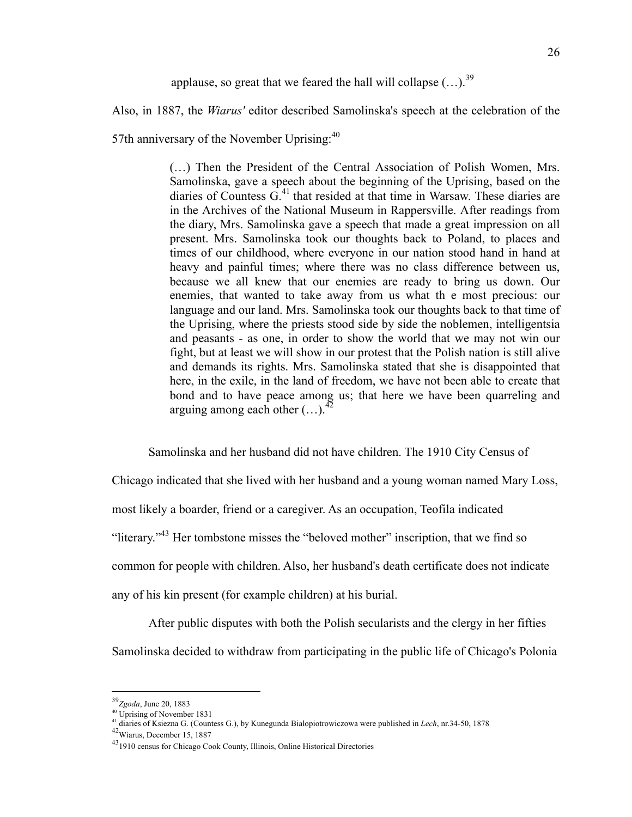applause, so great that we feared the hall will collapse  $(...).^{39}$ 

Also, in 1887, the *Wiarus'* editor described Samolinska's speech at the celebration of the

57th anniversary of the November Uprising: $40$ 

(…) Then the President of the Central Association of Polish Women, Mrs. Samolinska, gave a speech about the beginning of the Uprising, based on the diaries of Countess  $G<sup>41</sup>$  that resided at that time in Warsaw. These diaries are in the Archives of the National Museum in Rappersville. After readings from the diary, Mrs. Samolinska gave a speech that made a great impression on all present. Mrs. Samolinska took our thoughts back to Poland, to places and times of our childhood, where everyone in our nation stood hand in hand at heavy and painful times; where there was no class difference between us, because we all knew that our enemies are ready to bring us down. Our enemies, that wanted to take away from us what th e most precious: our language and our land. Mrs. Samolinska took our thoughts back to that time of the Uprising, where the priests stood side by side the noblemen, intelligentsia and peasants - as one, in order to show the world that we may not win our fight, but at least we will show in our protest that the Polish nation is still alive and demands its rights. Mrs. Samolinska stated that she is disappointed that here, in the exile, in the land of freedom, we have not been able to create that bond and to have peace among us; that here we have been quarreling and arguing among each other  $(\dots)^{42}$ 

Samolinska and her husband did not have children. The 1910 City Census of

Chicago indicated that she lived with her husband and a young woman named Mary Loss, most likely a boarder, friend or a caregiver. As an occupation, Teofila indicated "literary."<sup>43</sup> Her tombstone misses the "beloved mother" inscription, that we find so common for people with children. Also, her husband's death certificate does not indicate any of his kin present (for example children) at his burial.

After public disputes with both the Polish secularists and the clergy in her fifties Samolinska decided to withdraw from participating in the public life of Chicago's Polonia

 <sup>39</sup>*Zgoda*, June 20, 1883

<sup>40</sup> Uprising of November 1831

<sup>&</sup>lt;sup>41</sup> diaries of Ksiezna G. (Countess G.), by Kunegunda Bialopiotrowiczowa were published in *Lech*, nr.34-50, 1878 <sup>42</sup>Wiarus, December 15, 1887

<sup>43&</sup>lt;br>Wiarus, December 15, 1887<br><sup>43</sup>1910 census for Chicago Cook County, Illinois, Online Historical Directories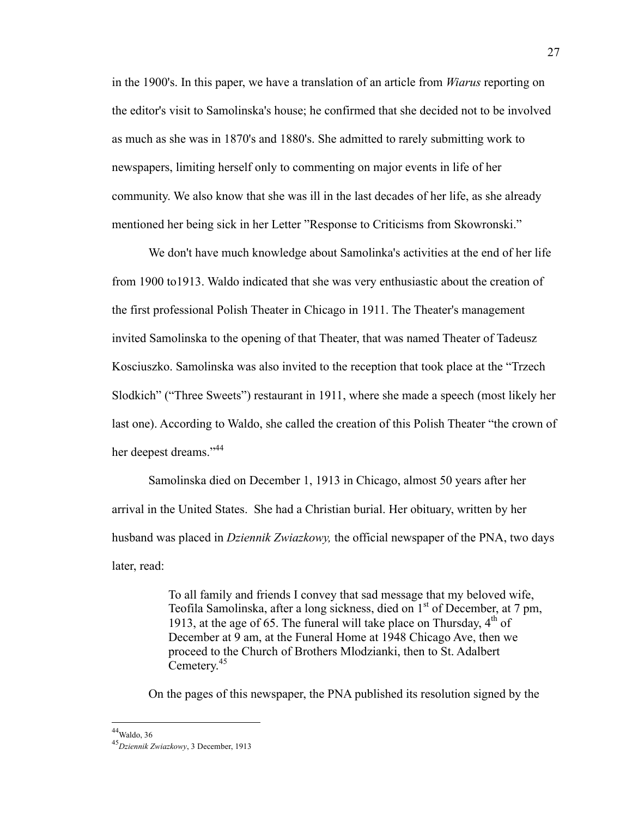in the 1900's. In this paper, we have a translation of an article from *Wiarus* reporting on the editor's visit to Samolinska's house; he confirmed that she decided not to be involved as much as she was in 1870's and 1880's. She admitted to rarely submitting work to newspapers, limiting herself only to commenting on major events in life of her community. We also know that she was ill in the last decades of her life, as she already mentioned her being sick in her Letter "Response to Criticisms from Skowronski."

We don't have much knowledge about Samolinka's activities at the end of her life from 1900 to1913. Waldo indicated that she was very enthusiastic about the creation of the first professional Polish Theater in Chicago in 1911. The Theater's management invited Samolinska to the opening of that Theater, that was named Theater of Tadeusz Kosciuszko. Samolinska was also invited to the reception that took place at the "Trzech Slodkich" ("Three Sweets") restaurant in 1911, where she made a speech (most likely her last one). According to Waldo, she called the creation of this Polish Theater "the crown of her deepest dreams."<sup>44</sup>

Samolinska died on December 1, 1913 in Chicago, almost 50 years after her arrival in the United States. She had a Christian burial. Her obituary, written by her husband was placed in *Dziennik Zwiazkowy,* the official newspaper of the PNA, two days later, read:

> To all family and friends I convey that sad message that my beloved wife, Teofila Samolinska, after a long sickness, died on 1<sup>st</sup> of December, at 7 pm, 1913, at the age of 65. The funeral will take place on Thursday,  $4<sup>th</sup>$  of December at 9 am, at the Funeral Home at 1948 Chicago Ave, then we proceed to the Church of Brothers Mlodzianki, then to St. Adalbert Cemetery.<sup>45</sup>

On the pages of this newspaper, the PNA published its resolution signed by the

 $44$ Waldo, 36

<sup>45</sup>*Dziennik Zwiazkowy*, 3 December, 1913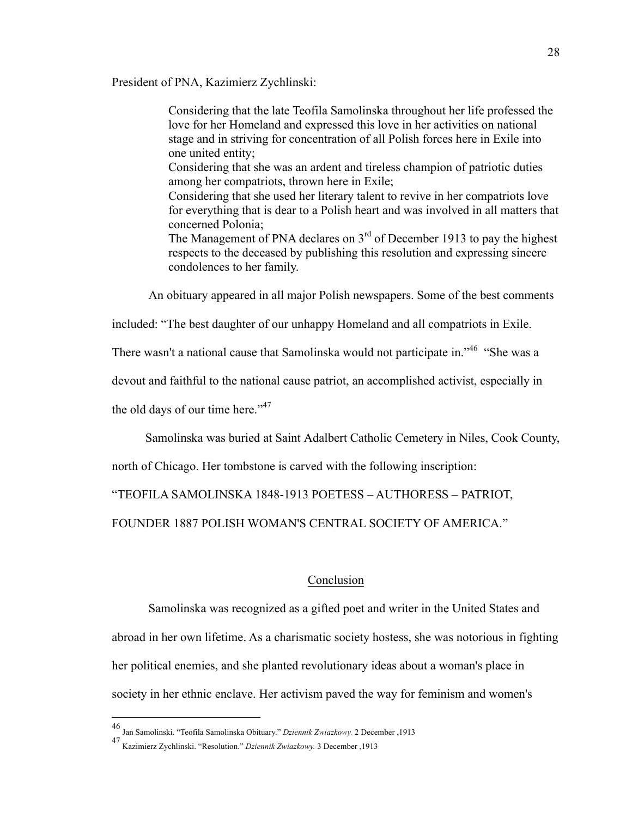President of PNA, Kazimierz Zychlinski:

Considering that the late Teofila Samolinska throughout her life professed the love for her Homeland and expressed this love in her activities on national stage and in striving for concentration of all Polish forces here in Exile into one united entity; Considering that she was an ardent and tireless champion of patriotic duties among her compatriots, thrown here in Exile;

Considering that she used her literary talent to revive in her compatriots love for everything that is dear to a Polish heart and was involved in all matters that concerned Polonia;

The Management of PNA declares on  $3<sup>rd</sup>$  of December 1913 to pay the highest respects to the deceased by publishing this resolution and expressing sincere condolences to her family.

An obituary appeared in all major Polish newspapers. Some of the best comments

included: "The best daughter of our unhappy Homeland and all compatriots in Exile.

There wasn't a national cause that Samolinska would not participate in."<sup>46</sup> "She was a

devout and faithful to the national cause patriot, an accomplished activist, especially in

the old days of our time here."<sup>47</sup>

Samolinska was buried at Saint Adalbert Catholic Cemetery in Niles, Cook County,

north of Chicago. Her tombstone is carved with the following inscription:

"TEOFILA SAMOLINSKA 1848-1913 POETESS – AUTHORESS – PATRIOT,

FOUNDER 1887 POLISH WOMAN'S CENTRAL SOCIETY OF AMERICA."

#### Conclusion

Samolinska was recognized as a gifted poet and writer in the United States and abroad in her own lifetime. As a charismatic society hostess, she was notorious in fighting her political enemies, and she planted revolutionary ideas about a woman's place in society in her ethnic enclave. Her activism paved the way for feminism and women's

 <sup>46</sup> Jan Samolinski. "Teofila Samolinska Obituary." *Dziennik Zwiazkowy.* 2 December ,1913

<sup>47</sup> Kazimierz Zychlinski. "Resolution." *Dziennik Zwiazkowy.* 3 December ,1913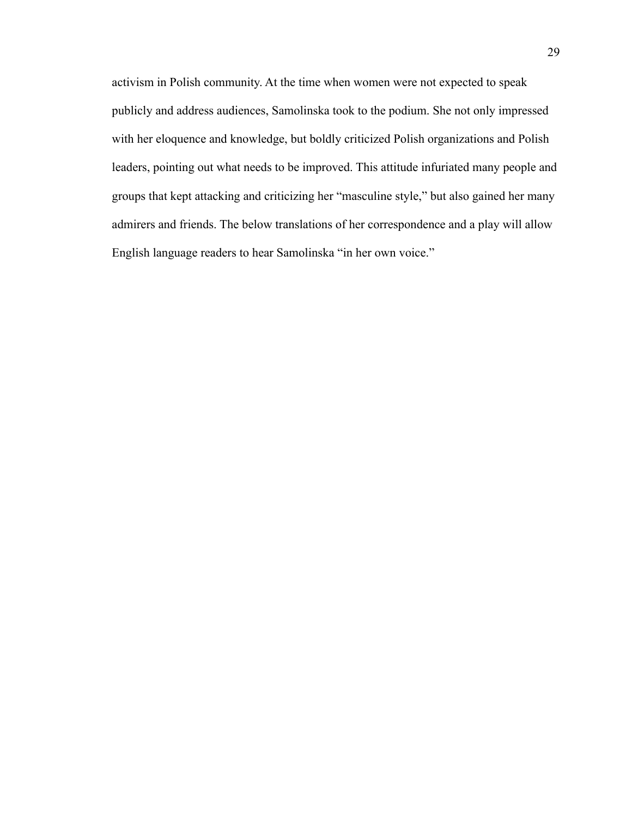activism in Polish community. At the time when women were not expected to speak publicly and address audiences, Samolinska took to the podium. She not only impressed with her eloquence and knowledge, but boldly criticized Polish organizations and Polish leaders, pointing out what needs to be improved. This attitude infuriated many people and groups that kept attacking and criticizing her "masculine style," but also gained her many admirers and friends. The below translations of her correspondence and a play will allow English language readers to hear Samolinska "in her own voice."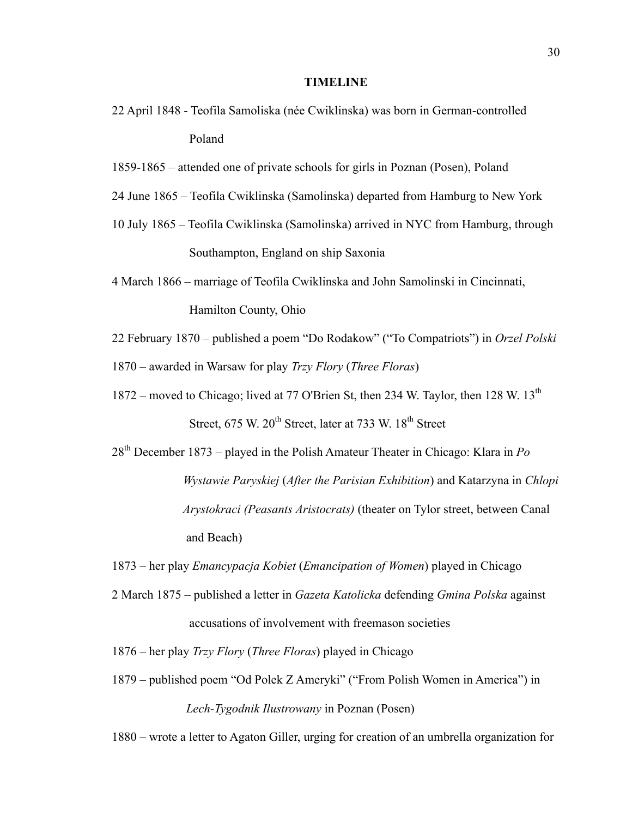#### **TIMELINE**

- 22 April 1848 Teofila Samoliska (née Cwiklinska) was born in German-controlled Poland
- 1859-1865 attended one of private schools for girls in Poznan (Posen), Poland
- 24 June 1865 Teofila Cwiklinska (Samolinska) departed from Hamburg to New York
- 10 July 1865 Teofila Cwiklinska (Samolinska) arrived in NYC from Hamburg, through Southampton, England on ship Saxonia
- 4 March 1866 marriage of Teofila Cwiklinska and John Samolinski in Cincinnati, Hamilton County, Ohio
- 22 February 1870 published a poem "Do Rodakow" ("To Compatriots") in *Orzel Polski*

1870 – awarded in Warsaw for play *Trzy Flory* (*Three Floras*)

- 1872 moved to Chicago; lived at 77 O'Brien St, then 234 W. Taylor, then 128 W. 13<sup>th</sup> Street,  $675$  W.  $20^{th}$  Street, later at 733 W.  $18^{th}$  Street
- 28th December 1873 played in the Polish Amateur Theater in Chicago: Klara in *Po Wystawie Paryskiej* (*After the Parisian Exhibition*) and Katarzyna in *Chlopi Arystokraci (Peasants Aristocrats)* (theater on Tylor street, between Canal and Beach)
- 1873 her play *Emancypacja Kobiet* (*Emancipation of Women*) played in Chicago
- 2 March 1875 published a letter in *Gazeta Katolicka* defending *Gmina Polska* against accusations of involvement with freemason societies
- 1876 her play *Trzy Flory* (*Three Floras*) played in Chicago
- 1879 published poem "Od Polek Z Ameryki" ("From Polish Women in America") in *Lech-Tygodnik Ilustrowany* in Poznan (Posen)

1880 – wrote a letter to Agaton Giller, urging for creation of an umbrella organization for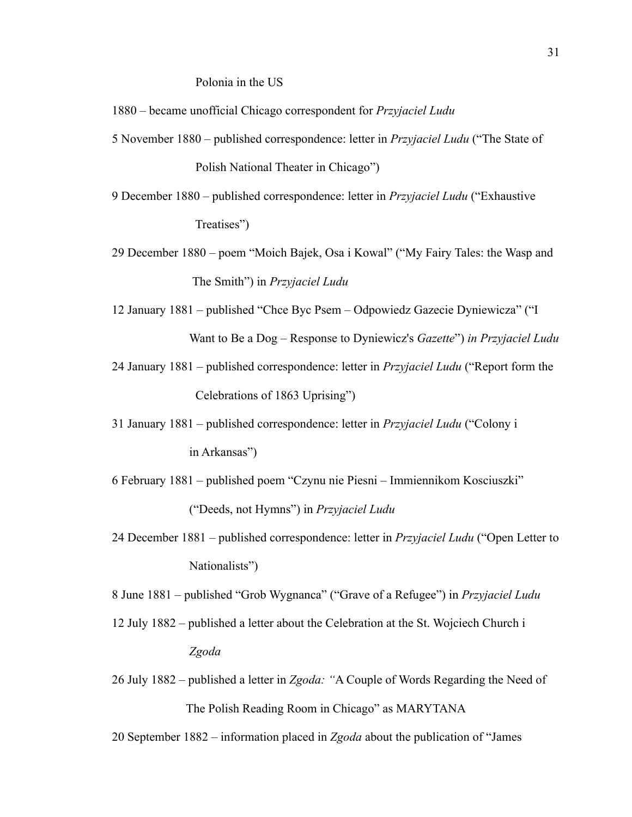Polonia in the US

- 1880 became unofficial Chicago correspondent for *Przyjaciel Ludu*
- 5 November 1880 published correspondence: letter in *Przyjaciel Ludu* ("The State of Polish National Theater in Chicago")
- 9 December 1880 published correspondence: letter in *Przyjaciel Ludu* ("Exhaustive Treatises")
- 29 December 1880 poem "Moich Bajek, Osa i Kowal" ("My Fairy Tales: the Wasp and The Smith") in *Przyjaciel Ludu*
- 12 January 1881 published "Chce Byc Psem Odpowiedz Gazecie Dyniewicza" ("I Want to Be a Dog – Response to Dyniewicz's *Gazette*") *in Przyjaciel Ludu*
- 24 January 1881 published correspondence: letter in *Przyjaciel Ludu* ("Report form the Celebrations of 1863 Uprising")
- 31 January 1881 published correspondence: letter in *Przyjaciel Ludu* ("Colony i in Arkansas")
- 6 February 1881 published poem "Czynu nie Piesni Immiennikom Kosciuszki" ("Deeds, not Hymns") in *Przyjaciel Ludu*
- 24 December 1881 published correspondence: letter in *Przyjaciel Ludu* ("Open Letter to Nationalists")

8 June 1881 – published "Grob Wygnanca" ("Grave of a Refugee") in *Przyjaciel Ludu*

- 12 July 1882 published a letter about the Celebration at the St. Wojciech Church i *Zgoda*
- 26 July 1882 published a letter in *Zgoda: "*A Couple of Words Regarding the Need of The Polish Reading Room in Chicago" as MARYTANA
- 20 September 1882 information placed in *Zgoda* about the publication of "James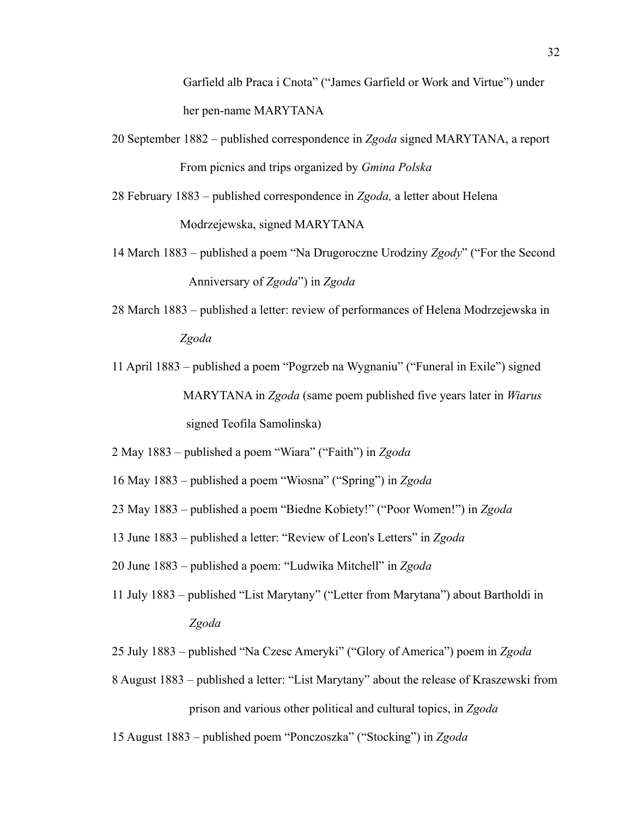Garfield alb Praca i Cnota" ("James Garfield or Work and Virtue") under her pen-name MARYTANA

- 20 September 1882 published correspondence in *Zgoda* signed MARYTANA, a report From picnics and trips organized by *Gmina Polska*
- 28 February 1883 published correspondence in *Zgoda,* a letter about Helena Modrzejewska, signed MARYTANA
- 14 March 1883 published a poem "Na Drugoroczne Urodziny *Zgody*" ("For the Second Anniversary of *Zgoda*") in *Zgoda*
- 28 March 1883 published a letter: review of performances of Helena Modrzejewska in *Zgoda*
- 11 April 1883 published a poem "Pogrzeb na Wygnaniu" ("Funeral in Exile") signed MARYTANA in *Zgoda* (same poem published five years later in *Wiarus* signed Teofila Samolinska)
- 2 May 1883 published a poem "Wiara" ("Faith") in *Zgoda*
- 16 May 1883 published a poem "Wiosna" ("Spring") in *Zgoda*
- 23 May 1883 published a poem "Biedne Kobiety!" ("Poor Women!") in *Zgoda*
- 13 June 1883 published a letter: "Review of Leon's Letters" in *Zgoda*
- 20 June 1883 published a poem: "Ludwika Mitchell" in *Zgoda*
- 11 July 1883 published "List Marytany" ("Letter from Marytana") about Bartholdi in *Zgoda*
- 25 July 1883 published "Na Czesc Ameryki" ("Glory of America") poem in *Zgoda*
- 8 August 1883 published a letter: "List Marytany" about the release of Kraszewski from prison and various other political and cultural topics, in *Zgoda*
- 15 August 1883 published poem "Ponczoszka" ("Stocking") in *Zgoda*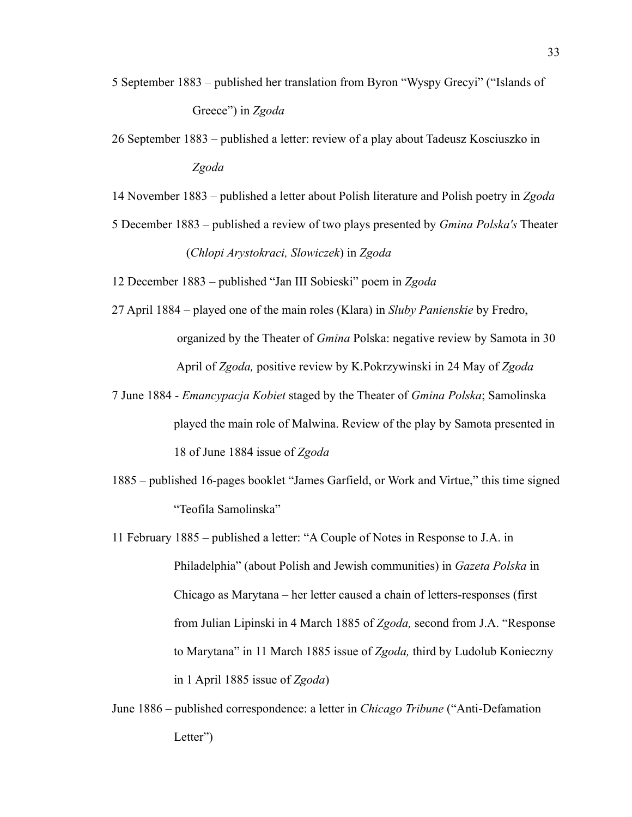- 5 September 1883 published her translation from Byron "Wyspy Grecyi" ("Islands of Greece") in *Zgoda*
- 26 September 1883 published a letter: review of a play about Tadeusz Kosciuszko in *Zgoda*

14 November 1883 – published a letter about Polish literature and Polish poetry in *Zgoda*

5 December 1883 – published a review of two plays presented by *Gmina Polska's* Theater (*Chlopi Arystokraci, Slowiczek*) in *Zgoda*

12 December 1883 – published "Jan III Sobieski" poem in *Zgoda*

- 27 April 1884 played one of the main roles (Klara) in *Sluby Panienskie* by Fredro, organized by the Theater of *Gmina* Polska: negative review by Samota in 30 April of *Zgoda,* positive review by K.Pokrzywinski in 24 May of *Zgoda*
- 7 June 1884 *Emancypacja Kobiet* staged by the Theater of *Gmina Polska*; Samolinska played the main role of Malwina. Review of the play by Samota presented in 18 of June 1884 issue of *Zgoda*
- 1885 published 16-pages booklet "James Garfield, or Work and Virtue," this time signed "Teofila Samolinska"
- 11 February 1885 published a letter: "A Couple of Notes in Response to J.A. in Philadelphia" (about Polish and Jewish communities) in *Gazeta Polska* in Chicago as Marytana – her letter caused a chain of letters-responses (first from Julian Lipinski in 4 March 1885 of *Zgoda,* second from J.A. "Response to Marytana" in 11 March 1885 issue of *Zgoda,* third by Ludolub Konieczny in 1 April 1885 issue of *Zgoda*)
- June 1886 published correspondence: a letter in *Chicago Tribune* ("Anti-Defamation Letter")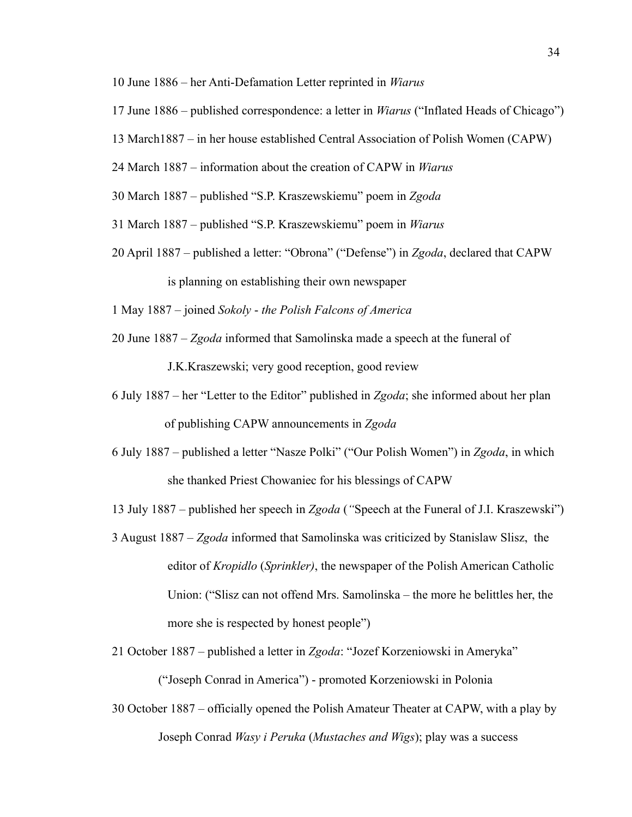- 10 June 1886 her Anti-Defamation Letter reprinted in *Wiarus*
- 17 June 1886 published correspondence: a letter in *Wiarus* ("Inflated Heads of Chicago")
- 13 March1887 in her house established Central Association of Polish Women (CAPW)
- 24 March 1887 information about the creation of CAPW in *Wiarus*
- 30 March 1887 published "S.P. Kraszewskiemu" poem in *Zgoda*
- 31 March 1887 published "S.P. Kraszewskiemu" poem in *Wiarus*
- 20 April 1887 published a letter: "Obrona" ("Defense") in *Zgoda*, declared that CAPW is planning on establishing their own newspaper
- 1 May 1887 joined *Sokoly the Polish Falcons of America*
- 20 June 1887 *Zgoda* informed that Samolinska made a speech at the funeral of J.K.Kraszewski; very good reception, good review
- 6 July 1887 her "Letter to the Editor" published in *Zgoda*; she informed about her plan of publishing CAPW announcements in *Zgoda*
- 6 July 1887 *–* published a letter "Nasze Polki" ("Our Polish Women") in *Zgoda*, in which she thanked Priest Chowaniec for his blessings of CAPW
- 13 July 1887 published her speech in *Zgoda* (*"*Speech at the Funeral of J.I. Kraszewski")
- 3 August 1887 *Zgoda* informed that Samolinska was criticized by Stanislaw Slisz, the editor of *Kropidlo* (*Sprinkler)*, the newspaper of the Polish American Catholic Union: ("Slisz can not offend Mrs. Samolinska – the more he belittles her, the more she is respected by honest people")
- 21 October 1887 published a letter in *Zgoda*: "Jozef Korzeniowski in Ameryka" ("Joseph Conrad in America") - promoted Korzeniowski in Polonia
- 30 October 1887 officially opened the Polish Amateur Theater at CAPW, with a play by Joseph Conrad *Wasy i Peruka* (*Mustaches and Wigs*); play was a success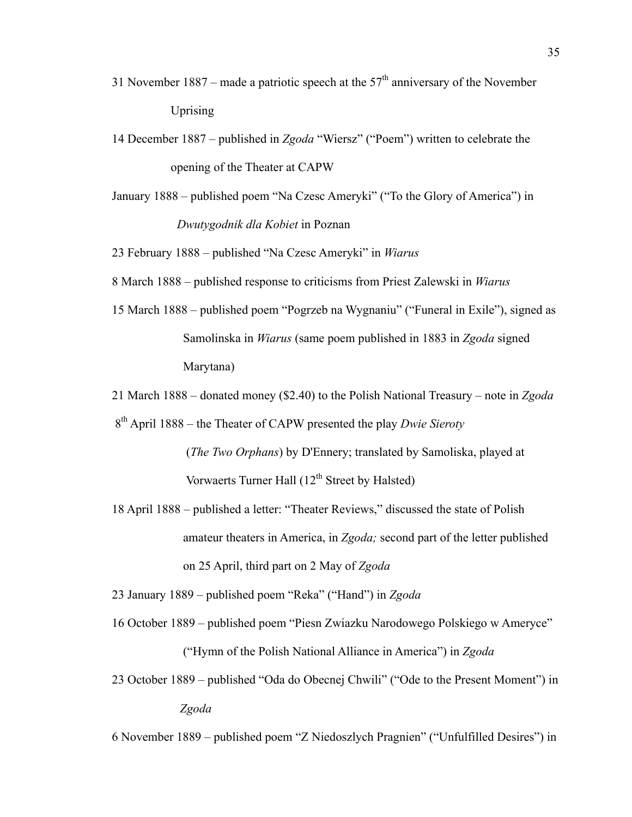- 31 November 1887 made a patriotic speech at the  $57<sup>th</sup>$  anniversary of the November Uprising
- 14 December 1887 published in *Zgoda* "Wiersz" ("Poem") written to celebrate the opening of the Theater at CAPW
- January 1888 published poem "Na Czesc Ameryki" ("To the Glory of America") in  *Dwutygodnik dla Kobiet* in Poznan

23 February 1888 – published "Na Czesc Ameryki" in *Wiarus*

8 March 1888 – published response to criticisms from Priest Zalewski in *Wiarus*

15 March 1888 – published poem "Pogrzeb na Wygnaniu" ("Funeral in Exile"), signed as Samolinska in *Wiarus* (same poem published in 1883 in *Zgoda* signed Marytana)

21 March 1888 – donated money (\$2.40) to the Polish National Treasury – note in *Zgoda*

- 8th April 1888 the Theater of CAPW presented the play *Dwie Sieroty* (*The Two Orphans*) by D'Ennery; translated by Samoliska, played at Vorwaerts Turner Hall  $(12<sup>th</sup> Street by Halsted)$
- 18 April 1888 published a letter: "Theater Reviews," discussed the state of Polish amateur theaters in America, in *Zgoda;* second part of the letter published on 25 April, third part on 2 May of *Zgoda*

23 January 1889 – published poem "Reka" ("Hand") in *Zgoda*

- 16 October 1889 published poem "Piesn Zwiazku Narodowego Polskiego w Ameryce" ("Hymn of the Polish National Alliance in America") in *Zgoda*
- 23 October 1889 published "Oda do Obecnej Chwili" ("Ode to the Present Moment") in *Zgoda*

6 November 1889 – published poem "Z Niedoszlych Pragnien" ("Unfulfilled Desires") in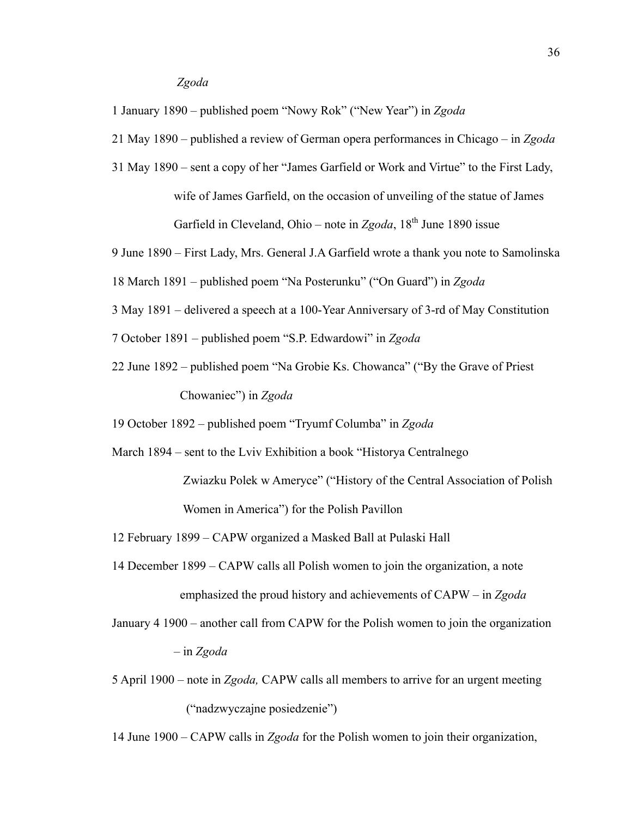# *Zgoda*

1 January 1890 – published poem "Nowy Rok" ("New Year") in *Zgoda*

21 May 1890 – published a review of German opera performances in Chicago – in *Zgoda*

31 May 1890 – sent a copy of her "James Garfield or Work and Virtue" to the First Lady, wife of James Garfield, on the occasion of unveiling of the statue of James Garfield in Cleveland, Ohio – note in *Zgoda*, 18<sup>th</sup> June 1890 issue

9 June 1890 – First Lady, Mrs. General J.A Garfield wrote a thank you note to Samolinska

18 March 1891 – published poem "Na Posterunku" ("On Guard") in *Zgoda*

- 3 May 1891 delivered a speech at a 100-Year Anniversary of 3-rd of May Constitution
- 7 October 1891 published poem "S.P. Edwardowi" in *Zgoda*
- 22 June 1892 published poem "Na Grobie Ks. Chowanca" ("By the Grave of Priest Chowaniec") in *Zgoda*

19 October 1892 – published poem "Tryumf Columba" in *Zgoda*

March 1894 – sent to the Lviv Exhibition a book "Historya Centralnego

 Zwiazku Polek w Ameryce" ("History of the Central Association of Polish Women in America") for the Polish Pavillon

12 February 1899 – CAPW organized a Masked Ball at Pulaski Hall

- 14 December 1899 CAPW calls all Polish women to join the organization, a note emphasized the proud history and achievements of CAPW – in *Zgoda*
- January 4 1900 another call from CAPW for the Polish women to join the organization – in *Zgoda*
- 5 April 1900 note in *Zgoda,* CAPW calls all members to arrive for an urgent meeting ("nadzwyczajne posiedzenie")

14 June 1900 – CAPW calls in *Zgoda* for the Polish women to join their organization,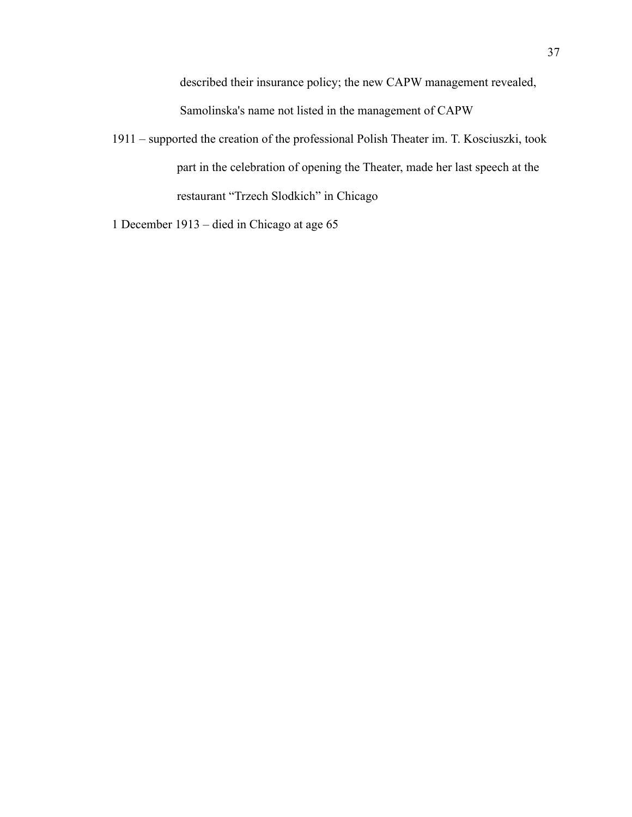described their insurance policy; the new CAPW management revealed, Samolinska's name not listed in the management of CAPW

1911 – supported the creation of the professional Polish Theater im. T. Kosciuszki, took part in the celebration of opening the Theater, made her last speech at the restaurant "Trzech Slodkich" in Chicago

1 December 1913 – died in Chicago at age 65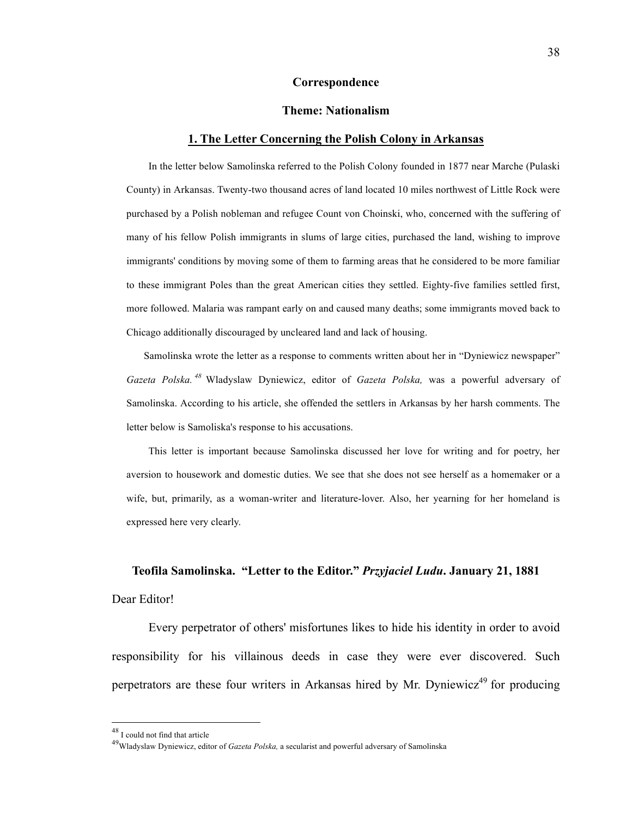#### **Correspondence**

# **Theme: Nationalism**

#### **1. The Letter Concerning the Polish Colony in Arkansas**

In the letter below Samolinska referred to the Polish Colony founded in 1877 near Marche (Pulaski County) in Arkansas. Twenty-two thousand acres of land located 10 miles northwest of Little Rock were purchased by a Polish nobleman and refugee Count von Choinski, who, concerned with the suffering of many of his fellow Polish immigrants in slums of large cities, purchased the land, wishing to improve immigrants' conditions by moving some of them to farming areas that he considered to be more familiar to these immigrant Poles than the great American cities they settled. Eighty-five families settled first, more followed. Malaria was rampant early on and caused many deaths; some immigrants moved back to Chicago additionally discouraged by uncleared land and lack of housing.

Samolinska wrote the letter as a response to comments written about her in "Dyniewicz newspaper" *Gazeta Polska. <sup>48</sup>* Wladyslaw Dyniewicz, editor of *Gazeta Polska,* was a powerful adversary of Samolinska. According to his article, she offended the settlers in Arkansas by her harsh comments. The letter below is Samoliska's response to his accusations.

This letter is important because Samolinska discussed her love for writing and for poetry, her aversion to housework and domestic duties. We see that she does not see herself as a homemaker or a wife, but, primarily, as a woman-writer and literature-lover. Also, her yearning for her homeland is expressed here very clearly.

#### **Teofila Samolinska. "Letter to the Editor."** *Przyjaciel Ludu***. January 21, 1881**

#### Dear Editor!

Every perpetrator of others' misfortunes likes to hide his identity in order to avoid responsibility for his villainous deeds in case they were ever discovered. Such perpetrators are these four writers in Arkansas hired by Mr. Dyniewicz<sup>49</sup> for producing

 <sup>48</sup> I could not find that article

<sup>49</sup>Wladyslaw Dyniewicz, editor of *Gazeta Polska,* a secularist and powerful adversary of Samolinska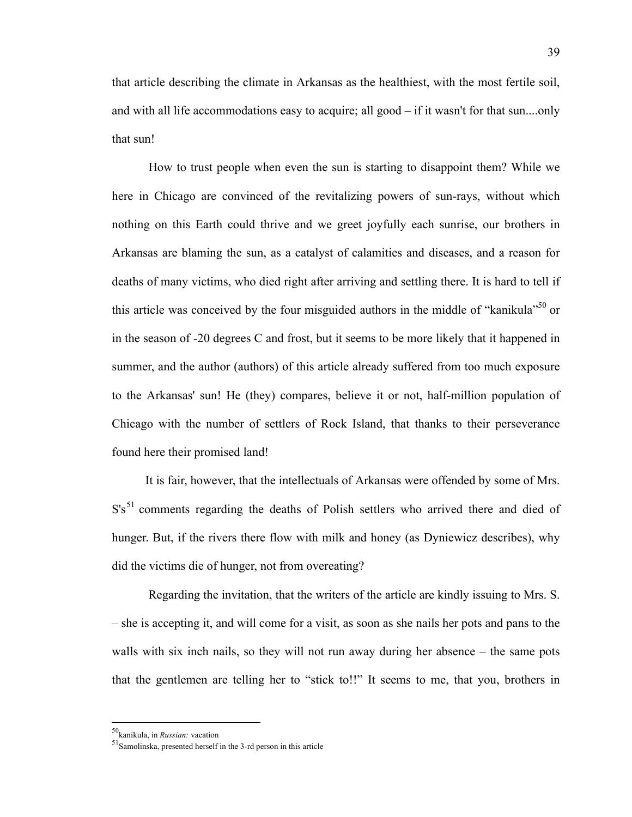that article describing the climate in Arkansas as the healthiest, with the most fertile soil, and with all life accommodations easy to acquire; all good – if it wasn't for that sun....only that sun!

How to trust people when even the sun is starting to disappoint them? While we here in Chicago are convinced of the revitalizing powers of sun-rays, without which nothing on this Earth could thrive and we greet joyfully each sunrise, our brothers in Arkansas are blaming the sun, as a catalyst of calamities and diseases, and a reason for deaths of many victims, who died right after arriving and settling there. It is hard to tell if this article was conceived by the four misguided authors in the middle of "kanikula"<sup>50</sup> or in the season of -20 degrees C and frost, but it seems to be more likely that it happened in summer, and the author (authors) of this article already suffered from too much exposure to the Arkansas' sun! He (they) compares, believe it or not, half-million population of Chicago with the number of settlers of Rock Island, that thanks to their perseverance found here their promised land!

It is fair, however, that the intellectuals of Arkansas were offended by some of Mrs.  $S's<sup>51</sup>$  comments regarding the deaths of Polish settlers who arrived there and died of hunger. But, if the rivers there flow with milk and honey (as Dyniewicz describes), why did the victims die of hunger, not from overeating?

Regarding the invitation, that the writers of the article are kindly issuing to Mrs. S. – she is accepting it, and will come for a visit, as soon as she nails her pots and pans to the walls with six inch nails, so they will not run away during her absence – the same pots that the gentlemen are telling her to "stick to!!" It seems to me, that you, brothers in

 <sup>50</sup>kanikula, in *Russian:* vacation

<sup>51</sup>Samolinska, presented herself in the 3-rd person in this article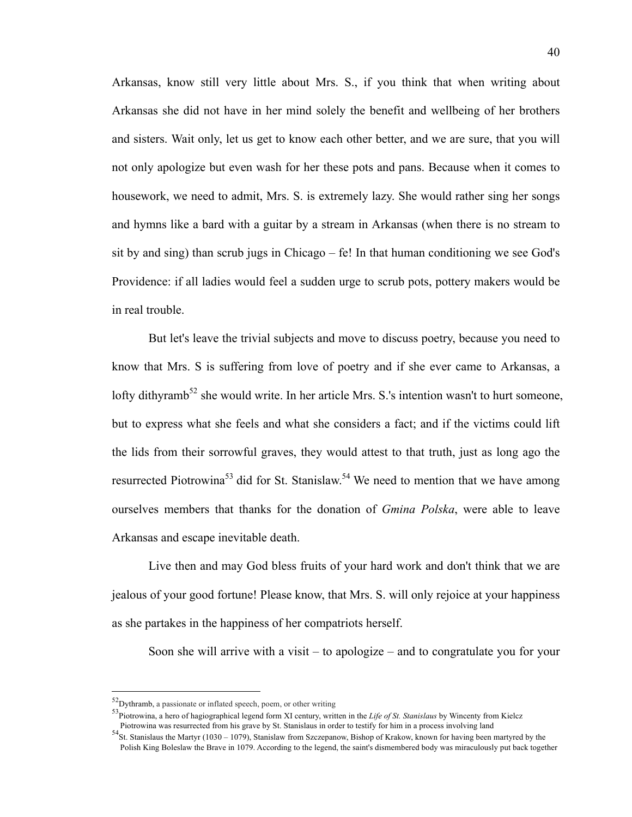Arkansas, know still very little about Mrs. S., if you think that when writing about Arkansas she did not have in her mind solely the benefit and wellbeing of her brothers and sisters. Wait only, let us get to know each other better, and we are sure, that you will not only apologize but even wash for her these pots and pans. Because when it comes to housework, we need to admit, Mrs. S. is extremely lazy. She would rather sing her songs and hymns like a bard with a guitar by a stream in Arkansas (when there is no stream to sit by and sing) than scrub jugs in Chicago – fe! In that human conditioning we see God's Providence: if all ladies would feel a sudden urge to scrub pots, pottery makers would be in real trouble.

But let's leave the trivial subjects and move to discuss poetry, because you need to know that Mrs. S is suffering from love of poetry and if she ever came to Arkansas, a lofty dithyramb<sup>52</sup> she would write. In her article Mrs. S.'s intention wasn't to hurt someone, but to express what she feels and what she considers a fact; and if the victims could lift the lids from their sorrowful graves, they would attest to that truth, just as long ago the resurrected Piotrowina<sup>53</sup> did for St. Stanislaw.<sup>54</sup> We need to mention that we have among ourselves members that thanks for the donation of *Gmina Polska*, were able to leave Arkansas and escape inevitable death.

Live then and may God bless fruits of your hard work and don't think that we are jealous of your good fortune! Please know, that Mrs. S. will only rejoice at your happiness as she partakes in the happiness of her compatriots herself.

Soon she will arrive with a visit – to apologize – and to congratulate you for your

 <sup>52</sup>Dythramb, a passionate or inflated speech, poem, or other writing

<sup>&</sup>lt;sup>53</sup>Piotrowina, a hero of hagiographical legend form XI century, written in the *Life of St. Stanislaus* by Wincenty from Kielcz<br>Piotrowina was resurrected from his grave by St. Stanislaus in order to testify for him in a

 $54$  St. Stanislaus the Martyr (1030 – 1079), Stanislaw from Szczepanow, Bishop of Krakow, known for having been martyred by the Polish King Boleslaw the Brave in 1079. According to the legend, the saint's dismembered body was miraculously put back together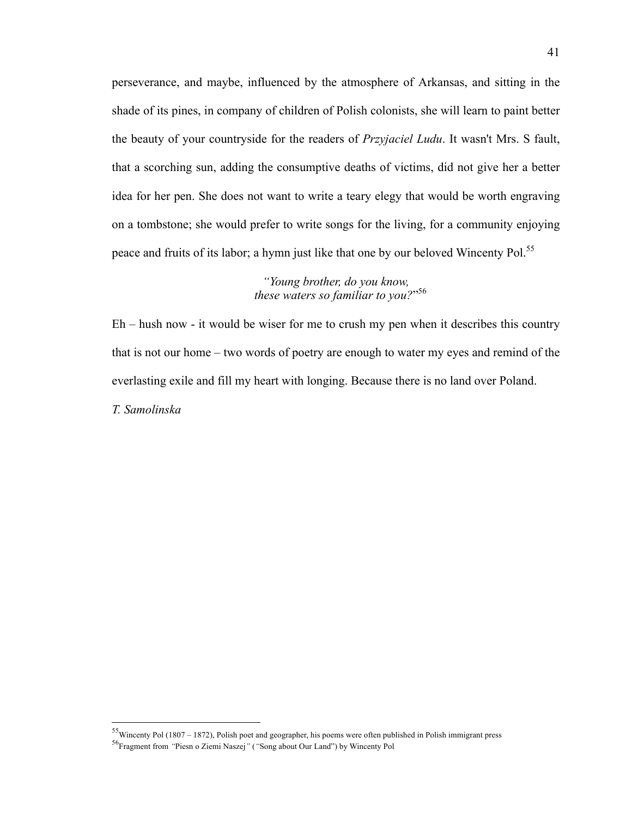perseverance, and maybe, influenced by the atmosphere of Arkansas, and sitting in the shade of its pines, in company of children of Polish colonists, she will learn to paint better the beauty of your countryside for the readers of *Przyjaciel Ludu*. It wasn't Mrs. S fault, that a scorching sun, adding the consumptive deaths of victims, did not give her a better idea for her pen. She does not want to write a teary elegy that would be worth engraving on a tombstone; she would prefer to write songs for the living, for a community enjoying peace and fruits of its labor; a hymn just like that one by our beloved Wincenty Pol.<sup>55</sup>

> *"Young brother, do you know, these waters so familiar to you?*" 56

Eh – hush now - it would be wiser for me to crush my pen when it describes this country that is not our home – two words of poetry are enough to water my eyes and remind of the everlasting exile and fill my heart with longing. Because there is no land over Poland. *T. Samolinska*

 <sup>55</sup>Wincenty Pol (1807 – 1872), Polish poet and geographer, his poems were often published in Polish immigrant press

<sup>56</sup>Fragment from *"*Piesn o Ziemi Naszej*"* (*"*Song about Our Land") by Wincenty Pol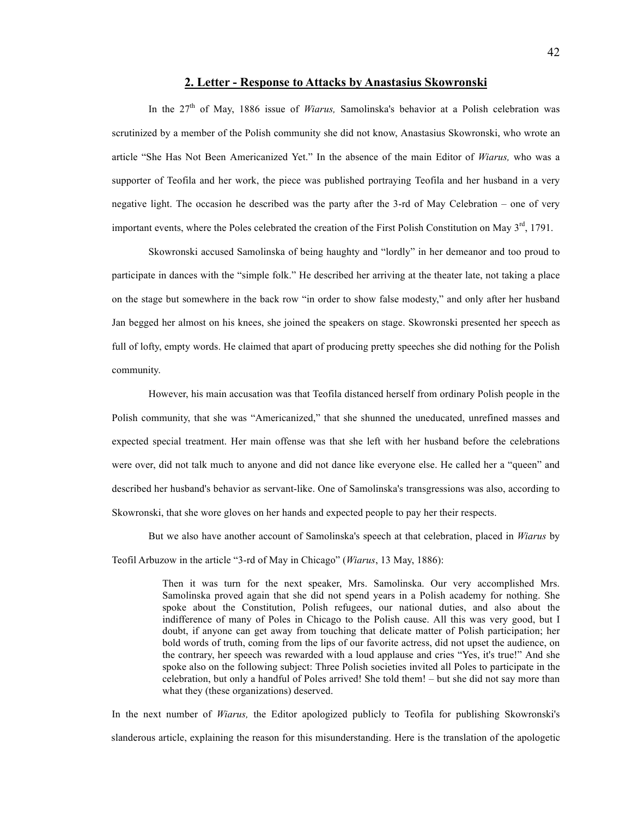# **2. Letter - Response to Attacks by Anastasius Skowronski**

In the 27<sup>th</sup> of May, 1886 issue of *Wiarus*, Samolinska's behavior at a Polish celebration was scrutinized by a member of the Polish community she did not know, Anastasius Skowronski, who wrote an article "She Has Not Been Americanized Yet." In the absence of the main Editor of *Wiarus,* who was a supporter of Teofila and her work, the piece was published portraying Teofila and her husband in a very negative light. The occasion he described was the party after the 3-rd of May Celebration – one of very important events, where the Poles celebrated the creation of the First Polish Constitution on May 3<sup>rd</sup>, 1791.

Skowronski accused Samolinska of being haughty and "lordly" in her demeanor and too proud to participate in dances with the "simple folk." He described her arriving at the theater late, not taking a place on the stage but somewhere in the back row "in order to show false modesty," and only after her husband Jan begged her almost on his knees, she joined the speakers on stage. Skowronski presented her speech as full of lofty, empty words. He claimed that apart of producing pretty speeches she did nothing for the Polish community.

However, his main accusation was that Teofila distanced herself from ordinary Polish people in the Polish community, that she was "Americanized," that she shunned the uneducated, unrefined masses and expected special treatment. Her main offense was that she left with her husband before the celebrations were over, did not talk much to anyone and did not dance like everyone else. He called her a "queen" and described her husband's behavior as servant-like. One of Samolinska's transgressions was also, according to Skowronski, that she wore gloves on her hands and expected people to pay her their respects.

But we also have another account of Samolinska's speech at that celebration, placed in *Wiarus* by Teofil Arbuzow in the article "3-rd of May in Chicago" (*Wiarus*, 13 May, 1886):

> Then it was turn for the next speaker, Mrs. Samolinska. Our very accomplished Mrs. Samolinska proved again that she did not spend years in a Polish academy for nothing. She spoke about the Constitution, Polish refugees, our national duties, and also about the indifference of many of Poles in Chicago to the Polish cause. All this was very good, but I doubt, if anyone can get away from touching that delicate matter of Polish participation; her bold words of truth, coming from the lips of our favorite actress, did not upset the audience, on the contrary, her speech was rewarded with a loud applause and cries "Yes, it's true!" And she spoke also on the following subject: Three Polish societies invited all Poles to participate in the celebration, but only a handful of Poles arrived! She told them! – but she did not say more than what they (these organizations) deserved.

In the next number of *Wiarus,* the Editor apologized publicly to Teofila for publishing Skowronski's slanderous article, explaining the reason for this misunderstanding. Here is the translation of the apologetic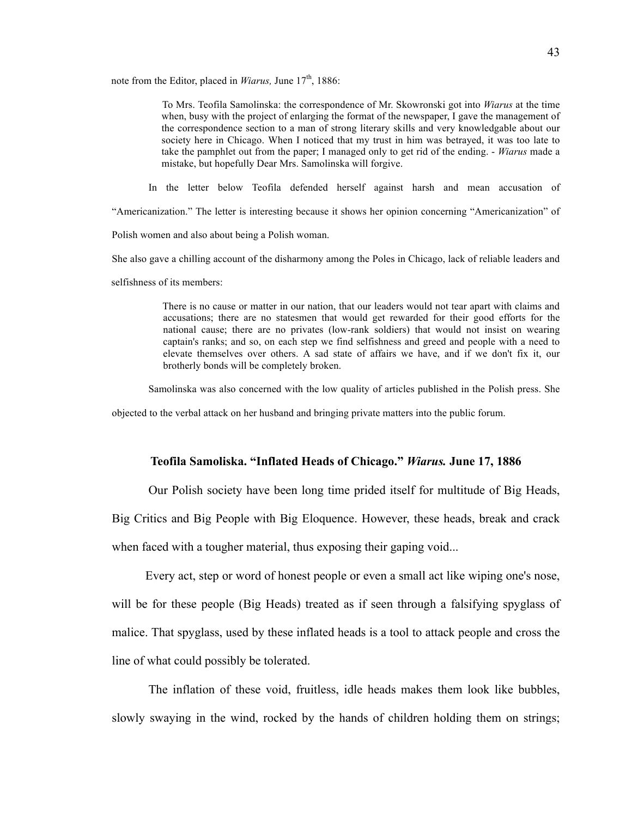note from the Editor, placed in *Wiarus*, June 17<sup>th</sup>, 1886:

To Mrs. Teofila Samolinska: the correspondence of Mr. Skowronski got into *Wiarus* at the time when, busy with the project of enlarging the format of the newspaper, I gave the management of the correspondence section to a man of strong literary skills and very knowledgable about our society here in Chicago. When I noticed that my trust in him was betrayed, it was too late to take the pamphlet out from the paper; I managed only to get rid of the ending. - *Wiarus* made a mistake, but hopefully Dear Mrs. Samolinska will forgive.

In the letter below Teofila defended herself against harsh and mean accusation of

"Americanization." The letter is interesting because it shows her opinion concerning "Americanization" of

Polish women and also about being a Polish woman.

She also gave a chilling account of the disharmony among the Poles in Chicago, lack of reliable leaders and

selfishness of its members:

There is no cause or matter in our nation, that our leaders would not tear apart with claims and accusations; there are no statesmen that would get rewarded for their good efforts for the national cause; there are no privates (low-rank soldiers) that would not insist on wearing captain's ranks; and so, on each step we find selfishness and greed and people with a need to elevate themselves over others. A sad state of affairs we have, and if we don't fix it, our brotherly bonds will be completely broken.

Samolinska was also concerned with the low quality of articles published in the Polish press. She

objected to the verbal attack on her husband and bringing private matters into the public forum.

# **Teofila Samoliska. "Inflated Heads of Chicago."** *Wiarus.* **June 17, 1886**

Our Polish society have been long time prided itself for multitude of Big Heads,

Big Critics and Big People with Big Eloquence. However, these heads, break and crack

when faced with a tougher material, thus exposing their gaping void...

Every act, step or word of honest people or even a small act like wiping one's nose, will be for these people (Big Heads) treated as if seen through a falsifying spyglass of malice. That spyglass, used by these inflated heads is a tool to attack people and cross the line of what could possibly be tolerated.

The inflation of these void, fruitless, idle heads makes them look like bubbles, slowly swaying in the wind, rocked by the hands of children holding them on strings;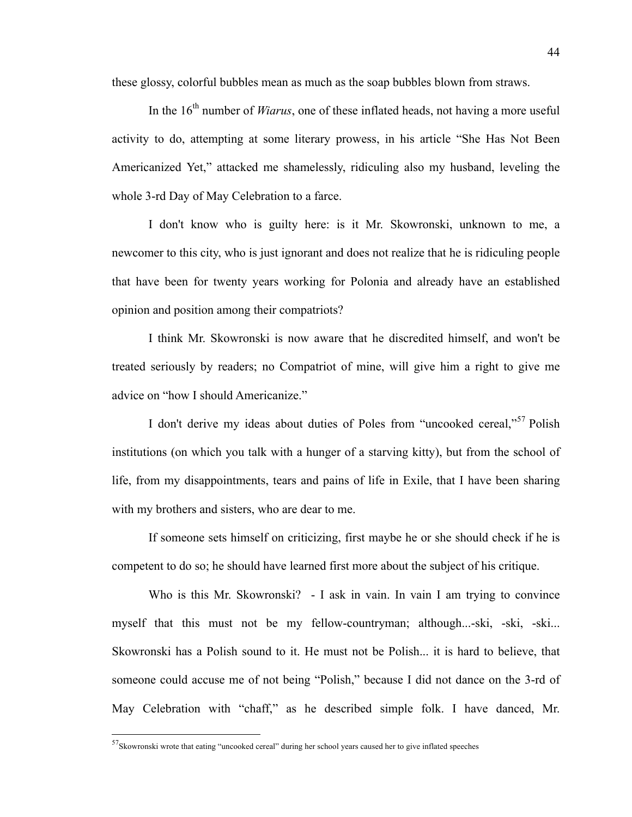these glossy, colorful bubbles mean as much as the soap bubbles blown from straws.

In the 16<sup>th</sup> number of *Wiarus*, one of these inflated heads, not having a more useful activity to do, attempting at some literary prowess, in his article "She Has Not Been Americanized Yet," attacked me shamelessly, ridiculing also my husband, leveling the whole 3-rd Day of May Celebration to a farce.

I don't know who is guilty here: is it Mr. Skowronski, unknown to me, a newcomer to this city, who is just ignorant and does not realize that he is ridiculing people that have been for twenty years working for Polonia and already have an established opinion and position among their compatriots?

I think Mr. Skowronski is now aware that he discredited himself, and won't be treated seriously by readers; no Compatriot of mine, will give him a right to give me advice on "how I should Americanize."

I don't derive my ideas about duties of Poles from "uncooked cereal,"<sup>57</sup> Polish institutions (on which you talk with a hunger of a starving kitty), but from the school of life, from my disappointments, tears and pains of life in Exile, that I have been sharing with my brothers and sisters, who are dear to me.

If someone sets himself on criticizing, first maybe he or she should check if he is competent to do so; he should have learned first more about the subject of his critique.

Who is this Mr. Skowronski? - I ask in vain. In vain I am trying to convince myself that this must not be my fellow-countryman; although...-ski, -ski, -ski... Skowronski has a Polish sound to it. He must not be Polish... it is hard to believe, that someone could accuse me of not being "Polish," because I did not dance on the 3-rd of May Celebration with "chaff," as he described simple folk. I have danced, Mr.

 <sup>57</sup>Skowronski wrote that eating "uncooked cereal" during her school years caused her to give inflated speeches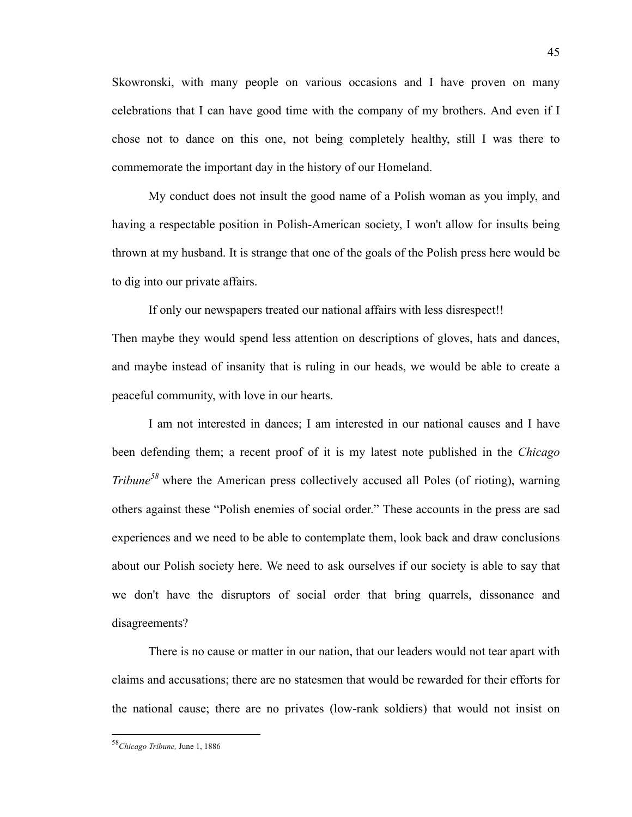Skowronski, with many people on various occasions and I have proven on many celebrations that I can have good time with the company of my brothers. And even if I chose not to dance on this one, not being completely healthy, still I was there to commemorate the important day in the history of our Homeland.

My conduct does not insult the good name of a Polish woman as you imply, and having a respectable position in Polish-American society, I won't allow for insults being thrown at my husband. It is strange that one of the goals of the Polish press here would be to dig into our private affairs.

If only our newspapers treated our national affairs with less disrespect!! Then maybe they would spend less attention on descriptions of gloves, hats and dances, and maybe instead of insanity that is ruling in our heads, we would be able to create a peaceful community, with love in our hearts.

I am not interested in dances; I am interested in our national causes and I have been defending them; a recent proof of it is my latest note published in the *Chicago Tribune<sup>58</sup>* where the American press collectively accused all Poles (of rioting), warning others against these "Polish enemies of social order." These accounts in the press are sad experiences and we need to be able to contemplate them, look back and draw conclusions about our Polish society here. We need to ask ourselves if our society is able to say that we don't have the disruptors of social order that bring quarrels, dissonance and disagreements?

There is no cause or matter in our nation, that our leaders would not tear apart with claims and accusations; there are no statesmen that would be rewarded for their efforts for the national cause; there are no privates (low-rank soldiers) that would not insist on

 <sup>58</sup>*Chicago Tribune,* June 1, 1886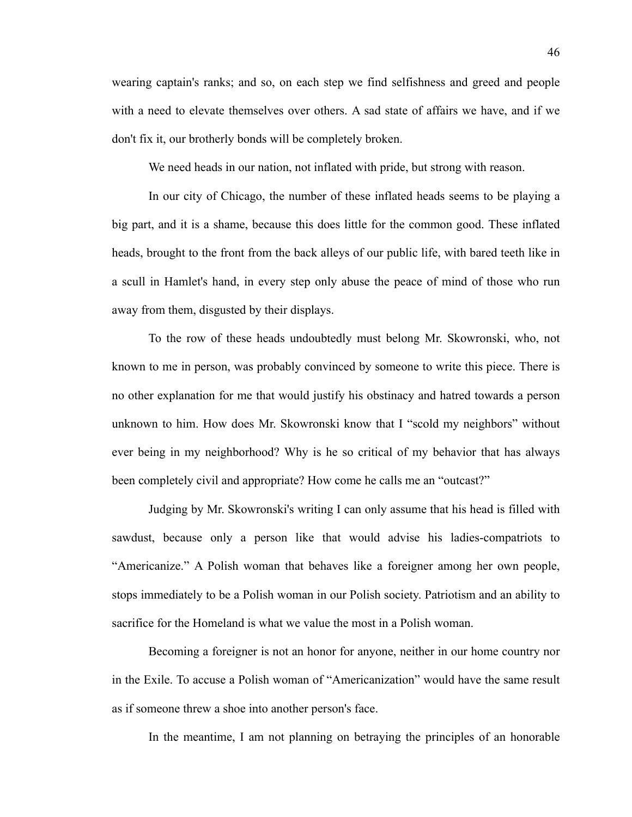wearing captain's ranks; and so, on each step we find selfishness and greed and people with a need to elevate themselves over others. A sad state of affairs we have, and if we don't fix it, our brotherly bonds will be completely broken.

We need heads in our nation, not inflated with pride, but strong with reason.

In our city of Chicago, the number of these inflated heads seems to be playing a big part, and it is a shame, because this does little for the common good. These inflated heads, brought to the front from the back alleys of our public life, with bared teeth like in a scull in Hamlet's hand, in every step only abuse the peace of mind of those who run away from them, disgusted by their displays.

To the row of these heads undoubtedly must belong Mr. Skowronski, who, not known to me in person, was probably convinced by someone to write this piece. There is no other explanation for me that would justify his obstinacy and hatred towards a person unknown to him. How does Mr. Skowronski know that I "scold my neighbors" without ever being in my neighborhood? Why is he so critical of my behavior that has always been completely civil and appropriate? How come he calls me an "outcast?"

Judging by Mr. Skowronski's writing I can only assume that his head is filled with sawdust, because only a person like that would advise his ladies-compatriots to "Americanize." A Polish woman that behaves like a foreigner among her own people, stops immediately to be a Polish woman in our Polish society. Patriotism and an ability to sacrifice for the Homeland is what we value the most in a Polish woman.

Becoming a foreigner is not an honor for anyone, neither in our home country nor in the Exile. To accuse a Polish woman of "Americanization" would have the same result as if someone threw a shoe into another person's face.

In the meantime, I am not planning on betraying the principles of an honorable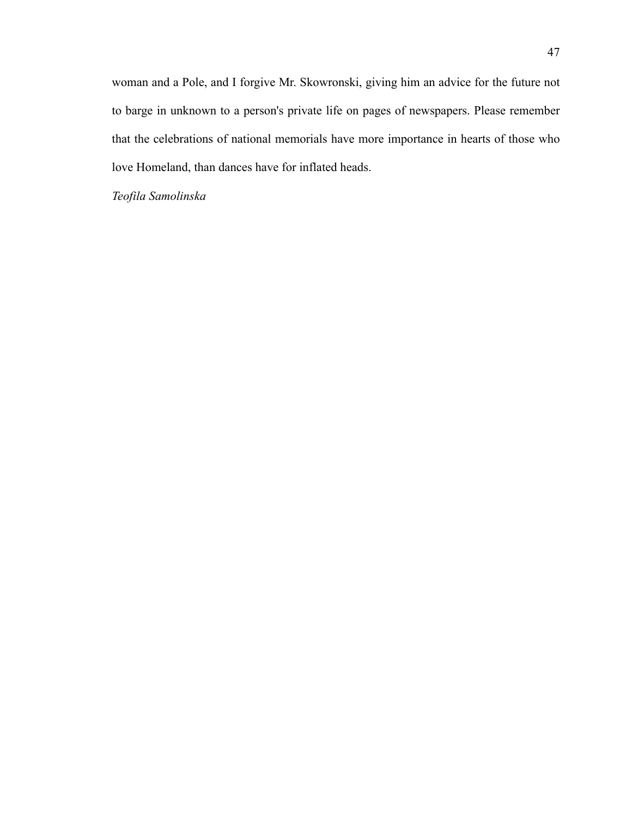woman and a Pole, and I forgive Mr. Skowronski, giving him an advice for the future not to barge in unknown to a person's private life on pages of newspapers. Please remember that the celebrations of national memorials have more importance in hearts of those who love Homeland, than dances have for inflated heads.

*Teofila Samolinska*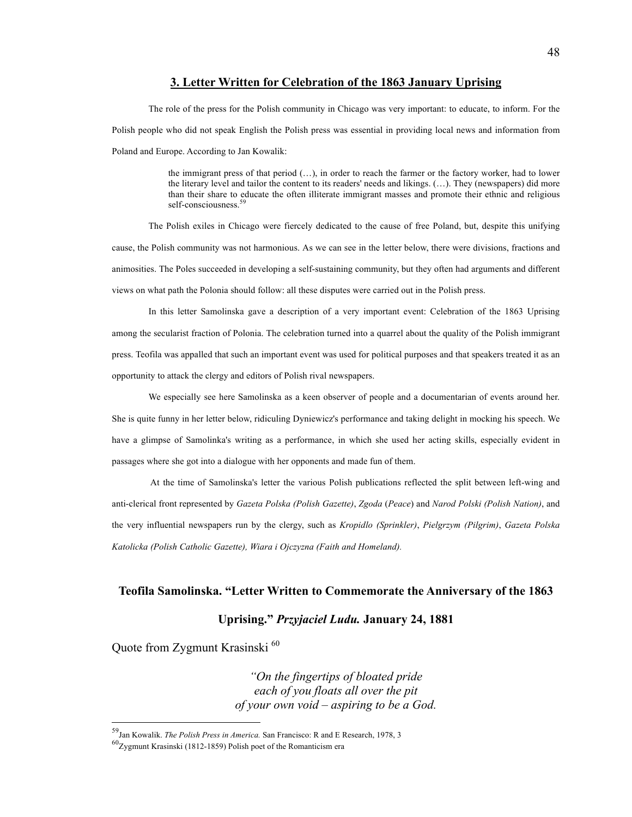### **3. Letter Written for Celebration of the 1863 January Uprising**

The role of the press for the Polish community in Chicago was very important: to educate, to inform. For the Polish people who did not speak English the Polish press was essential in providing local news and information from Poland and Europe. According to Jan Kowalik:

> the immigrant press of that period (…), in order to reach the farmer or the factory worker, had to lower the literary level and tailor the content to its readers' needs and likings. (…). They (newspapers) did more than their share to educate the often illiterate immigrant masses and promote their ethnic and religious self-consciousness.<sup>5</sup>

The Polish exiles in Chicago were fiercely dedicated to the cause of free Poland, but, despite this unifying cause, the Polish community was not harmonious. As we can see in the letter below, there were divisions, fractions and animosities. The Poles succeeded in developing a self-sustaining community, but they often had arguments and different views on what path the Polonia should follow: all these disputes were carried out in the Polish press.

In this letter Samolinska gave a description of a very important event: Celebration of the 1863 Uprising among the secularist fraction of Polonia. The celebration turned into a quarrel about the quality of the Polish immigrant press. Teofila was appalled that such an important event was used for political purposes and that speakers treated it as an opportunity to attack the clergy and editors of Polish rival newspapers.

We especially see here Samolinska as a keen observer of people and a documentarian of events around her. She is quite funny in her letter below, ridiculing Dyniewicz's performance and taking delight in mocking his speech. We have a glimpse of Samolinka's writing as a performance, in which she used her acting skills, especially evident in passages where she got into a dialogue with her opponents and made fun of them.

At the time of Samolinska's letter the various Polish publications reflected the split between left-wing and anti-clerical front represented by *Gazeta Polska (Polish Gazette)*, *Zgoda* (*Peace*) and *Narod Polski (Polish Nation)*, and the very influential newspapers run by the clergy, such as *Kropidlo (Sprinkler)*, *Pielgrzym (Pilgrim)*, *Gazeta Polska Katolicka (Polish Catholic Gazette), Wiara i Ojczyzna (Faith and Homeland).*

# **Teofila Samolinska. "Letter Written to Commemorate the Anniversary of the 1863**

# **Uprising."** *Przyjaciel Ludu.* **January 24, 1881**

Quote from Zygmunt Krasinski<sup>60</sup>

*"On the fingertips of bloated pride each of you floats all over the pit of your own void – aspiring to be a God.*

 <sup>59</sup>Jan Kowalik. *The Polish Press in America.* San Francisco: R and E Research, 1978, 3

<sup>60</sup>Zygmunt Krasinski (1812-1859) Polish poet of the Romanticism era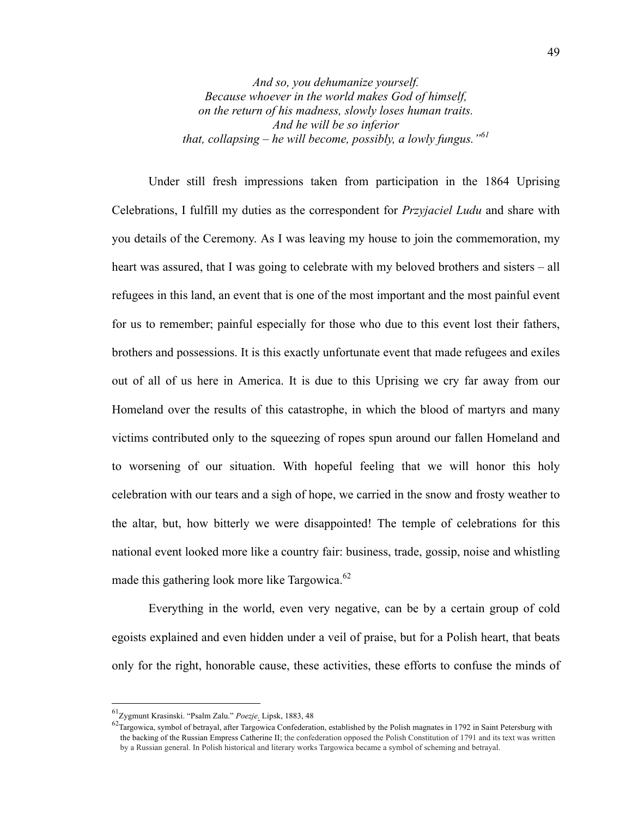*And so, you dehumanize yourself. Because whoever in the world makes God of himself, on the return of his madness, slowly loses human traits. And he will be so inferior that, collapsing – he will become, possibly, a lowly fungus."<sup>61</sup>*

Under still fresh impressions taken from participation in the 1864 Uprising Celebrations, I fulfill my duties as the correspondent for *Przyjaciel Ludu* and share with you details of the Ceremony. As I was leaving my house to join the commemoration, my heart was assured, that I was going to celebrate with my beloved brothers and sisters – all refugees in this land, an event that is one of the most important and the most painful event for us to remember; painful especially for those who due to this event lost their fathers, brothers and possessions. It is this exactly unfortunate event that made refugees and exiles out of all of us here in America. It is due to this Uprising we cry far away from our Homeland over the results of this catastrophe, in which the blood of martyrs and many victims contributed only to the squeezing of ropes spun around our fallen Homeland and to worsening of our situation. With hopeful feeling that we will honor this holy celebration with our tears and a sigh of hope, we carried in the snow and frosty weather to the altar, but, how bitterly we were disappointed! The temple of celebrations for this national event looked more like a country fair: business, trade, gossip, noise and whistling made this gathering look more like Targowica.<sup>62</sup>

Everything in the world, even very negative, can be by a certain group of cold egoists explained and even hidden under a veil of praise, but for a Polish heart, that beats only for the right, honorable cause, these activities, these efforts to confuse the minds of

<sup>&</sup>lt;sup>61</sup>Zygmunt Krasinski. "Psalm Zalu." *Poezje*. Lipsk, 1883, 48<br><sup>62</sup>Targowica, symbol of betrayal, after Targowica Confederation, established by the Polish magnates in 1792 in Saint Petersburg with the backing of the Russian Empress Catherine II; the confederation opposed the Polish Constitution of 1791 and its text was written by a Russian general. In Polish historical and literary works Targowica became a symbol of scheming and betrayal.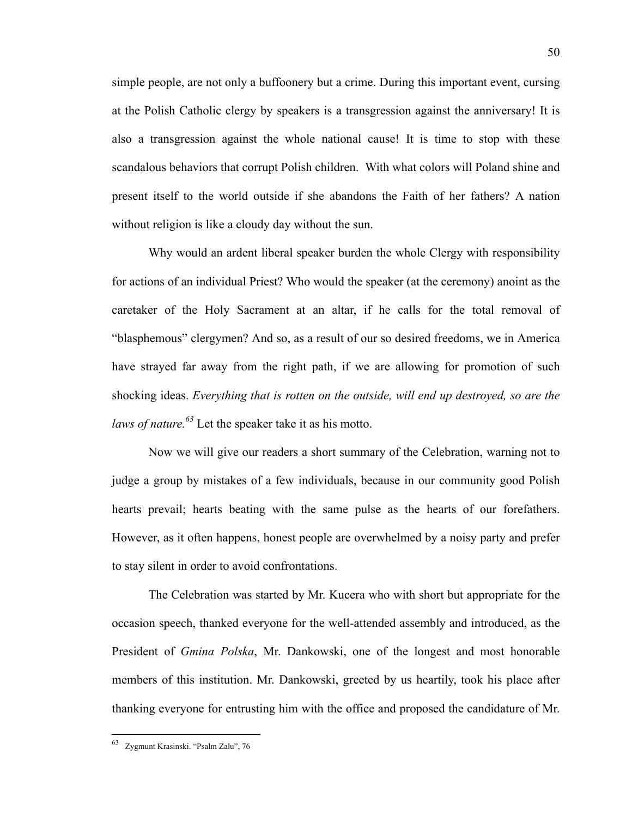simple people, are not only a buffoonery but a crime. During this important event, cursing at the Polish Catholic clergy by speakers is a transgression against the anniversary! It is also a transgression against the whole national cause! It is time to stop with these scandalous behaviors that corrupt Polish children. With what colors will Poland shine and present itself to the world outside if she abandons the Faith of her fathers? A nation without religion is like a cloudy day without the sun.

Why would an ardent liberal speaker burden the whole Clergy with responsibility for actions of an individual Priest? Who would the speaker (at the ceremony) anoint as the caretaker of the Holy Sacrament at an altar, if he calls for the total removal of "blasphemous" clergymen? And so, as a result of our so desired freedoms, we in America have strayed far away from the right path, if we are allowing for promotion of such shocking ideas. *Everything that is rotten on the outside, will end up destroyed, so are the laws of nature.<sup>63</sup>* Let the speaker take it as his motto.

Now we will give our readers a short summary of the Celebration, warning not to judge a group by mistakes of a few individuals, because in our community good Polish hearts prevail; hearts beating with the same pulse as the hearts of our forefathers. However, as it often happens, honest people are overwhelmed by a noisy party and prefer to stay silent in order to avoid confrontations.

The Celebration was started by Mr. Kucera who with short but appropriate for the occasion speech, thanked everyone for the well-attended assembly and introduced, as the President of *Gmina Polska*, Mr. Dankowski, one of the longest and most honorable members of this institution. Mr. Dankowski, greeted by us heartily, took his place after thanking everyone for entrusting him with the office and proposed the candidature of Mr.

 <sup>63</sup> Zygmunt Krasinski. "Psalm Zalu", 76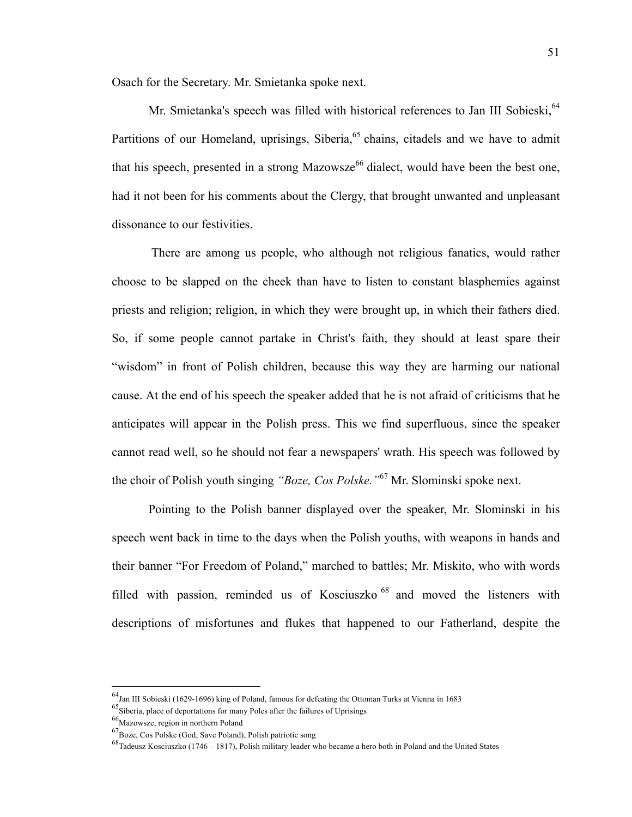Osach for the Secretary. Mr. Smietanka spoke next.

Mr. Smietanka's speech was filled with historical references to Jan III Sobieski, <sup>64</sup> Partitions of our Homeland, uprisings, Siberia,<sup>65</sup> chains, citadels and we have to admit that his speech, presented in a strong Mazowsze<sup>66</sup> dialect, would have been the best one, had it not been for his comments about the Clergy, that brought unwanted and unpleasant dissonance to our festivities.

There are among us people, who although not religious fanatics, would rather choose to be slapped on the cheek than have to listen to constant blasphemies against priests and religion; religion, in which they were brought up, in which their fathers died. So, if some people cannot partake in Christ's faith, they should at least spare their "wisdom" in front of Polish children, because this way they are harming our national cause. At the end of his speech the speaker added that he is not afraid of criticisms that he anticipates will appear in the Polish press. This we find superfluous, since the speaker cannot read well, so he should not fear a newspapers' wrath. His speech was followed by the choir of Polish youth singing *"Boze, Cos Polske."*<sup>67</sup> Mr. Slominski spoke next.

Pointing to the Polish banner displayed over the speaker, Mr. Slominski in his speech went back in time to the days when the Polish youths, with weapons in hands and their banner "For Freedom of Poland," marched to battles; Mr. Miskito, who with words filled with passion, reminded us of Kosciuszko<sup>68</sup> and moved the listeners with descriptions of misfortunes and flukes that happened to our Fatherland, despite the

 <sup>64</sup>Jan III Sobieski (1629-1696) king of Poland, famous for defeating the Ottoman Turks at Vienna in 1683

 $^{65}$ Siberia, place of deportations for many Poles after the failures of Uprisings

<sup>66</sup>Mazowsze, region in northern Poland

<sup>67</sup>Boze, Cos Polske (God, Save Poland), Polish patriotic song

<sup>68</sup>Tadeusz Kosciuszko (1746 – 1817), Polish military leader who became a hero both in Poland and the United States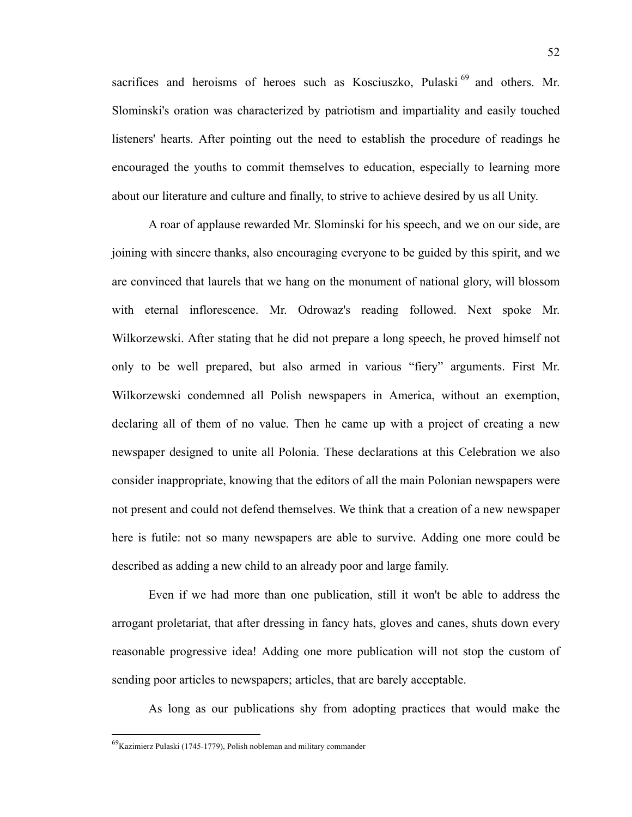sacrifices and heroisms of heroes such as Kosciuszko, Pulaski<sup>69</sup> and others. Mr. Slominski's oration was characterized by patriotism and impartiality and easily touched listeners' hearts. After pointing out the need to establish the procedure of readings he encouraged the youths to commit themselves to education, especially to learning more about our literature and culture and finally, to strive to achieve desired by us all Unity.

A roar of applause rewarded Mr. Slominski for his speech, and we on our side, are joining with sincere thanks, also encouraging everyone to be guided by this spirit, and we are convinced that laurels that we hang on the monument of national glory, will blossom with eternal inflorescence. Mr. Odrowaz's reading followed. Next spoke Mr. Wilkorzewski. After stating that he did not prepare a long speech, he proved himself not only to be well prepared, but also armed in various "fiery" arguments. First Mr. Wilkorzewski condemned all Polish newspapers in America, without an exemption, declaring all of them of no value. Then he came up with a project of creating a new newspaper designed to unite all Polonia. These declarations at this Celebration we also consider inappropriate, knowing that the editors of all the main Polonian newspapers were not present and could not defend themselves. We think that a creation of a new newspaper here is futile: not so many newspapers are able to survive. Adding one more could be described as adding a new child to an already poor and large family.

Even if we had more than one publication, still it won't be able to address the arrogant proletariat, that after dressing in fancy hats, gloves and canes, shuts down every reasonable progressive idea! Adding one more publication will not stop the custom of sending poor articles to newspapers; articles, that are barely acceptable.

As long as our publications shy from adopting practices that would make the

 <sup>69</sup>Kazimierz Pulaski (1745-1779), Polish nobleman and military commander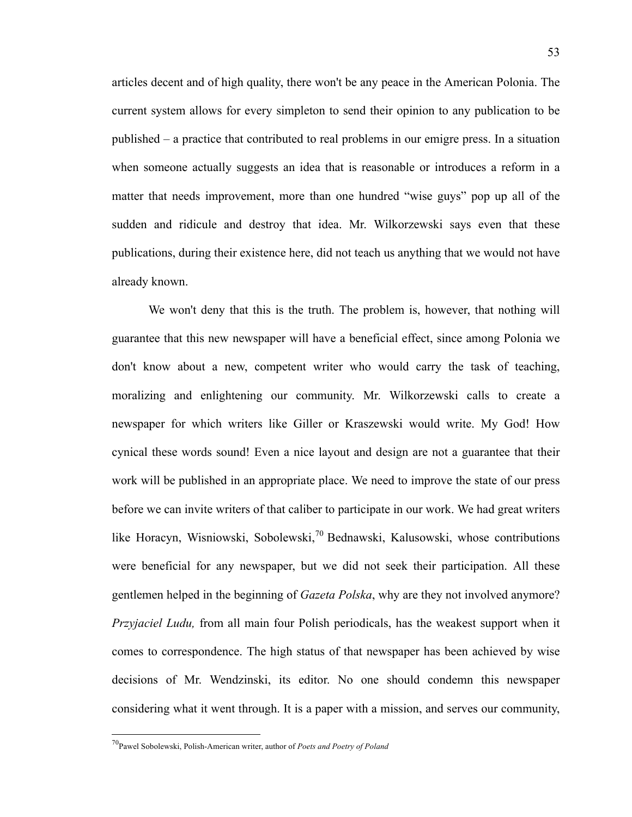articles decent and of high quality, there won't be any peace in the American Polonia. The current system allows for every simpleton to send their opinion to any publication to be published – a practice that contributed to real problems in our emigre press. In a situation when someone actually suggests an idea that is reasonable or introduces a reform in a matter that needs improvement, more than one hundred "wise guys" pop up all of the sudden and ridicule and destroy that idea. Mr. Wilkorzewski says even that these publications, during their existence here, did not teach us anything that we would not have already known.

We won't deny that this is the truth. The problem is, however, that nothing will guarantee that this new newspaper will have a beneficial effect, since among Polonia we don't know about a new, competent writer who would carry the task of teaching, moralizing and enlightening our community. Mr. Wilkorzewski calls to create a newspaper for which writers like Giller or Kraszewski would write. My God! How cynical these words sound! Even a nice layout and design are not a guarantee that their work will be published in an appropriate place. We need to improve the state of our press before we can invite writers of that caliber to participate in our work. We had great writers like Horacyn, Wisniowski, Sobolewski,<sup>70</sup> Bednawski, Kalusowski, whose contributions were beneficial for any newspaper, but we did not seek their participation. All these gentlemen helped in the beginning of *Gazeta Polska*, why are they not involved anymore? *Przyjaciel Ludu,* from all main four Polish periodicals, has the weakest support when it comes to correspondence. The high status of that newspaper has been achieved by wise decisions of Mr. Wendzinski, its editor. No one should condemn this newspaper considering what it went through. It is a paper with a mission, and serves our community,

 <sup>70</sup>Pawel Sobolewski, Polish-American writer, author of *Poets and Poetry of Poland*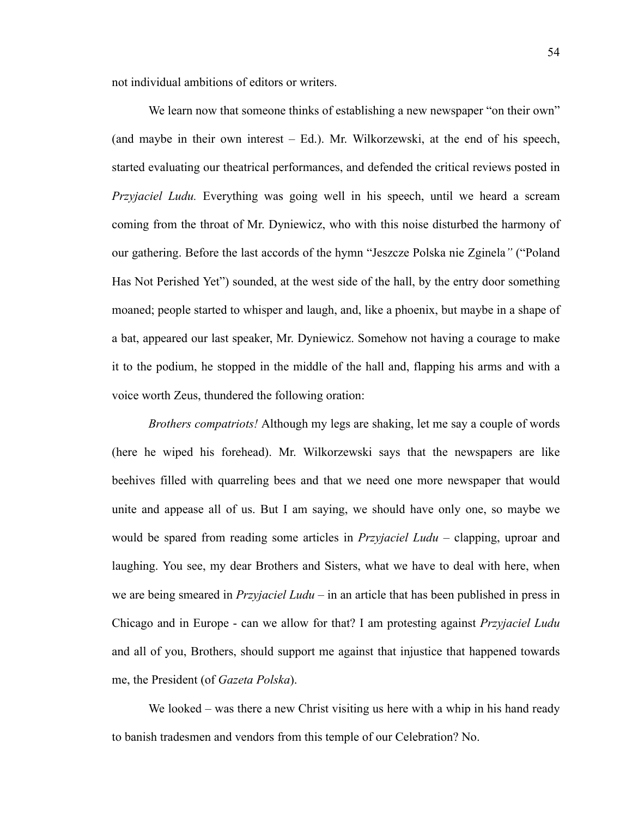not individual ambitions of editors or writers.

We learn now that someone thinks of establishing a new newspaper "on their own" (and maybe in their own interest – Ed.). Mr. Wilkorzewski, at the end of his speech, started evaluating our theatrical performances, and defended the critical reviews posted in *Przyjaciel Ludu.* Everything was going well in his speech, until we heard a scream coming from the throat of Mr. Dyniewicz, who with this noise disturbed the harmony of our gathering. Before the last accords of the hymn "Jeszcze Polska nie Zginela*"* ("Poland Has Not Perished Yet") sounded, at the west side of the hall, by the entry door something moaned; people started to whisper and laugh, and, like a phoenix, but maybe in a shape of a bat, appeared our last speaker, Mr. Dyniewicz. Somehow not having a courage to make it to the podium, he stopped in the middle of the hall and, flapping his arms and with a voice worth Zeus, thundered the following oration:

*Brothers compatriots!* Although my legs are shaking, let me say a couple of words (here he wiped his forehead). Mr. Wilkorzewski says that the newspapers are like beehives filled with quarreling bees and that we need one more newspaper that would unite and appease all of us. But I am saying, we should have only one, so maybe we would be spared from reading some articles in *Przyjaciel Ludu –* clapping, uproar and laughing. You see, my dear Brothers and Sisters, what we have to deal with here, when we are being smeared in *Przyjaciel Ludu* – in an article that has been published in press in Chicago and in Europe - can we allow for that? I am protesting against *Przyjaciel Ludu* and all of you, Brothers, should support me against that injustice that happened towards me, the President (of *Gazeta Polska*).

We looked – was there a new Christ visiting us here with a whip in his hand ready to banish tradesmen and vendors from this temple of our Celebration? No.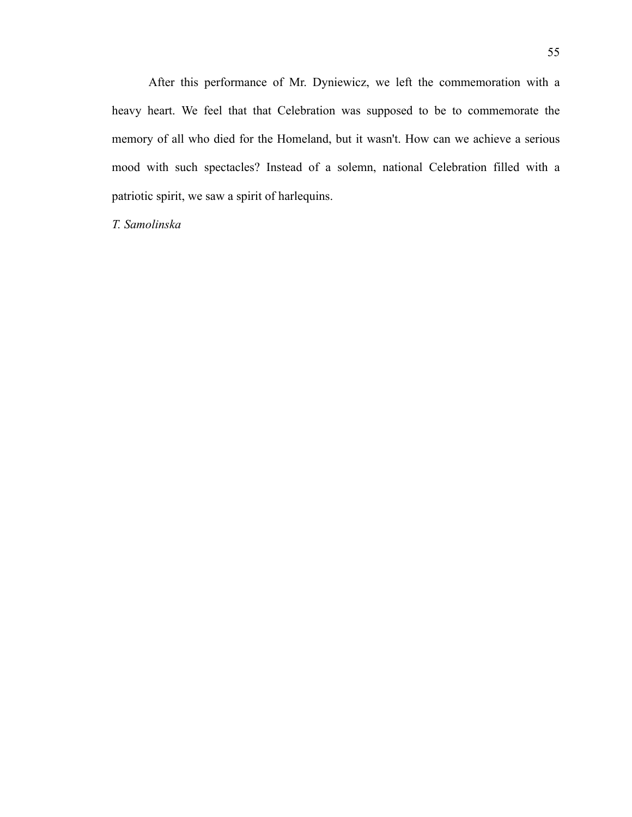After this performance of Mr. Dyniewicz, we left the commemoration with a heavy heart. We feel that that Celebration was supposed to be to commemorate the memory of all who died for the Homeland, but it wasn't. How can we achieve a serious mood with such spectacles? Instead of a solemn, national Celebration filled with a patriotic spirit, we saw a spirit of harlequins.

*T. Samolinska*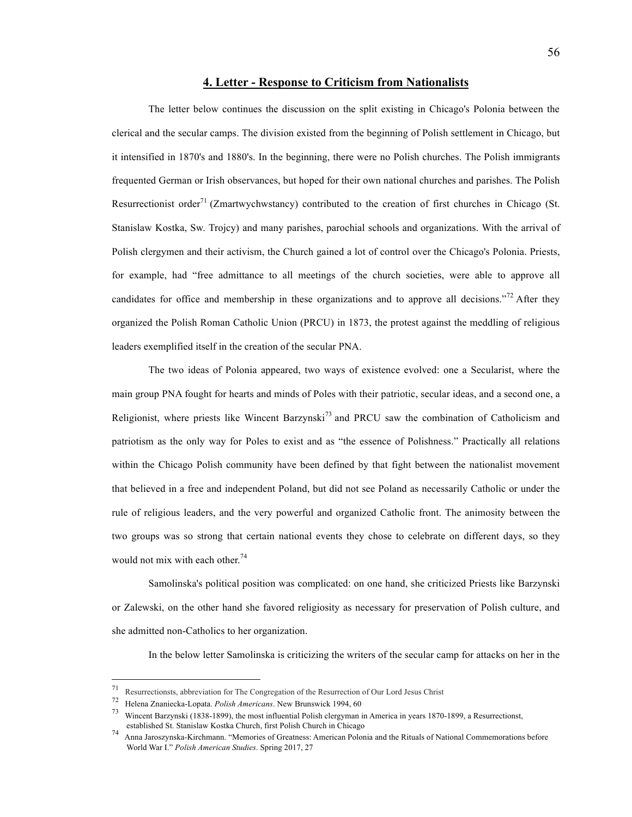#### **4. Letter - Response to Criticism from Nationalists**

The letter below continues the discussion on the split existing in Chicago's Polonia between the clerical and the secular camps. The division existed from the beginning of Polish settlement in Chicago, but it intensified in 1870's and 1880's. In the beginning, there were no Polish churches. The Polish immigrants frequented German or Irish observances, but hoped for their own national churches and parishes. The Polish Resurrectionist order<sup>71</sup> (Zmartwychwstancy) contributed to the creation of first churches in Chicago (St. Stanislaw Kostka, Sw. Trojcy) and many parishes, parochial schools and organizations. With the arrival of Polish clergymen and their activism, the Church gained a lot of control over the Chicago's Polonia. Priests, for example, had "free admittance to all meetings of the church societies, were able to approve all candidates for office and membership in these organizations and to approve all decisions."<sup>72</sup> After they organized the Polish Roman Catholic Union (PRCU) in 1873, the protest against the meddling of religious leaders exemplified itself in the creation of the secular PNA.

The two ideas of Polonia appeared, two ways of existence evolved: one a Secularist, where the main group PNA fought for hearts and minds of Poles with their patriotic, secular ideas, and a second one, a Religionist, where priests like Wincent Barzynski<sup>73</sup> and PRCU saw the combination of Catholicism and patriotism as the only way for Poles to exist and as "the essence of Polishness." Practically all relations within the Chicago Polish community have been defined by that fight between the nationalist movement that believed in a free and independent Poland, but did not see Poland as necessarily Catholic or under the rule of religious leaders, and the very powerful and organized Catholic front. The animosity between the two groups was so strong that certain national events they chose to celebrate on different days, so they would not mix with each other.<sup>74</sup>

Samolinska's political position was complicated: on one hand, she criticized Priests like Barzynski or Zalewski, on the other hand she favored religiosity as necessary for preservation of Polish culture, and she admitted non-Catholics to her organization.

In the below letter Samolinska is criticizing the writers of the secular camp for attacks on her in the

 <sup>71</sup> Resurrectionsts, abbreviation for The Congregation of the Resurrection of Our Lord Jesus Christ

<sup>72</sup> Helena Znaniecka-Lopata. *Polish Americans*. New Brunswick 1994, 60

<sup>73</sup> Wincent Barzynski (1838-1899), the most influential Polish clergyman in America in years 1870-1899, a Resurrectionst,

established St. Stanislaw Kostak Church, first Polish Church in Church in Church in Church in Chicago 74 Anna Jaroszynska-Kirchmann. "Memories of Greatness: American Polonia and the Rituals of National Commemorations befor World War I." *Polish American Studies*. Spring 2017, 27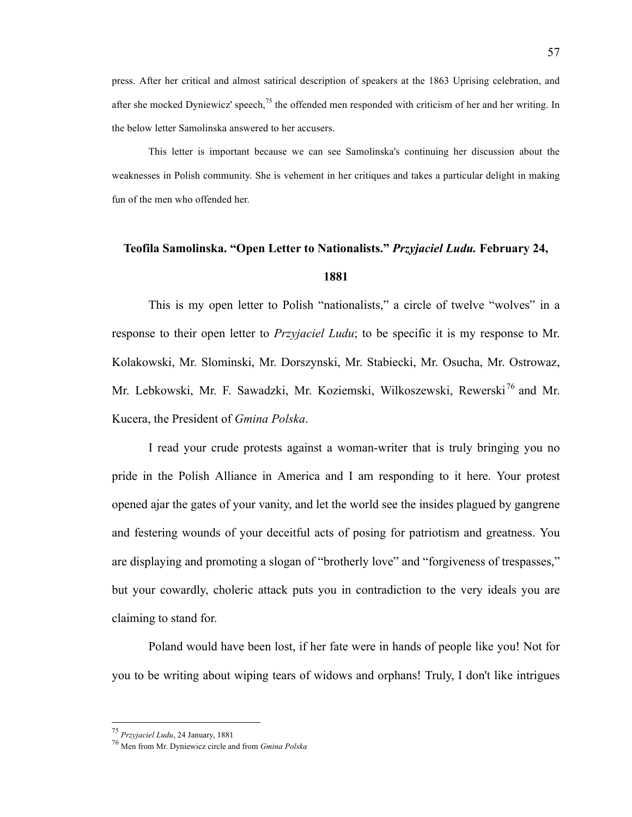press. After her critical and almost satirical description of speakers at the 1863 Uprising celebration, and after she mocked Dyniewicz' speech,<sup>75</sup> the offended men responded with criticism of her and her writing. In the below letter Samolinska answered to her accusers.

This letter is important because we can see Samolinska's continuing her discussion about the weaknesses in Polish community. She is vehement in her critiques and takes a particular delight in making fun of the men who offended her.

# **Teofila Samolinska. "Open Letter to Nationalists."** *Przyjaciel Ludu.* **February 24, 1881**

This is my open letter to Polish "nationalists," a circle of twelve "wolves" in a response to their open letter to *Przyjaciel Ludu*; to be specific it is my response to Mr. Kolakowski, Mr. Slominski, Mr. Dorszynski, Mr. Stabiecki, Mr. Osucha, Mr. Ostrowaz, Mr. Lebkowski, Mr. F. Sawadzki, Mr. Koziemski, Wilkoszewski, Rewerski<sup>76</sup> and Mr. Kucera, the President of *Gmina Polska*.

I read your crude protests against a woman-writer that is truly bringing you no pride in the Polish Alliance in America and I am responding to it here. Your protest opened ajar the gates of your vanity, and let the world see the insides plagued by gangrene and festering wounds of your deceitful acts of posing for patriotism and greatness. You are displaying and promoting a slogan of "brotherly love" and "forgiveness of trespasses," but your cowardly, choleric attack puts you in contradiction to the very ideals you are claiming to stand for.

Poland would have been lost, if her fate were in hands of people like you! Not for you to be writing about wiping tears of widows and orphans! Truly, I don't like intrigues

 <sup>75</sup> *Przyjaciel Ludu*, 24 January, <sup>1881</sup>

<sup>76</sup> Men from Mr. Dyniewicz circle and from *Gmina Polska*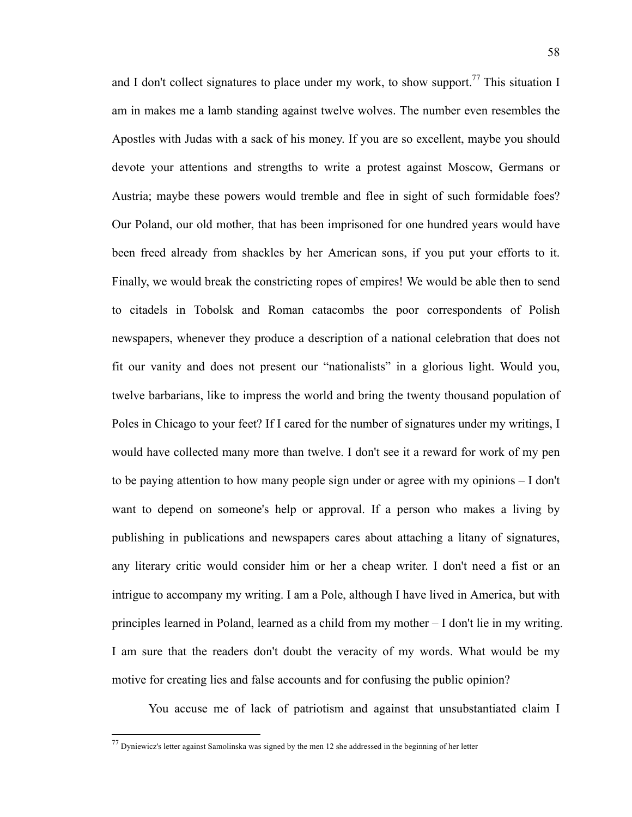and I don't collect signatures to place under my work, to show support.<sup>77</sup> This situation I am in makes me a lamb standing against twelve wolves. The number even resembles the Apostles with Judas with a sack of his money. If you are so excellent, maybe you should devote your attentions and strengths to write a protest against Moscow, Germans or Austria; maybe these powers would tremble and flee in sight of such formidable foes? Our Poland, our old mother, that has been imprisoned for one hundred years would have been freed already from shackles by her American sons, if you put your efforts to it. Finally, we would break the constricting ropes of empires! We would be able then to send to citadels in Tobolsk and Roman catacombs the poor correspondents of Polish newspapers, whenever they produce a description of a national celebration that does not fit our vanity and does not present our "nationalists" in a glorious light. Would you, twelve barbarians, like to impress the world and bring the twenty thousand population of Poles in Chicago to your feet? If I cared for the number of signatures under my writings, I would have collected many more than twelve. I don't see it a reward for work of my pen to be paying attention to how many people sign under or agree with my opinions – I don't want to depend on someone's help or approval. If a person who makes a living by publishing in publications and newspapers cares about attaching a litany of signatures, any literary critic would consider him or her a cheap writer. I don't need a fist or an intrigue to accompany my writing. I am a Pole, although I have lived in America, but with principles learned in Poland, learned as a child from my mother – I don't lie in my writing. I am sure that the readers don't doubt the veracity of my words. What would be my motive for creating lies and false accounts and for confusing the public opinion?

You accuse me of lack of patriotism and against that unsubstantiated claim I

 <sup>77</sup> Dyniewicz's letter against Samolinska was signed by the men 12 she addressed in the beginning of her letter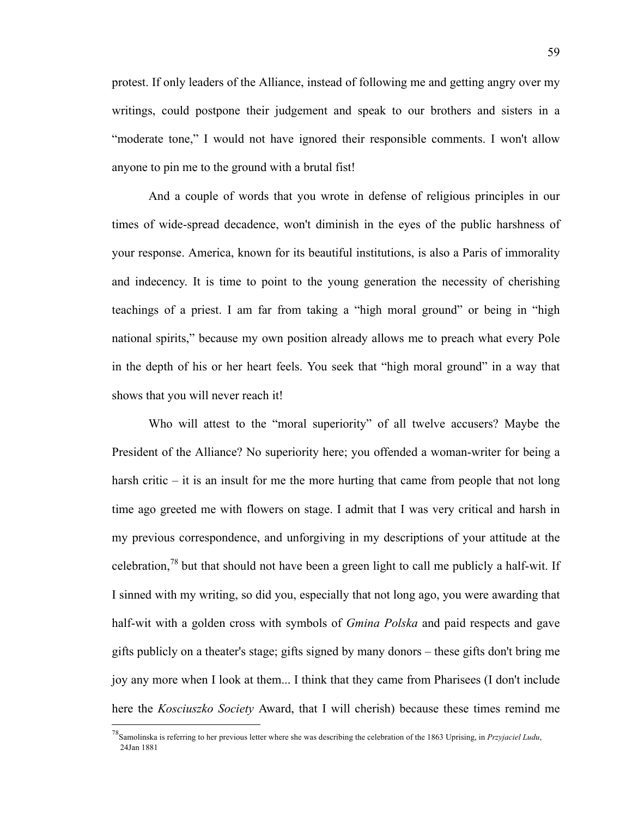protest. If only leaders of the Alliance, instead of following me and getting angry over my writings, could postpone their judgement and speak to our brothers and sisters in a "moderate tone," I would not have ignored their responsible comments. I won't allow anyone to pin me to the ground with a brutal fist!

And a couple of words that you wrote in defense of religious principles in our times of wide-spread decadence, won't diminish in the eyes of the public harshness of your response. America, known for its beautiful institutions, is also a Paris of immorality and indecency. It is time to point to the young generation the necessity of cherishing teachings of a priest. I am far from taking a "high moral ground" or being in "high national spirits," because my own position already allows me to preach what every Pole in the depth of his or her heart feels. You seek that "high moral ground" in a way that shows that you will never reach it!

Who will attest to the "moral superiority" of all twelve accusers? Maybe the President of the Alliance? No superiority here; you offended a woman-writer for being a harsh critic – it is an insult for me the more hurting that came from people that not long time ago greeted me with flowers on stage. I admit that I was very critical and harsh in my previous correspondence, and unforgiving in my descriptions of your attitude at the celebration,<sup>78</sup> but that should not have been a green light to call me publicly a half-wit. If I sinned with my writing, so did you, especially that not long ago, you were awarding that half-wit with a golden cross with symbols of *Gmina Polska* and paid respects and gave gifts publicly on a theater's stage; gifts signed by many donors – these gifts don't bring me joy any more when I look at them... I think that they came from Pharisees (I don't include here the *Kosciuszko Society* Award, that I will cherish) because these times remind me

 <sup>78</sup>Samolinska is referring to her previous letter where she was describing the celebration of the 1863 Uprising, in *Przyjaciel Ludu*, 24Jan 1881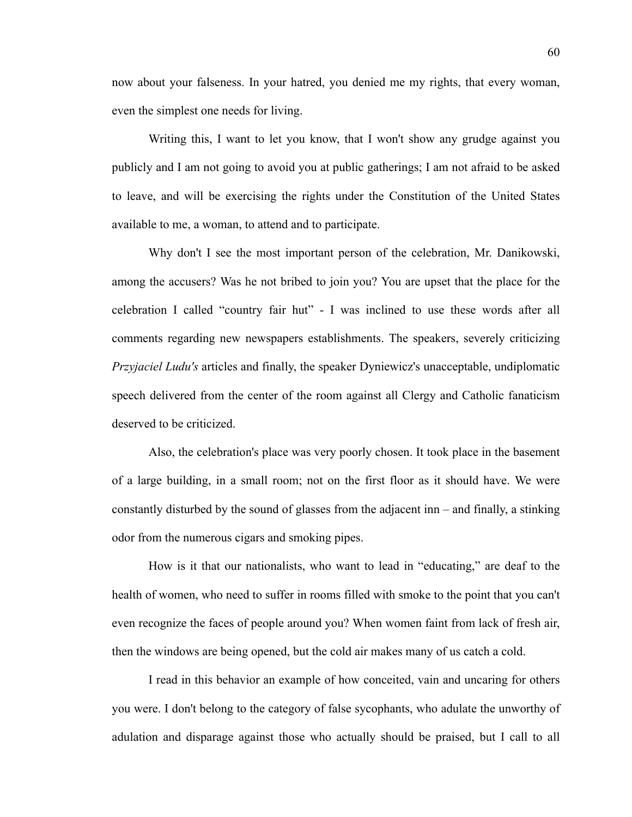now about your falseness. In your hatred, you denied me my rights, that every woman, even the simplest one needs for living.

Writing this, I want to let you know, that I won't show any grudge against you publicly and I am not going to avoid you at public gatherings; I am not afraid to be asked to leave, and will be exercising the rights under the Constitution of the United States available to me, a woman, to attend and to participate.

Why don't I see the most important person of the celebration, Mr. Danikowski, among the accusers? Was he not bribed to join you? You are upset that the place for the celebration I called "country fair hut" - I was inclined to use these words after all comments regarding new newspapers establishments. The speakers, severely criticizing *Przyjaciel Ludu's* articles and finally, the speaker Dyniewicz's unacceptable, undiplomatic speech delivered from the center of the room against all Clergy and Catholic fanaticism deserved to be criticized.

Also, the celebration's place was very poorly chosen. It took place in the basement of a large building, in a small room; not on the first floor as it should have. We were constantly disturbed by the sound of glasses from the adjacent inn – and finally, a stinking odor from the numerous cigars and smoking pipes.

How is it that our nationalists, who want to lead in "educating," are deaf to the health of women, who need to suffer in rooms filled with smoke to the point that you can't even recognize the faces of people around you? When women faint from lack of fresh air, then the windows are being opened, but the cold air makes many of us catch a cold.

I read in this behavior an example of how conceited, vain and uncaring for others you were. I don't belong to the category of false sycophants, who adulate the unworthy of adulation and disparage against those who actually should be praised, but I call to all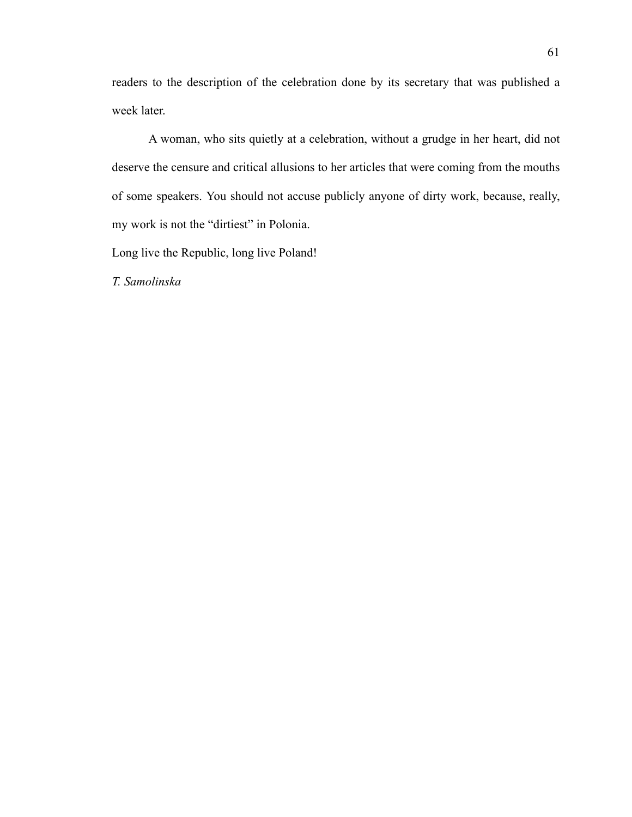readers to the description of the celebration done by its secretary that was published a week later.

A woman, who sits quietly at a celebration, without a grudge in her heart, did not deserve the censure and critical allusions to her articles that were coming from the mouths of some speakers. You should not accuse publicly anyone of dirty work, because, really, my work is not the "dirtiest" in Polonia.

Long live the Republic, long live Poland!

*T. Samolinska*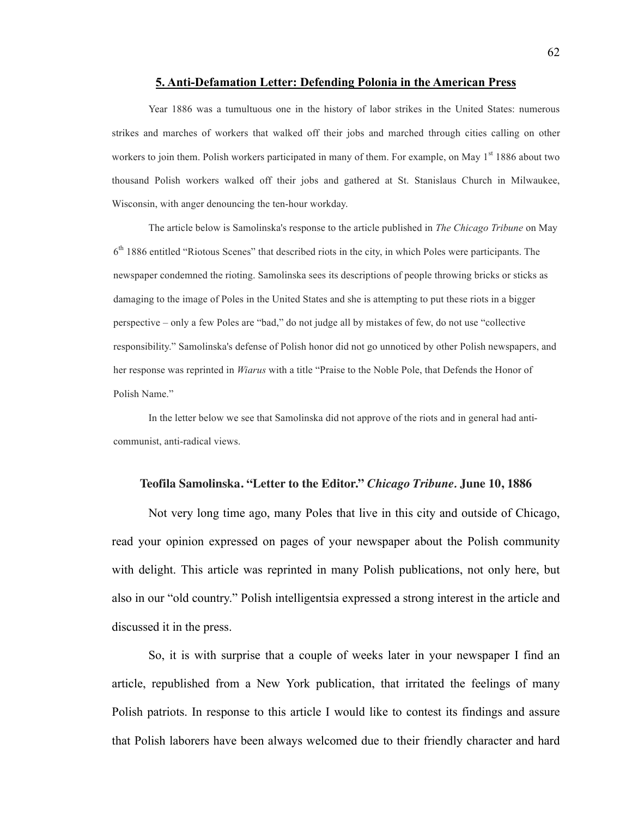#### **5. Anti-Defamation Letter: Defending Polonia in the American Press**

Year 1886 was a tumultuous one in the history of labor strikes in the United States: numerous strikes and marches of workers that walked off their jobs and marched through cities calling on other workers to join them. Polish workers participated in many of them. For example, on May  $1<sup>st</sup> 1886$  about two thousand Polish workers walked off their jobs and gathered at St. Stanislaus Church in Milwaukee, Wisconsin, with anger denouncing the ten-hour workday.

The article below is Samolinska's response to the article published in *The Chicago Tribune* on May  $6<sup>th</sup>$  1886 entitled "Riotous Scenes" that described riots in the city, in which Poles were participants. The newspaper condemned the rioting. Samolinska sees its descriptions of people throwing bricks or sticks as damaging to the image of Poles in the United States and she is attempting to put these riots in a bigger perspective – only a few Poles are "bad," do not judge all by mistakes of few, do not use "collective responsibility." Samolinska's defense of Polish honor did not go unnoticed by other Polish newspapers, and her response was reprinted in *Wiarus* with a title "Praise to the Noble Pole, that Defends the Honor of Polish Name."

In the letter below we see that Samolinska did not approve of the riots and in general had anticommunist, anti-radical views.

# **Teofila Samolinska. "Letter to the Editor."** *Chicago Tribune.* **June 10, 1886**

Not very long time ago, many Poles that live in this city and outside of Chicago, read your opinion expressed on pages of your newspaper about the Polish community with delight. This article was reprinted in many Polish publications, not only here, but also in our "old country." Polish intelligentsia expressed a strong interest in the article and discussed it in the press.

So, it is with surprise that a couple of weeks later in your newspaper I find an article, republished from a New York publication, that irritated the feelings of many Polish patriots. In response to this article I would like to contest its findings and assure that Polish laborers have been always welcomed due to their friendly character and hard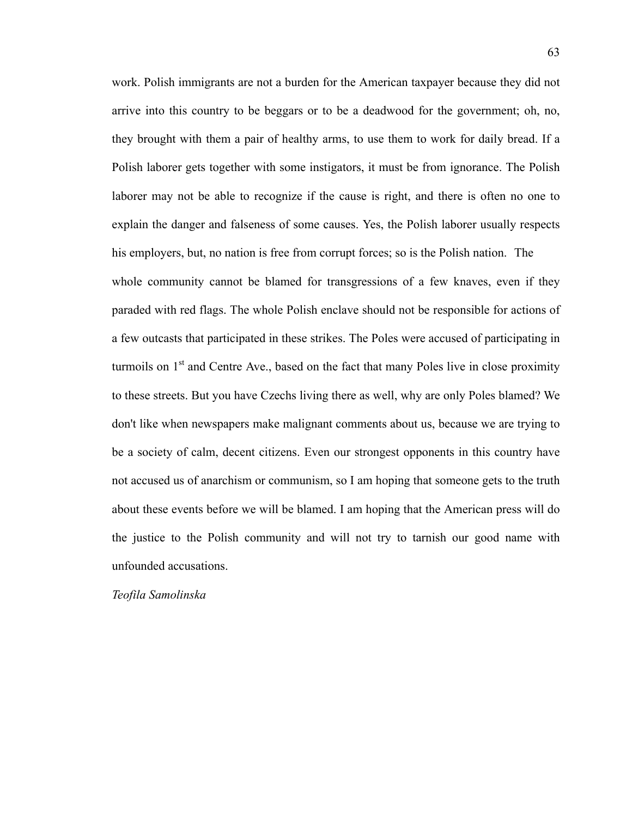work. Polish immigrants are not a burden for the American taxpayer because they did not arrive into this country to be beggars or to be a deadwood for the government; oh, no, they brought with them a pair of healthy arms, to use them to work for daily bread. If a Polish laborer gets together with some instigators, it must be from ignorance. The Polish laborer may not be able to recognize if the cause is right, and there is often no one to explain the danger and falseness of some causes. Yes, the Polish laborer usually respects his employers, but, no nation is free from corrupt forces; so is the Polish nation. The whole community cannot be blamed for transgressions of a few knaves, even if they paraded with red flags. The whole Polish enclave should not be responsible for actions of a few outcasts that participated in these strikes. The Poles were accused of participating in turmoils on  $1<sup>st</sup>$  and Centre Ave., based on the fact that many Poles live in close proximity to these streets. But you have Czechs living there as well, why are only Poles blamed? We don't like when newspapers make malignant comments about us, because we are trying to be a society of calm, decent citizens. Even our strongest opponents in this country have not accused us of anarchism or communism, so I am hoping that someone gets to the truth about these events before we will be blamed. I am hoping that the American press will do the justice to the Polish community and will not try to tarnish our good name with unfounded accusations.

*Teofila Samolinska*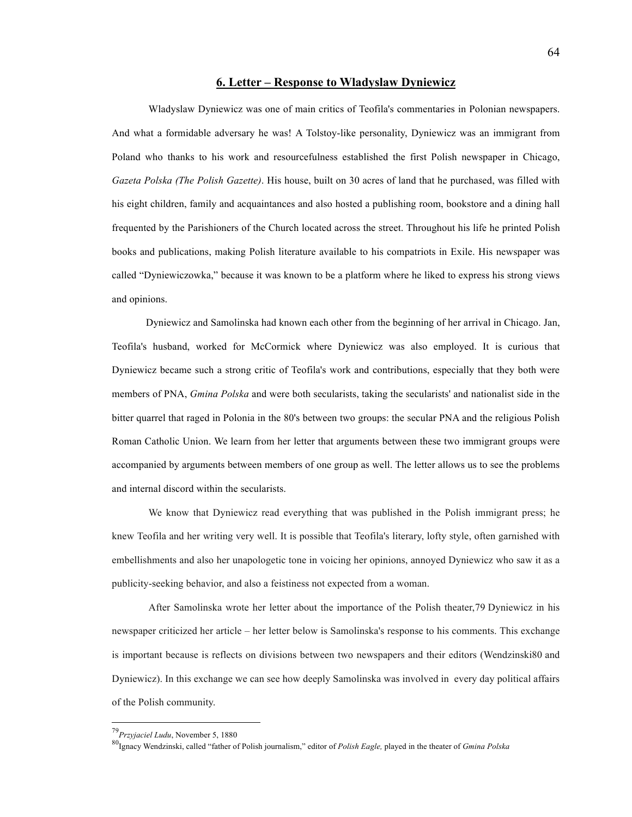#### **6. Letter – Response to Wladyslaw Dyniewicz**

Wladyslaw Dyniewicz was one of main critics of Teofila's commentaries in Polonian newspapers. And what a formidable adversary he was! A Tolstoy-like personality, Dyniewicz was an immigrant from Poland who thanks to his work and resourcefulness established the first Polish newspaper in Chicago, *Gazeta Polska (The Polish Gazette)*. His house, built on 30 acres of land that he purchased, was filled with his eight children, family and acquaintances and also hosted a publishing room, bookstore and a dining hall frequented by the Parishioners of the Church located across the street. Throughout his life he printed Polish books and publications, making Polish literature available to his compatriots in Exile. His newspaper was called "Dyniewiczowka," because it was known to be a platform where he liked to express his strong views and opinions.

Dyniewicz and Samolinska had known each other from the beginning of her arrival in Chicago. Jan, Teofila's husband, worked for McCormick where Dyniewicz was also employed. It is curious that Dyniewicz became such a strong critic of Teofila's work and contributions, especially that they both were members of PNA, *Gmina Polska* and were both secularists, taking the secularists' and nationalist side in the bitter quarrel that raged in Polonia in the 80's between two groups: the secular PNA and the religious Polish Roman Catholic Union. We learn from her letter that arguments between these two immigrant groups were accompanied by arguments between members of one group as well. The letter allows us to see the problems and internal discord within the secularists.

We know that Dyniewicz read everything that was published in the Polish immigrant press; he knew Teofila and her writing very well. It is possible that Teofila's literary, lofty style, often garnished with embellishments and also her unapologetic tone in voicing her opinions, annoyed Dyniewicz who saw it as a publicity-seeking behavior, and also a feistiness not expected from a woman.

After Samolinska wrote her letter about the importance of the Polish theater,79 Dyniewicz in his newspaper criticized her article – her letter below is Samolinska's response to his comments. This exchange is important because is reflects on divisions between two newspapers and their editors (Wendzinski80 and Dyniewicz). In this exchange we can see how deeply Samolinska was involved in every day political affairs of the Polish community.

 <sup>79</sup>*Przyjaciel Ludu*, November 5, 1880

<sup>80</sup>Ignacy Wendzinski, called "father of Polish journalism," editor of *Polish Eagle,* played in the theater of *Gmina Polska*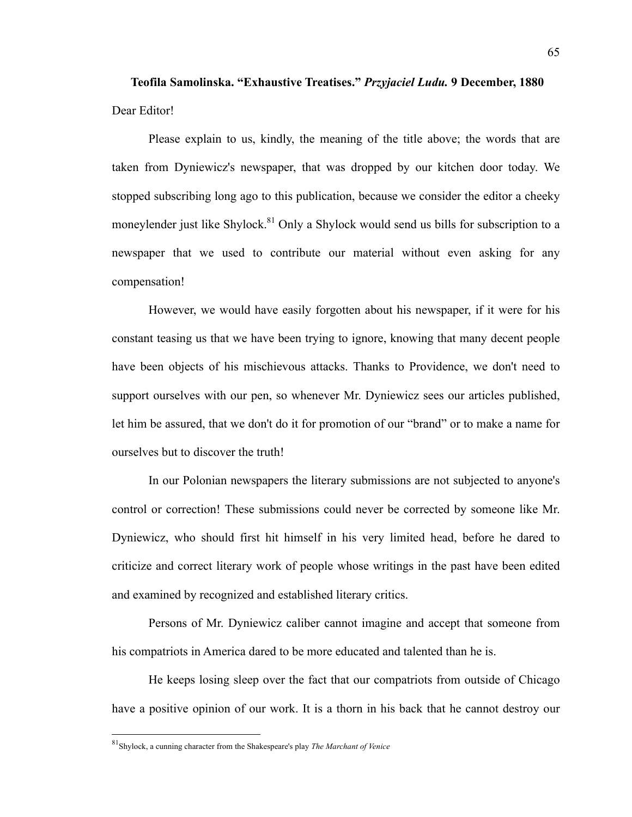**Teofila Samolinska. "Exhaustive Treatises."** *Przyjaciel Ludu.* **9 December, 1880** Dear Editor!

Please explain to us, kindly, the meaning of the title above; the words that are taken from Dyniewicz's newspaper, that was dropped by our kitchen door today. We stopped subscribing long ago to this publication, because we consider the editor a cheeky moneylender just like Shylock.<sup>81</sup> Only a Shylock would send us bills for subscription to a newspaper that we used to contribute our material without even asking for any compensation!

However, we would have easily forgotten about his newspaper, if it were for his constant teasing us that we have been trying to ignore, knowing that many decent people have been objects of his mischievous attacks. Thanks to Providence, we don't need to support ourselves with our pen, so whenever Mr. Dyniewicz sees our articles published, let him be assured, that we don't do it for promotion of our "brand" or to make a name for ourselves but to discover the truth!

In our Polonian newspapers the literary submissions are not subjected to anyone's control or correction! These submissions could never be corrected by someone like Mr. Dyniewicz, who should first hit himself in his very limited head, before he dared to criticize and correct literary work of people whose writings in the past have been edited and examined by recognized and established literary critics.

Persons of Mr. Dyniewicz caliber cannot imagine and accept that someone from his compatriots in America dared to be more educated and talented than he is.

He keeps losing sleep over the fact that our compatriots from outside of Chicago have a positive opinion of our work. It is a thorn in his back that he cannot destroy our

 <sup>81</sup>Shylock, a cunning character from the Shakespeare's play *The Marchant of Venice*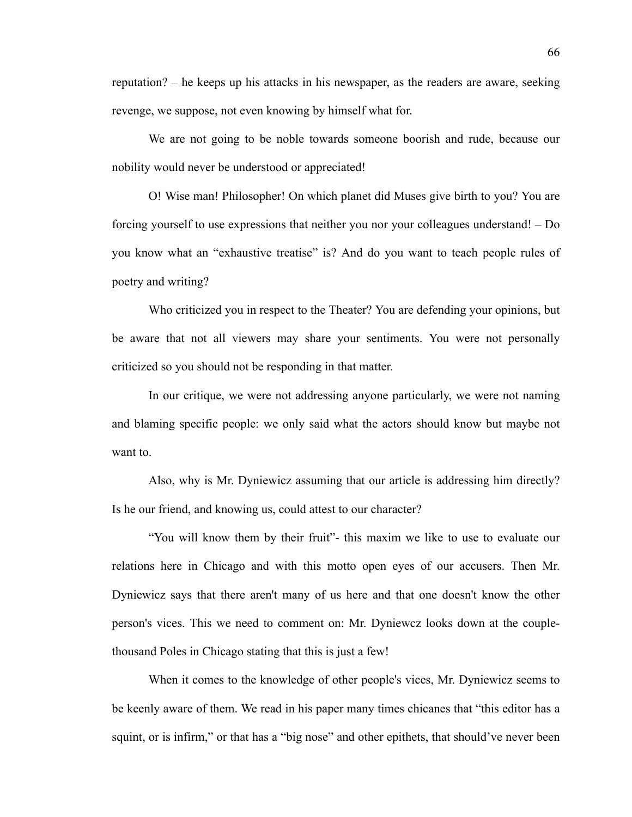reputation? – he keeps up his attacks in his newspaper, as the readers are aware, seeking revenge, we suppose, not even knowing by himself what for.

We are not going to be noble towards someone boorish and rude, because our nobility would never be understood or appreciated!

O! Wise man! Philosopher! On which planet did Muses give birth to you? You are forcing yourself to use expressions that neither you nor your colleagues understand! – Do you know what an "exhaustive treatise" is? And do you want to teach people rules of poetry and writing?

Who criticized you in respect to the Theater? You are defending your opinions, but be aware that not all viewers may share your sentiments. You were not personally criticized so you should not be responding in that matter.

In our critique, we were not addressing anyone particularly, we were not naming and blaming specific people: we only said what the actors should know but maybe not want to.

Also, why is Mr. Dyniewicz assuming that our article is addressing him directly? Is he our friend, and knowing us, could attest to our character?

"You will know them by their fruit"- this maxim we like to use to evaluate our relations here in Chicago and with this motto open eyes of our accusers. Then Mr. Dyniewicz says that there aren't many of us here and that one doesn't know the other person's vices. This we need to comment on: Mr. Dyniewcz looks down at the couplethousand Poles in Chicago stating that this is just a few!

When it comes to the knowledge of other people's vices, Mr. Dyniewicz seems to be keenly aware of them. We read in his paper many times chicanes that "this editor has a squint, or is infirm," or that has a "big nose" and other epithets, that should've never been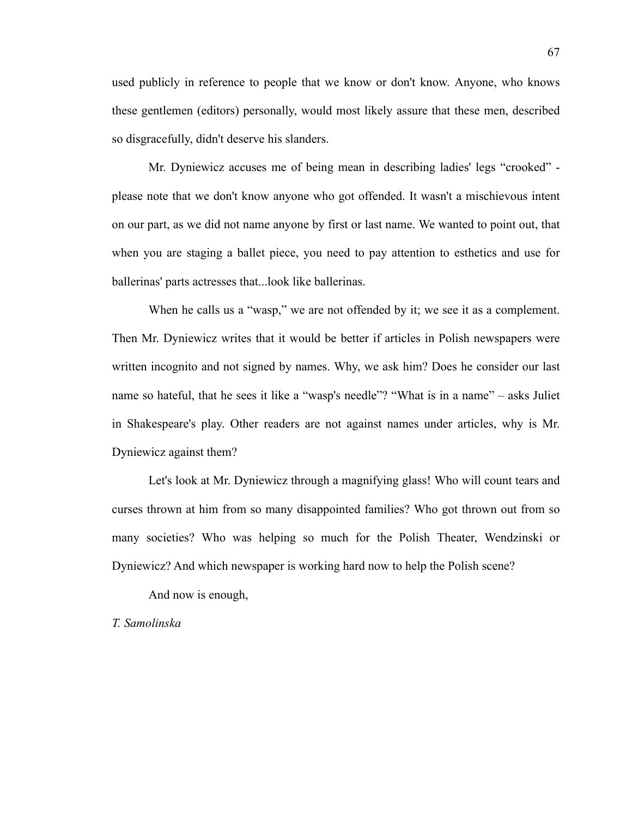used publicly in reference to people that we know or don't know. Anyone, who knows these gentlemen (editors) personally, would most likely assure that these men, described so disgracefully, didn't deserve his slanders.

Mr. Dyniewicz accuses me of being mean in describing ladies' legs "crooked" please note that we don't know anyone who got offended. It wasn't a mischievous intent on our part, as we did not name anyone by first or last name. We wanted to point out, that when you are staging a ballet piece, you need to pay attention to esthetics and use for ballerinas' parts actresses that...look like ballerinas.

When he calls us a "wasp," we are not offended by it; we see it as a complement. Then Mr. Dyniewicz writes that it would be better if articles in Polish newspapers were written incognito and not signed by names. Why, we ask him? Does he consider our last name so hateful, that he sees it like a "wasp's needle"? "What is in a name" – asks Juliet in Shakespeare's play. Other readers are not against names under articles, why is Mr. Dyniewicz against them?

Let's look at Mr. Dyniewicz through a magnifying glass! Who will count tears and curses thrown at him from so many disappointed families? Who got thrown out from so many societies? Who was helping so much for the Polish Theater, Wendzinski or Dyniewicz? And which newspaper is working hard now to help the Polish scene?

And now is enough,

*T. Samolinska*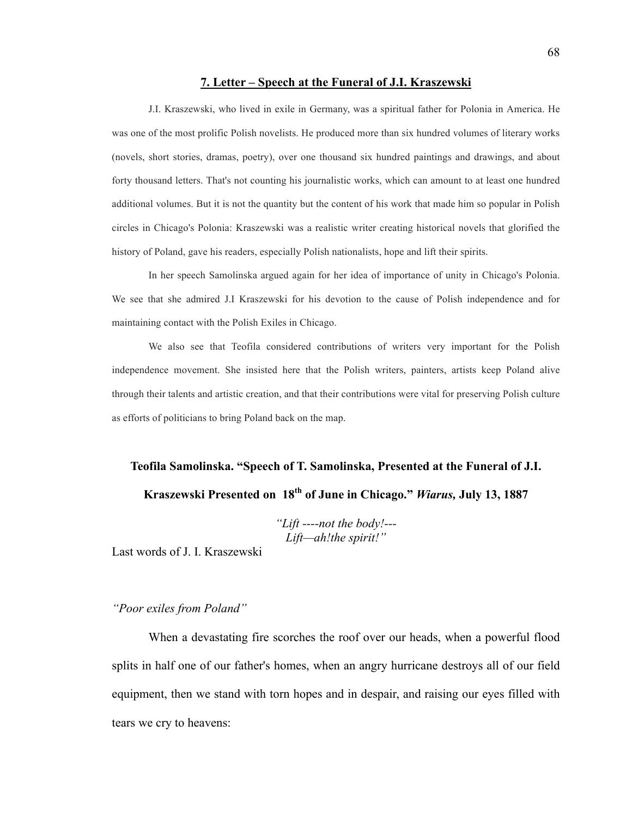#### **7. Letter – Speech at the Funeral of J.I. Kraszewski**

J.I. Kraszewski, who lived in exile in Germany, was a spiritual father for Polonia in America. He was one of the most prolific Polish novelists. He produced more than six hundred volumes of literary works (novels, short stories, dramas, poetry), over one thousand six hundred paintings and drawings, and about forty thousand letters. That's not counting his journalistic works, which can amount to at least one hundred additional volumes. But it is not the quantity but the content of his work that made him so popular in Polish circles in Chicago's Polonia: Kraszewski was a realistic writer creating historical novels that glorified the history of Poland, gave his readers, especially Polish nationalists, hope and lift their spirits.

In her speech Samolinska argued again for her idea of importance of unity in Chicago's Polonia. We see that she admired J.I Kraszewski for his devotion to the cause of Polish independence and for maintaining contact with the Polish Exiles in Chicago.

We also see that Teofila considered contributions of writers very important for the Polish independence movement. She insisted here that the Polish writers, painters, artists keep Poland alive through their talents and artistic creation, and that their contributions were vital for preserving Polish culture as efforts of politicians to bring Poland back on the map.

# **Teofila Samolinska. "Speech of T. Samolinska, Presented at the Funeral of J.I. Kraszewski Presented on 18th of June in Chicago."** *Wiarus,* **July 13, 1887**

*"Lift ----not the body!--- Lift—ah!the spirit!"*

Last words of J. I. Kraszewski

### *"Poor exiles from Poland"*

When a devastating fire scorches the roof over our heads, when a powerful flood splits in half one of our father's homes, when an angry hurricane destroys all of our field equipment, then we stand with torn hopes and in despair, and raising our eyes filled with tears we cry to heavens: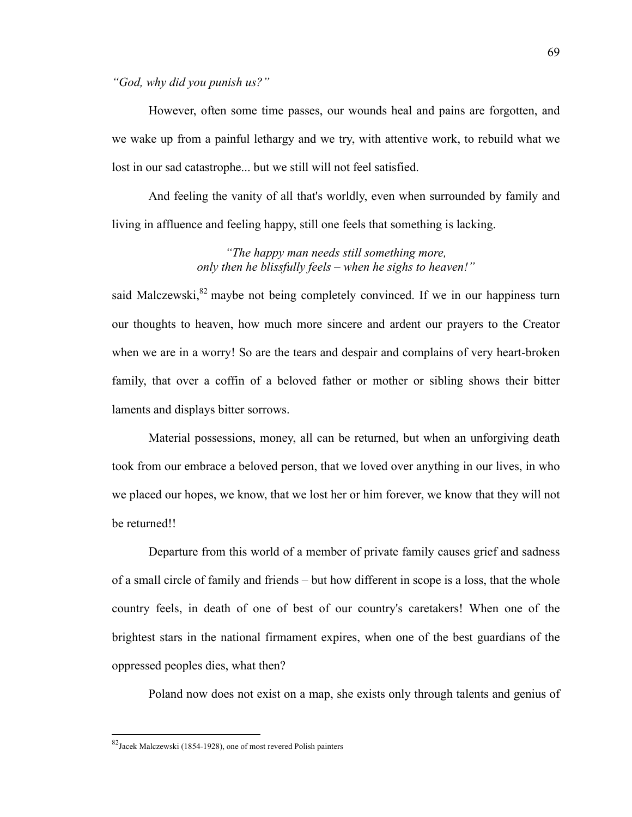*"God, why did you punish us?"*

However, often some time passes, our wounds heal and pains are forgotten, and we wake up from a painful lethargy and we try, with attentive work, to rebuild what we lost in our sad catastrophe... but we still will not feel satisfied.

And feeling the vanity of all that's worldly, even when surrounded by family and living in affluence and feeling happy, still one feels that something is lacking.

> *"The happy man needs still something more, only then he blissfully feels – when he sighs to heaven!"*

said Malczewski,<sup>82</sup> maybe not being completely convinced. If we in our happiness turn our thoughts to heaven, how much more sincere and ardent our prayers to the Creator when we are in a worry! So are the tears and despair and complains of very heart-broken family, that over a coffin of a beloved father or mother or sibling shows their bitter laments and displays bitter sorrows.

Material possessions, money, all can be returned, but when an unforgiving death took from our embrace a beloved person, that we loved over anything in our lives, in who we placed our hopes, we know, that we lost her or him forever, we know that they will not be returned!!

Departure from this world of a member of private family causes grief and sadness of a small circle of family and friends – but how different in scope is a loss, that the whole country feels, in death of one of best of our country's caretakers! When one of the brightest stars in the national firmament expires, when one of the best guardians of the oppressed peoples dies, what then?

Poland now does not exist on a map, she exists only through talents and genius of

 <sup>82</sup>Jacek Malczewski (1854-1928), one of most revered Polish painters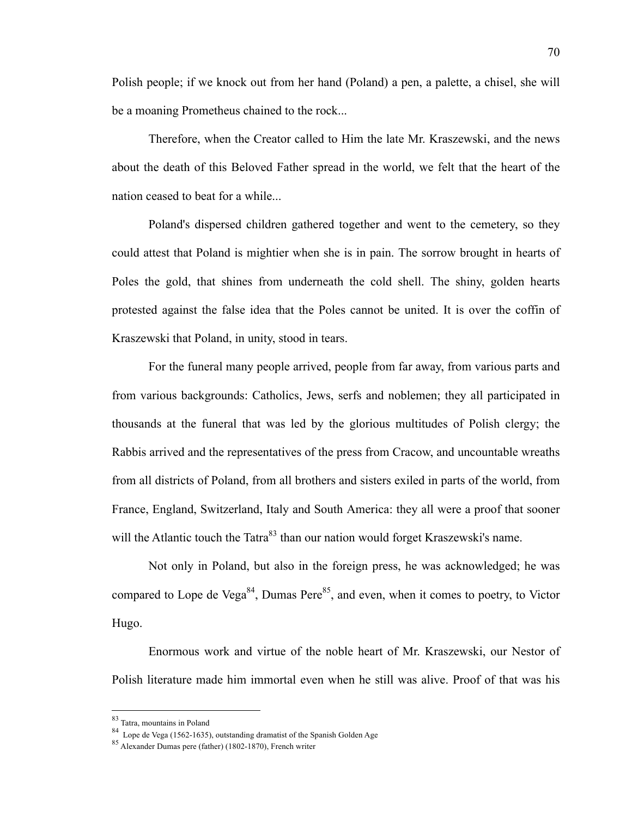Polish people; if we knock out from her hand (Poland) a pen, a palette, a chisel, she will be a moaning Prometheus chained to the rock...

Therefore, when the Creator called to Him the late Mr. Kraszewski, and the news about the death of this Beloved Father spread in the world, we felt that the heart of the nation ceased to beat for a while...

Poland's dispersed children gathered together and went to the cemetery, so they could attest that Poland is mightier when she is in pain. The sorrow brought in hearts of Poles the gold, that shines from underneath the cold shell. The shiny, golden hearts protested against the false idea that the Poles cannot be united. It is over the coffin of Kraszewski that Poland, in unity, stood in tears.

For the funeral many people arrived, people from far away, from various parts and from various backgrounds: Catholics, Jews, serfs and noblemen; they all participated in thousands at the funeral that was led by the glorious multitudes of Polish clergy; the Rabbis arrived and the representatives of the press from Cracow, and uncountable wreaths from all districts of Poland, from all brothers and sisters exiled in parts of the world, from France, England, Switzerland, Italy and South America: they all were a proof that sooner will the Atlantic touch the Tatra<sup>83</sup> than our nation would forget Kraszewski's name.

Not only in Poland, but also in the foreign press, he was acknowledged; he was compared to Lope de Vega<sup>84</sup>, Dumas Pere<sup>85</sup>, and even, when it comes to poetry, to Victor Hugo.

Enormous work and virtue of the noble heart of Mr. Kraszewski, our Nestor of Polish literature made him immortal even when he still was alive. Proof of that was his

 <sup>83</sup> Tatra, mountains in Poland

<sup>84</sup> Lope de Vega (1562-1635), outstanding dramatist of the Spanish Golden Age

<sup>85</sup> Alexander Dumas pere (father) (1802-1870), French writer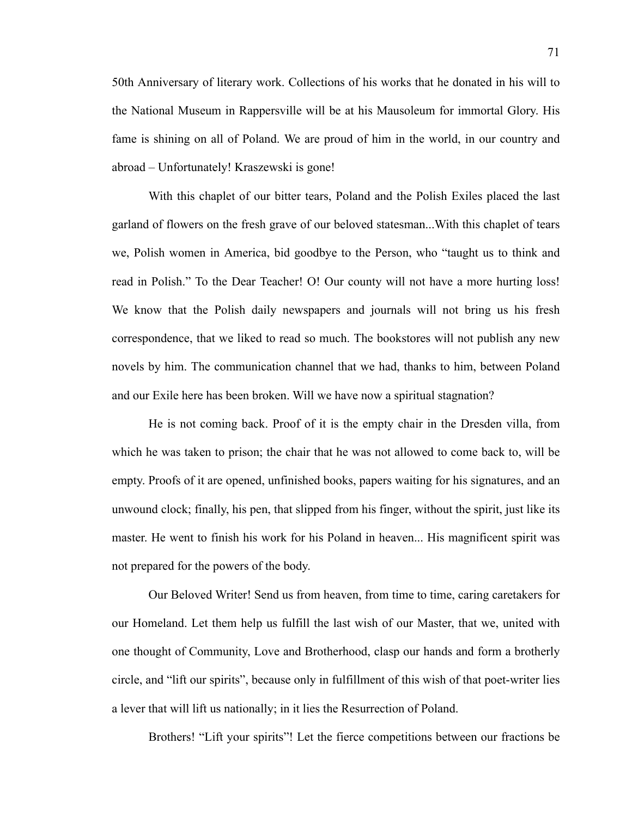50th Anniversary of literary work. Collections of his works that he donated in his will to the National Museum in Rappersville will be at his Mausoleum for immortal Glory. His fame is shining on all of Poland. We are proud of him in the world, in our country and abroad – Unfortunately! Kraszewski is gone!

With this chaplet of our bitter tears, Poland and the Polish Exiles placed the last garland of flowers on the fresh grave of our beloved statesman...With this chaplet of tears we, Polish women in America, bid goodbye to the Person, who "taught us to think and read in Polish." To the Dear Teacher! O! Our county will not have a more hurting loss! We know that the Polish daily newspapers and journals will not bring us his fresh correspondence, that we liked to read so much. The bookstores will not publish any new novels by him. The communication channel that we had, thanks to him, between Poland and our Exile here has been broken. Will we have now a spiritual stagnation?

He is not coming back. Proof of it is the empty chair in the Dresden villa, from which he was taken to prison; the chair that he was not allowed to come back to, will be empty. Proofs of it are opened, unfinished books, papers waiting for his signatures, and an unwound clock; finally, his pen, that slipped from his finger, without the spirit, just like its master. He went to finish his work for his Poland in heaven... His magnificent spirit was not prepared for the powers of the body.

Our Beloved Writer! Send us from heaven, from time to time, caring caretakers for our Homeland. Let them help us fulfill the last wish of our Master, that we, united with one thought of Community, Love and Brotherhood, clasp our hands and form a brotherly circle, and "lift our spirits", because only in fulfillment of this wish of that poet-writer lies a lever that will lift us nationally; in it lies the Resurrection of Poland.

Brothers! "Lift your spirits"! Let the fierce competitions between our fractions be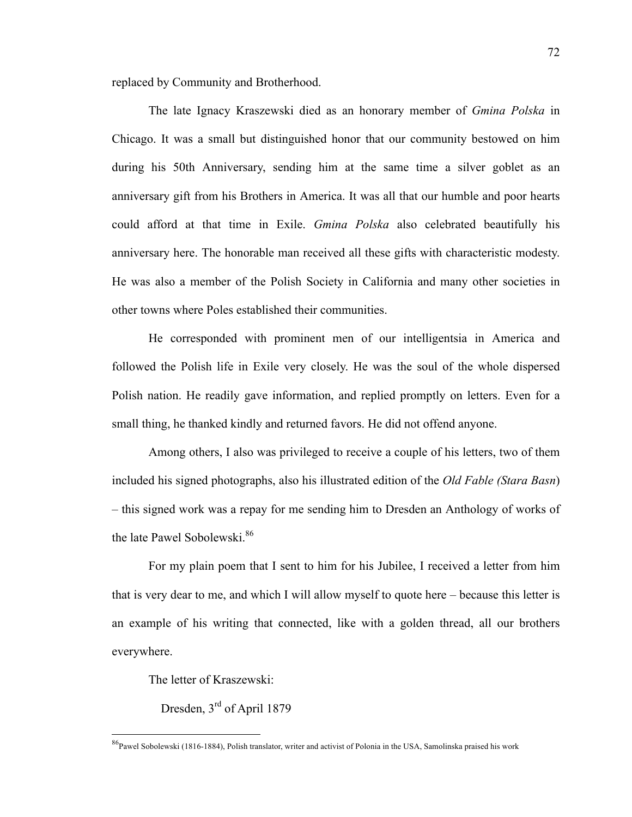replaced by Community and Brotherhood.

The late Ignacy Kraszewski died as an honorary member of *Gmina Polska* in Chicago. It was a small but distinguished honor that our community bestowed on him during his 50th Anniversary, sending him at the same time a silver goblet as an anniversary gift from his Brothers in America. It was all that our humble and poor hearts could afford at that time in Exile. *Gmina Polska* also celebrated beautifully his anniversary here. The honorable man received all these gifts with characteristic modesty. He was also a member of the Polish Society in California and many other societies in other towns where Poles established their communities.

He corresponded with prominent men of our intelligentsia in America and followed the Polish life in Exile very closely. He was the soul of the whole dispersed Polish nation. He readily gave information, and replied promptly on letters. Even for a small thing, he thanked kindly and returned favors. He did not offend anyone.

Among others, I also was privileged to receive a couple of his letters, two of them included his signed photographs, also his illustrated edition of the *Old Fable (Stara Basn*) – this signed work was a repay for me sending him to Dresden an Anthology of works of the late Pawel Sobolewski.<sup>86</sup>

For my plain poem that I sent to him for his Jubilee, I received a letter from him that is very dear to me, and which I will allow myself to quote here – because this letter is an example of his writing that connected, like with a golden thread, all our brothers everywhere.

The letter of Kraszewski:

Dresden, 3<sup>rd</sup> of April 1879

 <sup>86</sup>Pawel Sobolewski (1816-1884), Polish translator, writer and activist of Polonia in the USA, Samolinska praised his work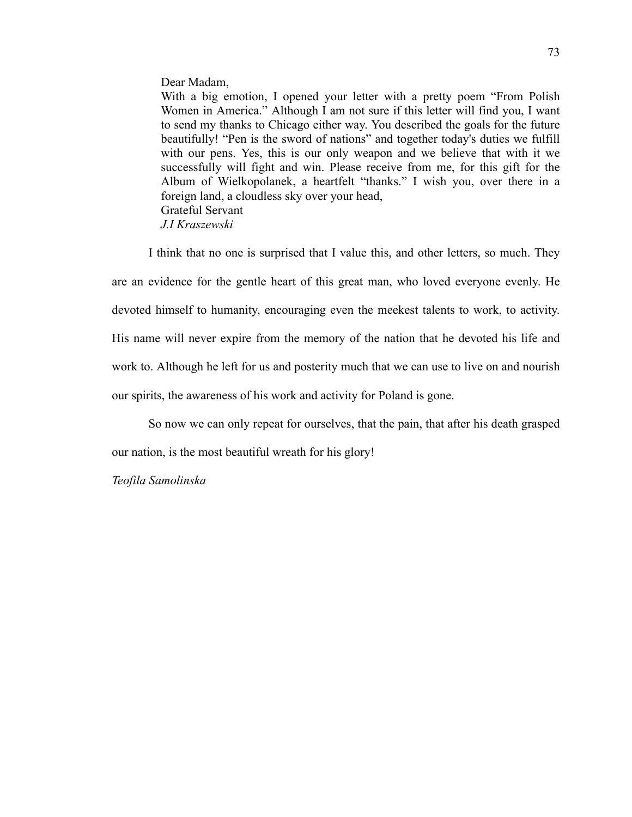#### Dear Madam,

With a big emotion, I opened your letter with a pretty poem "From Polish Women in America." Although I am not sure if this letter will find you, I want to send my thanks to Chicago either way. You described the goals for the future beautifully! "Pen is the sword of nations" and together today's duties we fulfill with our pens. Yes, this is our only weapon and we believe that with it we successfully will fight and win. Please receive from me, for this gift for the Album of Wielkopolanek, a heartfelt "thanks." I wish you, over there in a foreign land, a cloudless sky over your head, Grateful Servant *J.I Kraszewski*

I think that no one is surprised that I value this, and other letters, so much. They are an evidence for the gentle heart of this great man, who loved everyone evenly. He devoted himself to humanity, encouraging even the meekest talents to work, to activity. His name will never expire from the memory of the nation that he devoted his life and work to. Although he left for us and posterity much that we can use to live on and nourish our spirits, the awareness of his work and activity for Poland is gone.

So now we can only repeat for ourselves, that the pain, that after his death grasped

our nation, is the most beautiful wreath for his glory!

## *Teofila Samolinska*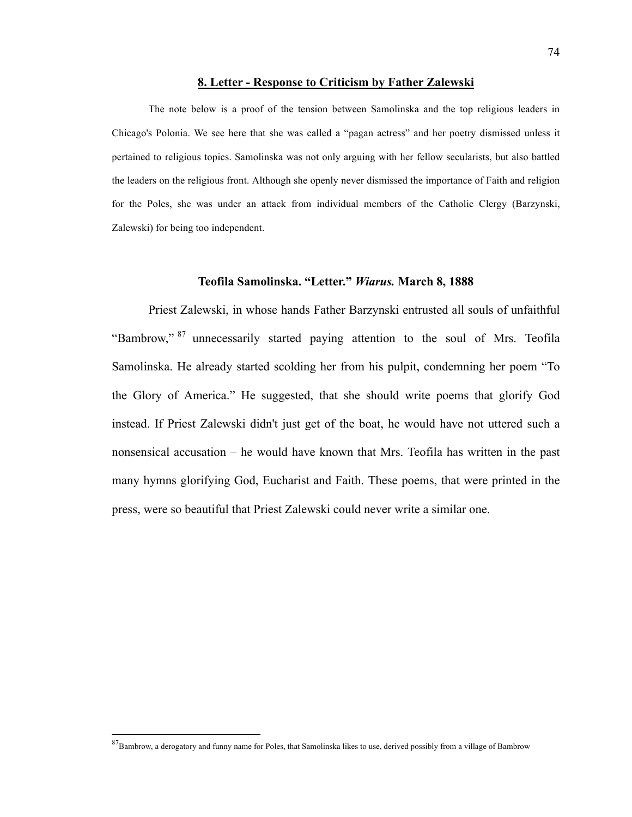#### **8. Letter - Response to Criticism by Father Zalewski**

The note below is a proof of the tension between Samolinska and the top religious leaders in Chicago's Polonia. We see here that she was called a "pagan actress" and her poetry dismissed unless it pertained to religious topics. Samolinska was not only arguing with her fellow secularists, but also battled the leaders on the religious front. Although she openly never dismissed the importance of Faith and religion for the Poles, she was under an attack from individual members of the Catholic Clergy (Barzynski, Zalewski) for being too independent.

#### **Teofila Samolinska. "Letter."** *Wiarus.* **March 8, 1888**

Priest Zalewski, in whose hands Father Barzynski entrusted all souls of unfaithful "Bambrow," <sup>87</sup> unnecessarily started paying attention to the soul of Mrs. Teofila Samolinska. He already started scolding her from his pulpit, condemning her poem "To the Glory of America." He suggested, that she should write poems that glorify God instead. If Priest Zalewski didn't just get of the boat, he would have not uttered such a nonsensical accusation – he would have known that Mrs. Teofila has written in the past many hymns glorifying God, Eucharist and Faith. These poems, that were printed in the press, were so beautiful that Priest Zalewski could never write a similar one.

<sup>&</sup>lt;sup>87</sup>Bambrow, a derogatory and funny name for Poles, that Samolinska likes to use, derived possibly from a village of Bambrow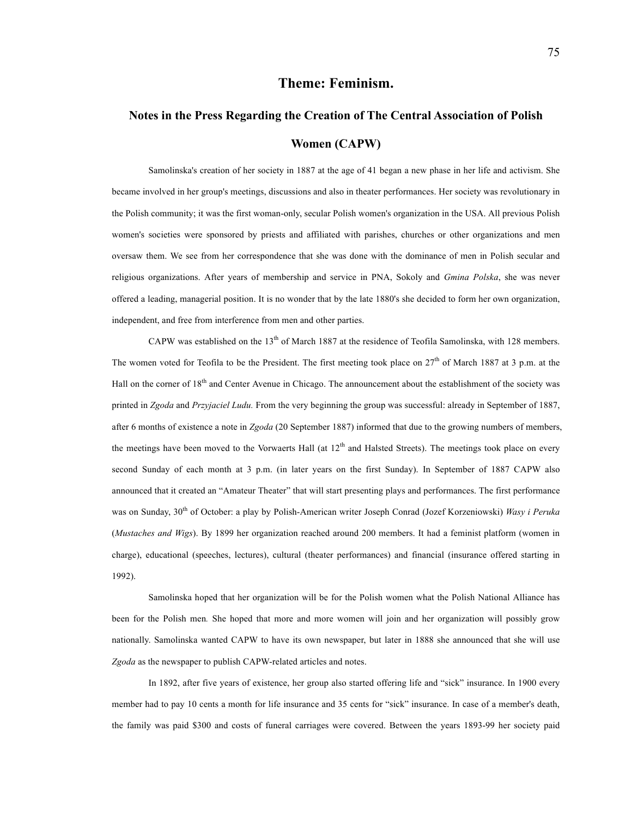## **Theme: Feminism.**

# **Notes in the Press Regarding the Creation of The Central Association of Polish Women (CAPW)**

Samolinska's creation of her society in 1887 at the age of 41 began a new phase in her life and activism. She became involved in her group's meetings, discussions and also in theater performances. Her society was revolutionary in the Polish community; it was the first woman-only, secular Polish women's organization in the USA. All previous Polish women's societies were sponsored by priests and affiliated with parishes, churches or other organizations and men oversaw them. We see from her correspondence that she was done with the dominance of men in Polish secular and religious organizations. After years of membership and service in PNA, Sokoly and *Gmina Polska*, she was never offered a leading, managerial position. It is no wonder that by the late 1880's she decided to form her own organization, independent, and free from interference from men and other parties.

CAPW was established on the 13<sup>th</sup> of March 1887 at the residence of Teofila Samolinska, with 128 members. The women voted for Teofila to be the President. The first meeting took place on  $27<sup>th</sup>$  of March 1887 at 3 p.m. at the Hall on the corner of  $18<sup>th</sup>$  and Center Avenue in Chicago. The announcement about the establishment of the society was printed in *Zgoda* and *Przyjaciel Ludu.* From the very beginning the group was successful: already in September of 1887, after 6 months of existence a note in *Zgoda* (20 September 1887) informed that due to the growing numbers of members, the meetings have been moved to the Vorwaerts Hall (at  $12<sup>th</sup>$  and Halsted Streets). The meetings took place on every second Sunday of each month at 3 p.m. (in later years on the first Sunday). In September of 1887 CAPW also announced that it created an "Amateur Theater" that will start presenting plays and performances. The first performance was on Sunday, 30<sup>th</sup> of October: a play by Polish-American writer Joseph Conrad (Jozef Korzeniowski) *Wasy i Peruka* (*Mustaches and Wigs*). By 1899 her organization reached around 200 members. It had a feminist platform (women in charge), educational (speeches, lectures), cultural (theater performances) and financial (insurance offered starting in 1992).

Samolinska hoped that her organization will be for the Polish women what the Polish National Alliance has been for the Polish men*.* She hoped that more and more women will join and her organization will possibly grow nationally. Samolinska wanted CAPW to have its own newspaper, but later in 1888 she announced that she will use *Zgoda* as the newspaper to publish CAPW-related articles and notes.

In 1892, after five years of existence, her group also started offering life and "sick" insurance. In 1900 every member had to pay 10 cents a month for life insurance and 35 cents for "sick" insurance. In case of a member's death, the family was paid \$300 and costs of funeral carriages were covered. Between the years 1893-99 her society paid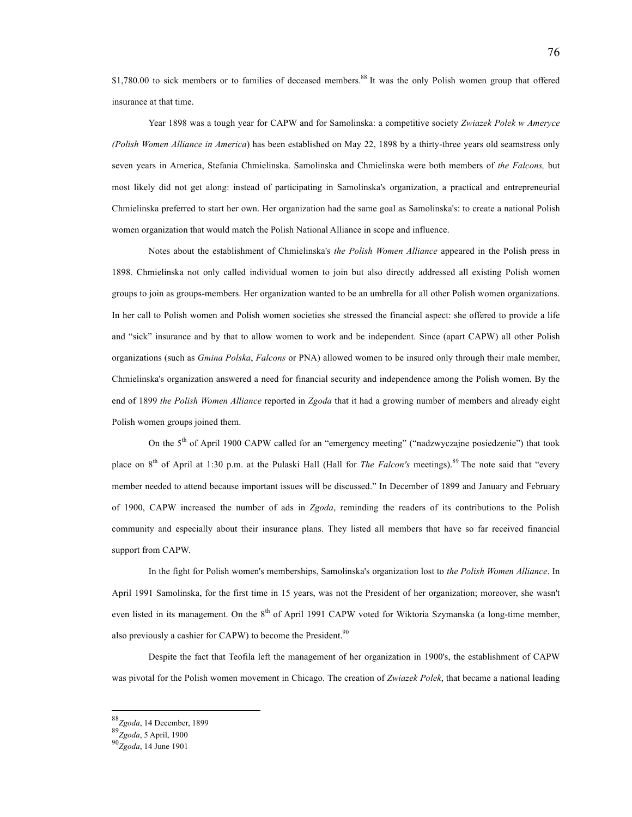\$1,780.00 to sick members or to families of deceased members.<sup>88</sup> It was the only Polish women group that offered insurance at that time.

Year 1898 was a tough year for CAPW and for Samolinska: a competitive society *Zwiazek Polek w Ameryce (Polish Women Alliance in America*) has been established on May 22, 1898 by a thirty-three years old seamstress only seven years in America, Stefania Chmielinska. Samolinska and Chmielinska were both members of *the Falcons,* but most likely did not get along: instead of participating in Samolinska's organization, a practical and entrepreneurial Chmielinska preferred to start her own. Her organization had the same goal as Samolinska's: to create a national Polish women organization that would match the Polish National Alliance in scope and influence.

Notes about the establishment of Chmielinska's *the Polish Women Alliance* appeared in the Polish press in 1898. Chmielinska not only called individual women to join but also directly addressed all existing Polish women groups to join as groups-members. Her organization wanted to be an umbrella for all other Polish women organizations. In her call to Polish women and Polish women societies she stressed the financial aspect: she offered to provide a life and "sick" insurance and by that to allow women to work and be independent. Since (apart CAPW) all other Polish organizations (such as *Gmina Polska*, *Falcons* or PNA) allowed women to be insured only through their male member, Chmielinska's organization answered a need for financial security and independence among the Polish women. By the end of 1899 *the Polish Women Alliance* reported in *Zgoda* that it had a growing number of members and already eight Polish women groups joined them.

On the 5<sup>th</sup> of April 1900 CAPW called for an "emergency meeting" ("nadzwyczajne posiedzenie") that took place on 8th of April at 1:30 p.m. at the Pulaski Hall (Hall for *The Falcon's* meetings).89 The note said that "every member needed to attend because important issues will be discussed." In December of 1899 and January and February of 1900, CAPW increased the number of ads in *Zgoda*, reminding the readers of its contributions to the Polish community and especially about their insurance plans. They listed all members that have so far received financial support from CAPW.

In the fight for Polish women's memberships, Samolinska's organization lost to *the Polish Women Alliance*. In April 1991 Samolinska, for the first time in 15 years, was not the President of her organization; moreover, she wasn't even listed in its management. On the 8<sup>th</sup> of April 1991 CAPW voted for Wiktoria Szymanska (a long-time member, also previously a cashier for CAPW) to become the President.<sup>90</sup>

Despite the fact that Teofila left the management of her organization in 1900's, the establishment of CAPW was pivotal for the Polish women movement in Chicago. The creation of *Zwiazek Polek*, that became a national leading

 <sup>88</sup>*Zgoda*, 14 December, 1899

<sup>89</sup>*Zgoda*, 5 April, 1900

<sup>90</sup>*Zgoda*, 14 June 1901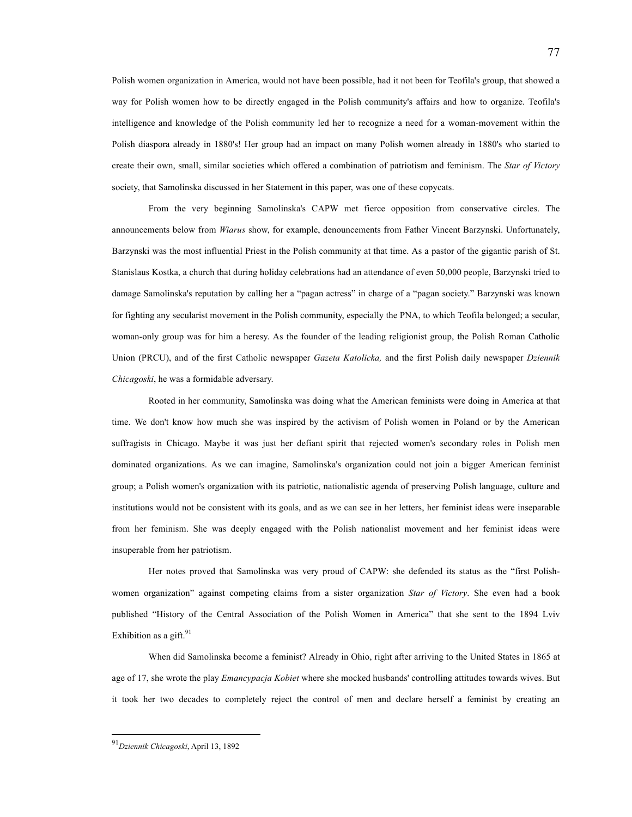Polish women organization in America, would not have been possible, had it not been for Teofila's group, that showed a way for Polish women how to be directly engaged in the Polish community's affairs and how to organize. Teofila's intelligence and knowledge of the Polish community led her to recognize a need for a woman-movement within the Polish diaspora already in 1880's! Her group had an impact on many Polish women already in 1880's who started to create their own, small, similar societies which offered a combination of patriotism and feminism. The *Star of Victory* society, that Samolinska discussed in her Statement in this paper, was one of these copycats.

From the very beginning Samolinska's CAPW met fierce opposition from conservative circles. The announcements below from *Wiarus* show, for example, denouncements from Father Vincent Barzynski. Unfortunately, Barzynski was the most influential Priest in the Polish community at that time. As a pastor of the gigantic parish of St. Stanislaus Kostka, a church that during holiday celebrations had an attendance of even 50,000 people, Barzynski tried to damage Samolinska's reputation by calling her a "pagan actress" in charge of a "pagan society." Barzynski was known for fighting any secularist movement in the Polish community, especially the PNA, to which Teofila belonged; a secular, woman-only group was for him a heresy. As the founder of the leading religionist group, the Polish Roman Catholic Union (PRCU), and of the first Catholic newspaper *Gazeta Katolicka,* and the first Polish daily newspaper *Dziennik Chicagoski*, he was a formidable adversary.

Rooted in her community, Samolinska was doing what the American feminists were doing in America at that time. We don't know how much she was inspired by the activism of Polish women in Poland or by the American suffragists in Chicago. Maybe it was just her defiant spirit that rejected women's secondary roles in Polish men dominated organizations. As we can imagine, Samolinska's organization could not join a bigger American feminist group; a Polish women's organization with its patriotic, nationalistic agenda of preserving Polish language, culture and institutions would not be consistent with its goals, and as we can see in her letters, her feminist ideas were inseparable from her feminism. She was deeply engaged with the Polish nationalist movement and her feminist ideas were insuperable from her patriotism.

Her notes proved that Samolinska was very proud of CAPW: she defended its status as the "first Polishwomen organization" against competing claims from a sister organization *Star of Victory*. She even had a book published "History of the Central Association of the Polish Women in America" that she sent to the 1894 Lviv Exhibition as a gift. $91$ 

When did Samolinska become a feminist? Already in Ohio, right after arriving to the United States in 1865 at age of 17, she wrote the play *Emancypacja Kobiet* where she mocked husbands' controlling attitudes towards wives. But it took her two decades to completely reject the control of men and declare herself a feminist by creating an

<sup>77</sup>

 <sup>91</sup>*Dziennik Chicagoski*, April 13, 1892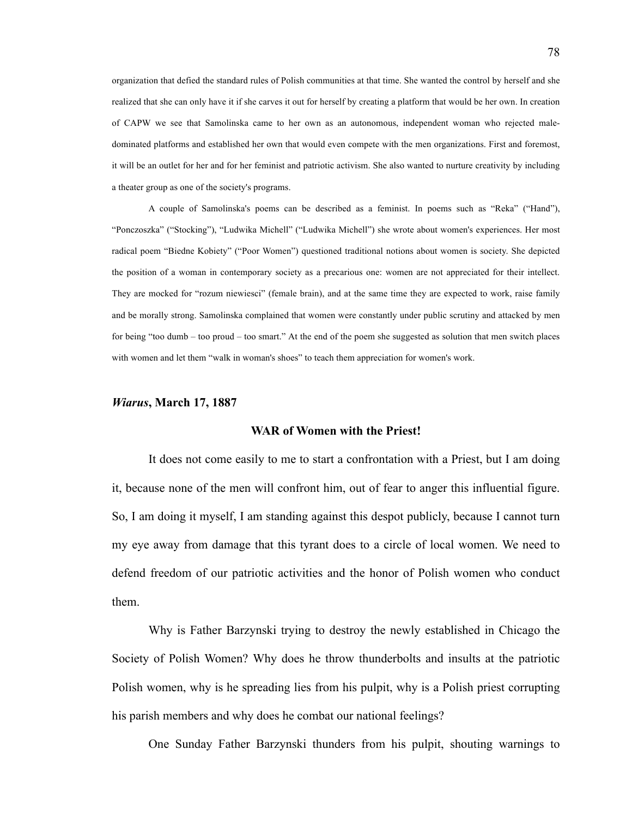organization that defied the standard rules of Polish communities at that time. She wanted the control by herself and she realized that she can only have it if she carves it out for herself by creating a platform that would be her own. In creation of CAPW we see that Samolinska came to her own as an autonomous, independent woman who rejected maledominated platforms and established her own that would even compete with the men organizations. First and foremost, it will be an outlet for her and for her feminist and patriotic activism. She also wanted to nurture creativity by including a theater group as one of the society's programs.

A couple of Samolinska's poems can be described as a feminist. In poems such as "Reka" ("Hand"), "Ponczoszka" ("Stocking"), "Ludwika Michell" ("Ludwika Michell") she wrote about women's experiences. Her most radical poem "Biedne Kobiety" ("Poor Women") questioned traditional notions about women is society. She depicted the position of a woman in contemporary society as a precarious one: women are not appreciated for their intellect. They are mocked for "rozum niewiesci" (female brain), and at the same time they are expected to work, raise family and be morally strong. Samolinska complained that women were constantly under public scrutiny and attacked by men for being "too dumb – too proud – too smart." At the end of the poem she suggested as solution that men switch places with women and let them "walk in woman's shoes" to teach them appreciation for women's work.

#### *Wiarus***, March 17, 1887**

#### **WAR of Women with the Priest!**

It does not come easily to me to start a confrontation with a Priest, but I am doing it, because none of the men will confront him, out of fear to anger this influential figure. So, I am doing it myself, I am standing against this despot publicly, because I cannot turn my eye away from damage that this tyrant does to a circle of local women. We need to defend freedom of our patriotic activities and the honor of Polish women who conduct them.

Why is Father Barzynski trying to destroy the newly established in Chicago the Society of Polish Women? Why does he throw thunderbolts and insults at the patriotic Polish women, why is he spreading lies from his pulpit, why is a Polish priest corrupting his parish members and why does he combat our national feelings?

One Sunday Father Barzynski thunders from his pulpit, shouting warnings to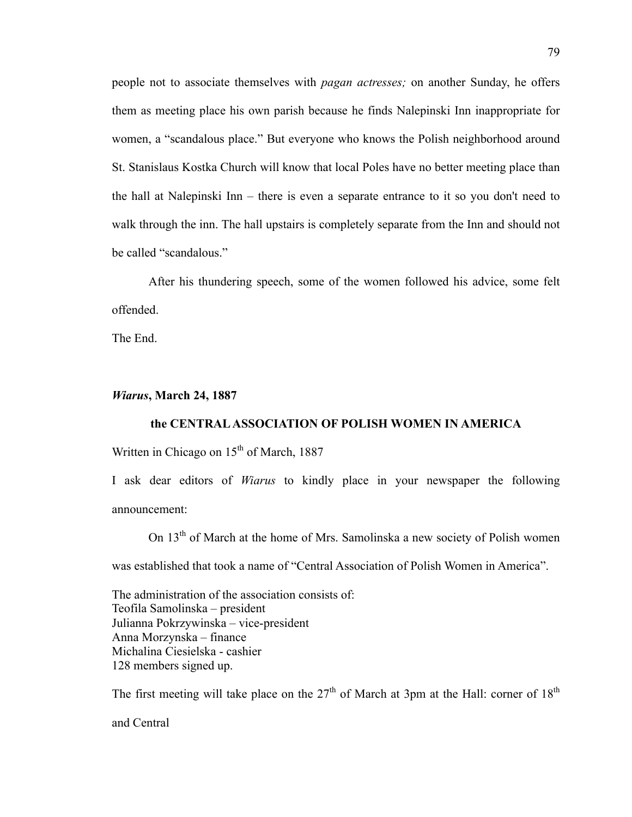people not to associate themselves with *pagan actresses;* on another Sunday, he offers them as meeting place his own parish because he finds Nalepinski Inn inappropriate for women, a "scandalous place." But everyone who knows the Polish neighborhood around St. Stanislaus Kostka Church will know that local Poles have no better meeting place than the hall at Nalepinski Inn – there is even a separate entrance to it so you don't need to walk through the inn. The hall upstairs is completely separate from the Inn and should not be called "scandalous."

After his thundering speech, some of the women followed his advice, some felt offended.

The End.

## *Wiarus***, March 24, 1887**

## **the CENTRAL ASSOCIATION OF POLISH WOMEN IN AMERICA**

Written in Chicago on  $15<sup>th</sup>$  of March, 1887

I ask dear editors of *Wiarus* to kindly place in your newspaper the following announcement:

On 13<sup>th</sup> of March at the home of Mrs. Samolinska a new society of Polish women

was established that took a name of "Central Association of Polish Women in America".

The administration of the association consists of: Teofila Samolinska – president Julianna Pokrzywinska – vice-president Anna Morzynska – finance Michalina Ciesielska - cashier 128 members signed up.

The first meeting will take place on the  $27<sup>th</sup>$  of March at 3pm at the Hall: corner of  $18<sup>th</sup>$ 

and Central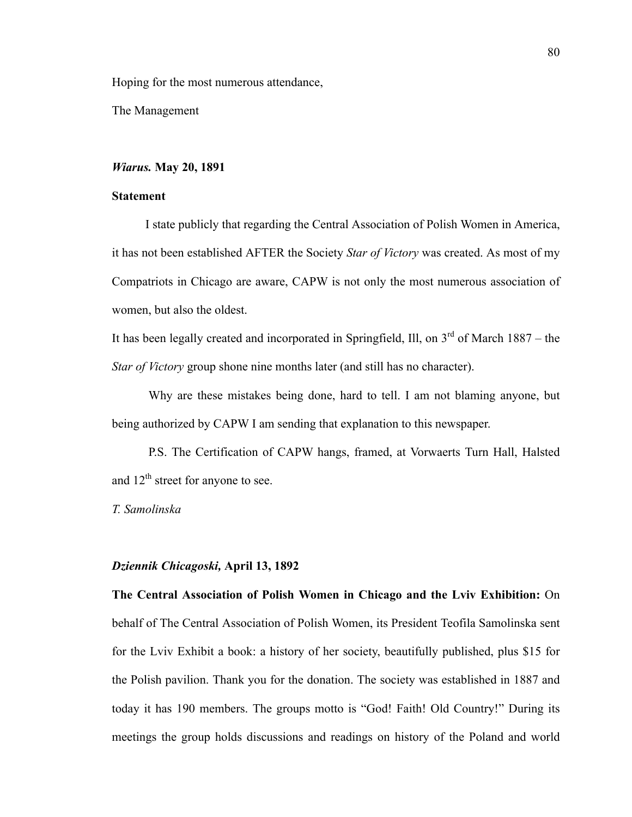Hoping for the most numerous attendance,

The Management

### *Wiarus.* **May 20, 1891**

### **Statement**

I state publicly that regarding the Central Association of Polish Women in America, it has not been established AFTER the Society *Star of Victory* was created. As most of my Compatriots in Chicago are aware, CAPW is not only the most numerous association of women, but also the oldest.

It has been legally created and incorporated in Springfield, Ill, on  $3<sup>rd</sup>$  of March 1887 – the *Star of Victory* group shone nine months later (and still has no character).

Why are these mistakes being done, hard to tell. I am not blaming anyone, but being authorized by CAPW I am sending that explanation to this newspaper.

P.S. The Certification of CAPW hangs, framed, at Vorwaerts Turn Hall, Halsted and  $12<sup>th</sup>$  street for anyone to see.

*T. Samolinska*

#### *Dziennik Chicagoski,* **April 13, 1892**

**The Central Association of Polish Women in Chicago and the Lviv Exhibition:** On behalf of The Central Association of Polish Women, its President Teofila Samolinska sent for the Lviv Exhibit a book: a history of her society, beautifully published, plus \$15 for the Polish pavilion. Thank you for the donation. The society was established in 1887 and today it has 190 members. The groups motto is "God! Faith! Old Country!" During its meetings the group holds discussions and readings on history of the Poland and world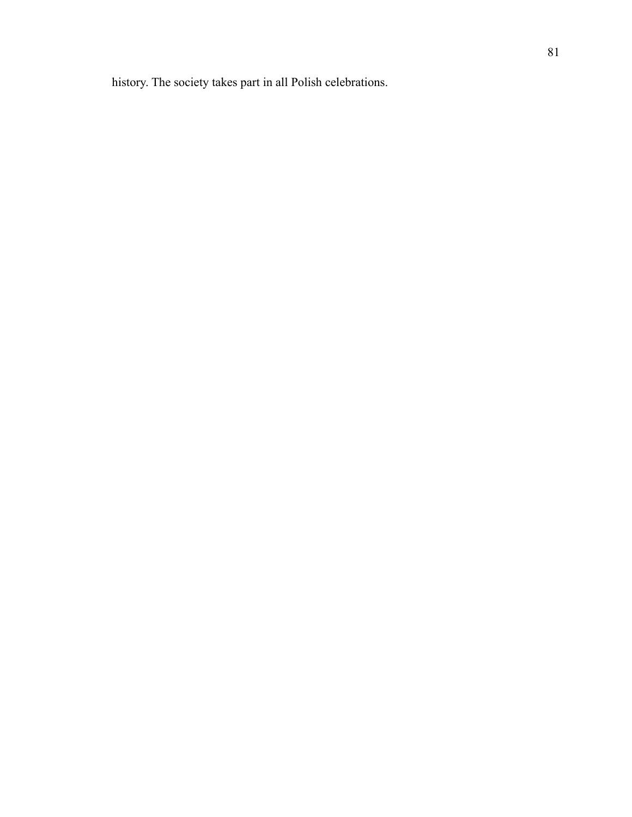history. The society takes part in all Polish celebrations.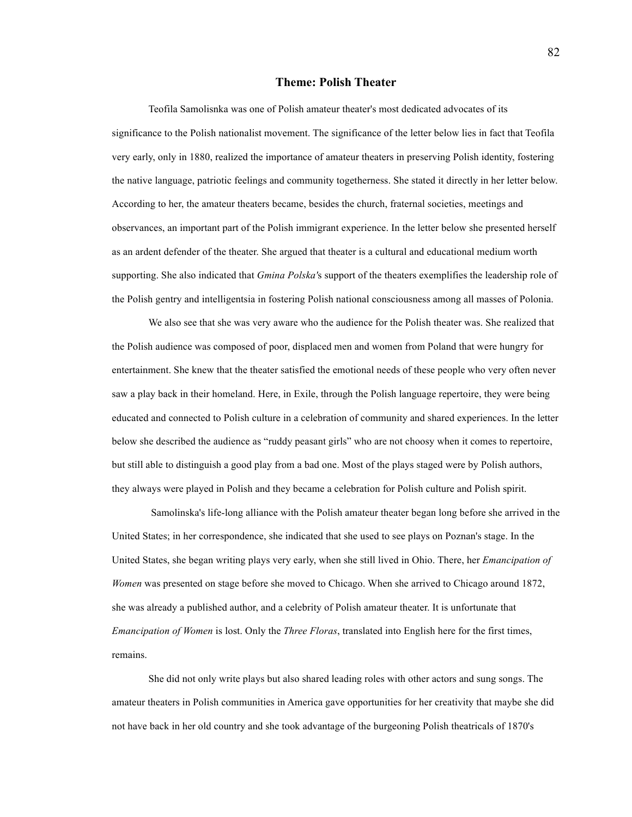#### **Theme: Polish Theater**

Teofila Samolisnka was one of Polish amateur theater's most dedicated advocates of its significance to the Polish nationalist movement. The significance of the letter below lies in fact that Teofila very early, only in 1880, realized the importance of amateur theaters in preserving Polish identity, fostering the native language, patriotic feelings and community togetherness. She stated it directly in her letter below. According to her, the amateur theaters became, besides the church, fraternal societies, meetings and observances, an important part of the Polish immigrant experience. In the letter below she presented herself as an ardent defender of the theater. She argued that theater is a cultural and educational medium worth supporting. She also indicated that *Gmina Polska'*s support of the theaters exemplifies the leadership role of the Polish gentry and intelligentsia in fostering Polish national consciousness among all masses of Polonia.

We also see that she was very aware who the audience for the Polish theater was. She realized that the Polish audience was composed of poor, displaced men and women from Poland that were hungry for entertainment. She knew that the theater satisfied the emotional needs of these people who very often never saw a play back in their homeland. Here, in Exile, through the Polish language repertoire, they were being educated and connected to Polish culture in a celebration of community and shared experiences. In the letter below she described the audience as "ruddy peasant girls" who are not choosy when it comes to repertoire, but still able to distinguish a good play from a bad one. Most of the plays staged were by Polish authors, they always were played in Polish and they became a celebration for Polish culture and Polish spirit.

Samolinska's life-long alliance with the Polish amateur theater began long before she arrived in the United States; in her correspondence, she indicated that she used to see plays on Poznan's stage. In the United States, she began writing plays very early, when she still lived in Ohio. There, her *Emancipation of Women* was presented on stage before she moved to Chicago. When she arrived to Chicago around 1872, she was already a published author, and a celebrity of Polish amateur theater. It is unfortunate that *Emancipation of Women* is lost. Only the *Three Floras*, translated into English here for the first times, remains.

She did not only write plays but also shared leading roles with other actors and sung songs. The amateur theaters in Polish communities in America gave opportunities for her creativity that maybe she did not have back in her old country and she took advantage of the burgeoning Polish theatricals of 1870's

82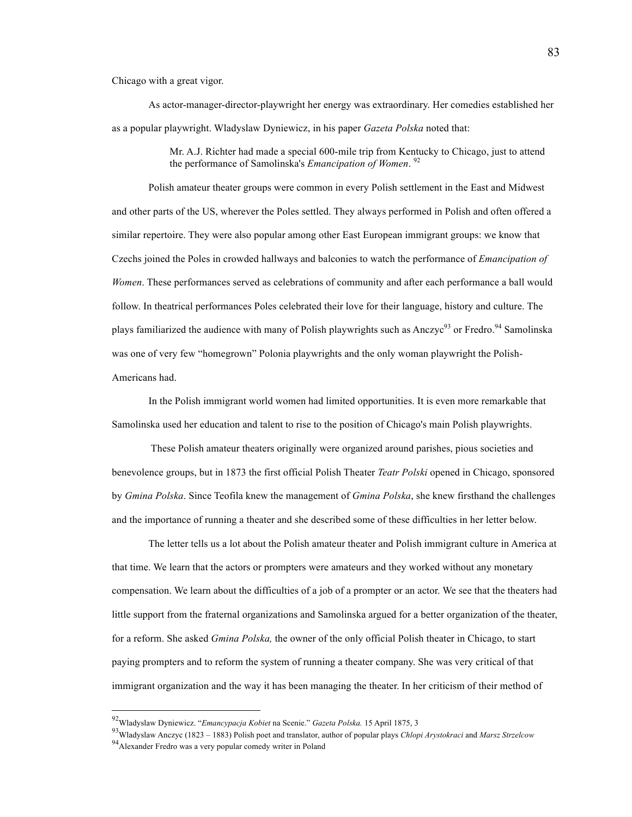Chicago with a great vigor.

As actor-manager-director-playwright her energy was extraordinary. Her comedies established her as a popular playwright. Wladyslaw Dyniewicz, in his paper *Gazeta Polska* noted that:

> Mr. A.J. Richter had made a special 600-mile trip from Kentucky to Chicago, just to attend the performance of Samolinska's *Emancipation of Women*. 92

Polish amateur theater groups were common in every Polish settlement in the East and Midwest and other parts of the US, wherever the Poles settled. They always performed in Polish and often offered a similar repertoire. They were also popular among other East European immigrant groups: we know that Czechs joined the Poles in crowded hallways and balconies to watch the performance of *Emancipation of Women*. These performances served as celebrations of community and after each performance a ball would follow. In theatrical performances Poles celebrated their love for their language, history and culture. The plays familiarized the audience with many of Polish playwrights such as Anczyc<sup>93</sup> or Fredro.<sup>94</sup> Samolinska was one of very few "homegrown" Polonia playwrights and the only woman playwright the Polish-Americans had.

In the Polish immigrant world women had limited opportunities. It is even more remarkable that Samolinska used her education and talent to rise to the position of Chicago's main Polish playwrights.

These Polish amateur theaters originally were organized around parishes, pious societies and benevolence groups, but in 1873 the first official Polish Theater *Teatr Polski* opened in Chicago, sponsored by *Gmina Polska*. Since Teofila knew the management of *Gmina Polska*, she knew firsthand the challenges and the importance of running a theater and she described some of these difficulties in her letter below.

The letter tells us a lot about the Polish amateur theater and Polish immigrant culture in America at that time. We learn that the actors or prompters were amateurs and they worked without any monetary compensation. We learn about the difficulties of a job of a prompter or an actor. We see that the theaters had little support from the fraternal organizations and Samolinska argued for a better organization of the theater, for a reform. She asked *Gmina Polska,* the owner of the only official Polish theater in Chicago, to start paying prompters and to reform the system of running a theater company. She was very critical of that immigrant organization and the way it has been managing the theater. In her criticism of their method of

 <sup>92</sup>Wladyslaw Dyniewicz. "*Emancypacja Kobiet* na Scenie." *Gazeta Polska.* 15 April 1875, 3

<sup>93</sup>Wladyslaw Anczyc (1823 – 1883) Polish poet and translator, author of popular plays *Chlopi Arystokraci* and *Marsz Strzelcow*

<sup>94</sup>Alexander Fredro was a very popular comedy writer in Poland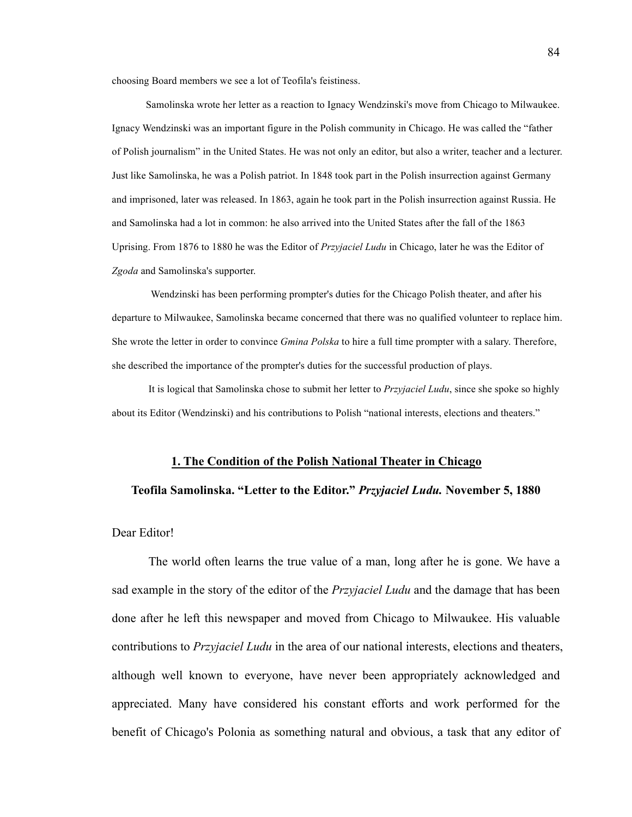choosing Board members we see a lot of Teofila's feistiness.

Samolinska wrote her letter as a reaction to Ignacy Wendzinski's move from Chicago to Milwaukee. Ignacy Wendzinski was an important figure in the Polish community in Chicago. He was called the "father of Polish journalism" in the United States. He was not only an editor, but also a writer, teacher and a lecturer. Just like Samolinska, he was a Polish patriot. In 1848 took part in the Polish insurrection against Germany and imprisoned, later was released. In 1863, again he took part in the Polish insurrection against Russia. He and Samolinska had a lot in common: he also arrived into the United States after the fall of the 1863 Uprising. From 1876 to 1880 he was the Editor of *Przyjaciel Ludu* in Chicago, later he was the Editor of *Zgoda* and Samolinska's supporter.

Wendzinski has been performing prompter's duties for the Chicago Polish theater, and after his departure to Milwaukee, Samolinska became concerned that there was no qualified volunteer to replace him. She wrote the letter in order to convince *Gmina Polska* to hire a full time prompter with a salary. Therefore, she described the importance of the prompter's duties for the successful production of plays.

It is logical that Samolinska chose to submit her letter to *Przyjaciel Ludu*, since she spoke so highly about its Editor (Wendzinski) and his contributions to Polish "national interests, elections and theaters."

#### **1. The Condition of the Polish National Theater in Chicago**

#### **Teofila Samolinska. "Letter to the Editor."** *Przyjaciel Ludu.* **November 5, 1880**

#### Dear Editor!

The world often learns the true value of a man, long after he is gone. We have a sad example in the story of the editor of the *Przyjaciel Ludu* and the damage that has been done after he left this newspaper and moved from Chicago to Milwaukee. His valuable contributions to *Przyjaciel Ludu* in the area of our national interests, elections and theaters, although well known to everyone, have never been appropriately acknowledged and appreciated. Many have considered his constant efforts and work performed for the benefit of Chicago's Polonia as something natural and obvious, a task that any editor of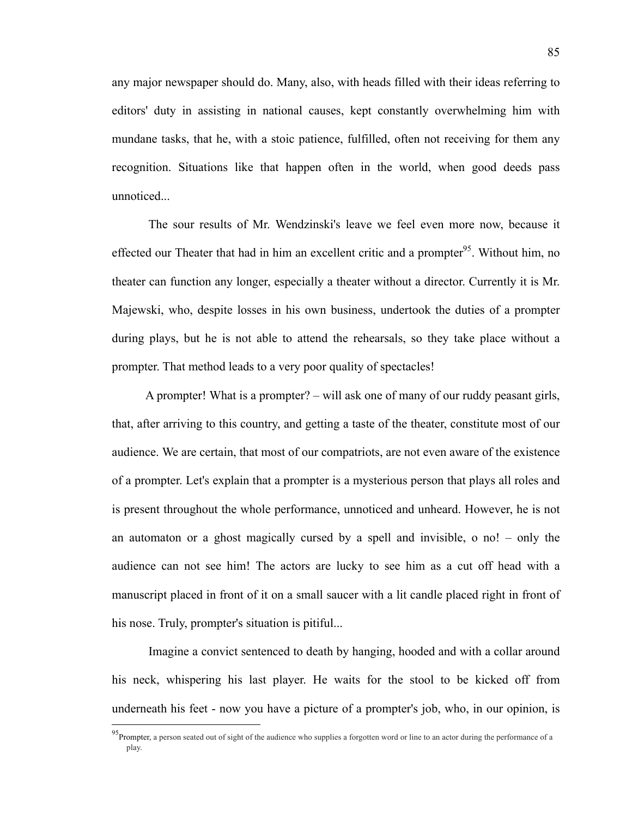any major newspaper should do. Many, also, with heads filled with their ideas referring to editors' duty in assisting in national causes, kept constantly overwhelming him with mundane tasks, that he, with a stoic patience, fulfilled, often not receiving for them any recognition. Situations like that happen often in the world, when good deeds pass unnoticed...

The sour results of Mr. Wendzinski's leave we feel even more now, because it effected our Theater that had in him an excellent critic and a prompter<sup>95</sup>. Without him, no theater can function any longer, especially a theater without a director. Currently it is Mr. Majewski, who, despite losses in his own business, undertook the duties of a prompter during plays, but he is not able to attend the rehearsals, so they take place without a prompter. That method leads to a very poor quality of spectacles!

A prompter! What is a prompter? – will ask one of many of our ruddy peasant girls, that, after arriving to this country, and getting a taste of the theater, constitute most of our audience. We are certain, that most of our compatriots, are not even aware of the existence of a prompter. Let's explain that a prompter is a mysterious person that plays all roles and is present throughout the whole performance, unnoticed and unheard. However, he is not an automaton or a ghost magically cursed by a spell and invisible, o no! – only the audience can not see him! The actors are lucky to see him as a cut off head with a manuscript placed in front of it on a small saucer with a lit candle placed right in front of his nose. Truly, prompter's situation is pitiful...

Imagine a convict sentenced to death by hanging, hooded and with a collar around his neck, whispering his last player. He waits for the stool to be kicked off from underneath his feet - now you have a picture of a prompter's job, who, in our opinion, is

<sup>&</sup>lt;sup>95</sup>Prompter, a person seated out of sight of the audience who supplies a forgotten word or line to an actor during the performance of a play.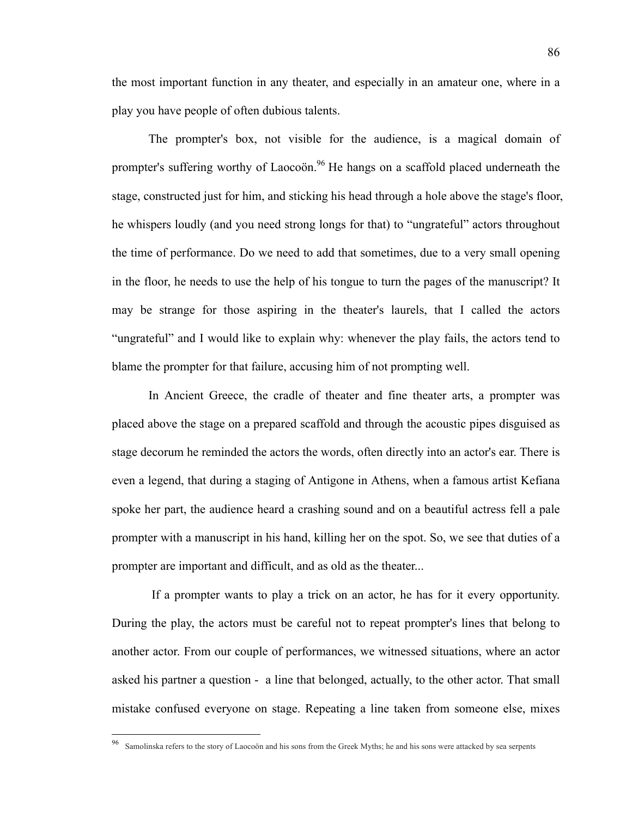the most important function in any theater, and especially in an amateur one, where in a play you have people of often dubious talents.

The prompter's box, not visible for the audience, is a magical domain of prompter's suffering worthy of Laocoön.<sup>96</sup> He hangs on a scaffold placed underneath the stage, constructed just for him, and sticking his head through a hole above the stage's floor, he whispers loudly (and you need strong longs for that) to "ungrateful" actors throughout the time of performance. Do we need to add that sometimes, due to a very small opening in the floor, he needs to use the help of his tongue to turn the pages of the manuscript? It may be strange for those aspiring in the theater's laurels, that I called the actors "ungrateful" and I would like to explain why: whenever the play fails, the actors tend to blame the prompter for that failure, accusing him of not prompting well.

In Ancient Greece, the cradle of theater and fine theater arts, a prompter was placed above the stage on a prepared scaffold and through the acoustic pipes disguised as stage decorum he reminded the actors the words, often directly into an actor's ear. There is even a legend, that during a staging of Antigone in Athens, when a famous artist Kefiana spoke her part, the audience heard a crashing sound and on a beautiful actress fell a pale prompter with a manuscript in his hand, killing her on the spot. So, we see that duties of a prompter are important and difficult, and as old as the theater...

If a prompter wants to play a trick on an actor, he has for it every opportunity. During the play, the actors must be careful not to repeat prompter's lines that belong to another actor. From our couple of performances, we witnessed situations, where an actor asked his partner a question - a line that belonged, actually, to the other actor. That small mistake confused everyone on stage. Repeating a line taken from someone else, mixes

 <sup>96</sup> Samolinska refers to the story of Laocoön and his sons from the Greek Myths; he and his sons were attacked by sea serpents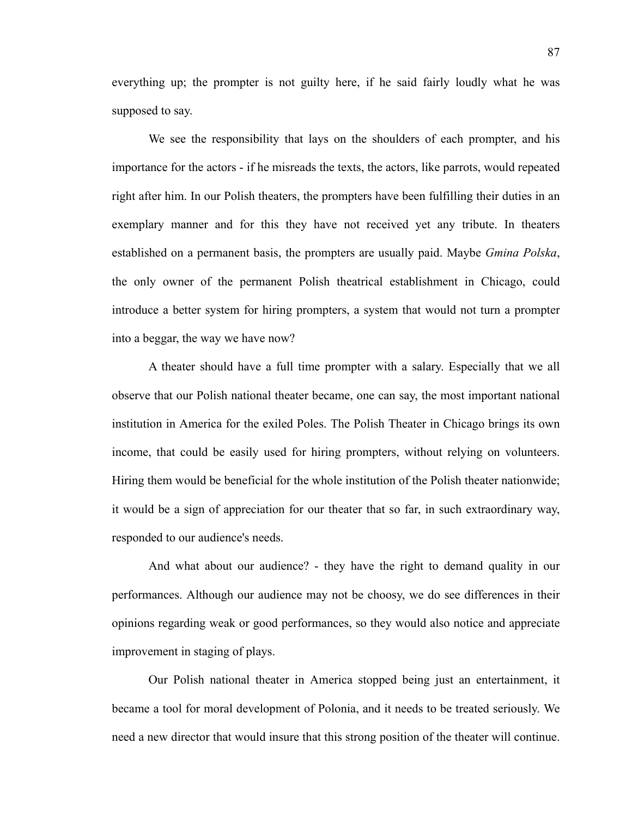everything up; the prompter is not guilty here, if he said fairly loudly what he was supposed to say.

We see the responsibility that lays on the shoulders of each prompter, and his importance for the actors - if he misreads the texts, the actors, like parrots, would repeated right after him. In our Polish theaters, the prompters have been fulfilling their duties in an exemplary manner and for this they have not received yet any tribute. In theaters established on a permanent basis, the prompters are usually paid. Maybe *Gmina Polska*, the only owner of the permanent Polish theatrical establishment in Chicago, could introduce a better system for hiring prompters, a system that would not turn a prompter into a beggar, the way we have now?

A theater should have a full time prompter with a salary. Especially that we all observe that our Polish national theater became, one can say, the most important national institution in America for the exiled Poles. The Polish Theater in Chicago brings its own income, that could be easily used for hiring prompters, without relying on volunteers. Hiring them would be beneficial for the whole institution of the Polish theater nationwide; it would be a sign of appreciation for our theater that so far, in such extraordinary way, responded to our audience's needs.

And what about our audience? - they have the right to demand quality in our performances. Although our audience may not be choosy, we do see differences in their opinions regarding weak or good performances, so they would also notice and appreciate improvement in staging of plays.

Our Polish national theater in America stopped being just an entertainment, it became a tool for moral development of Polonia, and it needs to be treated seriously. We need a new director that would insure that this strong position of the theater will continue.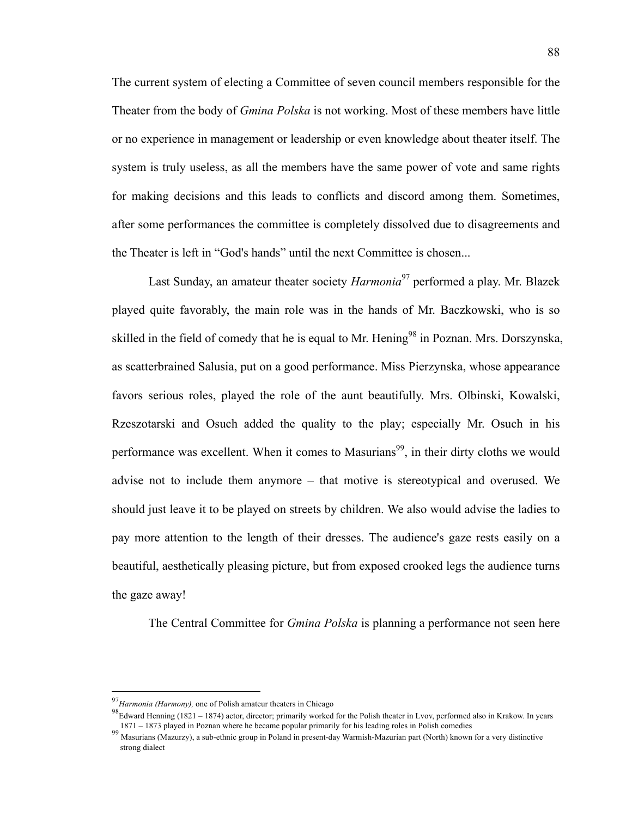The current system of electing a Committee of seven council members responsible for the Theater from the body of *Gmina Polska* is not working. Most of these members have little or no experience in management or leadership or even knowledge about theater itself. The system is truly useless, as all the members have the same power of vote and same rights for making decisions and this leads to conflicts and discord among them. Sometimes, after some performances the committee is completely dissolved due to disagreements and the Theater is left in "God's hands" until the next Committee is chosen...

Last Sunday, an amateur theater society *Harmonia*<sup>97</sup> performed a play. Mr. Blazek played quite favorably, the main role was in the hands of Mr. Baczkowski, who is so skilled in the field of comedy that he is equal to Mr. Hening<sup>98</sup> in Poznan. Mrs. Dorszynska, as scatterbrained Salusia, put on a good performance. Miss Pierzynska, whose appearance favors serious roles, played the role of the aunt beautifully. Mrs. Olbinski, Kowalski, Rzeszotarski and Osuch added the quality to the play; especially Mr. Osuch in his performance was excellent. When it comes to Masurians<sup>99</sup>, in their dirty cloths we would advise not to include them anymore – that motive is stereotypical and overused. We should just leave it to be played on streets by children. We also would advise the ladies to pay more attention to the length of their dresses. The audience's gaze rests easily on a beautiful, aesthetically pleasing picture, but from exposed crooked legs the audience turns the gaze away!

The Central Committee for *Gmina Polska* is planning a performance not seen here

 <sup>97</sup>*Harmonia (Harmony),* one of Polish amateur theaters in Chicago

<sup>&</sup>lt;sup>98</sup>Edward Henning (1821 – 1874) actor, director; primarily worked for the Polish theater in Lvov, performed also in Krakow. In years 1871 – 1873 played in Poznan where he became popular primarily for his leading roles in

<sup>&</sup>lt;sup>99</sup> Masurians (Mazurzy), a sub-ethnic group in Poland in present-day Warmish-Mazurian part (North) known for a very distinctive strong dialect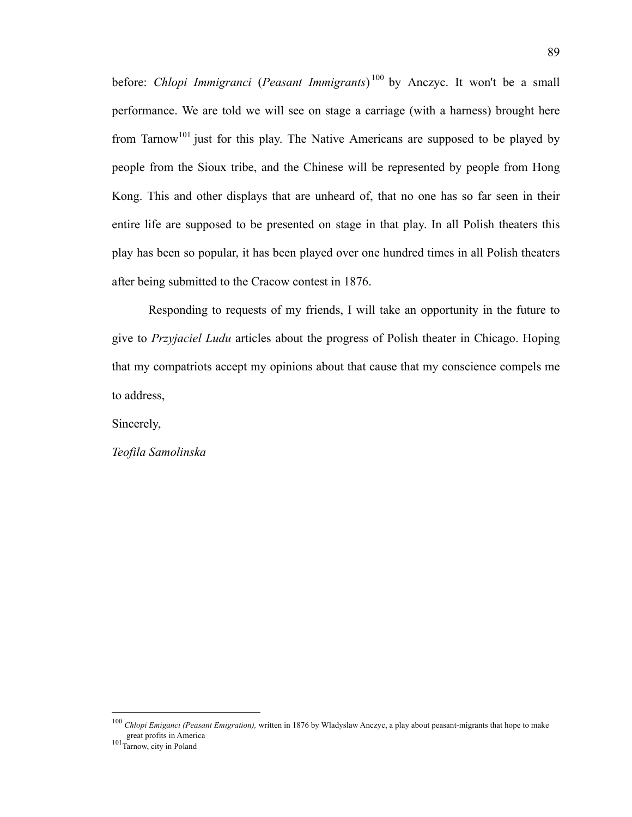before: *Chlopi Immigranci* (*Peasant Immigrants*) <sup>100</sup> by Anczyc. It won't be a small performance. We are told we will see on stage a carriage (with a harness) brought here from Tarnow<sup>101</sup> just for this play. The Native Americans are supposed to be played by people from the Sioux tribe, and the Chinese will be represented by people from Hong Kong. This and other displays that are unheard of, that no one has so far seen in their entire life are supposed to be presented on stage in that play. In all Polish theaters this play has been so popular, it has been played over one hundred times in all Polish theaters after being submitted to the Cracow contest in 1876.

Responding to requests of my friends, I will take an opportunity in the future to give to *Przyjaciel Ludu* articles about the progress of Polish theater in Chicago. Hoping that my compatriots accept my opinions about that cause that my conscience compels me to address,

Sincerely,

*Teofila Samolinska*

 <sup>100</sup> *Chlopi Emiganci (Peasant Emigration),* written in 1876 by Wladyslaw Anczyc, a play about peasant-migrants that hope to make

 $101\frac{C}{\text{Tarnow, city in Poland}}$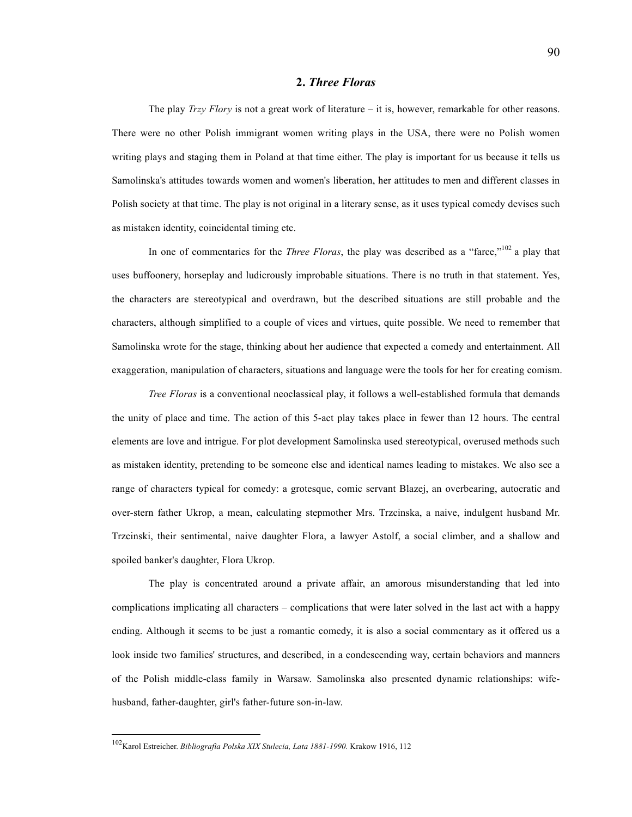#### **2.** *Three Floras*

The play *Trzy Flory* is not a great work of literature – it is, however, remarkable for other reasons. There were no other Polish immigrant women writing plays in the USA, there were no Polish women writing plays and staging them in Poland at that time either. The play is important for us because it tells us Samolinska's attitudes towards women and women's liberation, her attitudes to men and different classes in Polish society at that time. The play is not original in a literary sense, as it uses typical comedy devises such as mistaken identity, coincidental timing etc.

In one of commentaries for the *Three Floras*, the play was described as a "farce,"<sup>102</sup> a play that uses buffoonery, horseplay and ludicrously improbable situations. There is no truth in that statement. Yes, the characters are stereotypical and overdrawn, but the described situations are still probable and the characters, although simplified to a couple of vices and virtues, quite possible. We need to remember that Samolinska wrote for the stage, thinking about her audience that expected a comedy and entertainment. All exaggeration, manipulation of characters, situations and language were the tools for her for creating comism.

*Tree Floras* is a conventional neoclassical play, it follows a well-established formula that demands the unity of place and time. The action of this 5-act play takes place in fewer than 12 hours. The central elements are love and intrigue. For plot development Samolinska used stereotypical, overused methods such as mistaken identity, pretending to be someone else and identical names leading to mistakes. We also see a range of characters typical for comedy: a grotesque, comic servant Blazej, an overbearing, autocratic and over-stern father Ukrop, a mean, calculating stepmother Mrs. Trzcinska, a naive, indulgent husband Mr. Trzcinski, their sentimental, naive daughter Flora, a lawyer Astolf, a social climber, and a shallow and spoiled banker's daughter, Flora Ukrop.

The play is concentrated around a private affair, an amorous misunderstanding that led into complications implicating all characters – complications that were later solved in the last act with a happy ending. Although it seems to be just a romantic comedy, it is also a social commentary as it offered us a look inside two families' structures, and described, in a condescending way, certain behaviors and manners of the Polish middle-class family in Warsaw. Samolinska also presented dynamic relationships: wifehusband, father-daughter, girl's father-future son-in-law.

 <sup>102</sup>Karol Estreicher. *Bibliografia Polska XIX Stulecia, Lata 1881-1990.* Krakow 1916, 112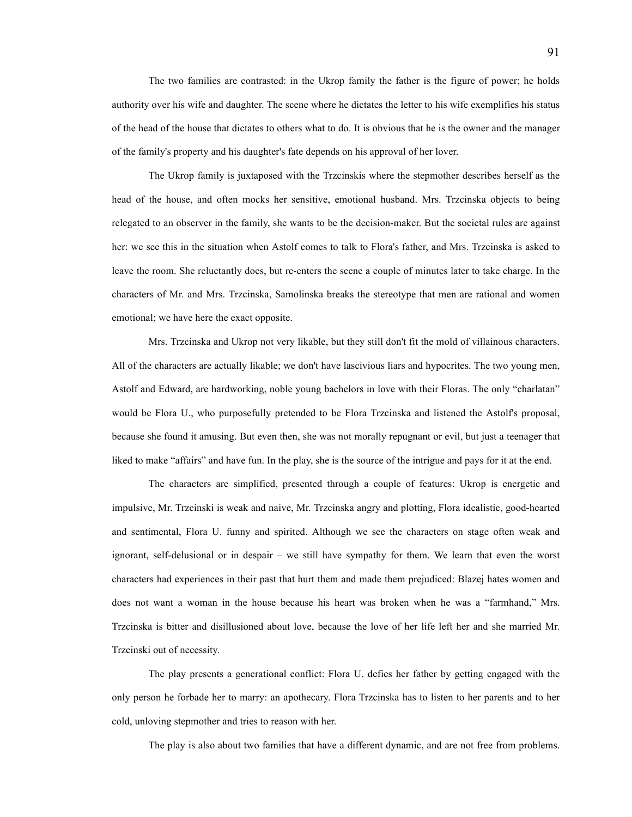The two families are contrasted: in the Ukrop family the father is the figure of power; he holds authority over his wife and daughter. The scene where he dictates the letter to his wife exemplifies his status of the head of the house that dictates to others what to do. It is obvious that he is the owner and the manager of the family's property and his daughter's fate depends on his approval of her lover.

The Ukrop family is juxtaposed with the Trzcinskis where the stepmother describes herself as the head of the house, and often mocks her sensitive, emotional husband. Mrs. Trzcinska objects to being relegated to an observer in the family, she wants to be the decision-maker. But the societal rules are against her: we see this in the situation when Astolf comes to talk to Flora's father, and Mrs. Trzcinska is asked to leave the room. She reluctantly does, but re-enters the scene a couple of minutes later to take charge. In the characters of Mr. and Mrs. Trzcinska, Samolinska breaks the stereotype that men are rational and women emotional; we have here the exact opposite.

Mrs. Trzcinska and Ukrop not very likable, but they still don't fit the mold of villainous characters. All of the characters are actually likable; we don't have lascivious liars and hypocrites. The two young men, Astolf and Edward, are hardworking, noble young bachelors in love with their Floras. The only "charlatan" would be Flora U., who purposefully pretended to be Flora Trzcinska and listened the Astolf's proposal, because she found it amusing. But even then, she was not morally repugnant or evil, but just a teenager that liked to make "affairs" and have fun. In the play, she is the source of the intrigue and pays for it at the end.

The characters are simplified, presented through a couple of features: Ukrop is energetic and impulsive, Mr. Trzcinski is weak and naive, Mr. Trzcinska angry and plotting, Flora idealistic, good-hearted and sentimental, Flora U. funny and spirited. Although we see the characters on stage often weak and ignorant, self-delusional or in despair – we still have sympathy for them. We learn that even the worst characters had experiences in their past that hurt them and made them prejudiced: Blazej hates women and does not want a woman in the house because his heart was broken when he was a "farmhand," Mrs. Trzcinska is bitter and disillusioned about love, because the love of her life left her and she married Mr. Trzcinski out of necessity.

The play presents a generational conflict: Flora U. defies her father by getting engaged with the only person he forbade her to marry: an apothecary. Flora Trzcinska has to listen to her parents and to her cold, unloving stepmother and tries to reason with her.

The play is also about two families that have a different dynamic, and are not free from problems.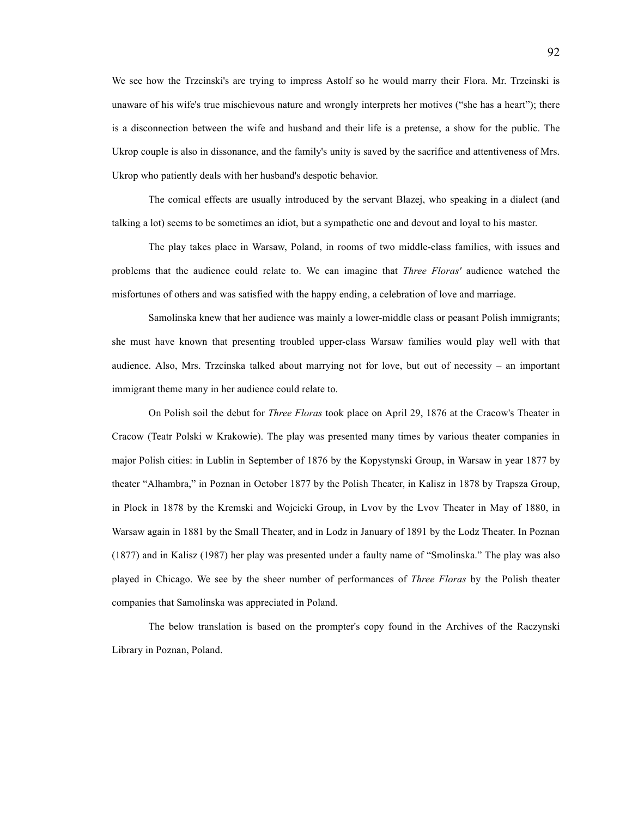We see how the Trzcinski's are trying to impress Astolf so he would marry their Flora. Mr. Trzcinski is unaware of his wife's true mischievous nature and wrongly interprets her motives ("she has a heart"); there is a disconnection between the wife and husband and their life is a pretense, a show for the public. The Ukrop couple is also in dissonance, and the family's unity is saved by the sacrifice and attentiveness of Mrs. Ukrop who patiently deals with her husband's despotic behavior.

The comical effects are usually introduced by the servant Blazej, who speaking in a dialect (and talking a lot) seems to be sometimes an idiot, but a sympathetic one and devout and loyal to his master.

The play takes place in Warsaw, Poland, in rooms of two middle-class families, with issues and problems that the audience could relate to. We can imagine that *Three Floras'* audience watched the misfortunes of others and was satisfied with the happy ending, a celebration of love and marriage.

Samolinska knew that her audience was mainly a lower-middle class or peasant Polish immigrants; she must have known that presenting troubled upper-class Warsaw families would play well with that audience. Also, Mrs. Trzcinska talked about marrying not for love, but out of necessity – an important immigrant theme many in her audience could relate to.

On Polish soil the debut for *Three Floras* took place on April 29, 1876 at the Cracow's Theater in Cracow (Teatr Polski w Krakowie). The play was presented many times by various theater companies in major Polish cities: in Lublin in September of 1876 by the Kopystynski Group, in Warsaw in year 1877 by theater "Alhambra," in Poznan in October 1877 by the Polish Theater, in Kalisz in 1878 by Trapsza Group, in Plock in 1878 by the Kremski and Wojcicki Group, in Lvov by the Lvov Theater in May of 1880, in Warsaw again in 1881 by the Small Theater, and in Lodz in January of 1891 by the Lodz Theater. In Poznan (1877) and in Kalisz (1987) her play was presented under a faulty name of "Smolinska." The play was also played in Chicago. We see by the sheer number of performances of *Three Floras* by the Polish theater companies that Samolinska was appreciated in Poland.

The below translation is based on the prompter's copy found in the Archives of the Raczynski Library in Poznan, Poland.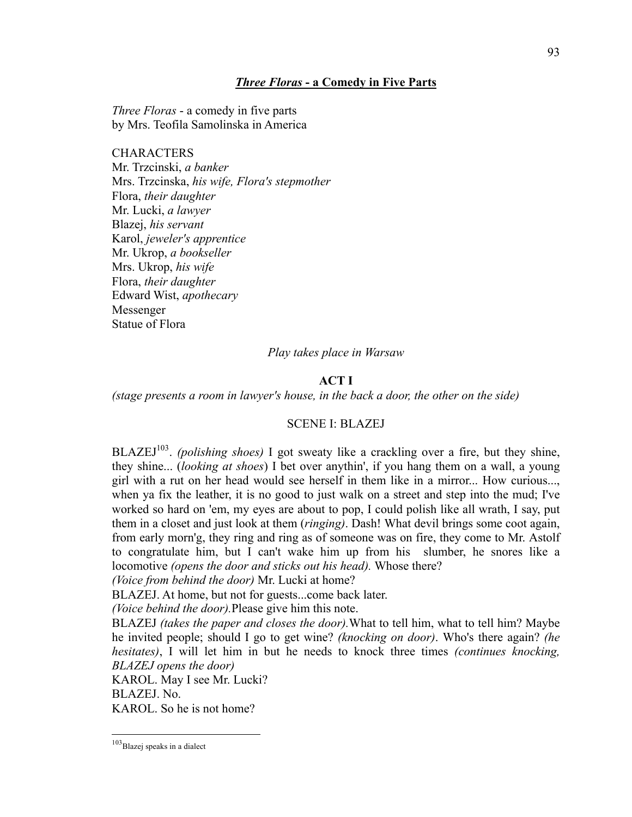### *Three Floras* **- a Comedy in Five Parts**

*Three Floras* - a comedy in five parts by Mrs. Teofila Samolinska in America

**CHARACTERS** Mr. Trzcinski, *a banker* Mrs. Trzcinska, *his wife, Flora's stepmother* Flora, *their daughter* Mr. Lucki, *a lawyer* Blazej, *his servant* Karol, *jeweler's apprentice* Mr. Ukrop, *a bookseller* Mrs. Ukrop, *his wife* Flora, *their daughter* Edward Wist, *apothecary* Messenger Statue of Flora

#### *Play takes place in Warsaw*

## **ACT I**

*(stage presents a room in lawyer's house, in the back a door, the other on the side)*

#### SCENE I: BLAZEJ

BLAZEJ<sup>103</sup>. *(polishing shoes)* I got sweaty like a crackling over a fire, but they shine, they shine... (*looking at shoes*) I bet over anythin', if you hang them on a wall, a young girl with a rut on her head would see herself in them like in a mirror... How curious..., when ya fix the leather, it is no good to just walk on a street and step into the mud; I've worked so hard on 'em, my eyes are about to pop, I could polish like all wrath, I say, put them in a closet and just look at them (*ringing)*. Dash! What devil brings some coot again, from early morn'g, they ring and ring as of someone was on fire, they come to Mr. Astolf to congratulate him, but I can't wake him up from his slumber, he snores like a locomotive *(opens the door and sticks out his head).* Whose there?

*(Voice from behind the door)* Mr. Lucki at home?

BLAZEJ. At home, but not for guests...come back later.

*(Voice behind the door).*Please give him this note.

BLAZEJ *(takes the paper and closes the door).*What to tell him, what to tell him? Maybe he invited people; should I go to get wine? *(knocking on door)*. Who's there again? *(he hesitates)*, I will let him in but he needs to knock three times *(continues knocking, BLAZEJ opens the door)*

KAROL. May I see Mr. Lucki?

BLAZEJ. No.

KAROL. So he is not home?

 $103$ Blazej speaks in a dialect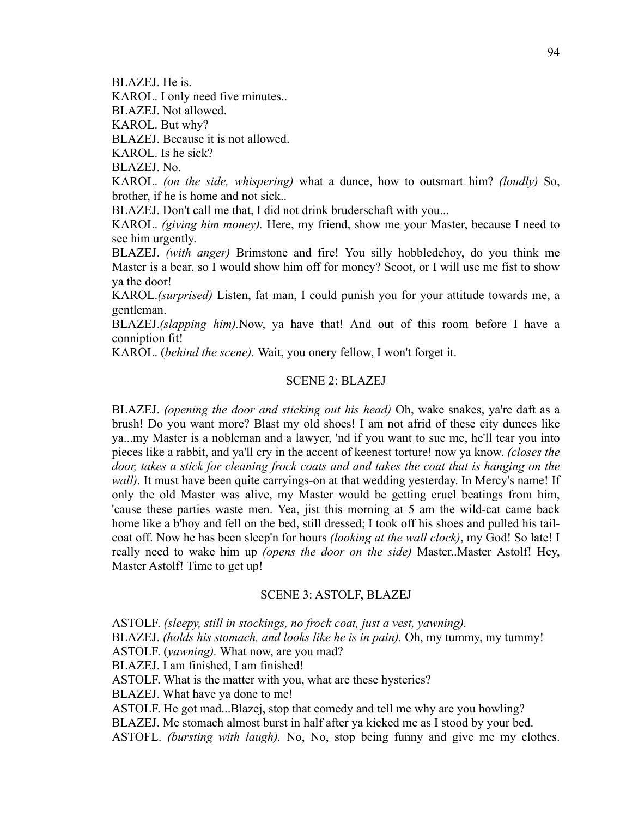BLAZEJ. He is.

KAROL. I only need five minutes..

BLAZEJ. Not allowed.

KAROL. But why?

BLAZEJ. Because it is not allowed.

KAROL. Is he sick?

BLAZEJ. No.

KAROL. *(on the side, whispering)* what a dunce, how to outsmart him? *(loudly)* So, brother, if he is home and not sick..

BLAZEJ. Don't call me that, I did not drink bruderschaft with you...

KAROL. *(giving him money).* Here, my friend, show me your Master, because I need to see him urgently.

BLAZEJ. *(with anger)* Brimstone and fire! You silly hobbledehoy, do you think me Master is a bear, so I would show him off for money? Scoot, or I will use me fist to show ya the door!

KAROL.*(surprised)* Listen, fat man, I could punish you for your attitude towards me, a gentleman.

BLAZEJ.*(slapping him).*Now, ya have that! And out of this room before I have a conniption fit!

KAROL. (*behind the scene).* Wait, you onery fellow, I won't forget it.

## SCENE 2: BLAZEJ

BLAZEJ. *(opening the door and sticking out his head)* Oh, wake snakes, ya're daft as a brush! Do you want more? Blast my old shoes! I am not afrid of these city dunces like ya...my Master is a nobleman and a lawyer, 'nd if you want to sue me, he'll tear you into pieces like a rabbit, and ya'll cry in the accent of keenest torture! now ya know. *(closes the door, takes a stick for cleaning frock coats and and takes the coat that is hanging on the wall*). It must have been quite carryings-on at that wedding yesterday. In Mercy's name! If only the old Master was alive, my Master would be getting cruel beatings from him, 'cause these parties waste men. Yea, jist this morning at 5 am the wild-cat came back home like a b'hoy and fell on the bed, still dressed; I took off his shoes and pulled his tailcoat off. Now he has been sleep'n for hours *(looking at the wall clock)*, my God! So late! I really need to wake him up *(opens the door on the side)* Master..Master Astolf! Hey, Master Astolf! Time to get up!

## SCENE 3: ASTOLF, BLAZEJ

ASTOLF. *(sleepy, still in stockings, no frock coat, just a vest, yawning).*

BLAZEJ. *(holds his stomach, and looks like he is in pain)*. Oh, my tummy, my tummy!

ASTOLF. (*yawning).* What now, are you mad?

BLAZEJ. I am finished, I am finished!

ASTOLF. What is the matter with you, what are these hysterics?

BLAZEJ. What have ya done to me!

ASTOLF. He got mad...Blazej, stop that comedy and tell me why are you howling?

BLAZEJ. Me stomach almost burst in half after ya kicked me as I stood by your bed.

ASTOFL. *(bursting with laugh).* No, No, stop being funny and give me my clothes.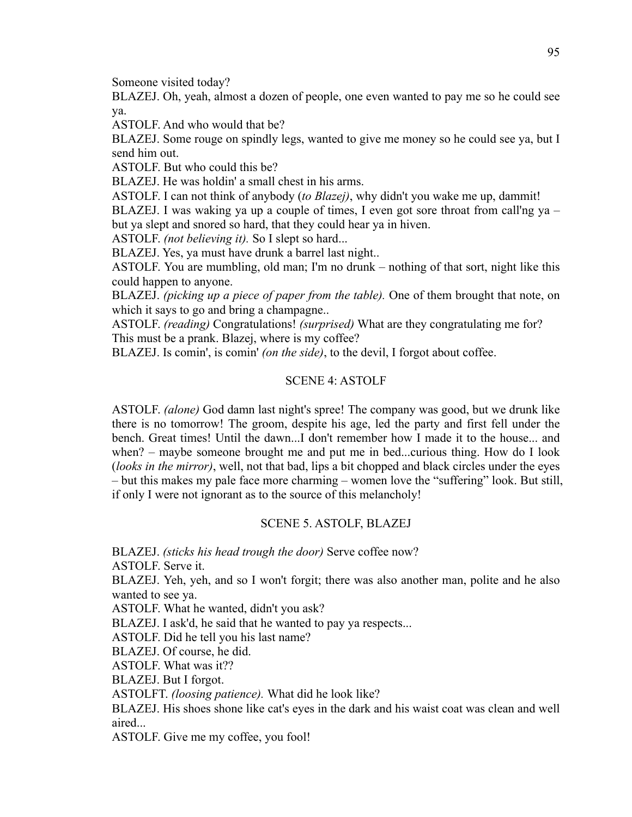Someone visited today?

BLAZEJ. Oh, yeah, almost a dozen of people, one even wanted to pay me so he could see ya.

ASTOLF. And who would that be?

BLAZEJ. Some rouge on spindly legs, wanted to give me money so he could see ya, but I send him out.

ASTOLF. But who could this be?

BLAZEJ. He was holdin' a small chest in his arms.

ASTOLF. I can not think of anybody (*to Blazej)*, why didn't you wake me up, dammit!

BLAZEJ. I was waking ya up a couple of times, I even got sore throat from call'ng ya – but ya slept and snored so hard, that they could hear ya in hiven.

ASTOLF. *(not believing it).* So I slept so hard...

BLAZEJ. Yes, ya must have drunk a barrel last night..

ASTOLF. You are mumbling, old man; I'm no drunk – nothing of that sort, night like this could happen to anyone.

BLAZEJ. *(picking up a piece of paper from the table).* One of them brought that note, on which it says to go and bring a champagne...

ASTOLF. *(reading)* Congratulations! *(surprised)* What are they congratulating me for? This must be a prank. Blazej, where is my coffee?

BLAZEJ. Is comin', is comin' *(on the side)*, to the devil, I forgot about coffee.

# SCENE 4: ASTOLF

ASTOLF. *(alone)* God damn last night's spree! The company was good, but we drunk like there is no tomorrow! The groom, despite his age, led the party and first fell under the bench. Great times! Until the dawn...I don't remember how I made it to the house... and when? – maybe someone brought me and put me in bed...curious thing. How do I look (*looks in the mirror)*, well, not that bad, lips a bit chopped and black circles under the eyes – but this makes my pale face more charming – women love the "suffering" look. But still, if only I were not ignorant as to the source of this melancholy!

# SCENE 5. ASTOLF, BLAZEJ

BLAZEJ. *(sticks his head trough the door)* Serve coffee now?

ASTOLF. Serve it.

BLAZEJ. Yeh, yeh, and so I won't forgit; there was also another man, polite and he also wanted to see ya.

ASTOLF. What he wanted, didn't you ask?

BLAZEJ. I ask'd, he said that he wanted to pay ya respects...

ASTOLF. Did he tell you his last name?

BLAZEJ. Of course, he did.

ASTOLF. What was it??

BLAZEJ. But I forgot.

ASTOLFT. *(loosing patience).* What did he look like?

BLAZEJ. His shoes shone like cat's eyes in the dark and his waist coat was clean and well aired...

ASTOLF. Give me my coffee, you fool!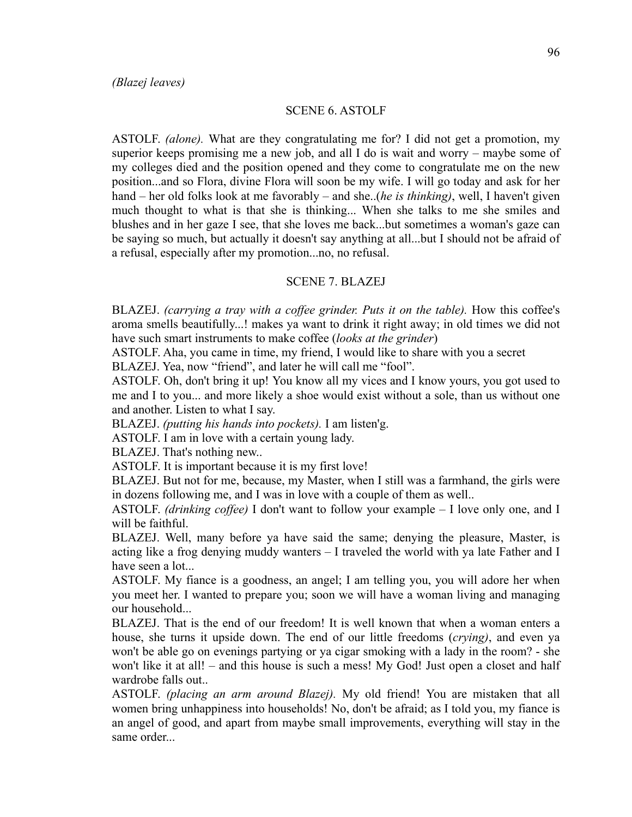## SCENE 6. ASTOLF

ASTOLF. *(alone).* What are they congratulating me for? I did not get a promotion, my superior keeps promising me a new job, and all I do is wait and worry – maybe some of my colleges died and the position opened and they come to congratulate me on the new position...and so Flora, divine Flora will soon be my wife. I will go today and ask for her hand – her old folks look at me favorably – and she..(*he is thinking)*, well, I haven't given much thought to what is that she is thinking... When she talks to me she smiles and blushes and in her gaze I see, that she loves me back...but sometimes a woman's gaze can be saying so much, but actually it doesn't say anything at all...but I should not be afraid of a refusal, especially after my promotion...no, no refusal.

#### SCENE 7. BLAZEJ

BLAZEJ. *(carrying a tray with a coffee grinder. Puts it on the table)*. How this coffee's aroma smells beautifully...! makes ya want to drink it right away; in old times we did not have such smart instruments to make coffee (*looks at the grinder*)

ASTOLF. Aha, you came in time, my friend, I would like to share with you a secret BLAZEJ. Yea, now "friend", and later he will call me "fool".

ASTOLF. Oh, don't bring it up! You know all my vices and I know yours, you got used to me and I to you... and more likely a shoe would exist without a sole, than us without one and another. Listen to what I say.

BLAZEJ. *(putting his hands into pockets).* I am listen'g.

ASTOLF. I am in love with a certain young lady.

BLAZEJ. That's nothing new..

ASTOLF. It is important because it is my first love!

BLAZEJ. But not for me, because, my Master, when I still was a farmhand, the girls were in dozens following me, and I was in love with a couple of them as well..

ASTOLF. *(drinking coffee)* I don't want to follow your example – I love only one, and I will be faithful.

BLAZEJ. Well, many before ya have said the same; denying the pleasure, Master, is acting like a frog denying muddy wanters – I traveled the world with ya late Father and I have seen a lot...

ASTOLF. My fiance is a goodness, an angel; I am telling you, you will adore her when you meet her. I wanted to prepare you; soon we will have a woman living and managing our household...

BLAZEJ. That is the end of our freedom! It is well known that when a woman enters a house, she turns it upside down. The end of our little freedoms (*crying)*, and even ya won't be able go on evenings partying or ya cigar smoking with a lady in the room? - she won't like it at all! – and this house is such a mess! My God! Just open a closet and half wardrobe falls out..

ASTOLF. *(placing an arm around Blazej).* My old friend! You are mistaken that all women bring unhappiness into households! No, don't be afraid; as I told you, my fiance is an angel of good, and apart from maybe small improvements, everything will stay in the same order...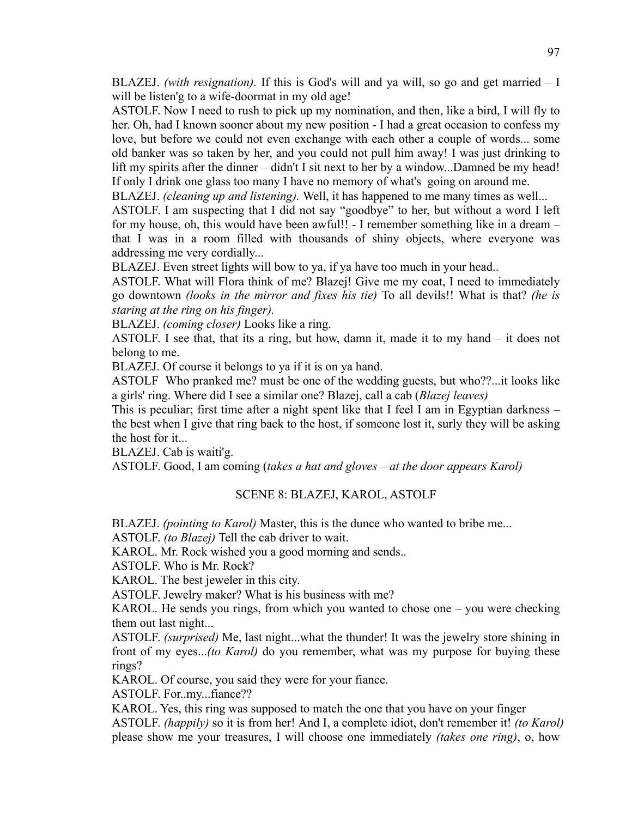BLAZEJ. *(with resignation).* If this is God's will and ya will, so go and get married – I will be listen'g to a wife-doormat in my old age!

ASTOLF. Now I need to rush to pick up my nomination, and then, like a bird, I will fly to her. Oh, had I known sooner about my new position - I had a great occasion to confess my love, but before we could not even exchange with each other a couple of words... some old banker was so taken by her, and you could not pull him away! I was just drinking to lift my spirits after the dinner – didn't I sit next to her by a window...Damned be my head! If only I drink one glass too many I have no memory of what's going on around me.

BLAZEJ. *(cleaning up and listening).* Well, it has happened to me many times as well...

ASTOLF. I am suspecting that I did not say "goodbye" to her, but without a word I left for my house, oh, this would have been awful!! - I remember something like in a dream – that I was in a room filled with thousands of shiny objects, where everyone was addressing me very cordially...

BLAZEJ. Even street lights will bow to ya, if ya have too much in your head..

ASTOLF. What will Flora think of me? Blazej! Give me my coat, I need to immediately go downtown *(looks in the mirror and fixes his tie)* To all devils!! What is that? *(he is staring at the ring on his finger).*

BLAZEJ. *(coming closer)* Looks like a ring.

ASTOLF. I see that, that its a ring, but how, damn it, made it to my hand – it does not belong to me.

BLAZEJ. Of course it belongs to ya if it is on ya hand.

ASTOLF Who pranked me? must be one of the wedding guests, but who??...it looks like a girls' ring. Where did I see a similar one? Blazej, call a cab (*Blazej leaves)*

This is peculiar; first time after a night spent like that I feel I am in Egyptian darkness – the best when I give that ring back to the host, if someone lost it, surly they will be asking the host for it...

BLAZEJ. Cab is waiti'g.

ASTOLF. Good, I am coming (*takes a hat and gloves – at the door appears Karol)*

## SCENE 8: BLAZEJ, KAROL, ASTOLF

BLAZEJ. *(pointing to Karol)* Master, this is the dunce who wanted to bribe me...

ASTOLF. *(to Blazej)* Tell the cab driver to wait.

KAROL. Mr. Rock wished you a good morning and sends..

ASTOLF. Who is Mr. Rock?

KAROL. The best jeweler in this city.

ASTOLF. Jewelry maker? What is his business with me?

KAROL. He sends you rings, from which you wanted to chose one – you were checking them out last night...

ASTOLF. *(surprised)* Me, last night...what the thunder! It was the jewelry store shining in front of my eyes...*(to Karol)* do you remember, what was my purpose for buying these rings?

KAROL. Of course, you said they were for your fiance.

ASTOLF. For..my...fiance??

KAROL. Yes, this ring was supposed to match the one that you have on your finger ASTOLF. *(happily)* so it is from her! And I, a complete idiot, don't remember it! *(to Karol)*  please show me your treasures, I will choose one immediately *(takes one ring)*, o, how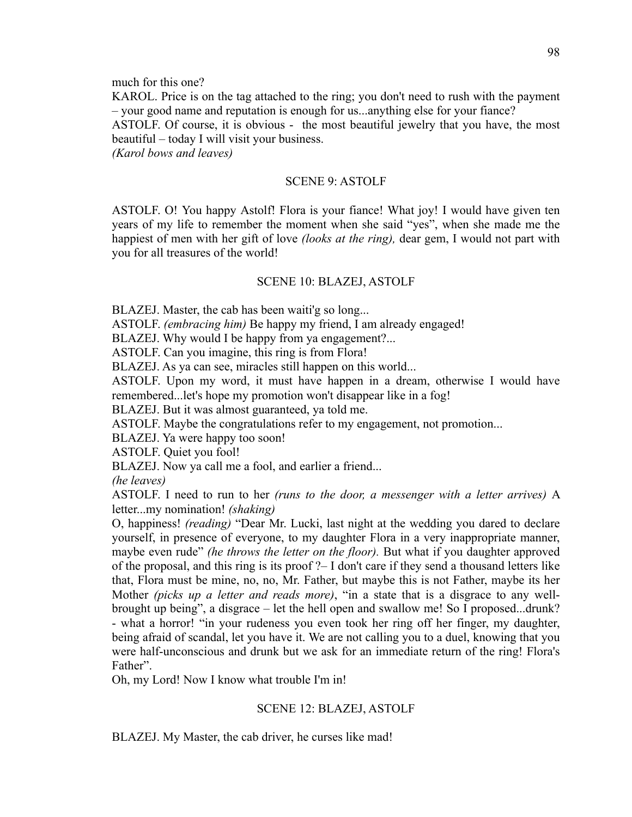much for this one?

KAROL. Price is on the tag attached to the ring; you don't need to rush with the payment – your good name and reputation is enough for us...anything else for your fiance?

ASTOLF. Of course, it is obvious - the most beautiful jewelry that you have, the most beautiful – today I will visit your business.

*(Karol bows and leaves)*

# SCENE 9: ASTOLF

ASTOLF. O! You happy Astolf! Flora is your fiance! What joy! I would have given ten years of my life to remember the moment when she said "yes", when she made me the happiest of men with her gift of love *(looks at the ring),* dear gem, I would not part with you for all treasures of the world!

# SCENE 10: BLAZEJ, ASTOLF

BLAZEJ. Master, the cab has been waiti'g so long...

ASTOLF. *(embracing him)* Be happy my friend, I am already engaged!

BLAZEJ. Why would I be happy from ya engagement?...

ASTOLF. Can you imagine, this ring is from Flora!

BLAZEJ. As ya can see, miracles still happen on this world...

ASTOLF. Upon my word, it must have happen in a dream, otherwise I would have remembered...let's hope my promotion won't disappear like in a fog!

BLAZEJ. But it was almost guaranteed, ya told me.

ASTOLF. Maybe the congratulations refer to my engagement, not promotion...

BLAZEJ. Ya were happy too soon!

ASTOLF. Quiet you fool!

BLAZEJ. Now ya call me a fool, and earlier a friend...

*(he leaves)*

ASTOLF. I need to run to her *(runs to the door, a messenger with a letter arrives)* A letter...my nomination! *(shaking)*

O, happiness! *(reading)* "Dear Mr. Lucki, last night at the wedding you dared to declare yourself, in presence of everyone, to my daughter Flora in a very inappropriate manner, maybe even rude" *(he throws the letter on the floor).* But what if you daughter approved of the proposal, and this ring is its proof ?– I don't care if they send a thousand letters like that, Flora must be mine, no, no, Mr. Father, but maybe this is not Father, maybe its her Mother *(picks up a letter and reads more)*, "in a state that is a disgrace to any wellbrought up being", a disgrace – let the hell open and swallow me! So I proposed...drunk? - what a horror! "in your rudeness you even took her ring off her finger, my daughter, being afraid of scandal, let you have it. We are not calling you to a duel, knowing that you were half-unconscious and drunk but we ask for an immediate return of the ring! Flora's Father".

Oh, my Lord! Now I know what trouble I'm in!

# SCENE 12: BLAZEJ, ASTOLF

BLAZEJ. My Master, the cab driver, he curses like mad!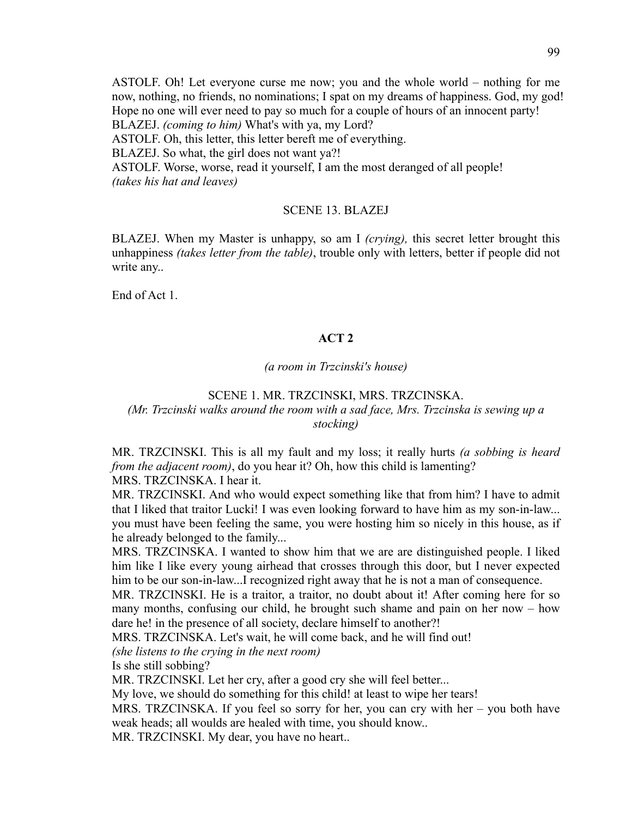ASTOLF. Oh! Let everyone curse me now; you and the whole world – nothing for me now, nothing, no friends, no nominations; I spat on my dreams of happiness. God, my god! Hope no one will ever need to pay so much for a couple of hours of an innocent party!

BLAZEJ. *(coming to him)* What's with ya, my Lord?

ASTOLF. Oh, this letter, this letter bereft me of everything.

BLAZEJ. So what, the girl does not want ya?!

ASTOLF. Worse, worse, read it yourself, I am the most deranged of all people! *(takes his hat and leaves)*

## SCENE 13. BLAZEJ

BLAZEJ. When my Master is unhappy, so am I *(crying),* this secret letter brought this unhappiness *(takes letter from the table)*, trouble only with letters, better if people did not write any..

End of Act 1.

## **ACT 2**

#### *(a room in Trzcinski's house)*

## SCENE 1. MR. TRZCINSKI, MRS. TRZCINSKA.

# *(Mr. Trzcinski walks around the room with a sad face, Mrs. Trzcinska is sewing up a stocking)*

MR. TRZCINSKI. This is all my fault and my loss; it really hurts *(a sobbing is heard from the adjacent room*), do you hear it? Oh, how this child is lamenting? MRS. TRZCINSKA. I hear it.

MR. TRZCINSKI. And who would expect something like that from him? I have to admit that I liked that traitor Lucki! I was even looking forward to have him as my son-in-law... you must have been feeling the same, you were hosting him so nicely in this house, as if he already belonged to the family...

MRS. TRZCINSKA. I wanted to show him that we are are distinguished people. I liked him like I like every young airhead that crosses through this door, but I never expected him to be our son-in-law...I recognized right away that he is not a man of consequence.

MR. TRZCINSKI. He is a traitor, a traitor, no doubt about it! After coming here for so many months, confusing our child, he brought such shame and pain on her now – how dare he! in the presence of all society, declare himself to another?!

MRS. TRZCINSKA. Let's wait, he will come back, and he will find out!

*(she listens to the crying in the next room)*

Is she still sobbing?

MR. TRZCINSKI. Let her cry, after a good cry she will feel better...

My love, we should do something for this child! at least to wipe her tears!

MRS. TRZCINSKA. If you feel so sorry for her, you can cry with her – you both have weak heads; all woulds are healed with time, you should know..

MR. TRZCINSKI. My dear, you have no heart..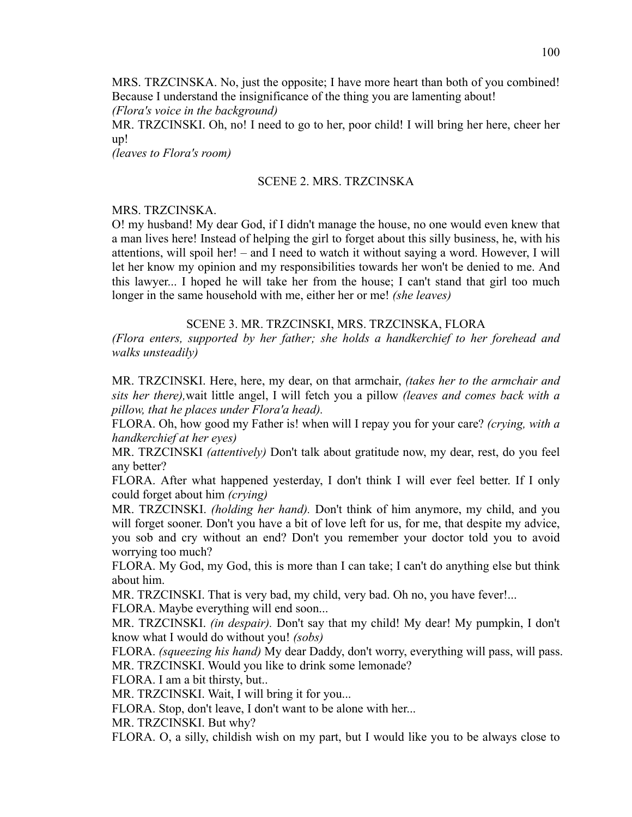MRS. TRZCINSKA. No, just the opposite; I have more heart than both of you combined! Because I understand the insignificance of the thing you are lamenting about! *(Flora's voice in the background)*

MR. TRZCINSKI. Oh, no! I need to go to her, poor child! I will bring her here, cheer her up!

*(leaves to Flora's room)*

## SCENE 2. MRS. TRZCINSKA

## MRS. TRZCINSKA.

O! my husband! My dear God, if I didn't manage the house, no one would even knew that a man lives here! Instead of helping the girl to forget about this silly business, he, with his attentions, will spoil her! – and I need to watch it without saying a word. However, I will let her know my opinion and my responsibilities towards her won't be denied to me. And this lawyer... I hoped he will take her from the house; I can't stand that girl too much longer in the same household with me, either her or me! *(she leaves)*

## SCENE 3. MR. TRZCINSKI, MRS. TRZCINSKA, FLORA

*(Flora enters, supported by her father; she holds a handkerchief to her forehead and walks unsteadily)*

MR. TRZCINSKI. Here, here, my dear, on that armchair, *(takes her to the armchair and sits her there),*wait little angel, I will fetch you a pillow *(leaves and comes back with a pillow, that he places under Flora'a head).*

FLORA. Oh, how good my Father is! when will I repay you for your care? *(crying, with a handkerchief at her eyes)*

MR. TRZCINSKI *(attentively)* Don't talk about gratitude now, my dear, rest, do you feel any better?

FLORA. After what happened yesterday, I don't think I will ever feel better. If I only could forget about him *(crying)*

MR. TRZCINSKI. *(holding her hand).* Don't think of him anymore, my child, and you will forget sooner. Don't you have a bit of love left for us, for me, that despite my advice, you sob and cry without an end? Don't you remember your doctor told you to avoid worrying too much?

FLORA. My God, my God, this is more than I can take; I can't do anything else but think about him.

MR. TRZCINSKI. That is very bad, my child, very bad. Oh no, you have fever!...

FLORA. Maybe everything will end soon...

MR. TRZCINSKI. *(in despair).* Don't say that my child! My dear! My pumpkin, I don't know what I would do without you! *(sobs)*

FLORA. *(squeezing his hand)* My dear Daddy, don't worry, everything will pass, will pass. MR. TRZCINSKI. Would you like to drink some lemonade?

FLORA. I am a bit thirsty, but..

MR. TRZCINSKI. Wait, I will bring it for you...

FLORA. Stop, don't leave, I don't want to be alone with her...

MR. TRZCINSKI. But why?

FLORA. O, a silly, childish wish on my part, but I would like you to be always close to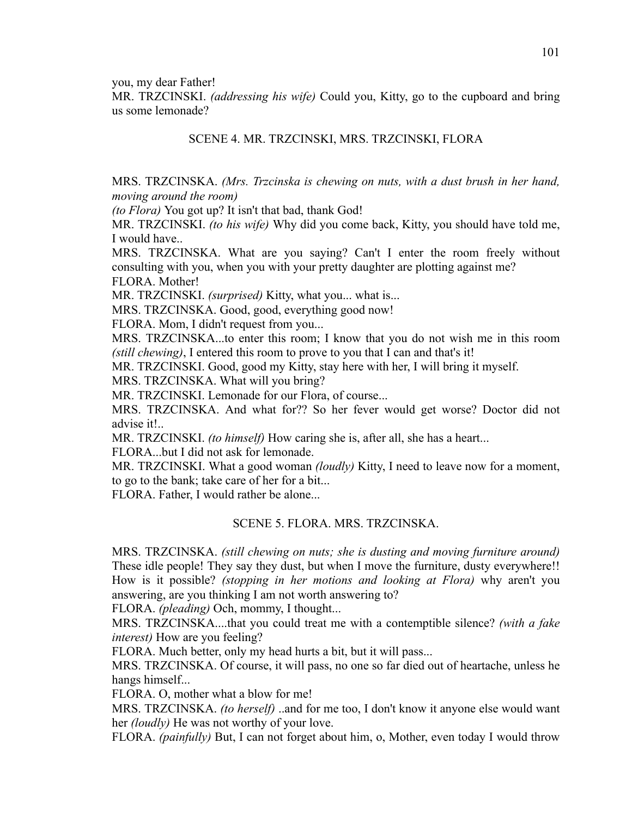you, my dear Father!

MR. TRZCINSKI. *(addressing his wife)* Could you, Kitty, go to the cupboard and bring us some lemonade?

# SCENE 4. MR. TRZCINSKI, MRS. TRZCINSKI, FLORA

MRS. TRZCINSKA. *(Mrs. Trzcinska is chewing on nuts, with a dust brush in her hand, moving around the room)*

*(to Flora)* You got up? It isn't that bad, thank God!

MR. TRZCINSKI. *(to his wife)* Why did you come back, Kitty, you should have told me, I would have..

MRS. TRZCINSKA. What are you saying? Can't I enter the room freely without consulting with you, when you with your pretty daughter are plotting against me?

FLORA. Mother!

MR. TRZCINSKI. *(surprised)* Kitty, what you... what is...

MRS. TRZCINSKA. Good, good, everything good now!

FLORA. Mom, I didn't request from you...

MRS. TRZCINSKA...to enter this room; I know that you do not wish me in this room *(still chewing)*, I entered this room to prove to you that I can and that's it!

MR. TRZCINSKI. Good, good my Kitty, stay here with her, I will bring it myself.

MRS. TRZCINSKA. What will you bring?

MR. TRZCINSKI. Lemonade for our Flora, of course...

MRS. TRZCINSKA. And what for?? So her fever would get worse? Doctor did not advise it!..

MR. TRZCINSKI. *(to himself)* How caring she is, after all, she has a heart...

FLORA...but I did not ask for lemonade.

MR. TRZCINSKI. What a good woman *(loudly)* Kitty, I need to leave now for a moment, to go to the bank; take care of her for a bit...

FLORA. Father, I would rather be alone...

# SCENE 5. FLORA. MRS. TRZCINSKA.

MRS. TRZCINSKA. *(still chewing on nuts; she is dusting and moving furniture around)*  These idle people! They say they dust, but when I move the furniture, dusty everywhere!! How is it possible? *(stopping in her motions and looking at Flora)* why aren't you answering, are you thinking I am not worth answering to?

FLORA. *(pleading)* Och, mommy, I thought...

MRS. TRZCINSKA....that you could treat me with a contemptible silence? *(with a fake interest)* How are you feeling?

FLORA. Much better, only my head hurts a bit, but it will pass...

MRS. TRZCINSKA. Of course, it will pass, no one so far died out of heartache, unless he hangs himself...

FLORA. O, mother what a blow for me!

MRS. TRZCINSKA. *(to herself)* ..and for me too, I don't know it anyone else would want her *(loudly)* He was not worthy of your love.

FLORA. *(painfully)* But, I can not forget about him, o, Mother, even today I would throw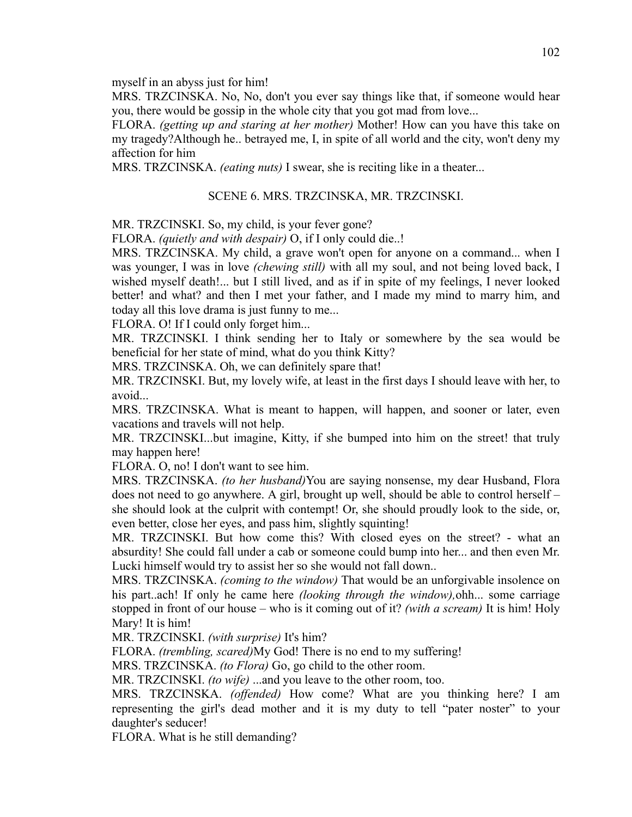myself in an abyss just for him!

MRS. TRZCINSKA. No, No, don't you ever say things like that, if someone would hear you, there would be gossip in the whole city that you got mad from love...

FLORA. *(getting up and staring at her mother)* Mother! How can you have this take on my tragedy?Although he.. betrayed me, I, in spite of all world and the city, won't deny my affection for him

MRS. TRZCINSKA. *(eating nuts)* I swear, she is reciting like in a theater...

#### SCENE 6. MRS. TRZCINSKA, MR. TRZCINSKI.

MR. TRZCINSKI. So, my child, is your fever gone?

FLORA. *(quietly and with despair)* O, if I only could die..!

MRS. TRZCINSKA. My child, a grave won't open for anyone on a command... when I was younger, I was in love *(chewing still)* with all my soul, and not being loved back, I wished myself death!... but I still lived, and as if in spite of my feelings, I never looked better! and what? and then I met your father, and I made my mind to marry him, and today all this love drama is just funny to me...

FLORA. O! If I could only forget him...

MR. TRZCINSKI. I think sending her to Italy or somewhere by the sea would be beneficial for her state of mind, what do you think Kitty?

MRS. TRZCINSKA. Oh, we can definitely spare that!

MR. TRZCINSKI. But, my lovely wife, at least in the first days I should leave with her, to avoid

MRS. TRZCINSKA. What is meant to happen, will happen, and sooner or later, even vacations and travels will not help.

MR. TRZCINSKI...but imagine, Kitty, if she bumped into him on the street! that truly may happen here!

FLORA. O, no! I don't want to see him.

MRS. TRZCINSKA. *(to her husband)*You are saying nonsense, my dear Husband, Flora does not need to go anywhere. A girl, brought up well, should be able to control herself – she should look at the culprit with contempt! Or, she should proudly look to the side, or, even better, close her eyes, and pass him, slightly squinting!

MR. TRZCINSKI. But how come this? With closed eyes on the street? - what an absurdity! She could fall under a cab or someone could bump into her... and then even Mr. Lucki himself would try to assist her so she would not fall down..

MRS. TRZCINSKA. *(coming to the window)* That would be an unforgivable insolence on his part..ach! If only he came here *(looking through the window),*ohh... some carriage stopped in front of our house – who is it coming out of it? *(with a scream)* It is him! Holy Mary! It is him!

MR. TRZCINSKI. *(with surprise)* It's him?

FLORA. *(trembling, scared)*My God! There is no end to my suffering!

MRS. TRZCINSKA. *(to Flora)* Go, go child to the other room.

MR. TRZCINSKI. *(to wife)* ...and you leave to the other room, too.

MRS. TRZCINSKA. *(offended)* How come? What are you thinking here? I am representing the girl's dead mother and it is my duty to tell "pater noster" to your daughter's seducer!

FLORA. What is he still demanding?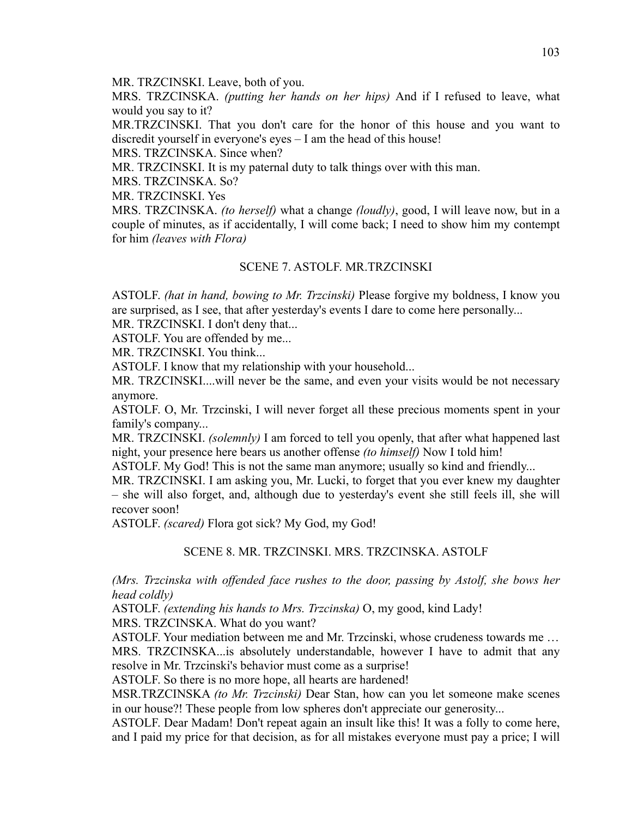MR. TRZCINSKI. Leave, both of you.

MRS. TRZCINSKA. *(putting her hands on her hips)* And if I refused to leave, what would you say to it?

MR.TRZCINSKI. That you don't care for the honor of this house and you want to discredit yourself in everyone's eyes – I am the head of this house!

MRS. TRZCINSKA. Since when?

MR. TRZCINSKI. It is my paternal duty to talk things over with this man.

MRS. TRZCINSKA. So?

MR. TRZCINSKI. Yes

MRS. TRZCINSKA. *(to herself)* what a change *(loudly)*, good, I will leave now, but in a couple of minutes, as if accidentally, I will come back; I need to show him my contempt for him *(leaves with Flora)*

## SCENE 7. ASTOLF. MR.TRZCINSKI

ASTOLF. *(hat in hand, bowing to Mr. Trzcinski)* Please forgive my boldness, I know you are surprised, as I see, that after yesterday's events I dare to come here personally...

MR. TRZCINSKI. I don't deny that...

ASTOLF. You are offended by me...

MR. TRZCINSKI. You think...

ASTOLF. I know that my relationship with your household...

MR. TRZCINSKI....will never be the same, and even your visits would be not necessary anymore.

ASTOLF. O, Mr. Trzcinski, I will never forget all these precious moments spent in your family's company...

MR. TRZCINSKI. *(solemnly)* I am forced to tell you openly, that after what happened last night, your presence here bears us another offense *(to himself)* Now I told him!

ASTOLF. My God! This is not the same man anymore; usually so kind and friendly...

MR. TRZCINSKI. I am asking you, Mr. Lucki, to forget that you ever knew my daughter – she will also forget, and, although due to yesterday's event she still feels ill, she will recover soon!

ASTOLF. *(scared)* Flora got sick? My God, my God!

# SCENE 8. MR. TRZCINSKI. MRS. TRZCINSKA. ASTOLF

*(Mrs. Trzcinska with offended face rushes to the door, passing by Astolf, she bows her head coldly)*

ASTOLF. *(extending his hands to Mrs. Trzcinska)* O, my good, kind Lady!

MRS. TRZCINSKA. What do you want?

ASTOLF. Your mediation between me and Mr. Trzcinski, whose crudeness towards me …

MRS. TRZCINSKA...is absolutely understandable, however I have to admit that any resolve in Mr. Trzcinski's behavior must come as a surprise!

ASTOLF. So there is no more hope, all hearts are hardened!

MSR.TRZCINSKA *(to Mr. Trzcinski)* Dear Stan, how can you let someone make scenes in our house?! These people from low spheres don't appreciate our generosity...

ASTOLF. Dear Madam! Don't repeat again an insult like this! It was a folly to come here, and I paid my price for that decision, as for all mistakes everyone must pay a price; I will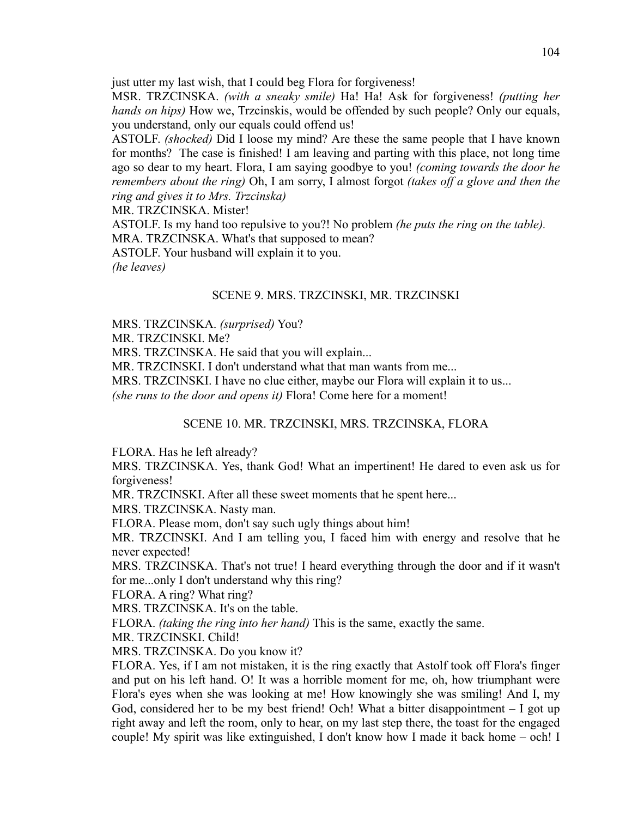just utter my last wish, that I could beg Flora for forgiveness!

MSR. TRZCINSKA. *(with a sneaky smile)* Ha! Ha! Ask for forgiveness! *(putting her hands on hips)* How we, Trzcinskis, would be offended by such people? Only our equals, you understand, only our equals could offend us!

ASTOLF. *(shocked)* Did I loose my mind? Are these the same people that I have known for months? The case is finished! I am leaving and parting with this place, not long time ago so dear to my heart. Flora, I am saying goodbye to you! *(coming towards the door he remembers about the ring)* Oh, I am sorry, I almost forgot *(takes off a glove and then the ring and gives it to Mrs. Trzcinska)*

MR. TRZCINSKA. Mister!

ASTOLF. Is my hand too repulsive to you?! No problem *(he puts the ring on the table).* MRA. TRZCINSKA. What's that supposed to mean? ASTOLF. Your husband will explain it to you.

*(he leaves)*

## SCENE 9. MRS. TRZCINSKI, MR. TRZCINSKI

MRS. TRZCINSKA. *(surprised)* You?

MR. TRZCINSKI. Me?

MRS. TRZCINSKA. He said that you will explain...

MR. TRZCINSKI. I don't understand what that man wants from me...

MRS. TRZCINSKI. I have no clue either, maybe our Flora will explain it to us...

*(she runs to the door and opens it)* Flora! Come here for a moment!

## SCENE 10. MR. TRZCINSKI, MRS. TRZCINSKA, FLORA

FLORA. Has he left already?

MRS. TRZCINSKA. Yes, thank God! What an impertinent! He dared to even ask us for forgiveness!

MR. TRZCINSKI. After all these sweet moments that he spent here...

MRS. TRZCINSKA. Nasty man.

FLORA. Please mom, don't say such ugly things about him!

MR. TRZCINSKI. And I am telling you, I faced him with energy and resolve that he never expected!

MRS. TRZCINSKA. That's not true! I heard everything through the door and if it wasn't for me...only I don't understand why this ring?

FLORA. A ring? What ring?

MRS. TRZCINSKA. It's on the table.

FLORA. *(taking the ring into her hand)* This is the same, exactly the same.

MR. TRZCINSKI. Child!

MRS. TRZCINSKA. Do you know it?

FLORA. Yes, if I am not mistaken, it is the ring exactly that Astolf took off Flora's finger and put on his left hand. O! It was a horrible moment for me, oh, how triumphant were Flora's eyes when she was looking at me! How knowingly she was smiling! And I, my God, considered her to be my best friend! Och! What a bitter disappointment – I got up right away and left the room, only to hear, on my last step there, the toast for the engaged couple! My spirit was like extinguished, I don't know how I made it back home – och! I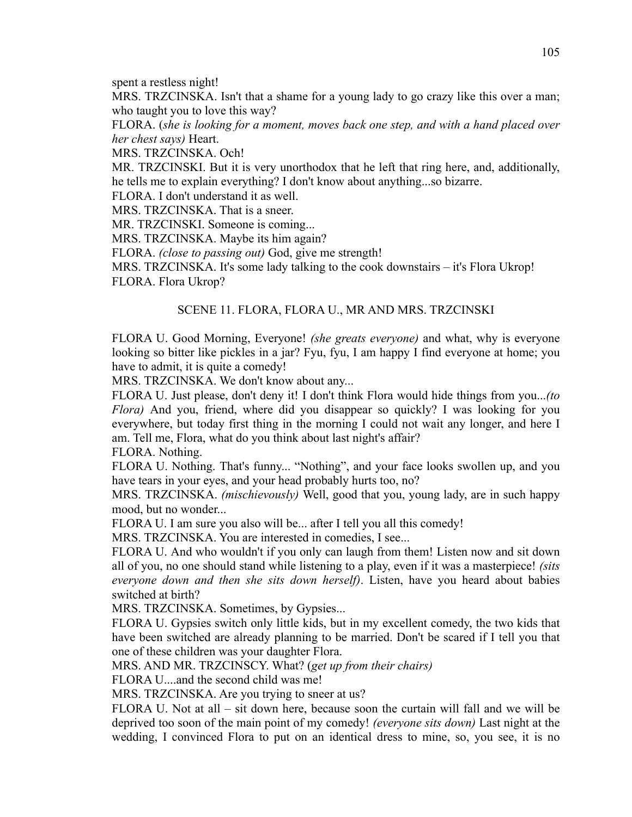spent a restless night!

MRS. TRZCINSKA. Isn't that a shame for a young lady to go crazy like this over a man; who taught you to love this way?

FLORA. (*she is looking for a moment, moves back one step, and with a hand placed over her chest says)* Heart.

MRS. TRZCINSKA. Och!

MR. TRZCINSKI. But it is very unorthodox that he left that ring here, and, additionally, he tells me to explain everything? I don't know about anything...so bizarre.

FLORA. I don't understand it as well.

MRS. TRZCINSKA. That is a sneer.

MR. TRZCINSKI. Someone is coming...

MRS. TRZCINSKA. Maybe its him again?

FLORA. *(close to passing out)* God, give me strength!

MRS. TRZCINSKA. It's some lady talking to the cook downstairs – it's Flora Ukrop! FLORA. Flora Ukrop?

#### SCENE 11. FLORA, FLORA U., MR AND MRS. TRZCINSKI

FLORA U. Good Morning, Everyone! *(she greats everyone)* and what, why is everyone looking so bitter like pickles in a jar? Fyu, fyu, I am happy I find everyone at home; you have to admit, it is quite a comedy!

MRS. TRZCINSKA. We don't know about any...

FLORA U. Just please, don't deny it! I don't think Flora would hide things from you...*(to Flora)* And you, friend, where did you disappear so quickly? I was looking for you everywhere, but today first thing in the morning I could not wait any longer, and here I am. Tell me, Flora, what do you think about last night's affair?

FLORA. Nothing.

FLORA U. Nothing. That's funny... "Nothing", and your face looks swollen up, and you have tears in your eyes, and your head probably hurts too, no?

MRS. TRZCINSKA. *(mischievously)* Well, good that you, young lady, are in such happy mood, but no wonder...

FLORA U. I am sure you also will be... after I tell you all this comedy!

MRS. TRZCINSKA. You are interested in comedies, I see...

FLORA U. And who wouldn't if you only can laugh from them! Listen now and sit down all of you, no one should stand while listening to a play, even if it was a masterpiece! *(sits everyone down and then she sits down herself)*. Listen, have you heard about babies switched at birth?

MRS. TRZCINSKA. Sometimes, by Gypsies...

FLORA U. Gypsies switch only little kids, but in my excellent comedy, the two kids that have been switched are already planning to be married. Don't be scared if I tell you that one of these children was your daughter Flora.

MRS. AND MR. TRZCINSCY. What? (*get up from their chairs)*

FLORA U....and the second child was me!

MRS. TRZCINSKA. Are you trying to sneer at us?

FLORA U. Not at all – sit down here, because soon the curtain will fall and we will be deprived too soon of the main point of my comedy! *(everyone sits down)* Last night at the wedding, I convinced Flora to put on an identical dress to mine, so, you see, it is no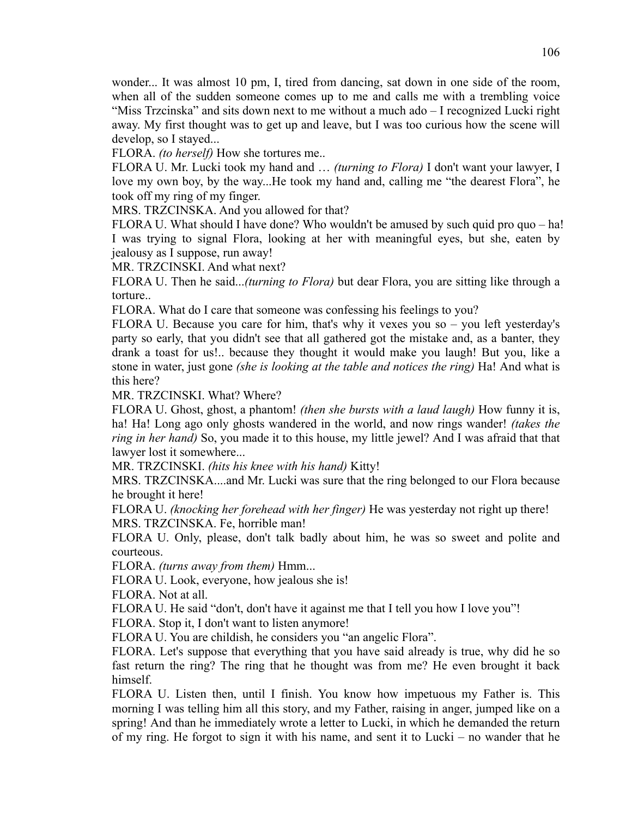wonder... It was almost 10 pm, I, tired from dancing, sat down in one side of the room, when all of the sudden someone comes up to me and calls me with a trembling voice "Miss Trzcinska" and sits down next to me without a much ado – I recognized Lucki right away. My first thought was to get up and leave, but I was too curious how the scene will develop, so I stayed...

FLORA. *(to herself)* How she tortures me..

FLORA U. Mr. Lucki took my hand and … *(turning to Flora)* I don't want your lawyer, I love my own boy, by the way...He took my hand and, calling me "the dearest Flora", he took off my ring of my finger.

MRS. TRZCINSKA. And you allowed for that?

FLORA U. What should I have done? Who wouldn't be amused by such quid pro quo – ha! I was trying to signal Flora, looking at her with meaningful eyes, but she, eaten by jealousy as I suppose, run away!

MR. TRZCINSKI. And what next?

FLORA U. Then he said...*(turning to Flora)* but dear Flora, you are sitting like through a torture..

FLORA. What do I care that someone was confessing his feelings to you?

FLORA U. Because you care for him, that's why it vexes you so – you left yesterday's party so early, that you didn't see that all gathered got the mistake and, as a banter, they drank a toast for us!.. because they thought it would make you laugh! But you, like a stone in water, just gone *(she is looking at the table and notices the ring)* Ha! And what is this here?

MR. TRZCINSKI. What? Where?

FLORA U. Ghost, ghost, a phantom! *(then she bursts with a laud laugh)* How funny it is, ha! Ha! Long ago only ghosts wandered in the world, and now rings wander! *(takes the ring in her hand)* So, you made it to this house, my little jewel? And I was afraid that that lawyer lost it somewhere...

MR. TRZCINSKI. *(hits his knee with his hand)* Kitty!

MRS. TRZCINSKA....and Mr. Lucki was sure that the ring belonged to our Flora because he brought it here!

FLORA U. *(knocking her forehead with her finger)* He was yesterday not right up there! MRS. TRZCINSKA. Fe, horrible man!

FLORA U. Only, please, don't talk badly about him, he was so sweet and polite and courteous.

FLORA. *(turns away from them)* Hmm...

FLORA U. Look, everyone, how jealous she is!

FLORA. Not at all.

FLORA U. He said "don't, don't have it against me that I tell you how I love you"!

FLORA. Stop it, I don't want to listen anymore!

FLORA U. You are childish, he considers you "an angelic Flora".

FLORA. Let's suppose that everything that you have said already is true, why did he so fast return the ring? The ring that he thought was from me? He even brought it back himself.

FLORA U. Listen then, until I finish. You know how impetuous my Father is. This morning I was telling him all this story, and my Father, raising in anger, jumped like on a spring! And than he immediately wrote a letter to Lucki, in which he demanded the return of my ring. He forgot to sign it with his name, and sent it to Lucki – no wander that he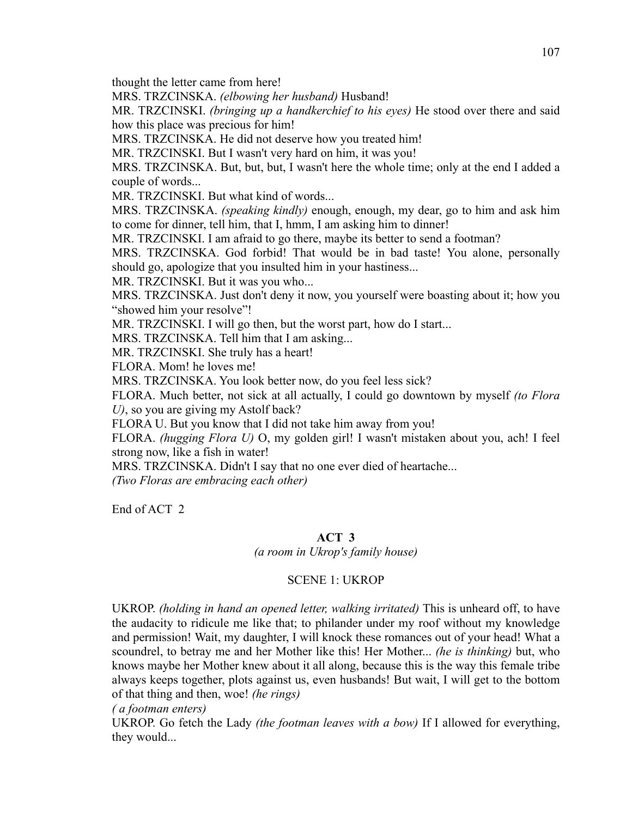thought the letter came from here!

MRS. TRZCINSKA. *(elbowing her husband)* Husband!

MR. TRZCINSKI. *(bringing up a handkerchief to his eyes)* He stood over there and said how this place was precious for him!

MRS. TRZCINSKA. He did not deserve how you treated him!

MR. TRZCINSKI. But I wasn't very hard on him, it was you!

MRS. TRZCINSKA. But, but, but, I wasn't here the whole time; only at the end I added a couple of words...

MR. TRZCINSKI. But what kind of words...

MRS. TRZCINSKA. *(speaking kindly)* enough, enough, my dear, go to him and ask him to come for dinner, tell him, that I, hmm, I am asking him to dinner!

MR. TRZCINSKI. I am afraid to go there, maybe its better to send a footman?

MRS. TRZCINSKA. God forbid! That would be in bad taste! You alone, personally should go, apologize that you insulted him in your hastiness...

MR. TRZCINSKI. But it was you who...

MRS. TRZCINSKA. Just don't deny it now, you yourself were boasting about it; how you "showed him your resolve"!

MR. TRZCINSKI. I will go then, but the worst part, how do I start...

MRS. TRZCINSKA. Tell him that I am asking...

MR. TRZCINSKI. She truly has a heart!

FLORA. Mom! he loves me!

MRS. TRZCINSKA. You look better now, do you feel less sick?

FLORA. Much better, not sick at all actually, I could go downtown by myself *(to Flora U)*, so you are giving my Astolf back?

FLORA U. But you know that I did not take him away from you!

FLORA. *(hugging Flora U)* O, my golden girl! I wasn't mistaken about you, ach! I feel strong now, like a fish in water!

MRS. TRZCINSKA. Didn't I say that no one ever died of heartache...

*(Two Floras are embracing each other)*

End of ACT 2

#### **ACT 3**

*(a room in Ukrop's family house)*

### SCENE 1: UKROP

UKROP. *(holding in hand an opened letter, walking irritated)* This is unheard off, to have the audacity to ridicule me like that; to philander under my roof without my knowledge and permission! Wait, my daughter, I will knock these romances out of your head! What a scoundrel, to betray me and her Mother like this! Her Mother... *(he is thinking)* but, who knows maybe her Mother knew about it all along, because this is the way this female tribe always keeps together, plots against us, even husbands! But wait, I will get to the bottom of that thing and then, woe! *(he rings)*

### *( a footman enters)*

UKROP. Go fetch the Lady *(the footman leaves with a bow)* If I allowed for everything, they would...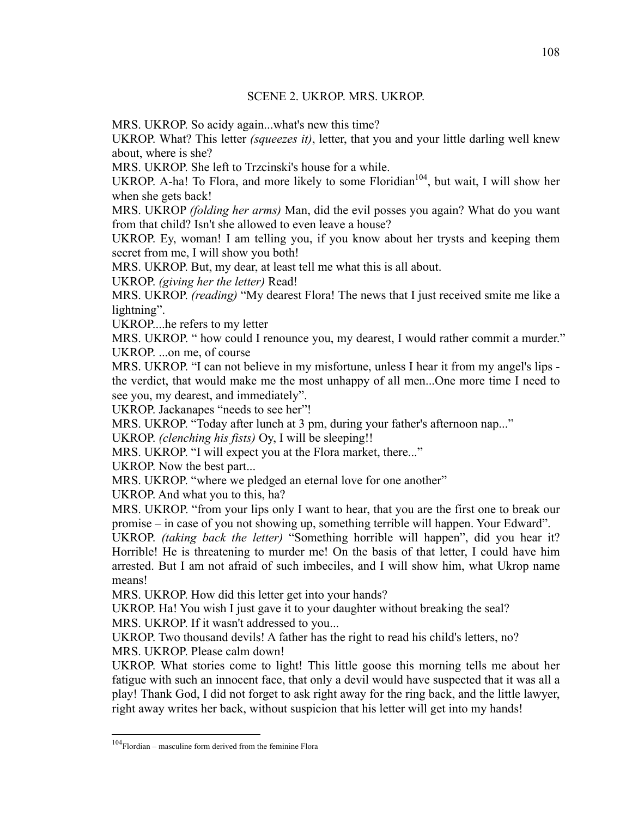MRS. UKROP. So acidy again...what's new this time?

UKROP. What? This letter *(squeezes it)*, letter, that you and your little darling well knew about, where is she?

MRS. UKROP. She left to Trzcinski's house for a while.

UKROP. A-ha! To Flora, and more likely to some Floridian<sup>104</sup>, but wait, I will show her when she gets back!

MRS. UKROP *(folding her arms)* Man, did the evil posses you again? What do you want from that child? Isn't she allowed to even leave a house?

UKROP. Ey, woman! I am telling you, if you know about her trysts and keeping them secret from me, I will show you both!

MRS. UKROP. But, my dear, at least tell me what this is all about.

UKROP. *(giving her the letter)* Read!

MRS. UKROP. *(reading)* "My dearest Flora! The news that I just received smite me like a lightning".

UKROP....he refers to my letter

MRS. UKROP. " how could I renounce you, my dearest, I would rather commit a murder." UKROP. ...on me, of course

MRS. UKROP. "I can not believe in my misfortune, unless I hear it from my angel's lips the verdict, that would make me the most unhappy of all men...One more time I need to see you, my dearest, and immediately".

UKROP. Jackanapes "needs to see her"!

MRS. UKROP. "Today after lunch at 3 pm, during your father's afternoon nap..."

UKROP. *(clenching his fists)* Oy, I will be sleeping!!

MRS. UKROP. "I will expect you at the Flora market, there..."

UKROP. Now the best part...

MRS. UKROP. "where we pledged an eternal love for one another"

UKROP. And what you to this, ha?

MRS. UKROP. "from your lips only I want to hear, that you are the first one to break our promise – in case of you not showing up, something terrible will happen. Your Edward".

UKROP. *(taking back the letter)* "Something horrible will happen", did you hear it? Horrible! He is threatening to murder me! On the basis of that letter, I could have him arrested. But I am not afraid of such imbeciles, and I will show him, what Ukrop name means!

MRS. UKROP. How did this letter get into your hands?

UKROP. Ha! You wish I just gave it to your daughter without breaking the seal?

MRS. UKROP. If it wasn't addressed to you...

UKROP. Two thousand devils! A father has the right to read his child's letters, no? MRS. UKROP. Please calm down!

UKROP. What stories come to light! This little goose this morning tells me about her fatigue with such an innocent face, that only a devil would have suspected that it was all a play! Thank God, I did not forget to ask right away for the ring back, and the little lawyer, right away writes her back, without suspicion that his letter will get into my hands!

 $104$ Flordian – masculine form derived from the feminine Flora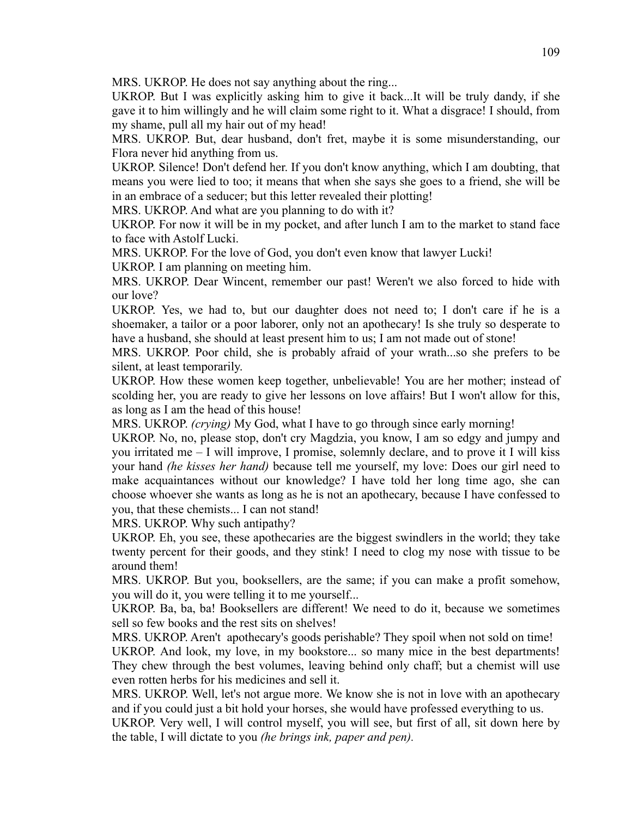MRS. UKROP. He does not say anything about the ring...

UKROP. But I was explicitly asking him to give it back...It will be truly dandy, if she gave it to him willingly and he will claim some right to it. What a disgrace! I should, from my shame, pull all my hair out of my head!

MRS. UKROP. But, dear husband, don't fret, maybe it is some misunderstanding, our Flora never hid anything from us.

UKROP. Silence! Don't defend her. If you don't know anything, which I am doubting, that means you were lied to too; it means that when she says she goes to a friend, she will be in an embrace of a seducer; but this letter revealed their plotting!

MRS. UKROP. And what are you planning to do with it?

UKROP. For now it will be in my pocket, and after lunch I am to the market to stand face to face with Astolf Lucki.

MRS. UKROP. For the love of God, you don't even know that lawyer Lucki!

UKROP. I am planning on meeting him.

MRS. UKROP. Dear Wincent, remember our past! Weren't we also forced to hide with our love?

UKROP. Yes, we had to, but our daughter does not need to; I don't care if he is a shoemaker, a tailor or a poor laborer, only not an apothecary! Is she truly so desperate to have a husband, she should at least present him to us; I am not made out of stone!

MRS. UKROP. Poor child, she is probably afraid of your wrath...so she prefers to be silent, at least temporarily.

UKROP. How these women keep together, unbelievable! You are her mother; instead of scolding her, you are ready to give her lessons on love affairs! But I won't allow for this, as long as I am the head of this house!

MRS. UKROP. *(crying)* My God, what I have to go through since early morning!

UKROP. No, no, please stop, don't cry Magdzia, you know, I am so edgy and jumpy and you irritated me – I will improve, I promise, solemnly declare, and to prove it I will kiss your hand *(he kisses her hand)* because tell me yourself, my love: Does our girl need to make acquaintances without our knowledge? I have told her long time ago, she can choose whoever she wants as long as he is not an apothecary, because I have confessed to you, that these chemists... I can not stand!

MRS. UKROP. Why such antipathy?

UKROP. Eh, you see, these apothecaries are the biggest swindlers in the world; they take twenty percent for their goods, and they stink! I need to clog my nose with tissue to be around them!

MRS. UKROP. But you, booksellers, are the same; if you can make a profit somehow, you will do it, you were telling it to me yourself...

UKROP. Ba, ba, ba! Booksellers are different! We need to do it, because we sometimes sell so few books and the rest sits on shelves!

MRS. UKROP. Aren't apothecary's goods perishable? They spoil when not sold on time!

UKROP. And look, my love, in my bookstore... so many mice in the best departments! They chew through the best volumes, leaving behind only chaff; but a chemist will use even rotten herbs for his medicines and sell it.

MRS. UKROP. Well, let's not argue more. We know she is not in love with an apothecary and if you could just a bit hold your horses, she would have professed everything to us.

UKROP. Very well, I will control myself, you will see, but first of all, sit down here by the table, I will dictate to you *(he brings ink, paper and pen).*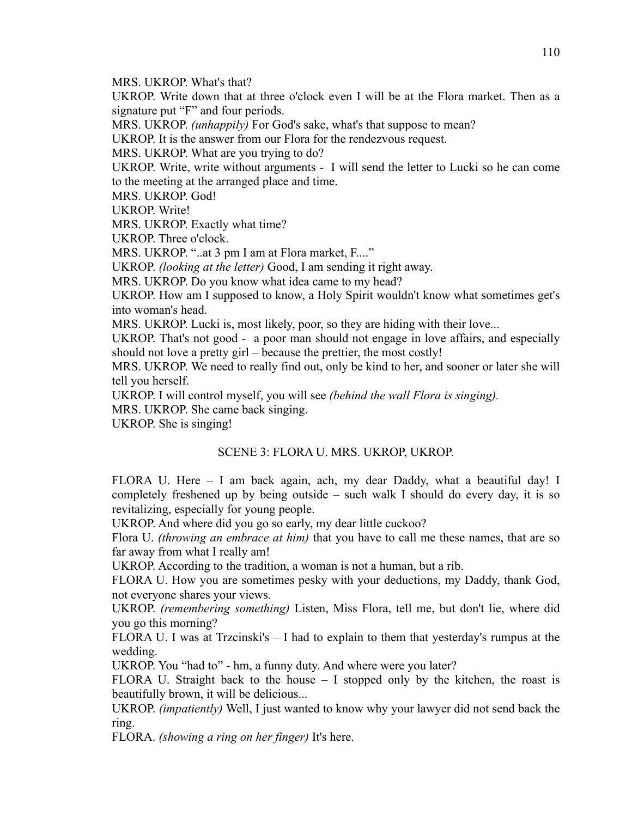MRS. UKROP. What's that?

UKROP. Write down that at three o'clock even I will be at the Flora market. Then as a signature put "F" and four periods.

MRS. UKROP. *(unhappily)* For God's sake, what's that suppose to mean?

UKROP. It is the answer from our Flora for the rendezvous request.

MRS. UKROP. What are you trying to do?

UKROP. Write, write without arguments - I will send the letter to Lucki so he can come to the meeting at the arranged place and time.

MRS. UKROP. God!

UKROP. Write!

MRS. UKROP. Exactly what time?

UKROP. Three o'clock.

MRS. UKROP. "..at 3 pm I am at Flora market, F...."

UKROP. *(looking at the letter)* Good, I am sending it right away.

MRS. UKROP. Do you know what idea came to my head?

UKROP. How am I supposed to know, a Holy Spirit wouldn't know what sometimes get's into woman's head.

MRS. UKROP. Lucki is, most likely, poor, so they are hiding with their love...

UKROP. That's not good - a poor man should not engage in love affairs, and especially should not love a pretty girl – because the prettier, the most costly!

MRS. UKROP. We need to really find out, only be kind to her, and sooner or later she will tell you herself.

UKROP. I will control myself, you will see *(behind the wall Flora is singing).*

MRS. UKROP. She came back singing.

UKROP. She is singing!

## SCENE 3: FLORA U. MRS. UKROP, UKROP.

FLORA U. Here – I am back again, ach, my dear Daddy, what a beautiful day! I completely freshened up by being outside – such walk I should do every day, it is so revitalizing, especially for young people.

UKROP. And where did you go so early, my dear little cuckoo?

Flora U. *(throwing an embrace at him)* that you have to call me these names, that are so far away from what I really am!

UKROP. According to the tradition, a woman is not a human, but a rib.

FLORA U. How you are sometimes pesky with your deductions, my Daddy, thank God, not everyone shares your views.

UKROP. *(remembering something)* Listen, Miss Flora, tell me, but don't lie, where did you go this morning?

FLORA U. I was at Trzcinski's  $- I$  had to explain to them that yesterday's rumpus at the wedding.

UKROP. You "had to" - hm, a funny duty. And where were you later?

FLORA U. Straight back to the house – I stopped only by the kitchen, the roast is beautifully brown, it will be delicious...

UKROP. *(impatiently)* Well, I just wanted to know why your lawyer did not send back the ring.

FLORA. *(showing a ring on her finger)* It's here.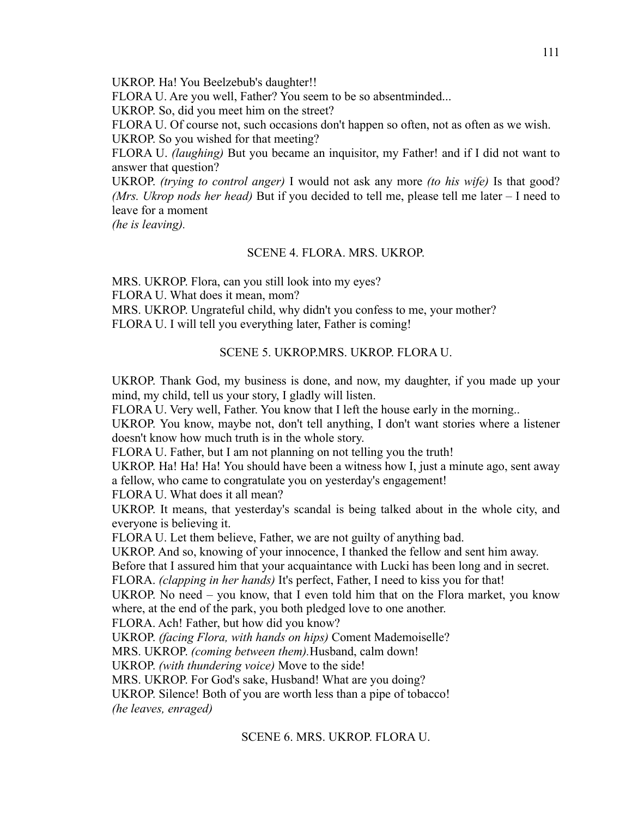UKROP. Ha! You Beelzebub's daughter!!

FLORA U. Are you well, Father? You seem to be so absentminded...

UKROP. So, did you meet him on the street?

FLORA U. Of course not, such occasions don't happen so often, not as often as we wish. UKROP. So you wished for that meeting?

FLORA U. *(laughing)* But you became an inquisitor, my Father! and if I did not want to answer that question?

UKROP. *(trying to control anger)* I would not ask any more *(to his wife)* Is that good? *(Mrs. Ukrop nods her head)* But if you decided to tell me, please tell me later – I need to leave for a moment

*(he is leaving).*

## SCENE 4. FLORA. MRS. UKROP.

MRS. UKROP. Flora, can you still look into my eyes? FLORA U. What does it mean, mom? MRS. UKROP. Ungrateful child, why didn't you confess to me, your mother? FLORA U. I will tell you everything later, Father is coming!

# SCENE 5. UKROP.MRS. UKROP. FLORA U.

UKROP. Thank God, my business is done, and now, my daughter, if you made up your mind, my child, tell us your story, I gladly will listen.

FLORA U. Very well, Father. You know that I left the house early in the morning..

UKROP. You know, maybe not, don't tell anything, I don't want stories where a listener doesn't know how much truth is in the whole story.

FLORA U. Father, but I am not planning on not telling you the truth!

UKROP. Ha! Ha! Ha! You should have been a witness how I, just a minute ago, sent away a fellow, who came to congratulate you on yesterday's engagement!

FLORA U. What does it all mean?

UKROP. It means, that yesterday's scandal is being talked about in the whole city, and everyone is believing it.

FLORA U. Let them believe, Father, we are not guilty of anything bad.

UKROP. And so, knowing of your innocence, I thanked the fellow and sent him away.

Before that I assured him that your acquaintance with Lucki has been long and in secret.

FLORA. *(clapping in her hands)* It's perfect, Father, I need to kiss you for that!

UKROP. No need – you know, that I even told him that on the Flora market, you know where, at the end of the park, you both pledged love to one another.

FLORA. Ach! Father, but how did you know?

UKROP. *(facing Flora, with hands on hips)* Coment Mademoiselle?

MRS. UKROP. *(coming between them).*Husband, calm down!

UKROP. *(with thundering voice)* Move to the side!

MRS. UKROP. For God's sake, Husband! What are you doing?

UKROP. Silence! Both of you are worth less than a pipe of tobacco!

*(he leaves, enraged)*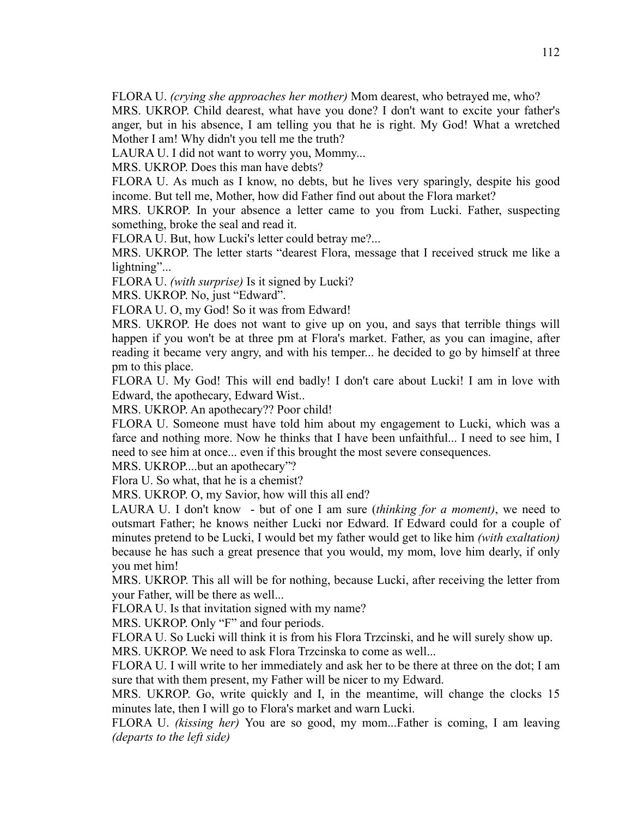FLORA U. *(crying she approaches her mother)* Mom dearest, who betrayed me, who?

MRS. UKROP. Child dearest, what have you done? I don't want to excite your father's anger, but in his absence, I am telling you that he is right. My God! What a wretched Mother I am! Why didn't you tell me the truth?

LAURA U. I did not want to worry you, Mommy...

MRS. UKROP. Does this man have debts?

FLORA U. As much as I know, no debts, but he lives very sparingly, despite his good income. But tell me, Mother, how did Father find out about the Flora market?

MRS. UKROP. In your absence a letter came to you from Lucki. Father, suspecting something, broke the seal and read it.

FLORA U. But, how Lucki's letter could betray me?...

MRS. UKROP. The letter starts "dearest Flora, message that I received struck me like a lightning"...

FLORA U. *(with surprise)* Is it signed by Lucki?

MRS. UKROP. No, just "Edward".

FLORA U. O, my God! So it was from Edward!

MRS. UKROP. He does not want to give up on you, and says that terrible things will happen if you won't be at three pm at Flora's market. Father, as you can imagine, after reading it became very angry, and with his temper... he decided to go by himself at three pm to this place.

FLORA U. My God! This will end badly! I don't care about Lucki! I am in love with Edward, the apothecary, Edward Wist..

MRS. UKROP. An apothecary?? Poor child!

FLORA U. Someone must have told him about my engagement to Lucki, which was a farce and nothing more. Now he thinks that I have been unfaithful... I need to see him, I need to see him at once... even if this brought the most severe consequences.

MRS. UKROP....but an apothecary"?

Flora U. So what, that he is a chemist?

MRS. UKROP. O, my Savior, how will this all end?

LAURA U. I don't know - but of one I am sure (*thinking for a moment)*, we need to outsmart Father; he knows neither Lucki nor Edward. If Edward could for a couple of minutes pretend to be Lucki, I would bet my father would get to like him *(with exaltation)* because he has such a great presence that you would, my mom, love him dearly, if only you met him!

MRS. UKROP. This all will be for nothing, because Lucki, after receiving the letter from your Father, will be there as well...

FLORA U. Is that invitation signed with my name?

MRS. UKROP. Only "F" and four periods.

FLORA U. So Lucki will think it is from his Flora Trzcinski, and he will surely show up. MRS. UKROP. We need to ask Flora Trzcinska to come as well...

FLORA U. I will write to her immediately and ask her to be there at three on the dot; I am sure that with them present, my Father will be nicer to my Edward.

MRS. UKROP. Go, write quickly and I, in the meantime, will change the clocks 15 minutes late, then I will go to Flora's market and warn Lucki.

FLORA U. *(kissing her)* You are so good, my mom...Father is coming, I am leaving *(departs to the left side)*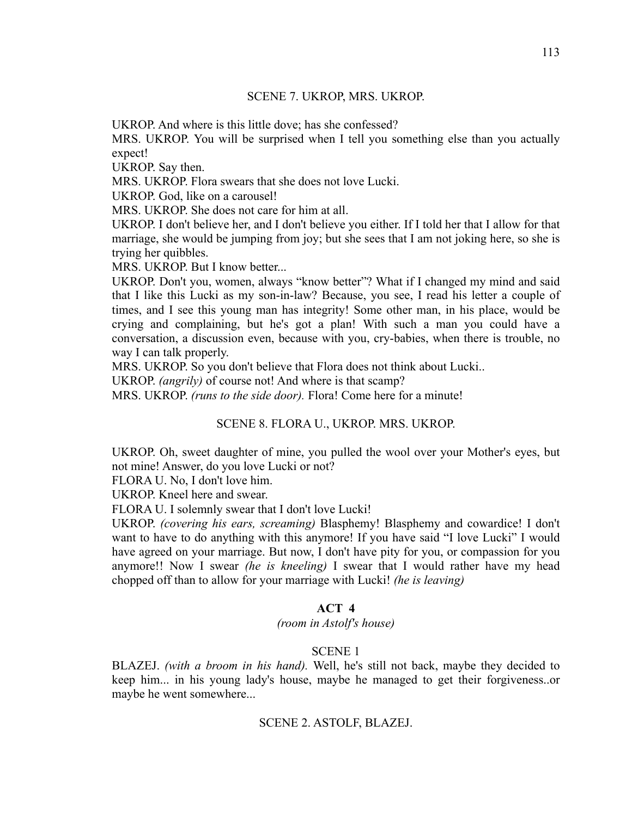### SCENE 7. UKROP, MRS. UKROP.

UKROP. And where is this little dove; has she confessed?

MRS. UKROP. You will be surprised when I tell you something else than you actually expect!

UKROP. Say then.

MRS. UKROP. Flora swears that she does not love Lucki.

UKROP. God, like on a carousel!

MRS. UKROP. She does not care for him at all.

UKROP. I don't believe her, and I don't believe you either. If I told her that I allow for that marriage, she would be jumping from joy; but she sees that I am not joking here, so she is trying her quibbles.

MRS. UKROP. But I know better...

UKROP. Don't you, women, always "know better"? What if I changed my mind and said that I like this Lucki as my son-in-law? Because, you see, I read his letter a couple of times, and I see this young man has integrity! Some other man, in his place, would be crying and complaining, but he's got a plan! With such a man you could have a conversation, a discussion even, because with you, cry-babies, when there is trouble, no way I can talk properly.

MRS. UKROP. So you don't believe that Flora does not think about Lucki..

UKROP. *(angrily)* of course not! And where is that scamp?

MRS. UKROP. *(runs to the side door).* Flora! Come here for a minute!

### SCENE 8. FLORA U., UKROP. MRS. UKROP.

UKROP. Oh, sweet daughter of mine, you pulled the wool over your Mother's eyes, but not mine! Answer, do you love Lucki or not?

FLORA U. No, I don't love him.

UKROP. Kneel here and swear.

FLORA U. I solemnly swear that I don't love Lucki!

UKROP. *(covering his ears, screaming)* Blasphemy! Blasphemy and cowardice! I don't want to have to do anything with this anymore! If you have said "I love Lucki" I would have agreed on your marriage. But now, I don't have pity for you, or compassion for you anymore!! Now I swear *(he is kneeling)* I swear that I would rather have my head chopped off than to allow for your marriage with Lucki! *(he is leaving)*

# **ACT 4**

*(room in Astolf's house)*

## SCENE 1

BLAZEJ. *(with a broom in his hand).* Well, he's still not back, maybe they decided to keep him... in his young lady's house, maybe he managed to get their forgiveness..or maybe he went somewhere...

## SCENE 2. ASTOLF, BLAZEJ.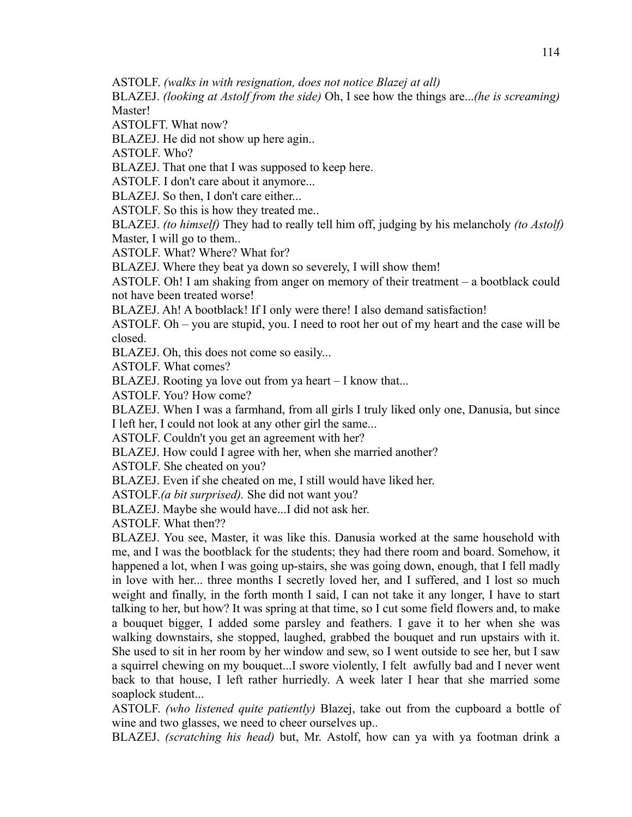ASTOLF. *(walks in with resignation, does not notice Blazej at all)*

BLAZEJ. *(looking at Astolf from the side)* Oh, I see how the things are...*(he is screaming)* Master!

ASTOLFT. What now?

BLAZEJ. He did not show up here agin..

ASTOLF. Who?

BLAZEJ. That one that I was supposed to keep here.

ASTOLF. I don't care about it anymore...

BLAZEJ. So then, I don't care either...

ASTOLF. So this is how they treated me..

BLAZEJ. *(to himself)* They had to really tell him off, judging by his melancholy *(to Astolf)* Master, I will go to them..

ASTOLF. What? Where? What for?

BLAZEJ. Where they beat ya down so severely, I will show them!

ASTOLF. Oh! I am shaking from anger on memory of their treatment – a bootblack could not have been treated worse!

BLAZEJ. Ah! A bootblack! If I only were there! I also demand satisfaction!

ASTOLF. Oh – you are stupid, you. I need to root her out of my heart and the case will be closed.

BLAZEJ. Oh, this does not come so easily...

ASTOLF. What comes?

BLAZEJ. Rooting ya love out from ya heart – I know that...

ASTOLF. You? How come?

BLAZEJ. When I was a farmhand, from all girls I truly liked only one, Danusia, but since

I left her, I could not look at any other girl the same...

ASTOLF. Couldn't you get an agreement with her?

BLAZEJ. How could I agree with her, when she married another?

ASTOLF. She cheated on you?

BLAZEJ. Even if she cheated on me, I still would have liked her.

ASTOLF.*(a bit surprised).* She did not want you?

BLAZEJ. Maybe she would have...I did not ask her.

ASTOLF. What then??

BLAZEJ. You see, Master, it was like this. Danusia worked at the same household with me, and I was the bootblack for the students; they had there room and board. Somehow, it happened a lot, when I was going up-stairs, she was going down, enough, that I fell madly in love with her... three months I secretly loved her, and I suffered, and I lost so much weight and finally, in the forth month I said, I can not take it any longer, I have to start talking to her, but how? It was spring at that time, so I cut some field flowers and, to make a bouquet bigger, I added some parsley and feathers. I gave it to her when she was walking downstairs, she stopped, laughed, grabbed the bouquet and run upstairs with it. She used to sit in her room by her window and sew, so I went outside to see her, but I saw a squirrel chewing on my bouquet...I swore violently, I felt awfully bad and I never went back to that house, I left rather hurriedly. A week later I hear that she married some soaplock student...

ASTOLF. *(who listened quite patiently)* Blazej, take out from the cupboard a bottle of wine and two glasses, we need to cheer ourselves up..

BLAZEJ. *(scratching his head)* but, Mr. Astolf, how can ya with ya footman drink a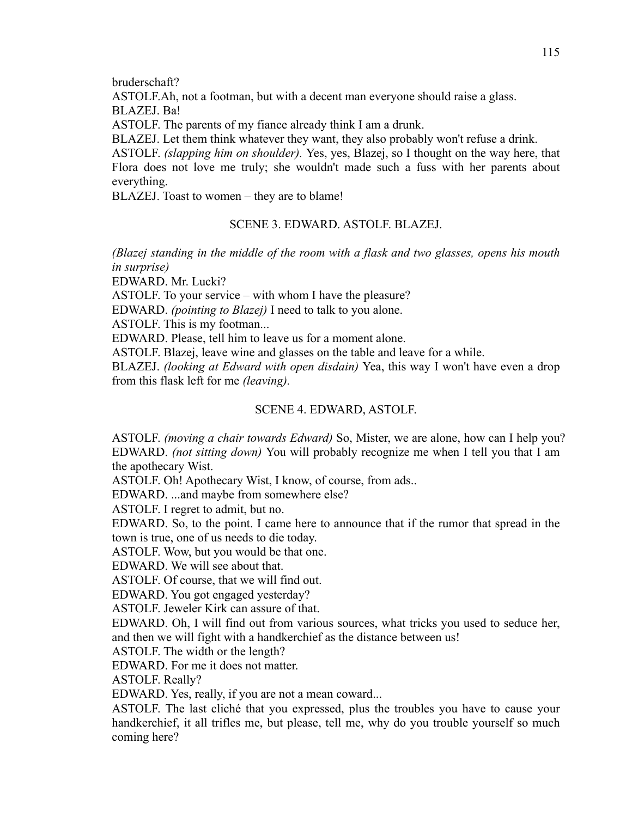bruderschaft?

ASTOLF.Ah, not a footman, but with a decent man everyone should raise a glass. BLAZEJ. Ba!

ASTOLF. The parents of my fiance already think I am a drunk.

BLAZEJ. Let them think whatever they want, they also probably won't refuse a drink.

ASTOLF. *(slapping him on shoulder).* Yes, yes, Blazej, so I thought on the way here, that Flora does not love me truly; she wouldn't made such a fuss with her parents about everything.

BLAZEJ. Toast to women – they are to blame!

## SCENE 3. EDWARD. ASTOLF. BLAZEJ.

*(Blazej standing in the middle of the room with a flask and two glasses, opens his mouth in surprise)*

EDWARD. Mr. Lucki?

ASTOLF. To your service – with whom I have the pleasure?

EDWARD. *(pointing to Blazej)* I need to talk to you alone.

ASTOLF. This is my footman...

EDWARD. Please, tell him to leave us for a moment alone.

ASTOLF. Blazej, leave wine and glasses on the table and leave for a while.

BLAZEJ. *(looking at Edward with open disdain)* Yea, this way I won't have even a drop from this flask left for me *(leaving).*

## SCENE 4. EDWARD, ASTOLF.

ASTOLF. *(moving a chair towards Edward)* So, Mister, we are alone, how can I help you? EDWARD. *(not sitting down)* You will probably recognize me when I tell you that I am the apothecary Wist.

ASTOLF. Oh! Apothecary Wist, I know, of course, from ads..

EDWARD. ...and maybe from somewhere else?

ASTOLF. I regret to admit, but no.

EDWARD. So, to the point. I came here to announce that if the rumor that spread in the town is true, one of us needs to die today.

ASTOLF. Wow, but you would be that one.

EDWARD. We will see about that.

ASTOLF. Of course, that we will find out.

EDWARD. You got engaged yesterday?

ASTOLF. Jeweler Kirk can assure of that.

EDWARD. Oh, I will find out from various sources, what tricks you used to seduce her, and then we will fight with a handkerchief as the distance between us!

ASTOLF. The width or the length?

EDWARD. For me it does not matter.

ASTOLF. Really?

EDWARD. Yes, really, if you are not a mean coward...

ASTOLF. The last cliché that you expressed, plus the troubles you have to cause your handkerchief, it all trifles me, but please, tell me, why do you trouble yourself so much coming here?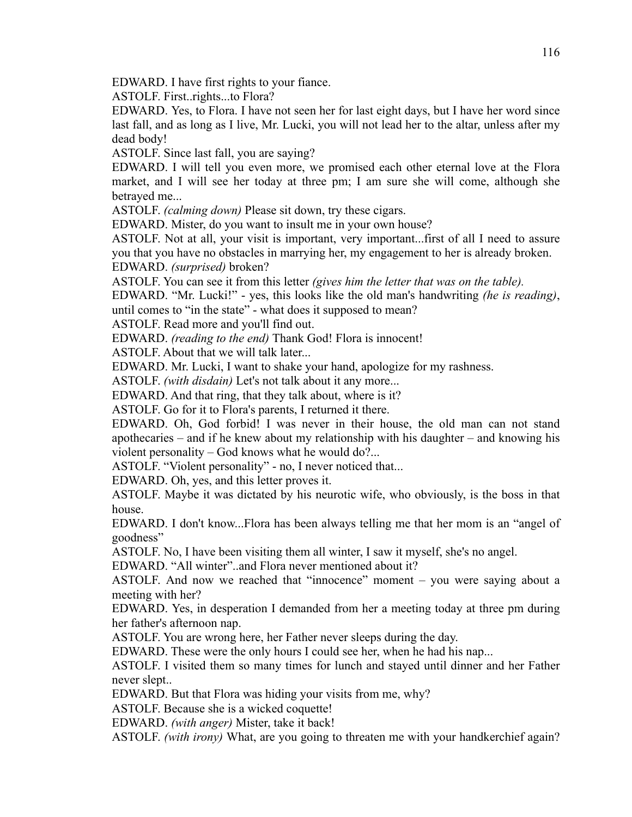EDWARD. I have first rights to your fiance.

ASTOLF. First..rights...to Flora?

EDWARD. Yes, to Flora. I have not seen her for last eight days, but I have her word since last fall, and as long as I live, Mr. Lucki, you will not lead her to the altar, unless after my dead body!

ASTOLF. Since last fall, you are saying?

EDWARD. I will tell you even more, we promised each other eternal love at the Flora market, and I will see her today at three pm; I am sure she will come, although she betrayed me...

ASTOLF. *(calming down)* Please sit down, try these cigars.

EDWARD. Mister, do you want to insult me in your own house?

ASTOLF. Not at all, your visit is important, very important...first of all I need to assure you that you have no obstacles in marrying her, my engagement to her is already broken. EDWARD. *(surprised)* broken?

ASTOLF. You can see it from this letter *(gives him the letter that was on the table).*

EDWARD. "Mr. Lucki!" - yes, this looks like the old man's handwriting *(he is reading)*, until comes to "in the state" - what does it supposed to mean?

ASTOLF. Read more and you'll find out.

EDWARD. *(reading to the end)* Thank God! Flora is innocent!

ASTOLF. About that we will talk later...

EDWARD. Mr. Lucki, I want to shake your hand, apologize for my rashness.

ASTOLF. *(with disdain)* Let's not talk about it any more...

EDWARD. And that ring, that they talk about, where is it?

ASTOLF. Go for it to Flora's parents, I returned it there.

EDWARD. Oh, God forbid! I was never in their house, the old man can not stand apothecaries – and if he knew about my relationship with his daughter – and knowing his violent personality – God knows what he would do?...

ASTOLF. "Violent personality" - no, I never noticed that...

EDWARD. Oh, yes, and this letter proves it.

ASTOLF. Maybe it was dictated by his neurotic wife, who obviously, is the boss in that house.

EDWARD. I don't know...Flora has been always telling me that her mom is an "angel of goodness"

ASTOLF. No, I have been visiting them all winter, I saw it myself, she's no angel.

EDWARD. "All winter"..and Flora never mentioned about it?

ASTOLF. And now we reached that "innocence" moment – you were saying about a meeting with her?

EDWARD. Yes, in desperation I demanded from her a meeting today at three pm during her father's afternoon nap.

ASTOLF. You are wrong here, her Father never sleeps during the day.

EDWARD. These were the only hours I could see her, when he had his nap...

ASTOLF. I visited them so many times for lunch and stayed until dinner and her Father never slept..

EDWARD. But that Flora was hiding your visits from me, why?

ASTOLF. Because she is a wicked coquette!

EDWARD. *(with anger)* Mister, take it back!

ASTOLF. *(with irony)* What, are you going to threaten me with your handkerchief again?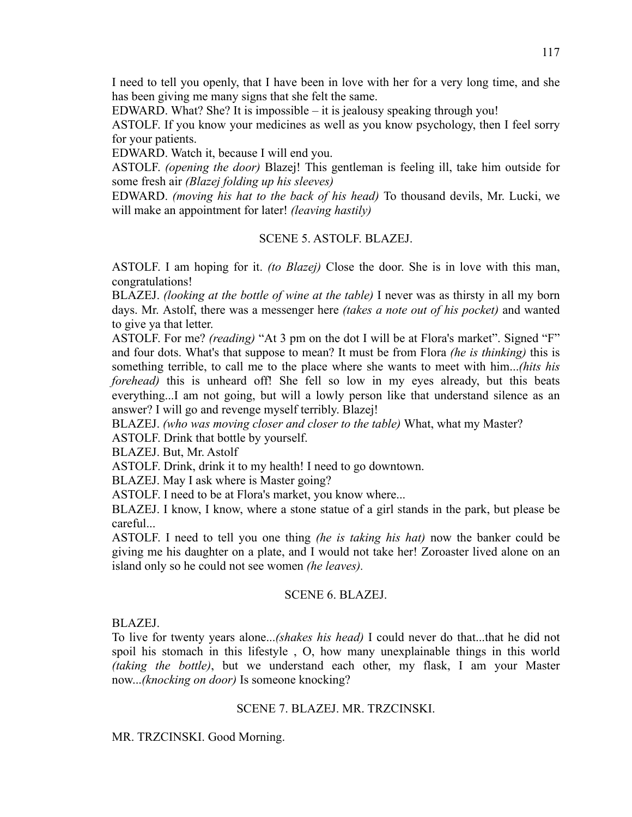I need to tell you openly, that I have been in love with her for a very long time, and she has been giving me many signs that she felt the same.

EDWARD. What? She? It is impossible – it is jealousy speaking through you!

ASTOLF. If you know your medicines as well as you know psychology, then I feel sorry for your patients.

EDWARD. Watch it, because I will end you.

ASTOLF. *(opening the door)* Blazej! This gentleman is feeling ill, take him outside for some fresh air *(Blazej folding up his sleeves)*

EDWARD. *(moving his hat to the back of his head)* To thousand devils, Mr. Lucki, we will make an appointment for later! *(leaving hastily)*

### SCENE 5. ASTOLF. BLAZEJ.

ASTOLF. I am hoping for it. *(to Blazej)* Close the door. She is in love with this man, congratulations!

BLAZEJ. *(looking at the bottle of wine at the table)* I never was as thirsty in all my born days. Mr. Astolf, there was a messenger here *(takes a note out of his pocket)* and wanted to give ya that letter.

ASTOLF. For me? *(reading)* "At 3 pm on the dot I will be at Flora's market". Signed "F" and four dots. What's that suppose to mean? It must be from Flora *(he is thinking)* this is something terrible, to call me to the place where she wants to meet with him...*(hits his forehead*) this is unheard off! She fell so low in my eyes already, but this beats everything...I am not going, but will a lowly person like that understand silence as an answer? I will go and revenge myself terribly. Blazej!

BLAZEJ. *(who was moving closer and closer to the table)* What, what my Master?

ASTOLF. Drink that bottle by yourself.

BLAZEJ. But, Mr. Astolf

ASTOLF. Drink, drink it to my health! I need to go downtown.

BLAZEJ. May I ask where is Master going?

ASTOLF. I need to be at Flora's market, you know where...

BLAZEJ. I know, I know, where a stone statue of a girl stands in the park, but please be careful...

ASTOLF. I need to tell you one thing *(he is taking his hat)* now the banker could be giving me his daughter on a plate, and I would not take her! Zoroaster lived alone on an island only so he could not see women *(he leaves).*

#### SCENE 6. BLAZEJ.

BLAZEJ.

To live for twenty years alone...*(shakes his head)* I could never do that...that he did not spoil his stomach in this lifestyle , O, how many unexplainable things in this world *(taking the bottle)*, but we understand each other, my flask, I am your Master now...*(knocking on door)* Is someone knocking?

#### SCENE 7. BLAZEJ. MR. TRZCINSKI.

MR. TRZCINSKI. Good Morning.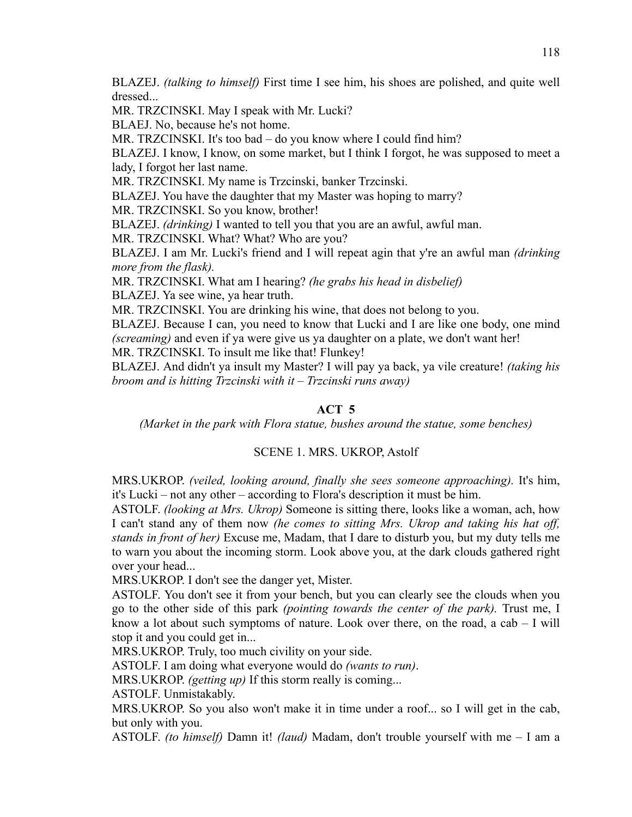BLAZEJ. *(talking to himself)* First time I see him, his shoes are polished, and quite well dressed...

MR. TRZCINSKI. May I speak with Mr. Lucki?

BLAEJ. No, because he's not home.

MR. TRZCINSKI. It's too bad – do you know where I could find him?

BLAZEJ. I know, I know, on some market, but I think I forgot, he was supposed to meet a lady, I forgot her last name.

MR. TRZCINSKI. My name is Trzcinski, banker Trzcinski.

BLAZEJ. You have the daughter that my Master was hoping to marry?

MR. TRZCINSKI. So you know, brother!

BLAZEJ. *(drinking)* I wanted to tell you that you are an awful, awful man.

MR. TRZCINSKI. What? What? Who are you?

BLAZEJ. I am Mr. Lucki's friend and I will repeat agin that y're an awful man *(drinking more from the flask).*

MR. TRZCINSKI. What am I hearing? *(he grabs his head in disbelief)* BLAZEJ. Ya see wine, ya hear truth.

MR. TRZCINSKI. You are drinking his wine, that does not belong to you.

BLAZEJ. Because I can, you need to know that Lucki and I are like one body, one mind *(screaming)* and even if ya were give us ya daughter on a plate, we don't want her!

MR. TRZCINSKI. To insult me like that! Flunkey!

BLAZEJ. And didn't ya insult my Master? I will pay ya back, ya vile creature! *(taking his broom and is hitting Trzcinski with it – Trzcinski runs away)*

# **ACT 5**

*(Market in the park with Flora statue, bushes around the statue, some benches)*

# SCENE 1. MRS. UKROP, Astolf

MRS.UKROP. *(veiled, looking around, finally she sees someone approaching).* It's him, it's Lucki – not any other – according to Flora's description it must be him.

ASTOLF. *(looking at Mrs. Ukrop)* Someone is sitting there, looks like a woman, ach, how I can't stand any of them now *(he comes to sitting Mrs. Ukrop and taking his hat off, stands in front of her)* Excuse me, Madam, that I dare to disturb you, but my duty tells me to warn you about the incoming storm. Look above you, at the dark clouds gathered right over your head...

MRS.UKROP. I don't see the danger yet, Mister.

ASTOLF. You don't see it from your bench, but you can clearly see the clouds when you go to the other side of this park *(pointing towards the center of the park).* Trust me, I know a lot about such symptoms of nature. Look over there, on the road, a cab  $-1$  will stop it and you could get in...

MRS.UKROP. Truly, too much civility on your side.

ASTOLF. I am doing what everyone would do *(wants to run)*.

MRS.UKROP. *(getting up)* If this storm really is coming...

ASTOLF. Unmistakably.

MRS.UKROP. So you also won't make it in time under a roof... so I will get in the cab, but only with you.

ASTOLF. *(to himself)* Damn it! *(laud)* Madam, don't trouble yourself with me – I am a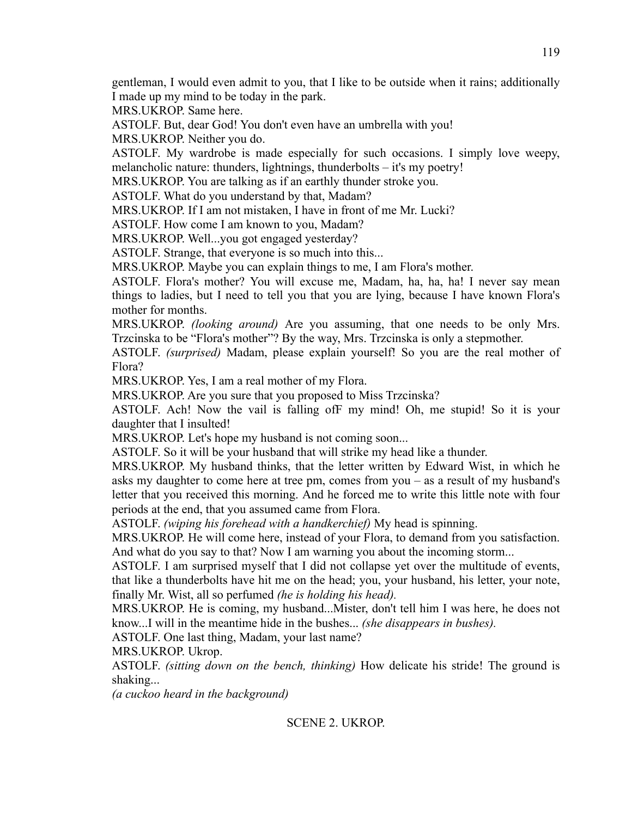gentleman, I would even admit to you, that I like to be outside when it rains; additionally I made up my mind to be today in the park.

MRS.UKROP. Same here.

ASTOLF. But, dear God! You don't even have an umbrella with you!

MRS.UKROP. Neither you do.

ASTOLF. My wardrobe is made especially for such occasions. I simply love weepy, melancholic nature: thunders, lightnings, thunderbolts – it's my poetry!

MRS.UKROP. You are talking as if an earthly thunder stroke you.

ASTOLF. What do you understand by that, Madam?

MRS.UKROP. If I am not mistaken, I have in front of me Mr. Lucki?

ASTOLF. How come I am known to you, Madam?

MRS.UKROP. Well...you got engaged yesterday?

ASTOLF. Strange, that everyone is so much into this...

MRS.UKROP. Maybe you can explain things to me, I am Flora's mother.

ASTOLF. Flora's mother? You will excuse me, Madam, ha, ha, ha! I never say mean things to ladies, but I need to tell you that you are lying, because I have known Flora's mother for months.

MRS.UKROP. *(looking around)* Are you assuming, that one needs to be only Mrs. Trzcinska to be "Flora's mother"? By the way, Mrs. Trzcinska is only a stepmother.

ASTOLF. *(surprised)* Madam, please explain yourself! So you are the real mother of Flora?

MRS.UKROP. Yes, I am a real mother of my Flora.

MRS.UKROP. Are you sure that you proposed to Miss Trzcinska?

ASTOLF. Ach! Now the vail is falling ofF my mind! Oh, me stupid! So it is your daughter that I insulted!

MRS.UKROP. Let's hope my husband is not coming soon...

ASTOLF. So it will be your husband that will strike my head like a thunder.

MRS.UKROP. My husband thinks, that the letter written by Edward Wist, in which he asks my daughter to come here at tree pm, comes from you – as a result of my husband's letter that you received this morning. And he forced me to write this little note with four periods at the end, that you assumed came from Flora.

ASTOLF. *(wiping his forehead with a handkerchief)* My head is spinning.

MRS.UKROP. He will come here, instead of your Flora, to demand from you satisfaction. And what do you say to that? Now I am warning you about the incoming storm...

ASTOLF. I am surprised myself that I did not collapse yet over the multitude of events, that like a thunderbolts have hit me on the head; you, your husband, his letter, your note, finally Mr. Wist, all so perfumed *(he is holding his head).*

MRS.UKROP. He is coming, my husband...Mister, don't tell him I was here, he does not know...I will in the meantime hide in the bushes... *(she disappears in bushes).*

ASTOLF. One last thing, Madam, your last name?

MRS.UKROP. Ukrop.

ASTOLF. *(sitting down on the bench, thinking)* How delicate his stride! The ground is shaking...

*(a cuckoo heard in the background)*

## SCENE 2. UKROP.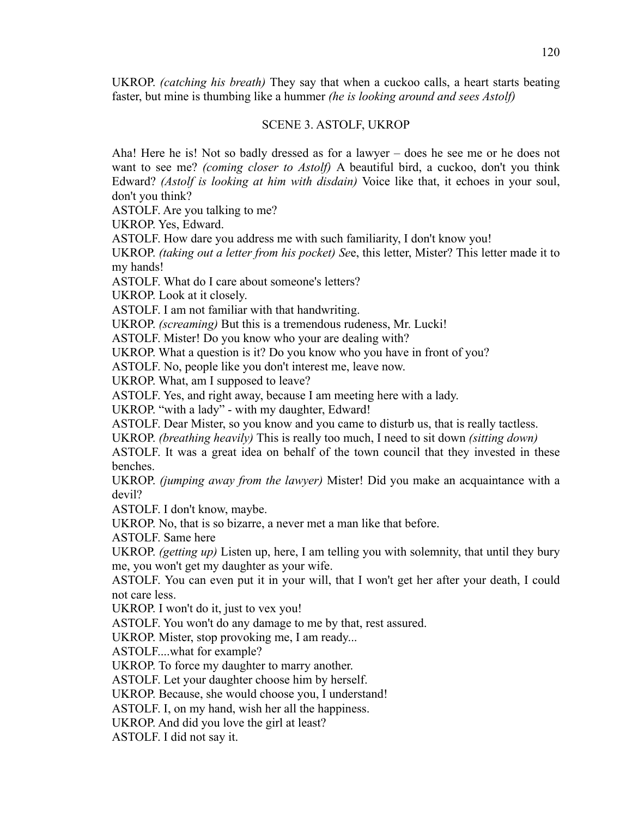UKROP. *(catching his breath)* They say that when a cuckoo calls, a heart starts beating faster, but mine is thumbing like a hummer *(he is looking around and sees Astolf)*

## SCENE 3. ASTOLF, UKROP

Aha! Here he is! Not so badly dressed as for a lawyer – does he see me or he does not want to see me? *(coming closer to Astolf)* A beautiful bird, a cuckoo, don't you think Edward? *(Astolf is looking at him with disdain)* Voice like that, it echoes in your soul, don't you think?

ASTOLF. Are you talking to me?

UKROP. Yes, Edward.

ASTOLF. How dare you address me with such familiarity, I don't know you!

UKROP. *(taking out a letter from his pocket) Se*e, this letter, Mister? This letter made it to my hands!

ASTOLF. What do I care about someone's letters?

UKROP. Look at it closely.

ASTOLF. I am not familiar with that handwriting.

UKROP. *(screaming)* But this is a tremendous rudeness, Mr. Lucki!

ASTOLF. Mister! Do you know who your are dealing with?

UKROP. What a question is it? Do you know who you have in front of you?

ASTOLF. No, people like you don't interest me, leave now.

UKROP. What, am I supposed to leave?

ASTOLF. Yes, and right away, because I am meeting here with a lady.

UKROP. "with a lady" - with my daughter, Edward!

ASTOLF. Dear Mister, so you know and you came to disturb us, that is really tactless.

UKROP. *(breathing heavily)* This is really too much, I need to sit down *(sitting down)*

ASTOLF. It was a great idea on behalf of the town council that they invested in these benches.

UKROP. *(jumping away from the lawyer)* Mister! Did you make an acquaintance with a devil?

ASTOLF. I don't know, maybe.

UKROP. No, that is so bizarre, a never met a man like that before.

ASTOLF. Same here

UKROP. *(getting up)* Listen up, here, I am telling you with solemnity, that until they bury me, you won't get my daughter as your wife.

ASTOLF. You can even put it in your will, that I won't get her after your death, I could not care less.

UKROP. I won't do it, just to vex you!

ASTOLF. You won't do any damage to me by that, rest assured.

UKROP. Mister, stop provoking me, I am ready...

ASTOLF....what for example?

UKROP. To force my daughter to marry another.

ASTOLF. Let your daughter choose him by herself.

UKROP. Because, she would choose you, I understand!

ASTOLF. I, on my hand, wish her all the happiness.

UKROP. And did you love the girl at least?

ASTOLF. I did not say it.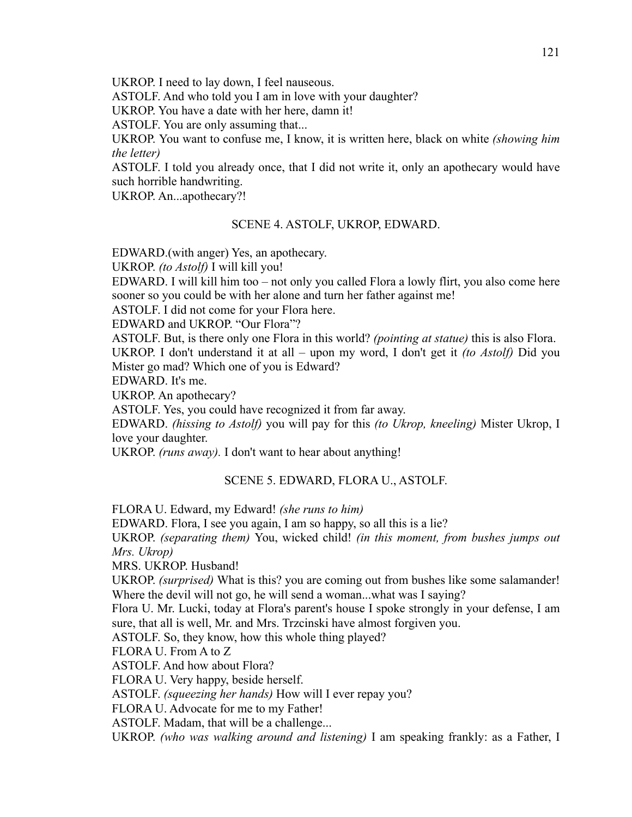UKROP. I need to lay down, I feel nauseous.

ASTOLF. And who told you I am in love with your daughter?

UKROP. You have a date with her here, damn it!

ASTOLF. You are only assuming that...

UKROP. You want to confuse me, I know, it is written here, black on white *(showing him the letter)*

ASTOLF. I told you already once, that I did not write it, only an apothecary would have such horrible handwriting.

UKROP. An...apothecary?!

## SCENE 4. ASTOLF, UKROP, EDWARD.

EDWARD.(with anger) Yes, an apothecary.

UKROP. *(to Astolf)* I will kill you!

EDWARD. I will kill him too – not only you called Flora a lowly flirt, you also come here sooner so you could be with her alone and turn her father against me!

ASTOLF. I did not come for your Flora here.

EDWARD and UKROP. "Our Flora"?

ASTOLF. But, is there only one Flora in this world? *(pointing at statue)* this is also Flora. UKROP. I don't understand it at all – upon my word, I don't get it *(to Astolf)* Did you Mister go mad? Which one of you is Edward?

EDWARD. It's me.

UKROP. An apothecary?

ASTOLF. Yes, you could have recognized it from far away.

EDWARD. *(hissing to Astolf)* you will pay for this *(to Ukrop, kneeling)* Mister Ukrop, I love your daughter.

UKROP. *(runs away).* I don't want to hear about anything!

## SCENE 5. EDWARD, FLORA U., ASTOLF.

FLORA U. Edward, my Edward! *(she runs to him)*

EDWARD. Flora, I see you again, I am so happy, so all this is a lie?

UKROP. *(separating them)* You, wicked child! *(in this moment, from bushes jumps out Mrs. Ukrop)*

MRS. UKROP. Husband!

UKROP. *(surprised)* What is this? you are coming out from bushes like some salamander! Where the devil will not go, he will send a woman...what was I saying?

Flora U. Mr. Lucki, today at Flora's parent's house I spoke strongly in your defense, I am sure, that all is well, Mr. and Mrs. Trzcinski have almost forgiven you.

ASTOLF. So, they know, how this whole thing played?

FLORA U. From A to Z

ASTOLF. And how about Flora?

FLORA U. Very happy, beside herself.

ASTOLF. *(squeezing her hands)* How will I ever repay you?

FLORA U. Advocate for me to my Father!

ASTOLF. Madam, that will be a challenge...

UKROP. *(who was walking around and listening)* I am speaking frankly: as a Father, I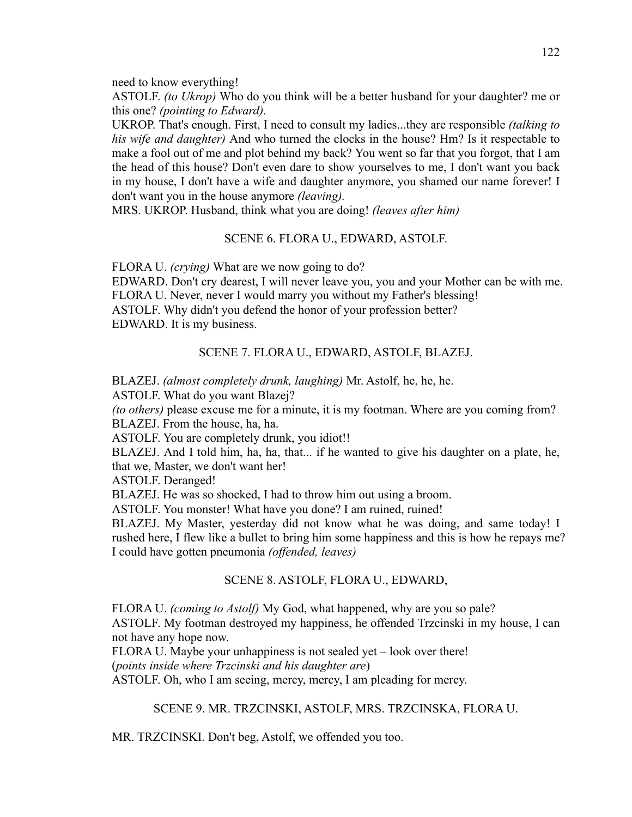need to know everything!

ASTOLF. *(to Ukrop)* Who do you think will be a better husband for your daughter? me or this one? *(pointing to Edward).*

UKROP. That's enough. First, I need to consult my ladies...they are responsible *(talking to his wife and daughter)* And who turned the clocks in the house? Hm? Is it respectable to make a fool out of me and plot behind my back? You went so far that you forgot, that I am the head of this house? Don't even dare to show yourselves to me, I don't want you back in my house, I don't have a wife and daughter anymore, you shamed our name forever! I don't want you in the house anymore *(leaving).*

MRS. UKROP. Husband, think what you are doing! *(leaves after him)*

### SCENE 6. FLORA U., EDWARD, ASTOLF.

FLORA U. *(crying)* What are we now going to do?

EDWARD. Don't cry dearest, I will never leave you, you and your Mother can be with me. FLORA U. Never, never I would marry you without my Father's blessing! ASTOLF. Why didn't you defend the honor of your profession better? EDWARD. It is my business.

### SCENE 7. FLORA U., EDWARD, ASTOLF, BLAZEJ.

BLAZEJ. *(almost completely drunk, laughing)* Mr. Astolf, he, he, he.

ASTOLF. What do you want Blazej?

*(to others)* please excuse me for a minute, it is my footman. Where are you coming from? BLAZEJ. From the house, ha, ha.

ASTOLF. You are completely drunk, you idiot!!

BLAZEJ. And I told him, ha, ha, that... if he wanted to give his daughter on a plate, he, that we, Master, we don't want her!

ASTOLF. Deranged!

BLAZEJ. He was so shocked, I had to throw him out using a broom.

ASTOLF. You monster! What have you done? I am ruined, ruined!

BLAZEJ. My Master, yesterday did not know what he was doing, and same today! I rushed here, I flew like a bullet to bring him some happiness and this is how he repays me? I could have gotten pneumonia *(offended, leaves)*

### SCENE 8. ASTOLF, FLORA U., EDWARD,

FLORA U. *(coming to Astolf)* My God, what happened, why are you so pale? ASTOLF. My footman destroyed my happiness, he offended Trzcinski in my house, I can not have any hope now.

FLORA U. Maybe your unhappiness is not sealed yet – look over there!

(*points inside where Trzcinski and his daughter are*)

ASTOLF. Oh, who I am seeing, mercy, mercy, I am pleading for mercy.

SCENE 9. MR. TRZCINSKI, ASTOLF, MRS. TRZCINSKA, FLORA U.

MR. TRZCINSKI. Don't beg, Astolf, we offended you too.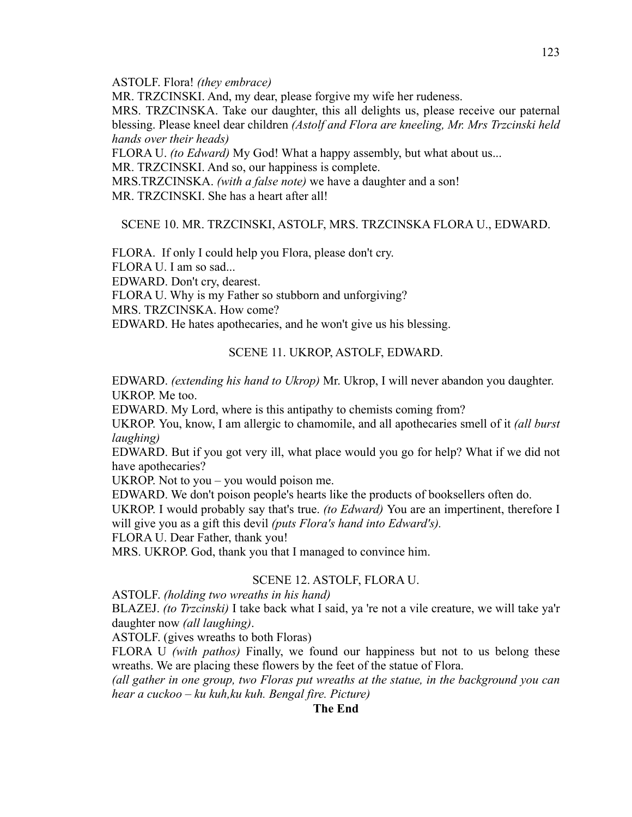ASTOLF. Flora! *(they embrace)*

MR. TRZCINSKI. And, my dear, please forgive my wife her rudeness.

MRS. TRZCINSKA. Take our daughter, this all delights us, please receive our paternal blessing. Please kneel dear children *(Astolf and Flora are kneeling, Mr. Mrs Trzcinski held hands over their heads)*

FLORA U. *(to Edward)* My God! What a happy assembly, but what about us...

MR. TRZCINSKI. And so, our happiness is complete.

MRS.TRZCINSKA. *(with a false note)* we have a daughter and a son!

MR. TRZCINSKI. She has a heart after all!

SCENE 10. MR. TRZCINSKI, ASTOLF, MRS. TRZCINSKA FLORA U., EDWARD.

FLORA. If only I could help you Flora, please don't cry. FLORA U. I am so sad... EDWARD. Don't cry, dearest. FLORA U. Why is my Father so stubborn and unforgiving? MRS. TRZCINSKA. How come? EDWARD. He hates apothecaries, and he won't give us his blessing.

## SCENE 11. UKROP, ASTOLF, EDWARD.

EDWARD. *(extending his hand to Ukrop)* Mr. Ukrop, I will never abandon you daughter. UKROP. Me too.

EDWARD. My Lord, where is this antipathy to chemists coming from?

UKROP. You, know, I am allergic to chamomile, and all apothecaries smell of it *(all burst laughing)*

EDWARD. But if you got very ill, what place would you go for help? What if we did not have apothecaries?

UKROP. Not to you – you would poison me.

EDWARD. We don't poison people's hearts like the products of booksellers often do.

UKROP. I would probably say that's true. *(to Edward)* You are an impertinent, therefore I will give you as a gift this devil *(puts Flora's hand into Edward's).*

FLORA U. Dear Father, thank you!

MRS. UKROP. God, thank you that I managed to convince him.

## SCENE 12. ASTOLF, FLORA U.

ASTOLF. *(holding two wreaths in his hand)*

BLAZEJ. *(to Trzcinski)* I take back what I said, ya 're not a vile creature, we will take ya'r daughter now *(all laughing)*.

ASTOLF. (gives wreaths to both Floras)

FLORA U *(with pathos)* Finally, we found our happiness but not to us belong these wreaths. We are placing these flowers by the feet of the statue of Flora.

*(all gather in one group, two Floras put wreaths at the statue, in the background you can hear a cuckoo – ku kuh,ku kuh. Bengal fire. Picture)*

## **The End**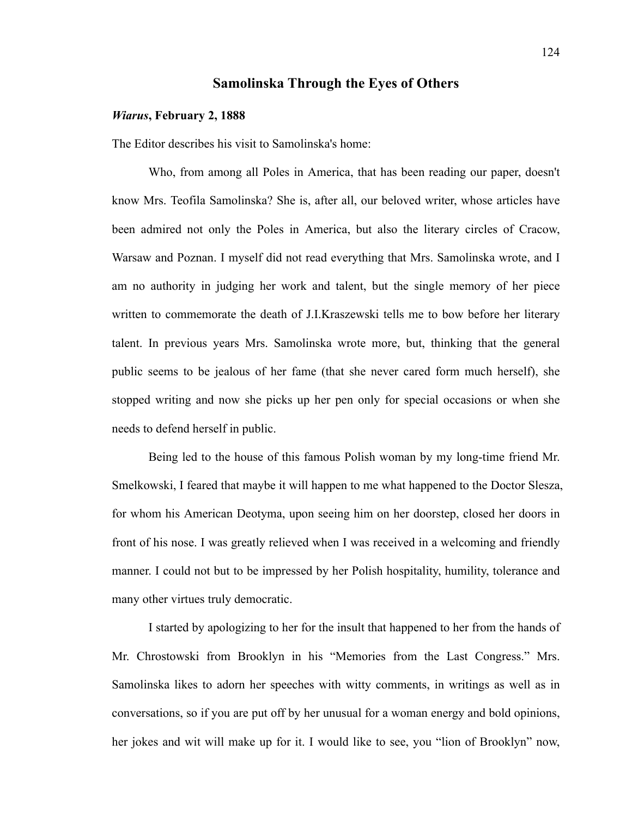## **Samolinska Through the Eyes of Others**

#### *Wiarus***, February 2, 1888**

The Editor describes his visit to Samolinska's home:

Who, from among all Poles in America, that has been reading our paper, doesn't know Mrs. Teofila Samolinska? She is, after all, our beloved writer, whose articles have been admired not only the Poles in America, but also the literary circles of Cracow, Warsaw and Poznan. I myself did not read everything that Mrs. Samolinska wrote, and I am no authority in judging her work and talent, but the single memory of her piece written to commemorate the death of J.I.Kraszewski tells me to bow before her literary talent. In previous years Mrs. Samolinska wrote more, but, thinking that the general public seems to be jealous of her fame (that she never cared form much herself), she stopped writing and now she picks up her pen only for special occasions or when she needs to defend herself in public.

Being led to the house of this famous Polish woman by my long-time friend Mr. Smelkowski, I feared that maybe it will happen to me what happened to the Doctor Slesza, for whom his American Deotyma, upon seeing him on her doorstep, closed her doors in front of his nose. I was greatly relieved when I was received in a welcoming and friendly manner. I could not but to be impressed by her Polish hospitality, humility, tolerance and many other virtues truly democratic.

I started by apologizing to her for the insult that happened to her from the hands of Mr. Chrostowski from Brooklyn in his "Memories from the Last Congress." Mrs. Samolinska likes to adorn her speeches with witty comments, in writings as well as in conversations, so if you are put off by her unusual for a woman energy and bold opinions, her jokes and wit will make up for it. I would like to see, you "lion of Brooklyn" now,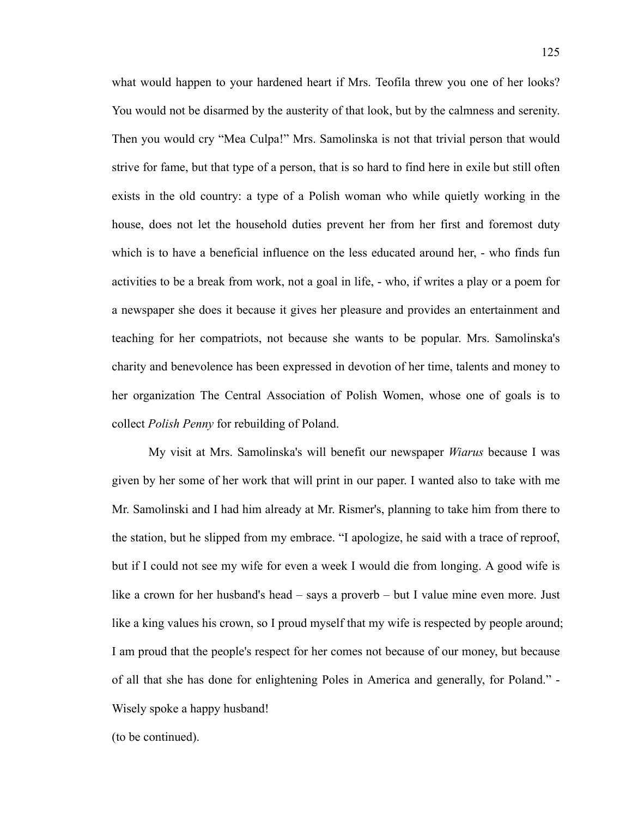what would happen to your hardened heart if Mrs. Teofila threw you one of her looks? You would not be disarmed by the austerity of that look, but by the calmness and serenity. Then you would cry "Mea Culpa!" Mrs. Samolinska is not that trivial person that would strive for fame, but that type of a person, that is so hard to find here in exile but still often exists in the old country: a type of a Polish woman who while quietly working in the house, does not let the household duties prevent her from her first and foremost duty which is to have a beneficial influence on the less educated around her, - who finds fun activities to be a break from work, not a goal in life, - who, if writes a play or a poem for a newspaper she does it because it gives her pleasure and provides an entertainment and teaching for her compatriots, not because she wants to be popular. Mrs. Samolinska's charity and benevolence has been expressed in devotion of her time, talents and money to her organization The Central Association of Polish Women, whose one of goals is to collect *Polish Penny* for rebuilding of Poland.

My visit at Mrs. Samolinska's will benefit our newspaper *Wiarus* because I was given by her some of her work that will print in our paper. I wanted also to take with me Mr. Samolinski and I had him already at Mr. Rismer's, planning to take him from there to the station, but he slipped from my embrace. "I apologize, he said with a trace of reproof, but if I could not see my wife for even a week I would die from longing. A good wife is like a crown for her husband's head – says a proverb – but I value mine even more. Just like a king values his crown, so I proud myself that my wife is respected by people around; I am proud that the people's respect for her comes not because of our money, but because of all that she has done for enlightening Poles in America and generally, for Poland." - Wisely spoke a happy husband!

(to be continued).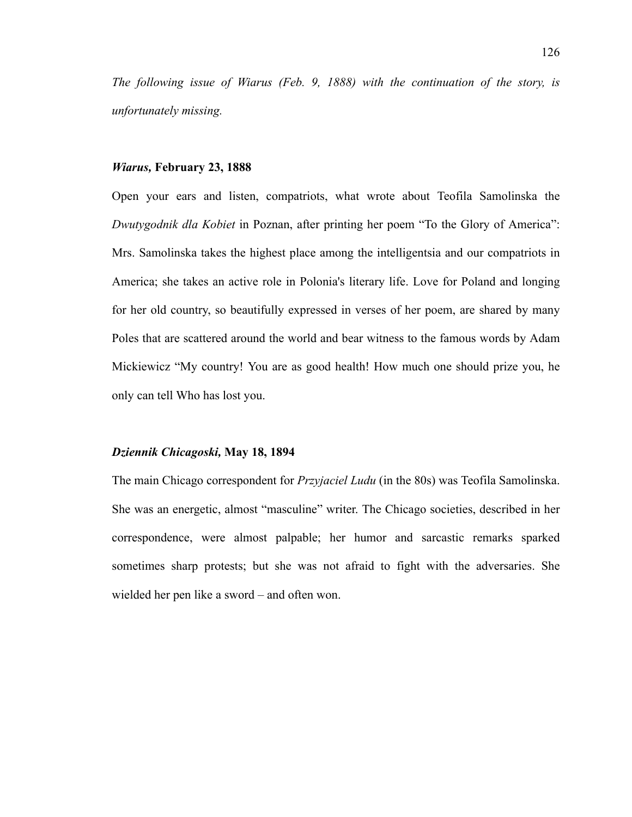*The following issue of Wiarus (Feb. 9, 1888) with the continuation of the story, is unfortunately missing.*

#### *Wiarus,* **February 23, 1888**

Open your ears and listen, compatriots, what wrote about Teofila Samolinska the *Dwutygodnik dla Kobiet* in Poznan, after printing her poem "To the Glory of America": Mrs. Samolinska takes the highest place among the intelligentsia and our compatriots in America; she takes an active role in Polonia's literary life. Love for Poland and longing for her old country, so beautifully expressed in verses of her poem, are shared by many Poles that are scattered around the world and bear witness to the famous words by Adam Mickiewicz "My country! You are as good health! How much one should prize you, he only can tell Who has lost you.

#### *Dziennik Chicagoski,* **May 18, 1894**

The main Chicago correspondent for *Przyjaciel Ludu* (in the 80s) was Teofila Samolinska. She was an energetic, almost "masculine" writer. The Chicago societies, described in her correspondence, were almost palpable; her humor and sarcastic remarks sparked sometimes sharp protests; but she was not afraid to fight with the adversaries. She wielded her pen like a sword – and often won.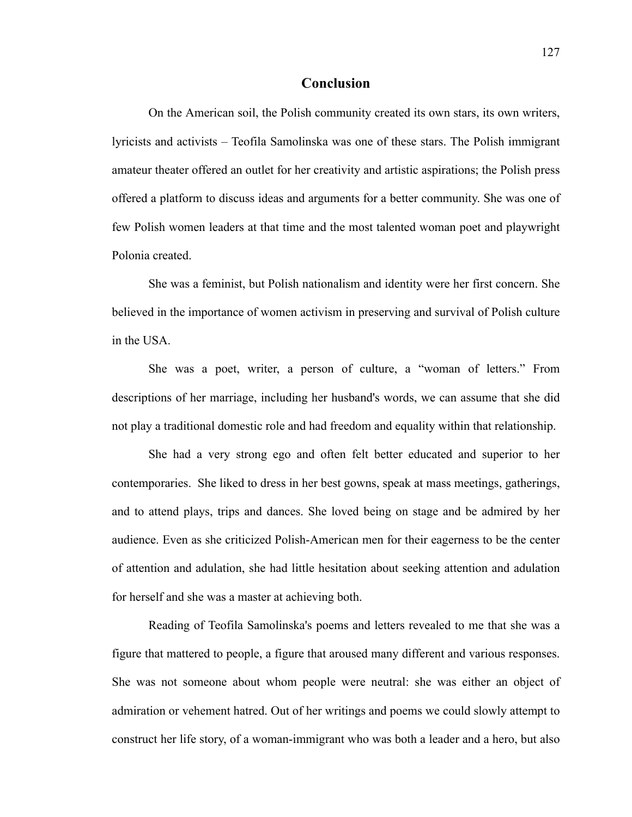### **Conclusion**

On the American soil, the Polish community created its own stars, its own writers, lyricists and activists – Teofila Samolinska was one of these stars. The Polish immigrant amateur theater offered an outlet for her creativity and artistic aspirations; the Polish press offered a platform to discuss ideas and arguments for a better community. She was one of few Polish women leaders at that time and the most talented woman poet and playwright Polonia created.

She was a feminist, but Polish nationalism and identity were her first concern. She believed in the importance of women activism in preserving and survival of Polish culture in the USA.

She was a poet, writer, a person of culture, a "woman of letters." From descriptions of her marriage, including her husband's words, we can assume that she did not play a traditional domestic role and had freedom and equality within that relationship.

She had a very strong ego and often felt better educated and superior to her contemporaries. She liked to dress in her best gowns, speak at mass meetings, gatherings, and to attend plays, trips and dances. She loved being on stage and be admired by her audience. Even as she criticized Polish-American men for their eagerness to be the center of attention and adulation, she had little hesitation about seeking attention and adulation for herself and she was a master at achieving both.

Reading of Teofila Samolinska's poems and letters revealed to me that she was a figure that mattered to people, a figure that aroused many different and various responses. She was not someone about whom people were neutral: she was either an object of admiration or vehement hatred. Out of her writings and poems we could slowly attempt to construct her life story, of a woman-immigrant who was both a leader and a hero, but also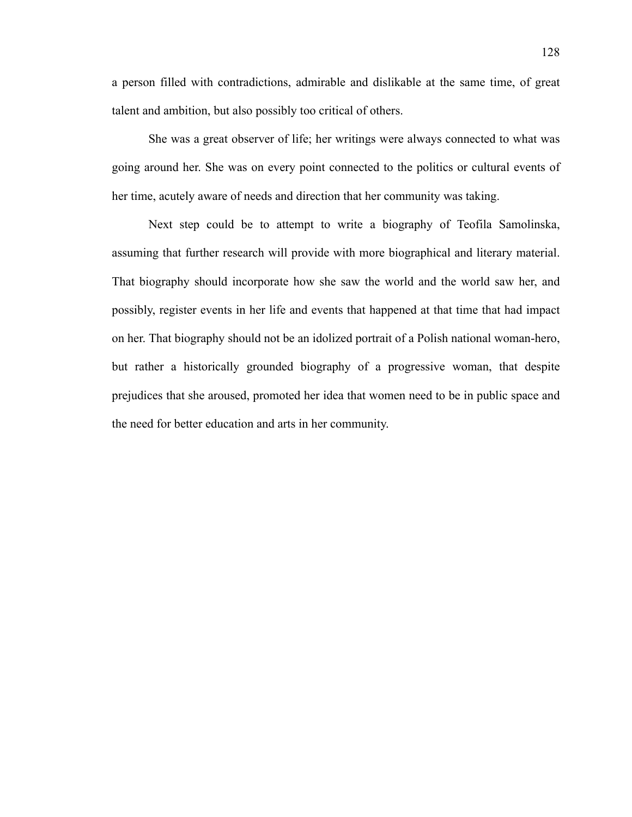a person filled with contradictions, admirable and dislikable at the same time, of great talent and ambition, but also possibly too critical of others.

She was a great observer of life; her writings were always connected to what was going around her. She was on every point connected to the politics or cultural events of her time, acutely aware of needs and direction that her community was taking.

Next step could be to attempt to write a biography of Teofila Samolinska, assuming that further research will provide with more biographical and literary material. That biography should incorporate how she saw the world and the world saw her, and possibly, register events in her life and events that happened at that time that had impact on her. That biography should not be an idolized portrait of a Polish national woman-hero, but rather a historically grounded biography of a progressive woman, that despite prejudices that she aroused, promoted her idea that women need to be in public space and the need for better education and arts in her community.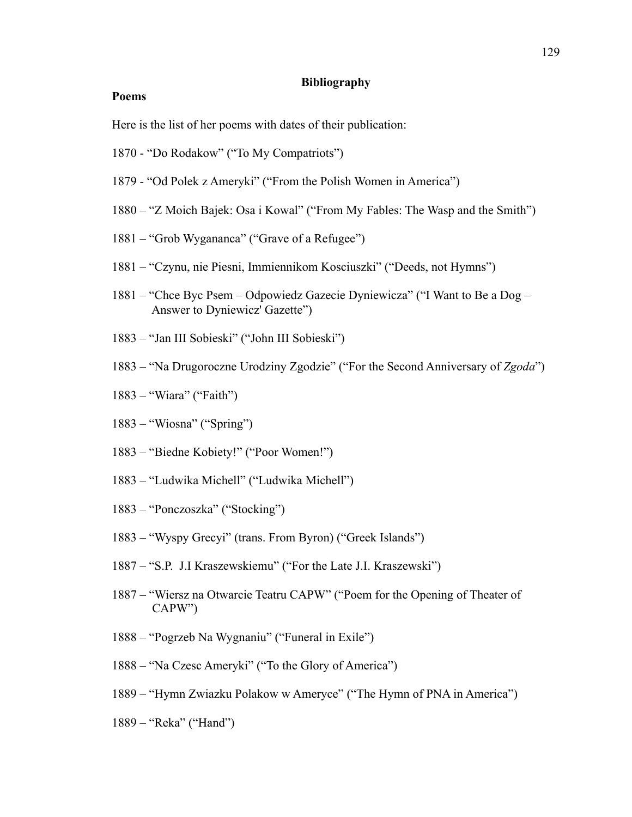#### **Bibliography**

## **Poems**

Here is the list of her poems with dates of their publication:

- 1870 "Do Rodakow" ("To My Compatriots")
- 1879 "Od Polek z Ameryki" ("From the Polish Women in America")
- 1880 "Z Moich Bajek: Osa i Kowal" ("From My Fables: The Wasp and the Smith")
- 1881 "Grob Wygananca" ("Grave of a Refugee")
- 1881 "Czynu, nie Piesni, Immiennikom Kosciuszki" ("Deeds, not Hymns")
- 1881 "Chce Byc Psem Odpowiedz Gazecie Dyniewicza" ("I Want to Be a Dog Answer to Dyniewicz' Gazette")
- 1883 "Jan III Sobieski" ("John III Sobieski")
- 1883 "Na Drugoroczne Urodziny Zgodzie" ("For the Second Anniversary of *Zgoda*")
- 1883 "Wiara" ("Faith")
- 1883 "Wiosna" ("Spring")
- 1883 "Biedne Kobiety!" ("Poor Women!")
- 1883 "Ludwika Michell" ("Ludwika Michell")
- 1883 "Ponczoszka" ("Stocking")
- 1883 "Wyspy Grecyi" (trans. From Byron) ("Greek Islands")
- 1887 "S.P. J.I Kraszewskiemu" ("For the Late J.I. Kraszewski")
- 1887 "Wiersz na Otwarcie Teatru CAPW" ("Poem for the Opening of Theater of CAPW")
- 1888 "Pogrzeb Na Wygnaniu" ("Funeral in Exile")
- 1888 "Na Czesc Ameryki" ("To the Glory of America")
- 1889 "Hymn Zwiazku Polakow w Ameryce" ("The Hymn of PNA in America")
- 1889 "Reka" ("Hand")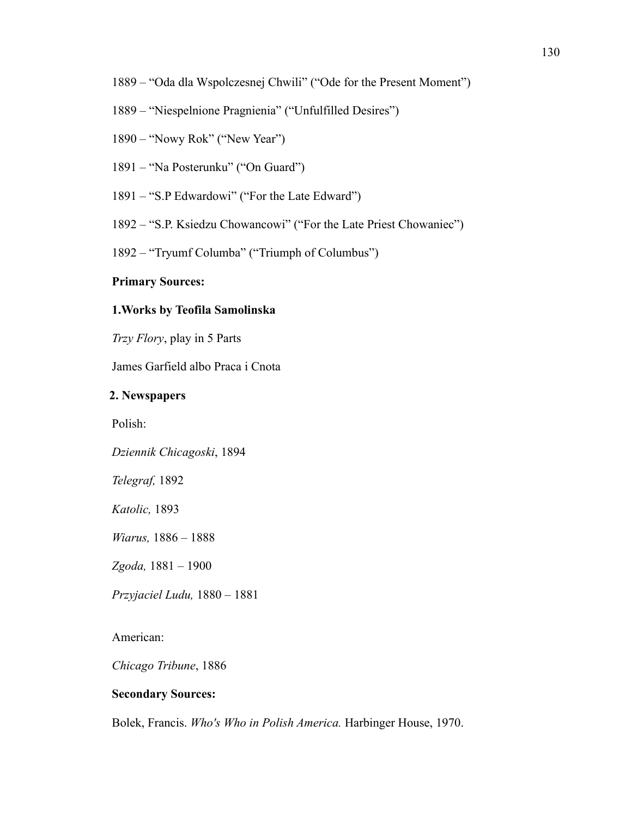- 1889 "Oda dla Wspolczesnej Chwili" ("Ode for the Present Moment")
- 1889 "Niespelnione Pragnienia" ("Unfulfilled Desires")
- 1890 "Nowy Rok" ("New Year")
- 1891 "Na Posterunku" ("On Guard")
- 1891 "S.P Edwardowi" ("For the Late Edward")
- 1892 "S.P. Ksiedzu Chowancowi" ("For the Late Priest Chowaniec")
- 1892 "Tryumf Columba" ("Triumph of Columbus")

#### **Primary Sources:**

### **1.Works by Teofila Samolinska**

*Trzy Flory*, play in 5 Parts

James Garfield albo Praca i Cnota

## **2. Newspapers**

Polish:

*Dziennik Chicagoski*, 1894

*Telegraf,* 1892

*Katolic,* 1893

*Wiarus,* 1886 – 1888

*Zgoda,* 1881 – 1900

*Przyjaciel Ludu,* 1880 – 1881

American:

*Chicago Tribune*, 1886

### **Secondary Sources:**

Bolek, Francis. *Who's Who in Polish America.* Harbinger House, 1970.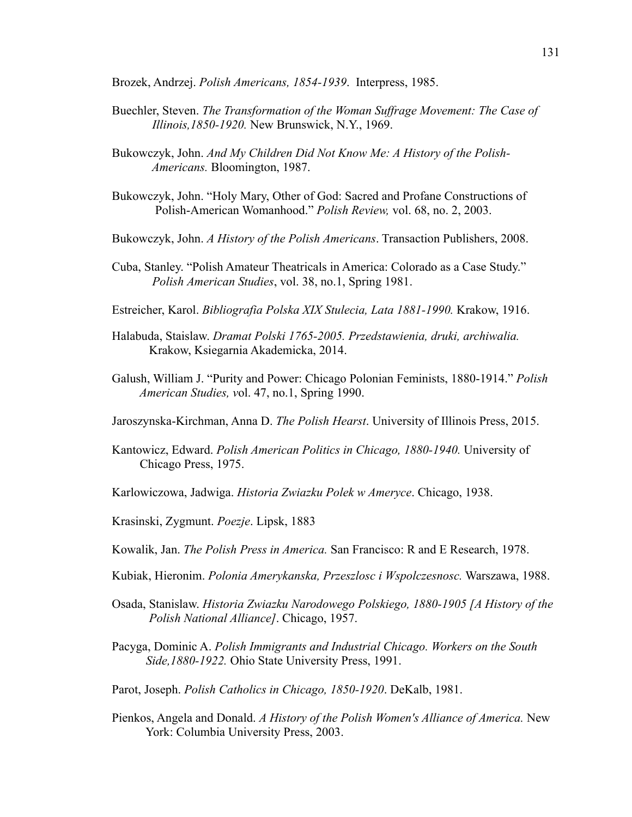Brozek, Andrzej. *Polish Americans, 1854-1939*. Interpress, 1985.

- Buechler, Steven. *The Transformation of the Woman Suffrage Movement: The Case of Illinois,1850-1920.* New Brunswick, N.Y., 1969.
- Bukowczyk, John. *And My Children Did Not Know Me: A History of the Polish- Americans.* Bloomington, 1987.
- Bukowczyk, John. "Holy Mary, Other of God: Sacred and Profane Constructions of Polish-American Womanhood." *Polish Review,* vol. 68, no. 2, 2003.
- Bukowczyk, John. *A History of the Polish Americans*. Transaction Publishers, 2008.
- Cuba, Stanley. "Polish Amateur Theatricals in America: Colorado as a Case Study." *Polish American Studies*, vol. 38, no.1, Spring 1981.
- Estreicher, Karol. *Bibliografia Polska XIX Stulecia, Lata 1881-1990.* Krakow, 1916.
- Halabuda, Staislaw. *Dramat Polski 1765-2005. Przedstawienia, druki, archiwalia.* Krakow, Ksiegarnia Akademicka, 2014.
- Galush, William J. "Purity and Power: Chicago Polonian Feminists, 1880-1914." *Polish American Studies, v*ol. 47, no.1, Spring 1990.
- Jaroszynska-Kirchman, Anna D. *The Polish Hearst*. University of Illinois Press, 2015.
- Kantowicz, Edward. *Polish American Politics in Chicago, 1880-1940.* University of Chicago Press, 1975.
- Karlowiczowa, Jadwiga. *Historia Zwiazku Polek w Ameryce*. Chicago, 1938.
- Krasinski, Zygmunt. *Poezje*. Lipsk, 1883
- Kowalik, Jan. *The Polish Press in America.* San Francisco: R and E Research, 1978.
- Kubiak, Hieronim. *Polonia Amerykanska, Przeszlosc i Wspolczesnosc.* Warszawa, 1988.
- Osada, Stanislaw. *Historia Zwiazku Narodowego Polskiego, 1880-1905 [A History of the Polish National Alliance]*. Chicago, 1957.
- Pacyga, Dominic A. *Polish Immigrants and Industrial Chicago. Workers on the South Side,1880-1922.* Ohio State University Press, 1991.
- Parot, Joseph. *Polish Catholics in Chicago, 1850-1920*. DeKalb, 1981.
- Pienkos, Angela and Donald. *A History of the Polish Women's Alliance of America.* New York: Columbia University Press, 2003.